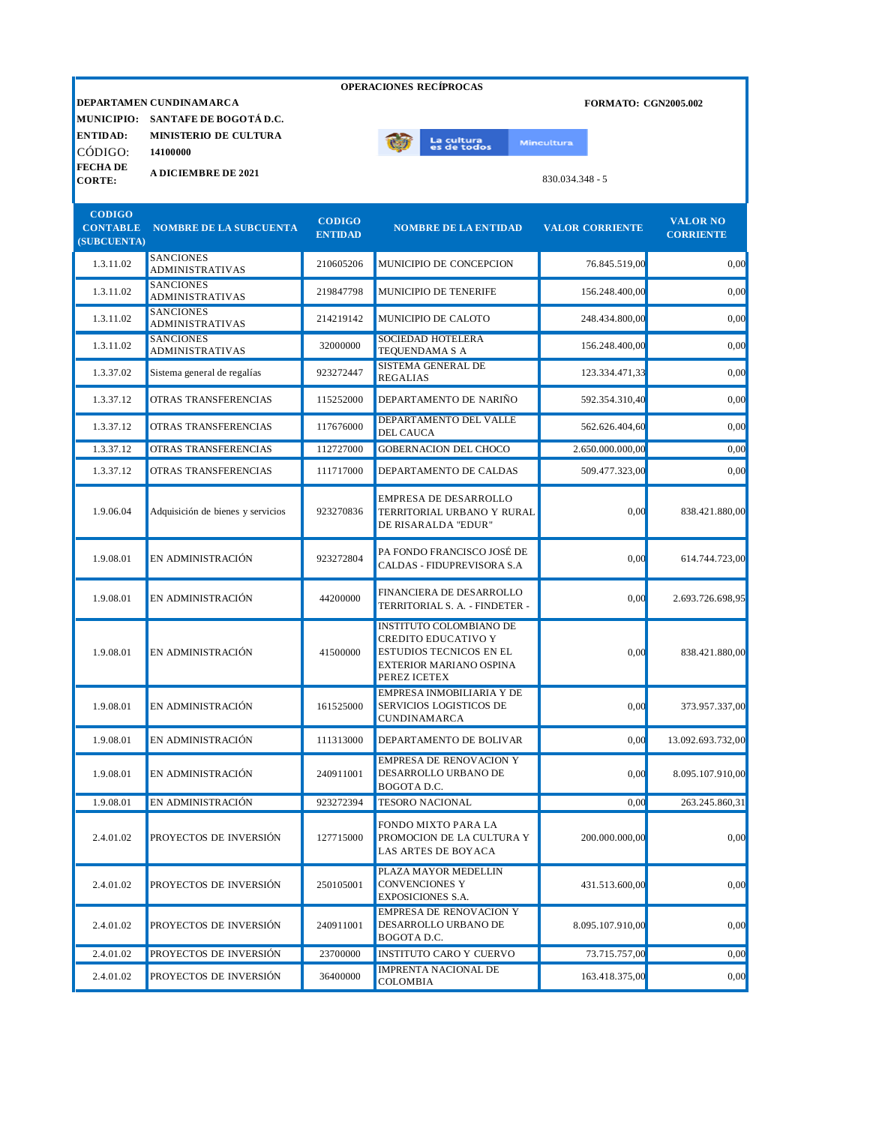|                                                 | <b>OPERACIONES RECÍPROCAS</b>                                                                 |                                 |                                                                                                                                    |                                                  |                                     |  |  |  |
|-------------------------------------------------|-----------------------------------------------------------------------------------------------|---------------------------------|------------------------------------------------------------------------------------------------------------------------------------|--------------------------------------------------|-------------------------------------|--|--|--|
| <b>MUNICIPIO:</b><br><b>ENTIDAD:</b><br>CÓDIGO: | DEPARTAMEN CUNDINAMARCA<br>SANTAFE DE BOGOTÁ D.C.<br><b>MINISTERIO DE CULTURA</b><br>14100000 |                                 | La cultura<br>es de todos                                                                                                          | <b>FORMATO: CGN2005.002</b><br><b>Mincultura</b> |                                     |  |  |  |
| <b>FECHADE</b><br><b>CORTE:</b>                 | <b>A DICIEMBRE DE 2021</b>                                                                    |                                 |                                                                                                                                    | 830.034.348 - 5                                  |                                     |  |  |  |
| <b>CODIGO</b><br><b>CONTABLE</b><br>(SUBCUENTA) | <b>NOMBRE DE LA SUBCUENTA</b>                                                                 | <b>CODIGO</b><br><b>ENTIDAD</b> | <b>NOMBRE DE LA ENTIDAD</b>                                                                                                        | <b>VALOR CORRIENTE</b>                           | <b>VALOR NO</b><br><b>CORRIENTE</b> |  |  |  |
| 1.3.11.02                                       | <b>SANCIONES</b><br><b>ADMINISTRATIVAS</b>                                                    | 210605206                       | MUNICIPIO DE CONCEPCION                                                                                                            | 76.845.519,00                                    | 0,00                                |  |  |  |
| 1.3.11.02                                       | <b>SANCIONES</b><br><b>ADMINISTRATIVAS</b>                                                    | 219847798                       | MUNICIPIO DE TENERIFE                                                                                                              | 156.248.400,00                                   | 0.00                                |  |  |  |
| 1.3.11.02                                       | <b>SANCIONES</b><br><b>ADMINISTRATIVAS</b>                                                    | 214219142                       | MUNICIPIO DE CALOTO                                                                                                                | 248.434.800,00                                   | 0,00                                |  |  |  |
| 1.3.11.02                                       | <b>SANCIONES</b><br><b>ADMINISTRATIVAS</b>                                                    | 32000000                        | <b>SOCIEDAD HOTELERA</b><br><b>TEQUENDAMA S A</b>                                                                                  | 156.248.400,00                                   | 0.00                                |  |  |  |
| 1.3.37.02                                       | Sistema general de regalías                                                                   | 923272447                       | SISTEMA GENERAL DE<br><b>REGALIAS</b>                                                                                              | 123.334.471,33                                   | 0.00                                |  |  |  |
| 1.3.37.12                                       | OTRAS TRANSFERENCIAS                                                                          | 115252000                       | DEPARTAMENTO DE NARIÑO                                                                                                             | 592.354.310,40                                   | 0.00                                |  |  |  |
| 1.3.37.12                                       | OTRAS TRANSFERENCIAS                                                                          | 117676000                       | DEPARTAMENTO DEL VALLE<br><b>DEL CAUCA</b>                                                                                         | 562.626.404,60                                   | 0,00                                |  |  |  |
| 1.3.37.12                                       | OTRAS TRANSFERENCIAS                                                                          | 112727000                       | <b>GOBERNACION DEL CHOCO</b>                                                                                                       | 2.650.000.000.00                                 | 0,00                                |  |  |  |
| 1.3.37.12                                       | OTRAS TRANSFERENCIAS                                                                          | 111717000                       | DEPARTAMENTO DE CALDAS                                                                                                             | 509.477.323,00                                   | 0.00                                |  |  |  |
| 1.9.06.04                                       | Adquisición de bienes y servicios                                                             | 923270836                       | <b>EMPRESA DE DESARROLLO</b><br>TERRITORIAL URBANO Y RURAL<br>DE RISARALDA "EDUR"                                                  | 0.00                                             | 838.421.880,00                      |  |  |  |
| 1.9.08.01                                       | EN ADMINISTRACIÓN                                                                             | 923272804                       | PA FONDO FRANCISCO JOSÉ DE<br>CALDAS - FIDUPREVISORA S.A                                                                           | 0,00                                             | 614.744.723,00                      |  |  |  |
| 1.9.08.01                                       | EN ADMINISTRACIÓN                                                                             | 44200000                        | FINANCIERA DE DESARROLLO<br>TERRITORIAL S. A. - FINDETER -                                                                         | 0,00                                             | 2.693.726.698,95                    |  |  |  |
| 1.9.08.01                                       | EN ADMINISTRACIÓN                                                                             | 41500000                        | <b>INSTITUTO COLOMBIANO DE</b><br>CREDITO EDUCATIVO Y<br>ESTUDIOS TECNICOS EN EL<br><b>EXTERIOR MARIANO OSPINA</b><br>PEREZ ICETEX | 0,00                                             | 838.421.880,00                      |  |  |  |
| 1.9.08.01                                       | EN ADMINISTRACIÓN                                                                             | 161525000                       | <b>EMPRESA INMOBILIARIA Y DE</b><br>SERVICIOS LOGISTICOS DE<br>CUNDINAMARCA                                                        | 0,00                                             | 373.957.337,00                      |  |  |  |
| 1.9.08.01                                       | EN ADMINISTRACIÓN                                                                             | 111313000                       | DEPARTAMENTO DE BOLIVAR                                                                                                            | 0,00                                             | 13.092.693.732,00                   |  |  |  |
| 1.9.08.01                                       | EN ADMINISTRACIÓN                                                                             | 240911001                       | <b>EMPRESA DE RENOVACION Y</b><br>DESARROLLO URBANO DE<br>BOGOTA D.C.                                                              | 0,00                                             | 8.095.107.910,00                    |  |  |  |
| 1.9.08.01                                       | EN ADMINISTRACIÓN                                                                             | 923272394                       | <b>TESORO NACIONAL</b>                                                                                                             | 0,00                                             | 263.245.860,31                      |  |  |  |
| 2.4.01.02                                       | PROYECTOS DE INVERSIÓN                                                                        | 127715000                       | <b>FONDO MIXTO PARA LA</b><br>PROMOCION DE LA CULTURA Y<br><b>LAS ARTES DE BOYACA</b>                                              | 200.000.000,00                                   | 0.00                                |  |  |  |
| 2.4.01.02                                       | PROYECTOS DE INVERSIÓN                                                                        | 250105001                       | PLAZA MAYOR MEDELLIN<br><b>CONVENCIONES Y</b><br><b>EXPOSICIONES S.A.</b>                                                          | 431.513.600,00                                   | 0.00                                |  |  |  |
| 2.4.01.02                                       | PROYECTOS DE INVERSIÓN                                                                        | 240911001                       | <b>EMPRESA DE RENOVACION Y</b><br>DESARROLLO URBANO DE<br>BOGOTA D.C.                                                              | 8.095.107.910,00                                 | 0,00                                |  |  |  |
| 2.4.01.02                                       | PROYECTOS DE INVERSIÓN                                                                        | 23700000                        | <b>INSTITUTO CARO Y CUERVO</b>                                                                                                     | 73.715.757,00                                    | 0,00                                |  |  |  |
| 2.4.01.02                                       | PROYECTOS DE INVERSIÓN                                                                        | 36400000                        | <b>IMPRENTA NACIONAL DE</b><br>COLOMBIA                                                                                            | 163.418.375,00                                   | 0,00                                |  |  |  |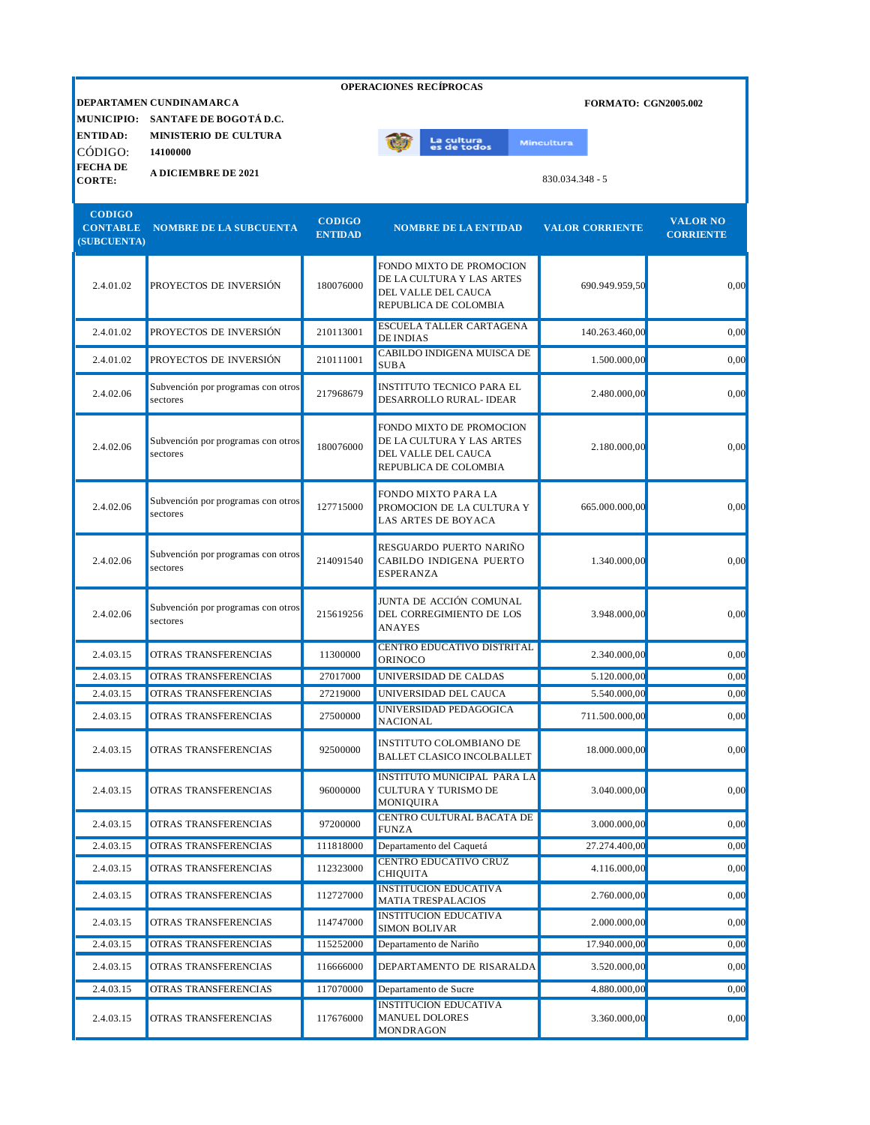| <b>OPERACIONES RECÍPROCAS</b>                   |                                                   |                                 |                                                                                                       |                             |                                     |  |  |
|-------------------------------------------------|---------------------------------------------------|---------------------------------|-------------------------------------------------------------------------------------------------------|-----------------------------|-------------------------------------|--|--|
| <b>MUNICIPIO:</b>                               | DEPARTAMEN CUNDINAMARCA<br>SANTAFE DE BOGOTÁ D.C. |                                 |                                                                                                       | <b>FORMATO: CGN2005.002</b> |                                     |  |  |
| <b>ENTIDAD:</b>                                 | MINISTERIO DE CULTURA                             |                                 | La cultura<br>es de todos                                                                             | <b>Mincultura</b>           |                                     |  |  |
| CÓDIGO:<br><b>FECHADE</b>                       | 14100000                                          |                                 |                                                                                                       |                             |                                     |  |  |
| <b>CORTE:</b>                                   | <b>A DICIEMBRE DE 2021</b>                        |                                 |                                                                                                       | $830.034.348 - 5$           |                                     |  |  |
| <b>CODIGO</b><br><b>CONTABLE</b><br>(SUBCUENTA) | <b>NOMBRE DE LA SUBCUENTA</b>                     | <b>CODIGO</b><br><b>ENTIDAD</b> | <b>NOMBRE DE LA ENTIDAD</b>                                                                           | <b>VALOR CORRIENTE</b>      | <b>VALOR NO</b><br><b>CORRIENTE</b> |  |  |
| 2.4.01.02                                       | PROYECTOS DE INVERSIÓN                            | 180076000                       | FONDO MIXTO DE PROMOCION<br>DE LA CULTURA Y LAS ARTES<br>DEL VALLE DEL CAUCA<br>REPUBLICA DE COLOMBIA | 690.949.959,50              | 0,00                                |  |  |
| 2.4.01.02                                       | PROYECTOS DE INVERSIÓN                            | 210113001                       | ESCUELA TALLER CARTAGENA<br><b>DE INDIAS</b>                                                          | 140.263.460,00              | 0,00                                |  |  |
| 2.4.01.02                                       | PROYECTOS DE INVERSIÓN                            | 210111001                       | CABILDO INDIGENA MUISCA DE<br><b>SUBA</b>                                                             | 1.500.000,00                | 0,00                                |  |  |
| 2.4.02.06                                       | Subvención por programas con otros<br>sectores    | 217968679                       | INSTITUTO TECNICO PARA EL<br>DESARROLLO RURAL- IDEAR                                                  | 2.480.000,00                | 0,00                                |  |  |
| 2.4.02.06                                       | Subvención por programas con otros<br>sectores    | 180076000                       | FONDO MIXTO DE PROMOCION<br>DE LA CULTURA Y LAS ARTES<br>DEL VALLE DEL CAUCA<br>REPUBLICA DE COLOMBIA | 2.180.000,00                | 0,00                                |  |  |
| 2.4.02.06                                       | Subvención por programas con otros<br>sectores    | 127715000                       | FONDO MIXTO PARA LA<br>PROMOCION DE LA CULTURA Y<br>LAS ARTES DE BOYACA                               | 665.000.000,00              | 0,00                                |  |  |
| 2.4.02.06                                       | Subvención por programas con otros<br>sectores    | 214091540                       | RESGUARDO PUERTO NARIÑO<br>CABILDO INDIGENA PUERTO<br><b>ESPERANZA</b>                                | 1.340.000,00                | 0,00                                |  |  |
| 2.4.02.06                                       | Subvención por programas con otros<br>sectores    | 215619256                       | JUNTA DE ACCIÓN COMUNAL<br>DEL CORREGIMIENTO DE LOS<br><b>ANAYES</b>                                  | 3.948.000,00                | 0,00                                |  |  |
| 2.4.03.15                                       | <b>OTRAS TRANSFERENCIAS</b>                       | 11300000                        | <b>CENTRO EDUCATIVO DISTRITAL</b><br>ORINOCO                                                          | 2.340.000,00                | 0,00                                |  |  |
| 2.4.03.15                                       | OTRAS TRANSFERENCIAS                              | 27017000                        | UNIVERSIDAD DE CALDAS                                                                                 | 5.120.000,00                | 0,00                                |  |  |
| 2.4.03.15                                       | OTRAS TRANSFERENCIAS                              | 27219000                        | UNIVERSIDAD DEL CAUCA                                                                                 | 5.540.000,00                | 0,00                                |  |  |
| 2.4.03.15                                       | OTRAS TRANSFERENCIAS                              | 27500000                        | UNIVERSIDAD PEDAGOGICA<br><b>NACIONAL</b>                                                             | 711.500.000,00              | 0,00                                |  |  |
| 2.4.03.15                                       | OTRAS TRANSFERENCIAS                              | 92500000                        | <b>INSTITUTO COLOMBIANO DE</b><br><b>BALLET CLASICO INCOLBALLET</b>                                   | 18.000.000,00               | 0,00                                |  |  |
| 2.4.03.15                                       | OTRAS TRANSFERENCIAS                              | 96000000                        | <b>INSTITUTO MUNICIPAL PARA LA</b><br>CULTURA Y TURISMO DE<br><b>MONIQUIRA</b>                        | 3.040.000,00                | 0,00                                |  |  |
| 2.4.03.15                                       | OTRAS TRANSFERENCIAS                              | 97200000                        | CENTRO CULTURAL BACATA DE<br><b>FUNZA</b>                                                             | 3.000.000,00                | 0,00                                |  |  |
| 2.4.03.15                                       | OTRAS TRANSFERENCIAS                              | 111818000                       | Departamento del Caquetá                                                                              | 27.274.400,00               | 0,00                                |  |  |
| 2.4.03.15                                       | OTRAS TRANSFERENCIAS                              | 112323000                       | <b>CENTRO EDUCATIVO CRUZ</b><br><b>CHIQUITA</b>                                                       | 4.116.000,00                | 0,00                                |  |  |
| 2.4.03.15                                       | OTRAS TRANSFERENCIAS                              | 112727000                       | <b>INSTITUCION EDUCATIVA</b><br>MATIA TRESPALACIOS                                                    | 2.760.000,00                | 0,00                                |  |  |
| 2.4.03.15                                       | OTRAS TRANSFERENCIAS                              | 114747000                       | <b>INSTITUCION EDUCATIVA</b><br><b>SIMON BOLIVAR</b>                                                  | 2.000.000,00                | 0,00                                |  |  |
| 2.4.03.15                                       | OTRAS TRANSFERENCIAS                              | 115252000                       | Departamento de Nariño                                                                                | 17.940.000,00               | 0,00                                |  |  |
| 2.4.03.15                                       | OTRAS TRANSFERENCIAS                              | 116666000                       | DEPARTAMENTO DE RISARALDA                                                                             | 3.520.000,00                | 0,00                                |  |  |
| 2.4.03.15                                       | OTRAS TRANSFERENCIAS                              | 117070000                       | Departamento de Sucre                                                                                 | 4.880.000,00                | 0,00                                |  |  |
| 2.4.03.15                                       | OTRAS TRANSFERENCIAS                              | 117676000                       | INSTITUCION EDUCATIVA<br><b>MANUEL DOLORES</b><br>MONDRAGON                                           | 3.360.000,00                | 0,00                                |  |  |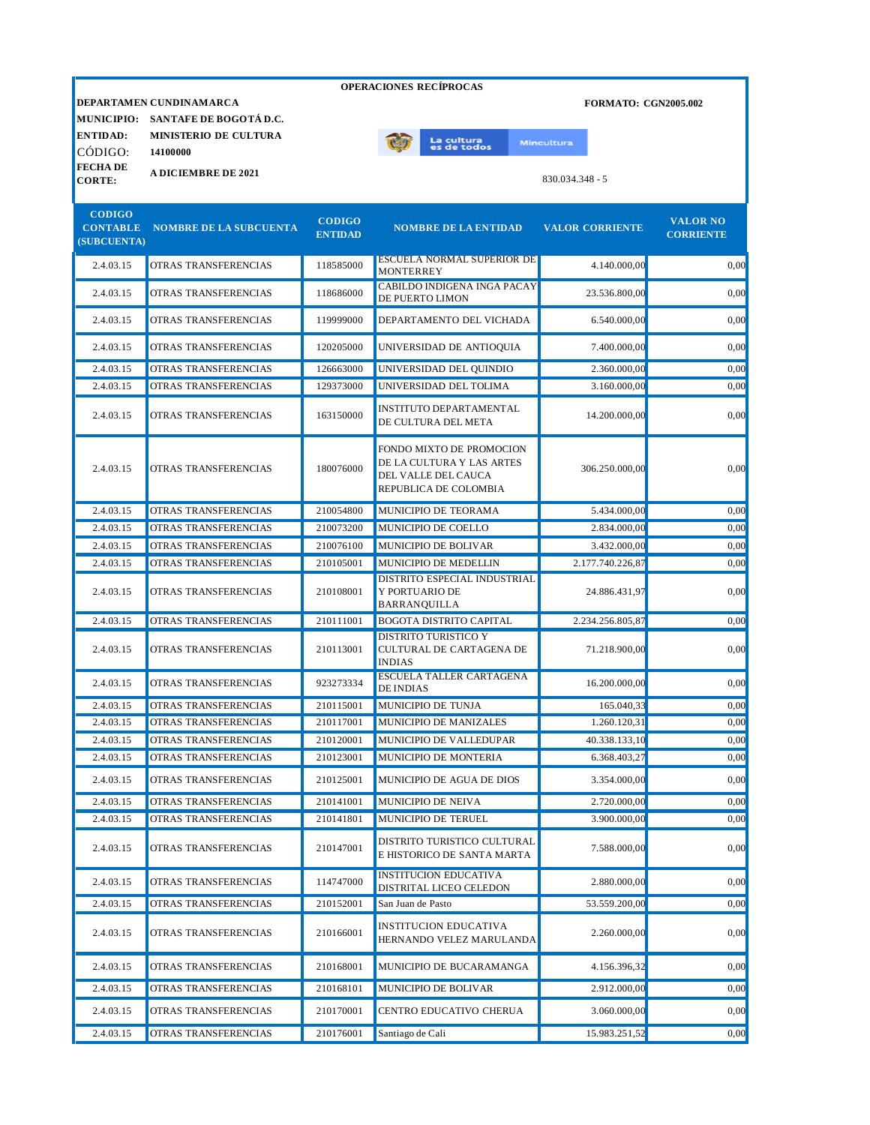|                                |                                   |                | <b>OPERACIONES RECIPROCAS</b>                                                                         |                             |                  |
|--------------------------------|-----------------------------------|----------------|-------------------------------------------------------------------------------------------------------|-----------------------------|------------------|
|                                | DEPARTAMEN CUNDINAMARCA           |                |                                                                                                       | <b>FORMATO: CGN2005.002</b> |                  |
|                                | MUNICIPIO: SANTAFE DE BOGOTÁ D.C. |                |                                                                                                       |                             |                  |
| <b>ENTIDAD:</b>                | <b>MINISTERIO DE CULTURA</b>      |                | La cultu <mark>ra</mark><br>es de todos                                                               | Mincultura                  |                  |
| CÓDIGO:<br><b>FECHADE</b>      | 14100000                          |                |                                                                                                       |                             |                  |
| <b>CORTE:</b>                  | <b>A DICIEMBRE DE 2021</b>        |                |                                                                                                       | $830.034.348 - 5$           |                  |
|                                |                                   |                |                                                                                                       |                             |                  |
| <b>CODIGO</b>                  |                                   | <b>CODIGO</b>  |                                                                                                       |                             | <b>VALOR NO</b>  |
| <b>CONTABLE</b><br>(SUBCUENTA) | <b>NOMBRE DE LA SUBCUENTA</b>     | <b>ENTIDAD</b> | <b>NOMBRE DE LA ENTIDAD</b>                                                                           | <b>VALOR CORRIENTE</b>      | <b>CORRIENTE</b> |
| 2.4.03.15                      | OTRAS TRANSFERENCIAS              | 118585000      | <b>ESCUELA NORMAL SUPERIOR DE</b><br><b>MONTERREY</b>                                                 | 4.140.000,00                | 0.00             |
| 2.4.03.15                      | OTRAS TRANSFERENCIAS              | 118686000      | <b>CABILDO INDIGENA INGA PACAY</b><br><b>DE PUERTO LIMON</b>                                          | 23.536.800,00               | 0,00             |
| 2.4.03.15                      | OTRAS TRANSFERENCIAS              | 119999000      | DEPARTAMENTO DEL VICHADA                                                                              | 6.540.000,00                | 0,00             |
| 2.4.03.15                      | OTRAS TRANSFERENCIAS              | 120205000      | UNIVERSIDAD DE ANTIOQUIA                                                                              | 7.400.000,00                | 0,00             |
| 2.4.03.15                      | OTRAS TRANSFERENCIAS              | 126663000      | UNIVERSIDAD DEL QUINDIO                                                                               | 2.360.000,00                | 0,00             |
| 2.4.03.15                      | OTRAS TRANSFERENCIAS              | 129373000      | UNIVERSIDAD DEL TOLIMA                                                                                | 3.160.000.00                | 0,00             |
| 2.4.03.15                      | OTRAS TRANSFERENCIAS              | 163150000      | INSTITUTO DEPARTAMENTAL<br>DE CULTURA DEL META                                                        | 14.200.000,00               | 0,00             |
| 2.4.03.15                      | OTRAS TRANSFERENCIAS              | 180076000      | FONDO MIXTO DE PROMOCION<br>DE LA CULTURA Y LAS ARTES<br>DEL VALLE DEL CAUCA<br>REPUBLICA DE COLOMBIA | 306.250.000,00              | 0,00             |
| 2.4.03.15                      | OTRAS TRANSFERENCIAS              | 210054800      | MUNICIPIO DE TEORAMA                                                                                  | 5.434.000,00                | 0,00             |
| 2.4.03.15                      | OTRAS TRANSFERENCIAS              | 210073200      | MUNICIPIO DE COELLO                                                                                   | 2.834.000,00                | 0,00             |
| 2.4.03.15                      | OTRAS TRANSFERENCIAS              | 210076100      | MUNICIPIO DE BOLIVAR                                                                                  | 3.432.000,00                | 0,00             |
| 2.4.03.15                      | OTRAS TRANSFERENCIAS              | 210105001      | MUNICIPIO DE MEDELLIN                                                                                 | 2.177.740.226,87            | 0,00             |
| 2.4.03.15                      | OTRAS TRANSFERENCIAS              | 210108001      | DISTRITO ESPECIAL INDUSTRIAL<br>Y PORTUARIO DE<br><b>BARRANQUILLA</b>                                 | 24.886.431,97               | 0,00             |
| 2.4.03.15                      | OTRAS TRANSFERENCIAS              | 210111001      | <b>BOGOTA DISTRITO CAPITAL</b>                                                                        | 2.234.256.805,87            | 0,00             |
| 2.4.03.15                      | OTRAS TRANSFERENCIAS              | 210113001      | <b>DISTRITO TURISTICO Y</b><br>CULTURAL DE CARTAGENA DE<br><b>INDIAS</b>                              | 71.218.900,00               | 0,00             |
| 2.4.03.15                      | OTRAS TRANSFERENCIAS              | 923273334      | <b>ESCUELA TALLER CARTAGENA</b><br><b>DE INDIAS</b>                                                   | 16.200.000,00               | 0,00             |
| 2.4.03.15                      | OTRAS TRANSFERENCIAS              | 210115001      | MUNICIPIO DE TUNJA                                                                                    | 165.040,33                  | 0,00             |
| 2.4.03.15                      | OTRAS TRANSFERENCIAS              | 210117001      | MUNICIPIO DE MANIZALES                                                                                | 1.260.120,31                | 0,00             |
| 2.4.03.15                      | OTRAS TRANSFERENCIAS              | 210120001      | MUNICIPIO DE VALLEDUPAR                                                                               | 40.338.133,10               | 0,00             |
| 2.4.03.15                      | OTRAS TRANSFERENCIAS              | 210123001      | MUNICIPIO DE MONTERIA                                                                                 | 6.368.403,27                | 0,00             |
| 2.4.03.15                      | OTRAS TRANSFERENCIAS              | 210125001      | MUNICIPIO DE AGUA DE DIOS                                                                             | 3.354.000,00                | 0,00             |
| 2.4.03.15                      | OTRAS TRANSFERENCIAS              | 210141001      | MUNICIPIO DE NEIVA                                                                                    | 2.720.000,00                | 0,00             |
| 2.4.03.15                      | OTRAS TRANSFERENCIAS              | 210141801      | MUNICIPIO DE TERUEL                                                                                   | 3.900.000,00                | 0,00             |
| 2.4.03.15                      | OTRAS TRANSFERENCIAS              | 210147001      | DISTRITO TURISTICO CULTURAL<br>E HISTORICO DE SANTA MARTA                                             | 7.588.000,00                | 0,00             |
| 2.4.03.15                      | OTRAS TRANSFERENCIAS              | 114747000      | <b>INSTITUCION EDUCATIVA</b><br>DISTRITAL LICEO CELEDON                                               | 2.880.000,00                | 0,00             |
| 2.4.03.15                      | OTRAS TRANSFERENCIAS              | 210152001      | San Juan de Pasto                                                                                     | 53.559.200,00               | 0,00             |
| 2.4.03.15                      | OTRAS TRANSFERENCIAS              | 210166001      | <b>INSTITUCION EDUCATIVA</b><br>HERNANDO VELEZ MARULANDA                                              | 2.260.000,00                | 0,00             |
| 2.4.03.15                      | OTRAS TRANSFERENCIAS              | 210168001      | MUNICIPIO DE BUCARAMANGA                                                                              | 4.156.396,32                | 0,00             |
| 2.4.03.15                      | OTRAS TRANSFERENCIAS              | 210168101      | MUNICIPIO DE BOLIVAR                                                                                  | 2.912.000,00                | 0,00             |
| 2.4.03.15                      | OTRAS TRANSFERENCIAS              | 210170001      | CENTRO EDUCATIVO CHERUA                                                                               | 3.060.000,00                | 0,00             |
| 2.4.03.15                      | OTRAS TRANSFERENCIAS              | 210176001      | Santiago de Cali                                                                                      | 15.983.251,52               | 0,00             |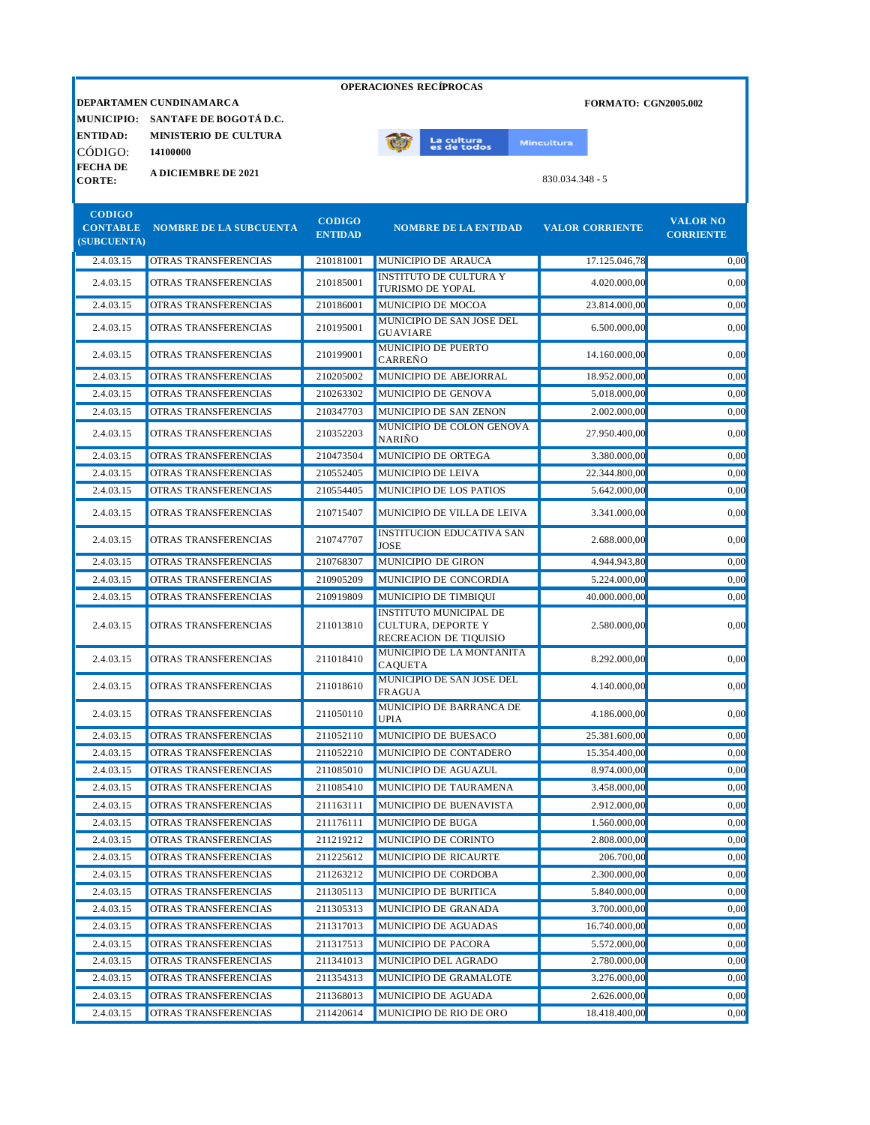|                                 |                                   |                | <b>OPERACIONES RECÍPROCAS</b>                                                        |                             |                  |
|---------------------------------|-----------------------------------|----------------|--------------------------------------------------------------------------------------|-----------------------------|------------------|
|                                 | DEPARTAMEN CUNDINAMARCA           |                |                                                                                      | <b>FORMATO: CGN2005.002</b> |                  |
|                                 | MUNICIPIO: SANTAFE DE BOGOTÁ D.C. |                |                                                                                      |                             |                  |
| <b>ENTIDAD:</b>                 | <b>MINISTERIO DE CULTURA</b>      |                | La cultura<br>es de todos                                                            | <b>Mincultura</b>           |                  |
| CÓDIGO:                         | 14100000                          |                |                                                                                      |                             |                  |
| <b>FECHADE</b><br><b>CORTE:</b> | <b>A DICIEMBRE DE 2021</b>        |                |                                                                                      | 830.034.348 - 5             |                  |
|                                 |                                   |                |                                                                                      |                             |                  |
| <b>CODIGO</b>                   |                                   | <b>CODIGO</b>  |                                                                                      |                             | <b>VALOR NO</b>  |
| <b>CONTABLE</b><br>(SUBCUENTA)  | NOMBRE DE LA SUBCUENTA            | <b>ENTIDAD</b> | <b>NOMBRE DE LA ENTIDAD</b>                                                          | <b>VALOR CORRIENTE</b>      | <b>CORRIENTE</b> |
| 2.4.03.15                       | OTRAS TRANSFERENCIAS              | 210181001      | MUNICIPIO DE ARAUCA                                                                  | 17.125.046,78               | 0,00             |
| 2.4.03.15                       | OTRAS TRANSFERENCIAS              | 210185001      | <b>INSTITUTO DE CULTURA Y</b>                                                        | 4.020.000,00                | 0,00             |
| 2.4.03.15                       | OTRAS TRANSFERENCIAS              | 210186001      | TURISMO DE YOPAL<br>MUNICIPIO DE MOCOA                                               | 23.814.000,00               | 0,00             |
| 2.4.03.15                       | OTRAS TRANSFERENCIAS              | 210195001      | MUNICIPIO DE SAN JOSE DEL                                                            | 6.500.000,00                | 0,00             |
|                                 |                                   |                | <b>GUAVIARE</b><br>MUNICIPIO DE PUERTO                                               |                             |                  |
| 2.4.03.15                       | OTRAS TRANSFERENCIAS              | 210199001      | CARRENO                                                                              | 14.160.000,00               | 0,00             |
| 2.4.03.15                       | OTRAS TRANSFERENCIAS              | 210205002      | MUNICIPIO DE ABEJORRAL                                                               | 18.952.000,00               | 0,00             |
| 2.4.03.15                       | OTRAS TRANSFERENCIAS              | 210263302      | MUNICIPIO DE GENOVA                                                                  | 5.018.000,00                | 0.00             |
| 2.4.03.15                       | OTRAS TRANSFERENCIAS              | 210347703      | MUNICIPIO DE SAN ZENON<br>MUNICIPIO DE COLON GENOVA                                  | 2.002.000.00                | 0,00             |
| 2.4.03.15                       | OTRAS TRANSFERENCIAS              | 210352203      | <b>NARIÑO</b>                                                                        | 27.950.400,00               | 0,00             |
| 2.4.03.15                       | OTRAS TRANSFERENCIAS              | 210473504      | MUNICIPIO DE ORTEGA                                                                  | 3.380.000,00                | 0,00             |
| 2.4.03.15                       | OTRAS TRANSFERENCIAS              | 210552405      | MUNICIPIO DE LEIVA                                                                   | 22.344.800,00               | 0,00             |
| 2.4.03.15                       | OTRAS TRANSFERENCIAS              | 210554405      | MUNICIPIO DE LOS PATIOS                                                              | 5.642.000,00                | 0,00             |
| 2.4.03.15                       | OTRAS TRANSFERENCIAS              | 210715407      | MUNICIPIO DE VILLA DE LEIVA                                                          | 3.341.000,00                | 0,00             |
| 2.4.03.15                       | OTRAS TRANSFERENCIAS              | 210747707      | <b>INSTITUCION EDUCATIVA SAN</b><br><b>JOSE</b>                                      | 2.688.000,00                | 0,00             |
| 2.4.03.15                       | OTRAS TRANSFERENCIAS              | 210768307      | MUNICIPIO DE GIRON                                                                   | 4.944.943,80                | 0,00             |
| 2.4.03.15                       | OTRAS TRANSFERENCIAS              | 210905209      | MUNICIPIO DE CONCORDIA                                                               | 5.224.000,00                | 0.00             |
| 2.4.03.15                       | OTRAS TRANSFERENCIAS              | 210919809      | MUNICIPIO DE TIMBIQUI                                                                | 40.000.000,00               | 0,00             |
| 2.4.03.15                       | OTRAS TRANSFERENCIAS              | 211013810      | <b>INSTITUTO MUNICIPAL DE</b><br><b>CULTURA, DEPORTE Y</b><br>RECREACION DE TIQUISIO | 2.580.000,00                | 0,00             |
| 2.4.03.15                       | OTRAS TRANSFERENCIAS              | 211018410      | MUNICIPIO DE LA MONTAÑITA<br><b>CAQUETA</b>                                          | 8.292.000,00                | 0,00             |
| 2.4.03.15                       | OTRAS TRANSFERENCIAS              | 211018610      | MUNICIPIO DE SAN JOSE DEL<br><b>FRAGUA</b>                                           | 4.140.000,00                | 0,00             |
| 2.4.03.15                       | OTRAS TRANSFERENCIAS              | 211050110      | MUNICIPIO DE BARRANCA DE<br><b>UPIA</b>                                              | 4.186.000,00                | 0,00             |
| 2.4.03.15                       | OTRAS TRANSFERENCIAS              | 211052110      | MUNICIPIO DE BUESACO                                                                 | 25.381.600,00               | 0,00             |
| 2.4.03.15                       | OTRAS TRANSFERENCIAS              | 211052210      | MUNICIPIO DE CONTADERO                                                               | 15.354.400,00               | 0,00             |
| 2.4.03.15                       | OTRAS TRANSFERENCIAS              | 211085010      | MUNICIPIO DE AGUAZUL                                                                 | 8.974.000,00                | 0,00             |
| 2.4.03.15                       | OTRAS TRANSFERENCIAS              | 211085410      | MUNICIPIO DE TAURAMENA                                                               | 3.458.000,00                | 0,00             |
| 2.4.03.15                       | OTRAS TRANSFERENCIAS              | 211163111      | MUNICIPIO DE BUENAVISTA                                                              | 2.912.000,00                | 0,00             |
| 2.4.03.15                       | OTRAS TRANSFERENCIAS              | 211176111      | MUNICIPIO DE BUGA                                                                    | 1.560.000,00                | 0,00             |
| 2.4.03.15                       | OTRAS TRANSFERENCIAS              | 211219212      | MUNICIPIO DE CORINTO                                                                 | 2.808.000,00                | 0,00             |
| 2.4.03.15                       | OTRAS TRANSFERENCIAS              | 211225612      | MUNICIPIO DE RICAURTE                                                                | 206.700,00                  | 0,00             |
| 2.4.03.15                       | OTRAS TRANSFERENCIAS              | 211263212      | MUNICIPIO DE CORDOBA                                                                 | 2.300.000,00                | 0,00             |
| 2.4.03.15                       | OTRAS TRANSFERENCIAS              | 211305113      | MUNICIPIO DE BURITICA                                                                | 5.840.000,00                | 0,00             |
| 2.4.03.15                       | OTRAS TRANSFERENCIAS              | 211305313      | MUNICIPIO DE GRANADA                                                                 | 3.700.000,00                | 0,00             |
| 2.4.03.15                       | OTRAS TRANSFERENCIAS              | 211317013      | MUNICIPIO DE AGUADAS                                                                 | 16.740.000,00               | 0,00             |
| 2.4.03.15                       | OTRAS TRANSFERENCIAS              | 211317513      | MUNICIPIO DE PACORA                                                                  | 5.572.000,00                | 0,00             |
| 2.4.03.15                       | OTRAS TRANSFERENCIAS              | 211341013      | MUNICIPIO DEL AGRADO                                                                 | 2.780.000,00                | 0,00             |
| 2.4.03.15                       | OTRAS TRANSFERENCIAS              | 211354313      | MUNICIPIO DE GRAMALOTE                                                               | 3.276.000,00                | 0,00             |
| 2.4.03.15                       | OTRAS TRANSFERENCIAS              | 211368013      | MUNICIPIO DE AGUADA                                                                  | 2.626.000,00                | 0,00             |
| 2.4.03.15                       | OTRAS TRANSFERENCIAS              | 211420614      | MUNICIPIO DE RIO DE ORO                                                              | 18.418.400,00               | 0,00             |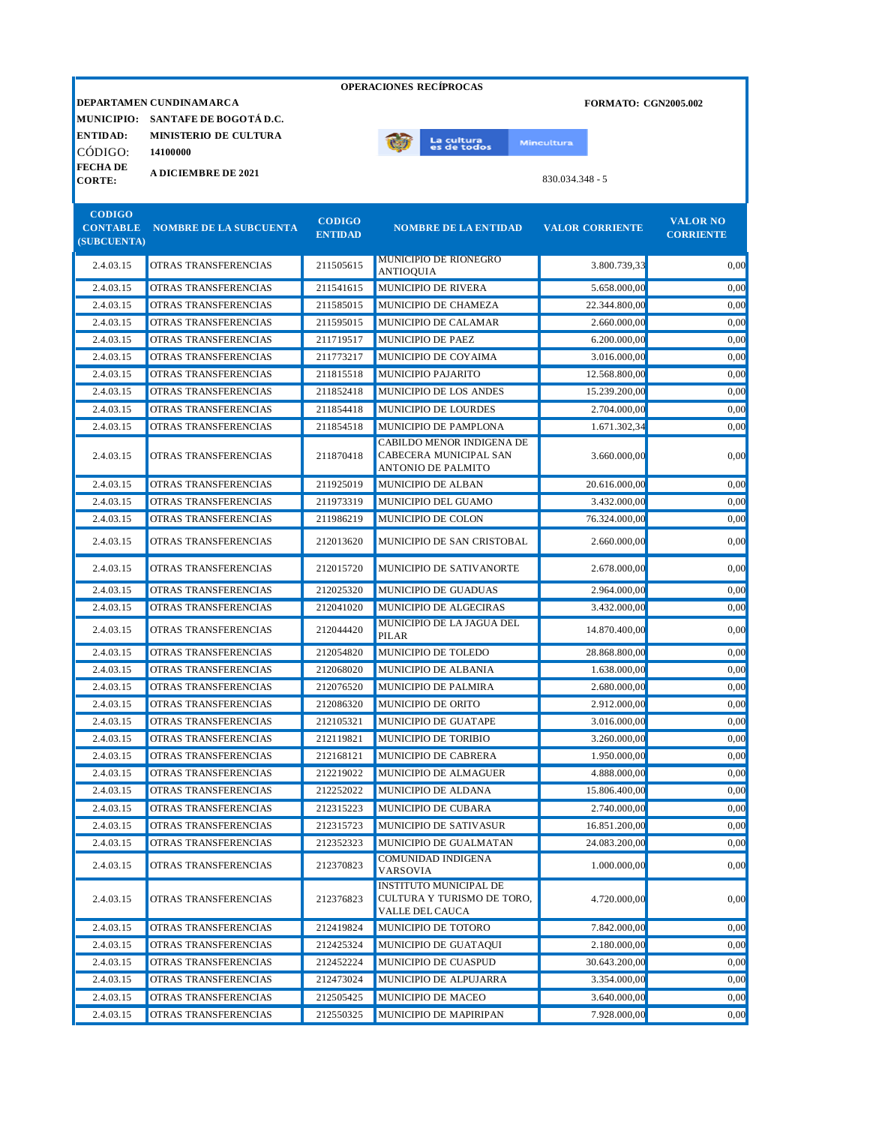|                                  |                                        |                | <b>OPERACIONES RECIPROCAS</b>                                             |                             |                  |
|----------------------------------|----------------------------------------|----------------|---------------------------------------------------------------------------|-----------------------------|------------------|
|                                  | DEPARTAMEN CUNDINAMARCA                |                |                                                                           | <b>FORMATO: CGN2005.002</b> |                  |
|                                  | MUNICIPIO: SANTAFE DE BOGOTÁ D.C.      |                |                                                                           |                             |                  |
| <b>ENTIDAD:</b>                  | <b>MINISTERIO DE CULTURA</b>           |                | La cultura<br>es de todos                                                 | Mincultura                  |                  |
| CÓDIGO:                          | 14100000                               |                |                                                                           |                             |                  |
| <b>FECHA DE</b><br><b>CORTE:</b> | <b>A DICIEMBRE DE 2021</b>             |                |                                                                           | 830.034.348 - 5             |                  |
|                                  |                                        |                |                                                                           |                             |                  |
| <b>CODIGO</b>                    |                                        | <b>CODIGO</b>  |                                                                           |                             | <b>VALOR NO</b>  |
| (SUBCUENTA)                      | <b>CONTABLE NOMBRE DE LA SUBCUENTA</b> | <b>ENTIDAD</b> | <b>NOMBRE DE LA ENTIDAD</b>                                               | <b>VALOR CORRIENTE</b>      | <b>CORRIENTE</b> |
| 2.4.03.15                        | OTRAS TRANSFERENCIAS                   | 211505615      | MUNICIPIO DE RIONEGRO<br><b>ANTIOQUIA</b>                                 | 3.800.739,33                | 0,00             |
| 2.4.03.15                        | OTRAS TRANSFERENCIAS                   | 211541615      | <b>MUNICIPIO DE RIVERA</b>                                                | 5.658.000,00                | 0,00             |
| 2.4.03.15                        | OTRAS TRANSFERENCIAS                   | 211585015      | MUNICIPIO DE CHAMEZA                                                      | 22.344.800,00               | 0,00             |
| 2.4.03.15                        | OTRAS TRANSFERENCIAS                   | 211595015      | MUNICIPIO DE CALAMAR                                                      | 2.660.000,00                | 0,00             |
| 2.4.03.15                        | OTRAS TRANSFERENCIAS                   | 211719517      | MUNICIPIO DE PAEZ                                                         | 6.200.000,00                | 0,00             |
| 2.4.03.15                        | OTRAS TRANSFERENCIAS                   | 211773217      | MUNICIPIO DE COYAIMA                                                      | 3.016.000,00                | 0,00             |
| 2.4.03.15                        | OTRAS TRANSFERENCIAS                   | 211815518      | <b>MUNICIPIO PAJARITO</b>                                                 | 12.568.800,00               | 0,00             |
| 2.4.03.15                        | OTRAS TRANSFERENCIAS                   | 211852418      | MUNICIPIO DE LOS ANDES                                                    | 15.239.200,00               | 0,00             |
| 2.4.03.15                        | OTRAS TRANSFERENCIAS                   | 211854418      | MUNICIPIO DE LOURDES                                                      | 2.704.000,00                | 0,00             |
| 2.4.03.15                        | OTRAS TRANSFERENCIAS                   | 211854518      | MUNICIPIO DE PAMPLONA                                                     | 1.671.302,34                | 0.00             |
| 2.4.03.15                        | OTRAS TRANSFERENCIAS                   | 211870418      | CABILDO MENOR INDIGENA DE<br>CABECERA MUNICIPAL SAN<br>ANTONIO DE PALMITO | 3.660.000,00                | 0,00             |
| 2.4.03.15                        | OTRAS TRANSFERENCIAS                   | 211925019      | <b>MUNICIPIO DE ALBAN</b>                                                 | 20.616.000,00               | 0,00             |
| 2.4.03.15                        | OTRAS TRANSFERENCIAS                   | 211973319      | MUNICIPIO DEL GUAMO                                                       | 3.432.000,00                | 0,00             |
| 2.4.03.15                        | OTRAS TRANSFERENCIAS                   | 211986219      | MUNICIPIO DE COLON                                                        | 76.324.000,00               | 0,00             |
| 2.4.03.15                        | OTRAS TRANSFERENCIAS                   | 212013620      | MUNICIPIO DE SAN CRISTOBAL                                                | 2.660.000,00                | 0,00             |
| 2.4.03.15                        | OTRAS TRANSFERENCIAS                   | 212015720      | MUNICIPIO DE SATIVANORTE                                                  | 2.678.000,00                | 0,00             |
| 2.4.03.15                        | OTRAS TRANSFERENCIAS                   | 212025320      | MUNICIPIO DE GUADUAS                                                      | 2.964.000,00                | 0,00             |
| 2.4.03.15                        | OTRAS TRANSFERENCIAS                   | 212041020      | MUNICIPIO DE ALGECIRAS                                                    | 3.432.000,00                | 0.00             |
| 2.4.03.15                        | OTRAS TRANSFERENCIAS                   | 212044420      | MUNICIPIO DE LA JAGUA DEL<br><b>PILAR</b>                                 | 14.870.400,00               | 0,00             |
| 2.4.03.15                        | OTRAS TRANSFERENCIAS                   | 212054820      | MUNICIPIO DE TOLEDO                                                       | 28.868.800,00               | 0,00             |
| 2.4.03.15                        | OTRAS TRANSFERENCIAS                   | 212068020      | MUNICIPIO DE ALBANIA                                                      | 1.638.000,00                | 0,00             |
| 2.4.03.15                        | OTRAS TRANSFERENCIAS                   | 212076520      | MUNICIPIO DE PALMIRA                                                      | 2.680.000,00                | 0.00             |
| 2.4.03.15                        | OTRAS TRANSFERENCIAS                   | 212086320      | <b>MUNICIPIO DE ORITO</b>                                                 | 2.912.000,00                | 0,00             |
| 2.4.03.15                        | OTRAS TRANSFERENCIAS                   | 212105321      | MUNICIPIO DE GUATAPE                                                      | 3.016.000,00                | 0,00             |
| 2.4.03.15                        | OTRAS TRANSFERENCIAS                   | 212119821      | MUNICIPIO DE TORIBIO                                                      | 3.260.000,00                | 0,00             |
| 2.4.03.15                        | OTRAS TRANSFERENCIAS                   | 212168121      | MUNICIPIO DE CABRERA                                                      | 1.950.000,00                | 0,00             |
| 2.4.03.15                        | OTRAS TRANSFERENCIAS                   | 212219022      | MUNICIPIO DE ALMAGUER                                                     | 4.888.000,00                | 0,00             |
| 2.4.03.15                        | OTRAS TRANSFERENCIAS                   | 212252022      | MUNICIPIO DE ALDANA                                                       | 15.806.400,00               | 0,00             |
| 2.4.03.15                        | OTRAS TRANSFERENCIAS                   | 212315223      | MUNICIPIO DE CUBARA                                                       | 2.740.000,00                | 0,00             |
| 2.4.03.15                        | OTRAS TRANSFERENCIAS                   | 212315723      | MUNICIPIO DE SATIVASUR                                                    | 16.851.200,00               | 0,00             |
| 2.4.03.15                        | OTRAS TRANSFERENCIAS                   | 212352323      | MUNICIPIO DE GUALMATAN                                                    | 24.083.200,00               | 0,00             |
| 2.4.03.15                        | OTRAS TRANSFERENCIAS                   | 212370823      | COMUNIDAD INDIGENA<br>VARSOVIA                                            | 1.000.000,00                | 0,00             |
| 2.4.03.15                        | OTRAS TRANSFERENCIAS                   | 212376823      | INSTITUTO MUNICIPAL DE<br>CULTURA Y TURISMO DE TORO,<br>VALLE DEL CAUCA   | 4.720.000,00                | 0,00             |
| 2.4.03.15                        | OTRAS TRANSFERENCIAS                   | 212419824      | MUNICIPIO DE TOTORO                                                       | 7.842.000,00                | 0,00             |
| 2.4.03.15                        | OTRAS TRANSFERENCIAS                   | 212425324      | MUNICIPIO DE GUATAQUI                                                     | 2.180.000,00                | 0,00             |
| 2.4.03.15                        | OTRAS TRANSFERENCIAS                   | 212452224      | MUNICIPIO DE CUASPUD                                                      | 30.643.200,00               | 0,00             |
| 2.4.03.15                        | OTRAS TRANSFERENCIAS                   | 212473024      | MUNICIPIO DE ALPUJARRA                                                    | 3.354.000,00                | 0,00             |
| 2.4.03.15                        | OTRAS TRANSFERENCIAS                   | 212505425      | MUNICIPIO DE MACEO                                                        | 3.640.000,00                | 0,00             |
| 2.4.03.15                        | OTRAS TRANSFERENCIAS                   | 212550325      | MUNICIPIO DE MAPIRIPAN                                                    | 7.928.000,00                | 0,00             |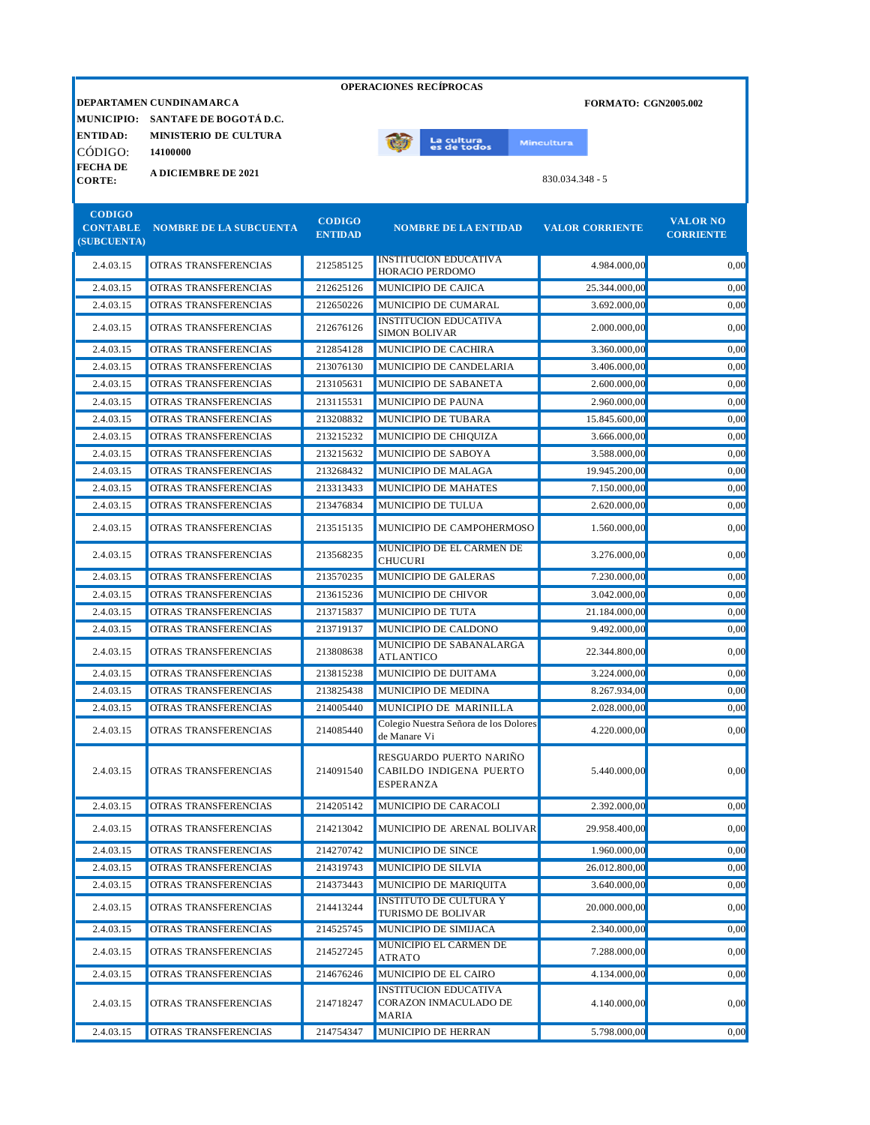|                                  |                                   |                                 | <b>OPERACIONES RECIPROCAS</b>                          |                             |                                     |
|----------------------------------|-----------------------------------|---------------------------------|--------------------------------------------------------|-----------------------------|-------------------------------------|
|                                  | DEPARTAMEN CUNDINAMARCA           |                                 |                                                        | <b>FORMATO: CGN2005.002</b> |                                     |
|                                  | MUNICIPIO: SANTAFE DE BOGOTÁ D.C. |                                 |                                                        |                             |                                     |
| <b>ENTIDAD:</b>                  | <b>MINISTERIO DE CULTURA</b>      |                                 | La cultu <mark>ra</mark><br>es de todos                | <b>Mincultura</b>           |                                     |
| CÓDIGO:                          | 14100000                          |                                 |                                                        |                             |                                     |
| <b>FECHA DE</b><br><b>CORTE:</b> | <b>A DICIEMBRE DE 2021</b>        |                                 |                                                        | 830.034.348 - 5             |                                     |
|                                  |                                   |                                 |                                                        |                             |                                     |
| <b>CODIGO</b>                    |                                   |                                 |                                                        |                             |                                     |
| <b>CONTABLE</b>                  | <b>NOMBRE DE LA SUBCUENTA</b>     | <b>CODIGO</b><br><b>ENTIDAD</b> | <b>NOMBRE DE LA ENTIDAD</b>                            | <b>VALOR CORRIENTE</b>      | <b>VALOR NO</b><br><b>CORRIENTE</b> |
| (SUBCUENTA)                      |                                   |                                 |                                                        |                             |                                     |
| 2.4.03.15                        | OTRAS TRANSFERENCIAS              | 212585125                       | <b>INSTITUCION EDUCATIVA</b><br>HORACIO PERDOMO        | 4.984.000,00                | 0,00                                |
| 2.4.03.15                        | OTRAS TRANSFERENCIAS              | 212625126                       | MUNICIPIO DE CAJICA                                    | 25.344.000,00               | 0,00                                |
| 2.4.03.15                        | OTRAS TRANSFERENCIAS              | 212650226                       | MUNICIPIO DE CUMARAL                                   | 3.692.000,00                | 0,00                                |
| 2.4.03.15                        | OTRAS TRANSFERENCIAS              | 212676126                       | <b>INSTITUCION EDUCATIVA</b><br><b>SIMON BOLIVAR</b>   | 2.000.000,00                | 0,00                                |
| 2.4.03.15                        | OTRAS TRANSFERENCIAS              | 212854128                       | MUNICIPIO DE CACHIRA                                   | 3.360.000,00                | 0,00                                |
| 2.4.03.15                        | OTRAS TRANSFERENCIAS              | 213076130                       | MUNICIPIO DE CANDELARIA                                | 3.406.000,00                | 0,00                                |
| 2.4.03.15                        | OTRAS TRANSFERENCIAS              | 213105631                       | MUNICIPIO DE SABANETA                                  | 2.600.000.00                | 0,00                                |
| 2.4.03.15                        | OTRAS TRANSFERENCIAS              | 213115531                       | MUNICIPIO DE PAUNA                                     | 2.960.000,00                | 0,00                                |
| 2.4.03.15                        | OTRAS TRANSFERENCIAS              | 213208832                       | <b>MUNICIPIO DE TUBARA</b>                             | 15.845.600,00               | 0,00                                |
| 2.4.03.15                        | OTRAS TRANSFERENCIAS              | 213215232                       | MUNICIPIO DE CHIQUIZA                                  | 3.666.000,00                | 0,00                                |
| 2.4.03.15                        | OTRAS TRANSFERENCIAS              | 213215632                       | MUNICIPIO DE SABOYA                                    | 3.588.000,00                | 0,00                                |
| 2.4.03.15                        | OTRAS TRANSFERENCIAS              | 213268432                       | MUNICIPIO DE MALAGA                                    | 19.945.200.00               | 0,00                                |
| 2.4.03.15                        | OTRAS TRANSFERENCIAS              | 213313433                       | <b>MUNICIPIO DE MAHATES</b>                            | 7.150.000,00                | 0,00                                |
| 2.4.03.15                        | OTRAS TRANSFERENCIAS              | 213476834                       | MUNICIPIO DE TULUA                                     | 2.620.000,00                | 0,00                                |
|                                  |                                   |                                 |                                                        |                             |                                     |
| 2.4.03.15                        | OTRAS TRANSFERENCIAS              | 213515135                       | MUNICIPIO DE CAMPOHERMOSO<br>MUNICIPIO DE EL CARMEN DE | 1.560.000,00                | 0,00                                |
| 2.4.03.15                        | OTRAS TRANSFERENCIAS              | 213568235                       | <b>CHUCURI</b>                                         | 3.276.000,00                | 0,00                                |
| 2.4.03.15                        | OTRAS TRANSFERENCIAS              | 213570235                       | MUNICIPIO DE GALERAS                                   | 7.230.000,00                | 0,00                                |
| 2.4.03.15                        | OTRAS TRANSFERENCIAS              | 213615236                       | MUNICIPIO DE CHIVOR                                    | 3.042.000,00                | 0,00                                |
| 2.4.03.15                        | OTRAS TRANSFERENCIAS              | 213715837                       | MUNICIPIO DE TUTA                                      | 21.184.000,00               | 0,00                                |
| 2.4.03.15                        | OTRAS TRANSFERENCIAS              | 213719137                       | MUNICIPIO DE CALDONO                                   | 9.492.000.00                | 0,00                                |
| 2.4.03.15                        | OTRAS TRANSFERENCIAS              | 213808638                       | MUNICIPIO DE SABANALARGA<br>ATLANTICO                  | 22.344.800,00               | 0,00                                |
| 2.4.03.15                        | OTRAS TRANSFERENCIAS              | 213815238                       | MUNICIPIO DE DUITAMA                                   | 3.224.000,00                | 0,00                                |
| 2.4.03.15                        | OTRAS TRANSFERENCIAS              | 213825438                       | MUNICIPIO DE MEDINA                                    | 8.267.934,00                | 0,00                                |
| 2.4.03.15                        | OTRAS TRANSFERENCIAS              | 214005440                       | MUNICIPIO DE MARINILLA                                 | 2.028.000,00                | 0.00                                |
| 2.4.03.15                        | OTRAS TRANSFERENCIAS              | 214085440                       | Colegio Nuestra Señora de los Dolores<br>de Manare Vi  | 4.220.000,00                | 0,00                                |
|                                  |                                   |                                 |                                                        |                             |                                     |
| 2.4.03.15                        | OTRAS TRANSFERENCIAS              | 214091540                       | RESGUARDO PUERTO NARIÑO<br>CABILDO INDIGENA PUERTO     | 5.440.000,00                | 0,00                                |
|                                  |                                   |                                 | <b>ESPERANZA</b>                                       |                             |                                     |
| 2.4.03.15                        | OTRAS TRANSFERENCIAS              | 214205142                       | MUNICIPIO DE CARACOLI                                  | 2.392.000,00                | 0,00                                |
| 2.4.03.15                        | OTRAS TRANSFERENCIAS              | 214213042                       | MUNICIPIO DE ARENAL BOLIVAR                            | 29.958.400,00               | 0,00                                |
| 2.4.03.15                        | OTRAS TRANSFERENCIAS              | 214270742                       | MUNICIPIO DE SINCE                                     | 1.960.000,00                | 0,00                                |
| 2.4.03.15                        | OTRAS TRANSFERENCIAS              | 214319743                       | MUNICIPIO DE SILVIA                                    | 26.012.800,00               | 0,00                                |
| 2.4.03.15                        | OTRAS TRANSFERENCIAS              | 214373443                       | MUNICIPIO DE MARIQUITA                                 | 3.640.000,00                | 0,00                                |
| 2.4.03.15                        | OTRAS TRANSFERENCIAS              | 214413244                       | <b>INSTITUTO DE CULTURA Y</b><br>TURISMO DE BOLIVAR    | 20.000.000,00               | 0,00                                |
| 2.4.03.15                        | OTRAS TRANSFERENCIAS              | 214525745                       | MUNICIPIO DE SIMIJACA                                  | 2.340.000,00                | 0,00                                |
| 2.4.03.15                        | OTRAS TRANSFERENCIAS              | 214527245                       | MUNICIPIO EL CARMEN DE                                 | 7.288.000,00                | 0,00                                |
|                                  |                                   |                                 | ATRATO                                                 |                             |                                     |
| 2.4.03.15                        | OTRAS TRANSFERENCIAS              | 214676246                       | MUNICIPIO DE EL CAIRO<br><b>INSTITUCION EDUCATIVA</b>  | 4.134.000,00                | 0,00                                |
| 2.4.03.15                        | OTRAS TRANSFERENCIAS              | 214718247                       | CORAZON INMACULADO DE<br><b>MARIA</b>                  | 4.140.000,00                | 0,00                                |
| 2.4.03.15                        | OTRAS TRANSFERENCIAS              | 214754347                       | MUNICIPIO DE HERRAN                                    | 5.798.000,00                | 0,00                                |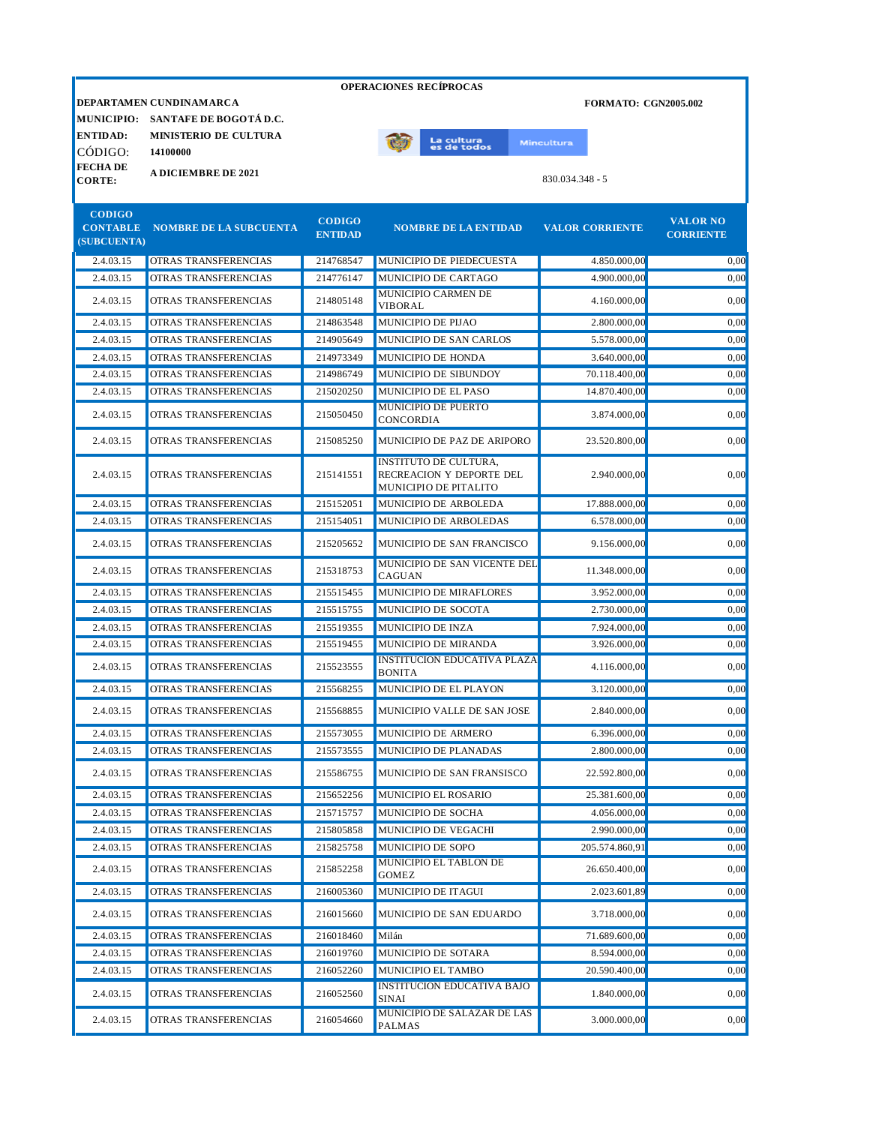|                                 |                                        |                                 | <b>OPERACIONES RECÍPROCAS</b>                                                     |                             |                                     |
|---------------------------------|----------------------------------------|---------------------------------|-----------------------------------------------------------------------------------|-----------------------------|-------------------------------------|
|                                 | DEPARTAMEN CUNDINAMARCA                |                                 |                                                                                   | <b>FORMATO: CGN2005.002</b> |                                     |
|                                 | MUNICIPIO: SANTAFE DE BOGOTÁ D.C.      |                                 |                                                                                   |                             |                                     |
| <b>ENTIDAD:</b>                 | <b>MINISTERIO DE CULTURA</b>           |                                 | La cultu <mark>ra</mark><br>es de todos                                           | <b>Mincultura</b>           |                                     |
| CÓDIGO:                         | 14100000                               |                                 |                                                                                   |                             |                                     |
| <b>FECHADE</b><br><b>CORTE:</b> | <b>A DICIEMBRE DE 2021</b>             |                                 |                                                                                   | 830.034.348 - 5             |                                     |
|                                 |                                        |                                 |                                                                                   |                             |                                     |
| <b>CODIGO</b>                   |                                        |                                 |                                                                                   |                             |                                     |
| (SUBCUENTA)                     | <b>CONTABLE NOMBRE DE LA SUBCUENTA</b> | <b>CODIGO</b><br><b>ENTIDAD</b> | <b>NOMBRE DE LA ENTIDAD</b>                                                       | <b>VALOR CORRIENTE</b>      | <b>VALOR NO</b><br><b>CORRIENTE</b> |
| 2.4.03.15                       | OTRAS TRANSFERENCIAS                   | 214768547                       | MUNICIPIO DE PIEDECUESTA                                                          | 4.850.000,00                | 0,00                                |
| 2.4.03.15                       | <b>OTRAS TRANSFERENCIAS</b>            | 214776147                       | MUNICIPIO DE CARTAGO                                                              | 4.900.000,00                | 0,00                                |
| 2.4.03.15                       | OTRAS TRANSFERENCIAS                   | 214805148                       | MUNICIPIO CARMEN DE<br><b>VIBORAL</b>                                             | 4.160.000,00                | 0,00                                |
| 2.4.03.15                       | OTRAS TRANSFERENCIAS                   | 214863548                       | MUNICIPIO DE PIJAO                                                                | 2.800.000,00                | 0,00                                |
| 2.4.03.15                       | OTRAS TRANSFERENCIAS                   | 214905649                       | MUNICIPIO DE SAN CARLOS                                                           | 5.578.000,00                | 0,00                                |
| 2.4.03.15                       | <b>OTRAS TRANSFERENCIAS</b>            | 214973349                       | MUNICIPIO DE HONDA                                                                | 3.640.000,00                | 0,00                                |
| 2.4.03.15                       | <b>OTRAS TRANSFERENCIAS</b>            | 214986749                       | MUNICIPIO DE SIBUNDOY                                                             | 70.118.400,00               | 0,00                                |
| 2.4.03.15                       | OTRAS TRANSFERENCIAS                   | 215020250                       | MUNICIPIO DE EL PASO                                                              | 14.870.400,00               | 0,00                                |
| 2.4.03.15                       | OTRAS TRANSFERENCIAS                   | 215050450                       | <b>MUNICIPIO DE PUERTO</b><br><b>CONCORDIA</b>                                    | 3.874.000,00                | 0,00                                |
| 2.4.03.15                       | OTRAS TRANSFERENCIAS                   | 215085250                       | MUNICIPIO DE PAZ DE ARIPORO                                                       | 23.520.800,00               | 0,00                                |
| 2.4.03.15                       | OTRAS TRANSFERENCIAS                   | 215141551                       | <b>INSTITUTO DE CULTURA,</b><br>RECREACION Y DEPORTE DEL<br>MUNICIPIO DE PITALITO | 2.940.000,00                | 0.00                                |
| 2.4.03.15                       | OTRAS TRANSFERENCIAS                   | 215152051                       | MUNICIPIO DE ARBOLEDA                                                             | 17.888.000,00               | 0,00                                |
| 2.4.03.15                       | OTRAS TRANSFERENCIAS                   | 215154051                       | MUNICIPIO DE ARBOLEDAS                                                            | 6.578.000,00                | 0.00                                |
| 2.4.03.15                       | OTRAS TRANSFERENCIAS                   | 215205652                       | MUNICIPIO DE SAN FRANCISCO                                                        | 9.156.000,00                | 0,00                                |
| 2.4.03.15                       | OTRAS TRANSFERENCIAS                   | 215318753                       | MUNICIPIO DE SAN VICENTE DEL<br>CAGUAN                                            | 11.348.000,00               | 0,00                                |
| 2.4.03.15                       | OTRAS TRANSFERENCIAS                   | 215515455                       | MUNICIPIO DE MIRAFLORES                                                           | 3.952.000,00                | 0,00                                |
| 2.4.03.15                       | OTRAS TRANSFERENCIAS                   | 215515755                       | MUNICIPIO DE SOCOTA                                                               | 2.730.000,00                | 0,00                                |
| 2.4.03.15                       | OTRAS TRANSFERENCIAS                   | 215519355                       | MUNICIPIO DE INZA                                                                 | 7.924.000,00                | 0.00                                |
| 2.4.03.15                       | OTRAS TRANSFERENCIAS                   | 215519455                       | MUNICIPIO DE MIRANDA                                                              | 3.926.000.00                | 0.00                                |
| 2.4.03.15                       | OTRAS TRANSFERENCIAS                   | 215523555                       | <b>INSTITUCION EDUCATIVA PLAZA</b><br><b>BONITA</b>                               | 4.116.000,00                | 0,00                                |
| 2.4.03.15                       | OTRAS TRANSFERENCIAS                   | 215568255                       | MUNICIPIO DE EL PLAYON                                                            | 3.120.000.00                | 0,00                                |
| 2.4.03.15                       | OTRAS TRANSFERENCIAS                   | 215568855                       | MUNICIPIO VALLE DE SAN JOSE                                                       | 2.840.000,00                | 0,00                                |
| 2.4.03.15                       | OTRAS TRANSFERENCIAS                   | 215573055                       | MUNICIPIO DE ARMERO                                                               | 6.396.000,00                | 0,00                                |
| 2.4.03.15                       | OTRAS TRANSFERENCIAS                   | 215573555                       | MUNICIPIO DE PLANADAS                                                             | 2.800.000,00                | 0,00                                |
| 2.4.03.15                       | OTRAS TRANSFERENCIAS                   | 215586755                       | MUNICIPIO DE SAN FRANSISCO                                                        | 22.592.800,00               | 0,00                                |
| 2.4.03.15                       | OTRAS TRANSFERENCIAS                   | 215652256                       | MUNICIPIO EL ROSARIO                                                              | 25.381.600,00               | 0,00                                |
| 2.4.03.15                       | OTRAS TRANSFERENCIAS                   | 215715757                       | MUNICIPIO DE SOCHA                                                                | 4.056.000,00                | 0,00                                |
| 2.4.03.15                       | OTRAS TRANSFERENCIAS                   | 215805858                       | MUNICIPIO DE VEGACHI                                                              | 2.990.000,00                | 0,00                                |
| 2.4.03.15                       | OTRAS TRANSFERENCIAS                   | 215825758                       | MUNICIPIO DE SOPO                                                                 | 205.574.860,91              | 0,00                                |
| 2.4.03.15                       | OTRAS TRANSFERENCIAS                   | 215852258                       | MUNICIPIO EL TABLON DE<br><b>GOMEZ</b>                                            | 26.650.400,00               | 0,00                                |
| 2.4.03.15                       | OTRAS TRANSFERENCIAS                   | 216005360                       | MUNICIPIO DE ITAGUI                                                               | 2.023.601,89                | 0,00                                |
| 2.4.03.15                       | OTRAS TRANSFERENCIAS                   | 216015660                       | MUNICIPIO DE SAN EDUARDO                                                          | 3.718.000,00                | 0,00                                |
| 2.4.03.15                       | OTRAS TRANSFERENCIAS                   | 216018460                       | Milán                                                                             | 71.689.600,00               | 0,00                                |
| 2.4.03.15                       | OTRAS TRANSFERENCIAS                   | 216019760                       | MUNICIPIO DE SOTARA                                                               | 8.594.000,00                | 0,00                                |
| 2.4.03.15                       | OTRAS TRANSFERENCIAS                   | 216052260                       | MUNICIPIO EL TAMBO                                                                | 20.590.400,00               | 0,00                                |
| 2.4.03.15                       | OTRAS TRANSFERENCIAS                   | 216052560                       | <b>INSTITUCION EDUCATIVA BAJO</b><br>SINAI                                        | 1.840.000,00                | 0,00                                |
| 2.4.03.15                       | OTRAS TRANSFERENCIAS                   | 216054660                       | MUNICIPIO DE SALAZAR DE LAS<br>PALMAS                                             | 3.000.000,00                | 0,00                                |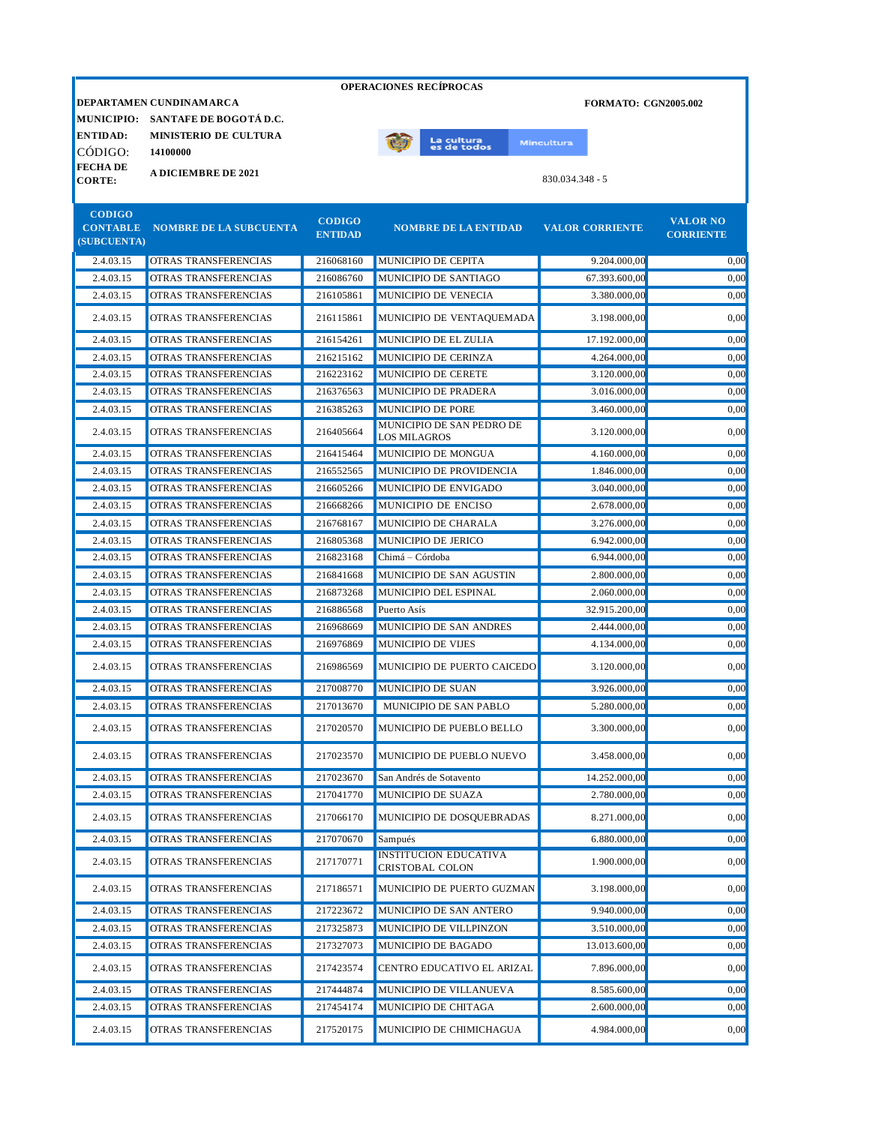|                                 |                                   |                                 | <b>OPERACIONES RECIPROCAS</b>                    |                             |                                     |
|---------------------------------|-----------------------------------|---------------------------------|--------------------------------------------------|-----------------------------|-------------------------------------|
|                                 | DEPARTAMEN CUNDINAMARCA           |                                 |                                                  | <b>FORMATO: CGN2005.002</b> |                                     |
|                                 | MUNICIPIO: SANTAFE DE BOGOTÁ D.C. |                                 |                                                  |                             |                                     |
| <b>ENTIDAD:</b>                 | <b>MINISTERIO DE CULTURA</b>      |                                 | La cultura                                       | <b>Mincultura</b>           |                                     |
| CÓDIGO:                         | 14100000                          |                                 | es de todos                                      |                             |                                     |
| <b>FECHADE</b><br><b>CORTE:</b> | <b>A DICIEMBRE DE 2021</b>        |                                 |                                                  | 830.034.348 - 5             |                                     |
|                                 |                                   |                                 |                                                  |                             |                                     |
| <b>CODIGO</b>                   |                                   |                                 |                                                  |                             |                                     |
| <b>CONTABLE</b>                 | <b>NOMBRE DE LA SUBCUENTA</b>     | <b>CODIGO</b><br><b>ENTIDAD</b> | <b>NOMBRE DE LA ENTIDAD</b>                      | <b>VALOR CORRIENTE</b>      | <b>VALOR NO</b><br><b>CORRIENTE</b> |
| (SUBCUENTA)                     |                                   |                                 |                                                  |                             |                                     |
| 2.4.03.15                       | OTRAS TRANSFERENCIAS              | 216068160                       | MUNICIPIO DE CEPITA                              | 9.204.000.00                | 0,00                                |
| 2.4.03.15                       | OTRAS TRANSFERENCIAS              | 216086760                       | MUNICIPIO DE SANTIAGO                            | 67.393.600,00               | 0,00                                |
| 2.4.03.15                       | OTRAS TRANSFERENCIAS              | 216105861                       | MUNICIPIO DE VENECIA                             | 3.380.000,00                | 0,00                                |
| 2.4.03.15                       | OTRAS TRANSFERENCIAS              | 216115861                       | MUNICIPIO DE VENTAQUEMADA                        | 3.198.000,00                | 0,00                                |
| 2.4.03.15                       | OTRAS TRANSFERENCIAS              | 216154261                       | MUNICIPIO DE EL ZULIA                            | 17.192.000,00               | 0,00                                |
| 2.4.03.15                       | OTRAS TRANSFERENCIAS              | 216215162                       | MUNICIPIO DE CERINZA                             | 4.264.000,00                | 0,00                                |
| 2.4.03.15                       | OTRAS TRANSFERENCIAS              | 216223162                       | MUNICIPIO DE CERETE                              | 3.120.000,00                | 0,00                                |
| 2.4.03.15                       | OTRAS TRANSFERENCIAS              | 216376563                       | MUNICIPIO DE PRADERA                             | 3.016.000,00                | 0,00                                |
| 2.4.03.15                       | OTRAS TRANSFERENCIAS              | 216385263                       | <b>MUNICIPIO DE PORE</b>                         | 3.460.000,00                | 0.00                                |
| 2.4.03.15                       | OTRAS TRANSFERENCIAS              | 216405664                       | MUNICIPIO DE SAN PEDRO DE<br><b>LOS MILAGROS</b> | 3.120.000,00                | 0,00                                |
| 2.4.03.15                       | OTRAS TRANSFERENCIAS              | 216415464                       | MUNICIPIO DE MONGUA                              | 4.160.000.00                | 0,00                                |
| 2.4.03.15                       | OTRAS TRANSFERENCIAS              | 216552565                       | MUNICIPIO DE PROVIDENCIA                         | 1.846.000.00                | 0,00                                |
| 2.4.03.15                       | OTRAS TRANSFERENCIAS              | 216605266                       | MUNICIPIO DE ENVIGADO                            | 3.040.000,00                | 0.00                                |
| 2.4.03.15                       | OTRAS TRANSFERENCIAS              | 216668266                       | MUNICIPIO DE ENCISO                              | 2.678.000,00                | 0,00                                |
| 2.4.03.15                       | OTRAS TRANSFERENCIAS              | 216768167                       | MUNICIPIO DE CHARALA                             | 3.276.000,00                | 0,00                                |
| 2.4.03.15                       | OTRAS TRANSFERENCIAS              | 216805368                       | MUNICIPIO DE JERICO                              | 6.942.000,00                | 0,00                                |
| 2.4.03.15                       | OTRAS TRANSFERENCIAS              | 216823168                       | Chimá - Córdoba                                  | 6.944.000,00                | 0,00                                |
| 2.4.03.15                       | OTRAS TRANSFERENCIAS              | 216841668                       | MUNICIPIO DE SAN AGUSTIN                         | 2.800.000,00                | 0.00                                |
| 2.4.03.15                       | OTRAS TRANSFERENCIAS              | 216873268                       | MUNICIPIO DEL ESPINAL                            | 2.060.000,00                | 0,00                                |
| 2.4.03.15                       | OTRAS TRANSFERENCIAS              | 216886568                       | Puerto Asís                                      | 32.915.200,00               | 0.00                                |
| 2.4.03.15                       | OTRAS TRANSFERENCIAS              | 216968669                       | MUNICIPIO DE SAN ANDRES                          | 2.444.000,00                | 0.00                                |
| 2.4.03.15                       | OTRAS TRANSFERENCIAS              | 216976869                       | <b>MUNICIPIO DE VIJES</b>                        | 4.134.000,00                | 0,00                                |
| 2.4.03.15                       | OTRAS TRANSFERENCIAS              | 216986569                       | MUNICIPIO DE PUERTO CAICEDO                      | 3.120.000,00                | 0,00                                |
| 2.4.03.15                       | OTRAS TRANSFERENCIAS              | 217008770                       | MUNICIPIO DE SUAN                                | 3.926.000,00                | 0,00                                |
| 2.4.03.15                       | OTRAS TRANSFERENCIAS              | 217013670                       | MUNICIPIO DE SAN PABLO                           | 5.280.000,00                | 0,00                                |
| 2.4.03.15                       | OTRAS TRANSFERENCIAS              | 217020570                       | MUNICIPIO DE PUEBLO BELLO                        | 3.300.000,00                | 0,00                                |
| 2.4.03.15                       | OTRAS TRANSFERENCIAS              | 217023570                       | MUNICIPIO DE PUEBLO NUEVO                        | 3.458.000,00                | 0,00                                |
| 2.4.03.15                       | OTRAS TRANSFERENCIAS              | 217023670                       | San Andrés de Sotavento                          | 14.252.000,00               | 0,00                                |
| 2.4.03.15                       | OTRAS TRANSFERENCIAS              | 217041770                       | MUNICIPIO DE SUAZA                               | 2.780.000,00                | 0,00                                |
|                                 |                                   |                                 |                                                  |                             |                                     |
| 2.4.03.15                       | OTRAS TRANSFERENCIAS              | 217066170                       | MUNICIPIO DE DOSQUEBRADAS                        | 8.271.000,00                | 0,00                                |
| 2.4.03.15                       | OTRAS TRANSFERENCIAS              | 217070670                       | Sampués<br><b>INSTITUCION EDUCATIVA</b>          | 6.880.000,00                | 0,00                                |
| 2.4.03.15                       | OTRAS TRANSFERENCIAS              | 217170771                       | CRISTOBAL COLON                                  | 1.900.000,00                | 0,00                                |
| 2.4.03.15                       | OTRAS TRANSFERENCIAS              | 217186571                       | MUNICIPIO DE PUERTO GUZMAN                       | 3.198.000,00                | 0,00                                |
| 2.4.03.15                       | OTRAS TRANSFERENCIAS              | 217223672                       | MUNICIPIO DE SAN ANTERO                          | 9.940.000,00                | 0,00                                |
| 2.4.03.15                       | OTRAS TRANSFERENCIAS              | 217325873                       | MUNICIPIO DE VILLPINZON                          | 3.510.000,00                | 0,00                                |
| 2.4.03.15                       | OTRAS TRANSFERENCIAS              | 217327073                       | MUNICIPIO DE BAGADO                              | 13.013.600,00               | 0,00                                |
| 2.4.03.15                       | OTRAS TRANSFERENCIAS              | 217423574                       | CENTRO EDUCATIVO EL ARIZAL                       | 7.896.000,00                | 0,00                                |
| 2.4.03.15                       | OTRAS TRANSFERENCIAS              | 217444874                       | MUNICIPIO DE VILLANUEVA                          | 8.585.600,00                | 0,00                                |
| 2.4.03.15                       | OTRAS TRANSFERENCIAS              | 217454174                       | MUNICIPIO DE CHITAGA                             | 2.600.000,00                | 0,00                                |
| 2.4.03.15                       | OTRAS TRANSFERENCIAS              | 217520175                       | MUNICIPIO DE CHIMICHAGUA                         | 4.984.000,00                | 0,00                                |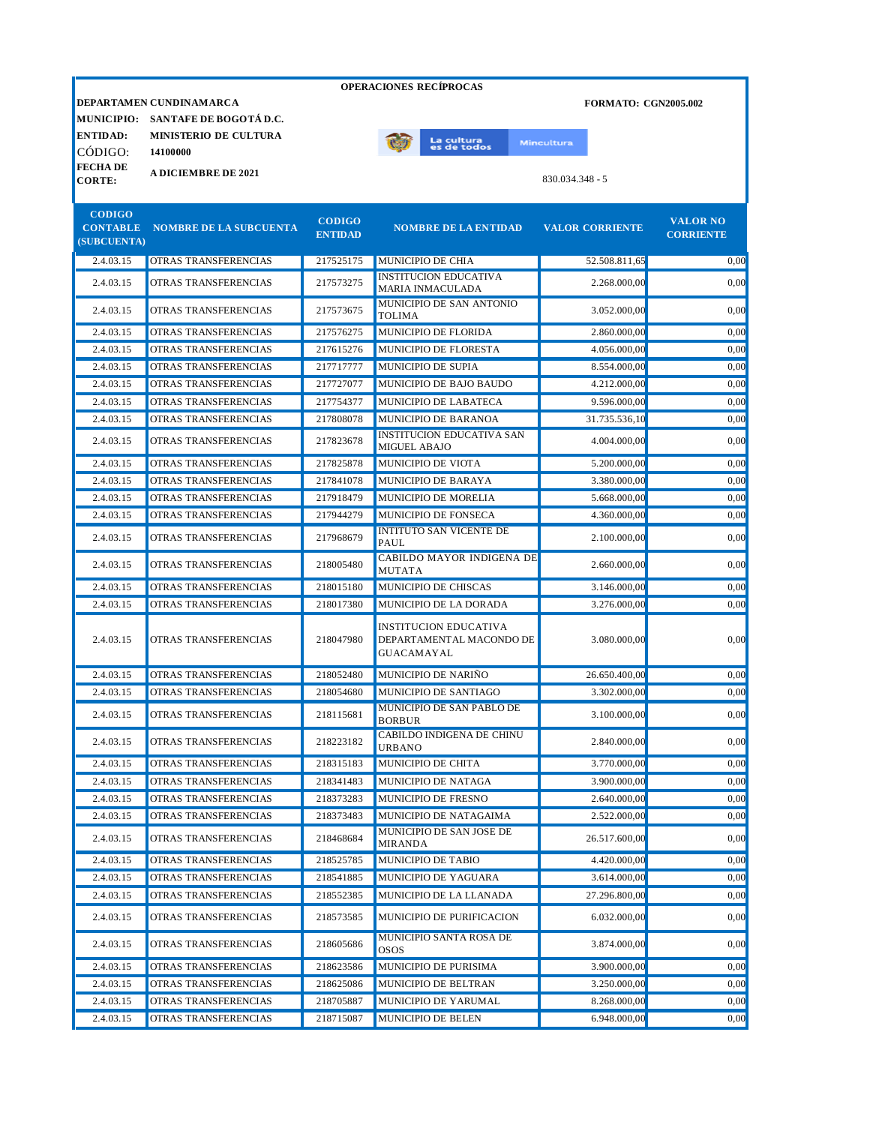|                                 |                                   |                                 | <b>OPERACIONES RECIPROCAS</b>                                          |                             |                                     |
|---------------------------------|-----------------------------------|---------------------------------|------------------------------------------------------------------------|-----------------------------|-------------------------------------|
|                                 | DEPARTAMEN CUNDINAMARCA           |                                 |                                                                        | <b>FORMATO: CGN2005.002</b> |                                     |
|                                 | MUNICIPIO: SANTAFE DE BOGOTÁ D.C. |                                 |                                                                        |                             |                                     |
| <b>ENTIDAD:</b>                 | <b>MINISTERIO DE CULTURA</b>      |                                 | La cultu <mark>ra</mark><br>es de todos                                | <b>Mincultura</b>           |                                     |
| CÓDIGO:                         | 14100000                          |                                 |                                                                        |                             |                                     |
| <b>FECHADE</b><br><b>CORTE:</b> | <b>A DICIEMBRE DE 2021</b>        |                                 |                                                                        | $830.034.348 - 5$           |                                     |
|                                 |                                   |                                 |                                                                        |                             |                                     |
| <b>CODIGO</b>                   |                                   |                                 |                                                                        |                             |                                     |
| <b>CONTABLE</b>                 | <b>NOMBRE DE LA SUBCUENTA</b>     | <b>CODIGO</b><br><b>ENTIDAD</b> | <b>NOMBRE DE LA ENTIDAD</b>                                            | <b>VALOR CORRIENTE</b>      | <b>VALOR NO</b><br><b>CORRIENTE</b> |
| (SUBCUENTA)                     |                                   |                                 |                                                                        |                             |                                     |
| 2.4.03.15                       | OTRAS TRANSFERENCIAS              | 217525175                       | MUNICIPIO DE CHIA                                                      | 52.508.811,65               | 0,00                                |
| 2.4.03.15                       | OTRAS TRANSFERENCIAS              | 217573275                       | <b>INSTITUCION EDUCATIVA</b><br><b>MARIA INMACULADA</b>                | 2.268.000,00                | 0,00                                |
| 2.4.03.15                       | OTRAS TRANSFERENCIAS              | 217573675                       | MUNICIPIO DE SAN ANTONIO<br><b>TOLIMA</b>                              | 3.052.000,00                | 0,00                                |
| 2.4.03.15                       | OTRAS TRANSFERENCIAS              | 217576275                       | MUNICIPIO DE FLORIDA                                                   | 2.860.000,00                | 0,00                                |
| 2.4.03.15                       | OTRAS TRANSFERENCIAS              | 217615276                       | MUNICIPIO DE FLORESTA                                                  | 4.056.000,00                | 0.00                                |
| 2.4.03.15                       | OTRAS TRANSFERENCIAS              | 217717777                       | MUNICIPIO DE SUPIA                                                     | 8.554.000.00                | 0,00                                |
| 2.4.03.15                       | OTRAS TRANSFERENCIAS              | 217727077                       | MUNICIPIO DE BAJO BAUDO                                                | 4.212.000,00                | 0.00                                |
| 2.4.03.15                       | OTRAS TRANSFERENCIAS              | 217754377                       | MUNICIPIO DE LABATECA                                                  | 9.596.000,00                | 0,00                                |
| 2.4.03.15                       | OTRAS TRANSFERENCIAS              | 217808078                       | MUNICIPIO DE BARANOA                                                   | 31.735.536,10               | 0,00                                |
| 2.4.03.15                       | OTRAS TRANSFERENCIAS              | 217823678                       | <b>INSTITUCION EDUCATIVA SAN</b><br>MIGUEL ABAJO                       | 4.004.000,00                | 0,00                                |
| 2.4.03.15                       | OTRAS TRANSFERENCIAS              | 217825878                       | MUNICIPIO DE VIOTA                                                     | 5.200.000,00                | 0,00                                |
| 2.4.03.15                       | OTRAS TRANSFERENCIAS              | 217841078                       | MUNICIPIO DE BARAYA                                                    | 3.380.000,00                | 0,00                                |
| 2.4.03.15                       | OTRAS TRANSFERENCIAS              | 217918479                       | MUNICIPIO DE MORELIA                                                   | 5.668.000,00                | 0,00                                |
| 2.4.03.15                       | OTRAS TRANSFERENCIAS              | 217944279                       | MUNICIPIO DE FONSECA                                                   | 4.360.000,00                | 0,00                                |
| 2.4.03.15                       | OTRAS TRANSFERENCIAS              | 217968679                       | <b>INTITUTO SAN VICENTE DE</b><br>PAUL                                 | 2.100.000,00                | 0,00                                |
| 2.4.03.15                       | OTRAS TRANSFERENCIAS              | 218005480                       | CABILDO MAYOR INDIGENA DE<br><b>MUTATA</b>                             | 2.660.000,00                | 0,00                                |
| 2.4.03.15                       | OTRAS TRANSFERENCIAS              | 218015180                       | MUNICIPIO DE CHISCAS                                                   | 3.146.000,00                | 0,00                                |
| 2.4.03.15                       | OTRAS TRANSFERENCIAS              | 218017380                       | MUNICIPIO DE LA DORADA                                                 | 3.276.000,00                | 0,00                                |
| 2.4.03.15                       | OTRAS TRANSFERENCIAS              | 218047980                       | <b>INSTITUCION EDUCATIVA</b><br>DEPARTAMENTAL MACONDO DE<br>GUACAMAYAL | 3.080.000,00                | 0,00                                |
| 2.4.03.15                       | OTRAS TRANSFERENCIAS              | 218052480                       | MUNICIPIO DE NARIÑO                                                    | 26.650.400,00               | 0,00                                |
| 2.4.03.15                       | OTRAS TRANSFERENCIAS              | 218054680                       | MUNICIPIO DE SANTIAGO                                                  | 3.302.000,00                | 0.00                                |
| 2.4.03.15                       | OTRAS TRANSFERENCIAS              | 218115681                       | <b>MUNICIPIO DE SAN PABLO DE</b><br><b>BORBUR</b>                      | 3.100.000,00                | 0,00                                |
| 2.4.03.15                       | OTRAS TRANSFERENCIAS              | 218223182                       | CABILDO INDIGENA DE CHINU<br><b>URBANO</b>                             | 2.840.000,00                | 0,00                                |
| 2.4.03.15                       | OTRAS TRANSFERENCIAS              | 218315183                       | MUNICIPIO DE CHITA                                                     | 3.770.000,00                | 0,00                                |
| 2.4.03.15                       | OTRAS TRANSFERENCIAS              | 218341483                       | MUNICIPIO DE NATAGA                                                    | 3.900.000,00                | 0,00                                |
| 2.4.03.15                       | OTRAS TRANSFERENCIAS              | 218373283                       | MUNICIPIO DE FRESNO                                                    | 2.640.000,00                | 0,00                                |
| 2.4.03.15                       | OTRAS TRANSFERENCIAS              | 218373483                       | MUNICIPIO DE NATAGAIMA                                                 | 2.522.000,00                | 0,00                                |
| 2.4.03.15                       | OTRAS TRANSFERENCIAS              | 218468684                       | MUNICIPIO DE SAN JOSE DE<br><b>MIRANDA</b>                             | 26.517.600,00               | 0,00                                |
| 2.4.03.15                       | OTRAS TRANSFERENCIAS              | 218525785                       | MUNICIPIO DE TABIO                                                     | 4.420.000,00                | 0,00                                |
| 2.4.03.15                       | OTRAS TRANSFERENCIAS              | 218541885                       | MUNICIPIO DE YAGUARA                                                   | 3.614.000,00                | 0,00                                |
| 2.4.03.15                       | OTRAS TRANSFERENCIAS              | 218552385                       | MUNICIPIO DE LA LLANADA                                                | 27.296.800,00               | 0,00                                |
| 2.4.03.15                       | OTRAS TRANSFERENCIAS              | 218573585                       | MUNICIPIO DE PURIFICACION                                              | 6.032.000,00                | 0,00                                |
| 2.4.03.15                       | OTRAS TRANSFERENCIAS              | 218605686                       | MUNICIPIO SANTA ROSA DE<br><b>OSOS</b>                                 | 3.874.000,00                | 0,00                                |
| 2.4.03.15                       | OTRAS TRANSFERENCIAS              | 218623586                       | MUNICIPIO DE PURISIMA                                                  | 3.900.000,00                | 0,00                                |
| 2.4.03.15                       | OTRAS TRANSFERENCIAS              | 218625086                       | MUNICIPIO DE BELTRAN                                                   | 3.250.000,00                | 0,00                                |
| 2.4.03.15                       | OTRAS TRANSFERENCIAS              | 218705887                       | MUNICIPIO DE YARUMAL                                                   | 8.268.000,00                | 0,00                                |
| 2.4.03.15                       | OTRAS TRANSFERENCIAS              | 218715087                       | MUNICIPIO DE BELEN                                                     | 6.948.000,00                | 0,00                                |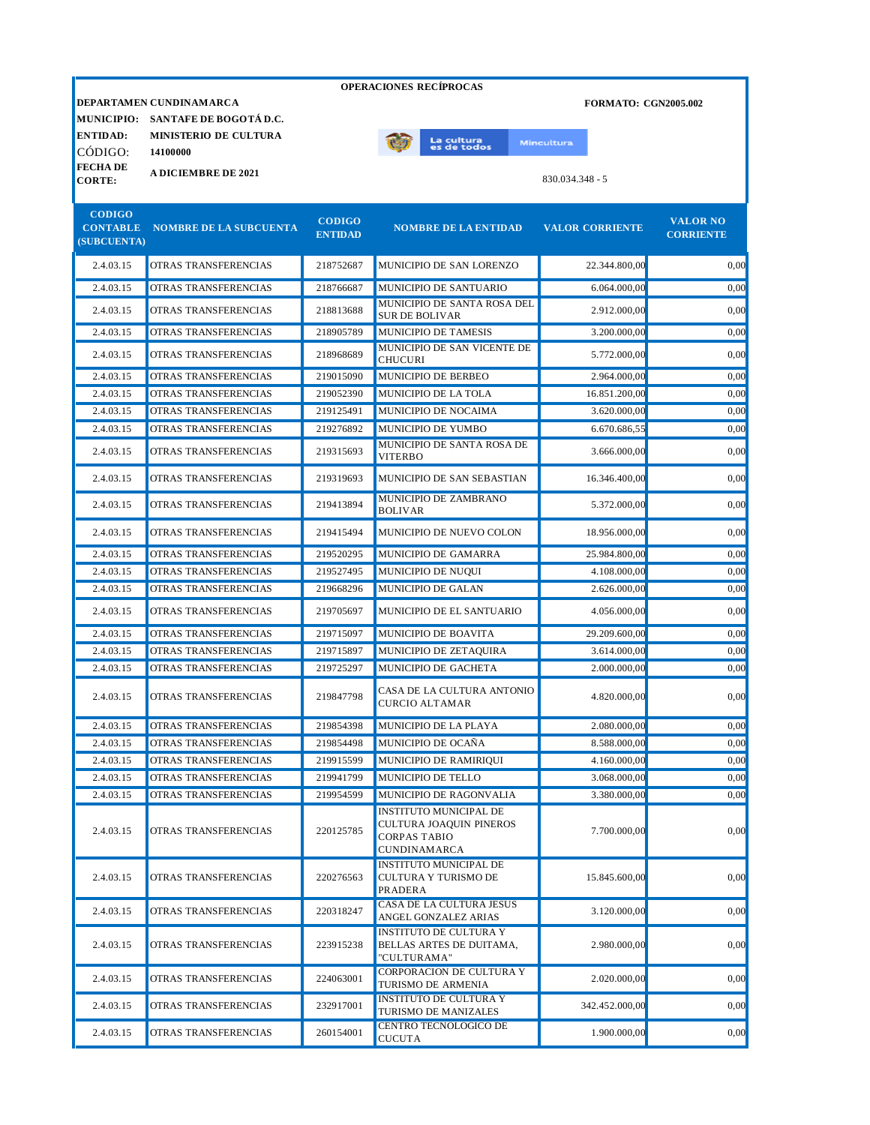| <b>OPERACIONES RECÍPROCAS</b>  |                               |                                 |                                                                                                        |                             |                                     |  |  |
|--------------------------------|-------------------------------|---------------------------------|--------------------------------------------------------------------------------------------------------|-----------------------------|-------------------------------------|--|--|
|                                | DEPARTAMEN CUNDINAMARCA       |                                 |                                                                                                        | <b>FORMATO: CGN2005.002</b> |                                     |  |  |
| <b>MUNICIPIO:</b>              | SANTAFE DE BOGOTÁ D.C.        |                                 |                                                                                                        |                             |                                     |  |  |
| <b>ENTIDAD:</b>                | <b>MINISTERIO DE CULTURA</b>  |                                 | La cultura<br>es de todos                                                                              | <b>Mincultura</b>           |                                     |  |  |
| CÓDIGO:                        | 14100000                      |                                 |                                                                                                        |                             |                                     |  |  |
| <b>FECHADE</b>                 | <b>A DICIEMBRE DE 2021</b>    |                                 |                                                                                                        | 830.034.348 - 5             |                                     |  |  |
| <b>CORTE:</b>                  |                               |                                 |                                                                                                        |                             |                                     |  |  |
| <b>CODIGO</b>                  |                               |                                 |                                                                                                        |                             |                                     |  |  |
| <b>CONTABLE</b><br>(SUBCUENTA) | <b>NOMBRE DE LA SUBCUENTA</b> | <b>CODIGO</b><br><b>ENTIDAD</b> | <b>NOMBRE DE LA ENTIDAD</b>                                                                            | <b>VALOR CORRIENTE</b>      | <b>VALOR NO</b><br><b>CORRIENTE</b> |  |  |
| 2.4.03.15                      | OTRAS TRANSFERENCIAS          | 218752687                       | MUNICIPIO DE SAN LORENZO                                                                               | 22.344.800,00               | 0,00                                |  |  |
| 2.4.03.15                      | OTRAS TRANSFERENCIAS          | 218766687                       | MUNICIPIO DE SANTUARIO                                                                                 | 6.064.000,00                | 0,00                                |  |  |
| 2.4.03.15                      | OTRAS TRANSFERENCIAS          | 218813688                       | MUNICIPIO DE SANTA ROSA DEL<br><b>SUR DE BOLIVAR</b>                                                   | 2.912.000,00                | 0,00                                |  |  |
| 2.4.03.15                      | OTRAS TRANSFERENCIAS          | 218905789                       | MUNICIPIO DE TAMESIS                                                                                   | 3.200.000,00                | 0,00                                |  |  |
| 2.4.03.15                      | OTRAS TRANSFERENCIAS          | 218968689                       | MUNICIPIO DE SAN VICENTE DE<br><b>CHUCURI</b>                                                          | 5.772.000,00                | 0,00                                |  |  |
| 2.4.03.15                      | OTRAS TRANSFERENCIAS          | 219015090                       | MUNICIPIO DE BERBEO                                                                                    | 2.964.000,00                | 0,00                                |  |  |
| 2.4.03.15                      | OTRAS TRANSFERENCIAS          | 219052390                       | MUNICIPIO DE LA TOLA                                                                                   | 16.851.200,00               | 0,00                                |  |  |
| 2.4.03.15                      | <b>OTRAS TRANSFERENCIAS</b>   | 219125491                       | MUNICIPIO DE NOCAIMA                                                                                   | 3.620.000,00                | 0.00                                |  |  |
| 2.4.03.15                      | OTRAS TRANSFERENCIAS          | 219276892                       | MUNICIPIO DE YUMBO                                                                                     | 6.670.686,55                | 0,00                                |  |  |
| 2.4.03.15                      | OTRAS TRANSFERENCIAS          | 219315693                       | MUNICIPIO DE SANTA ROSA DE<br><b>VITERBO</b>                                                           | 3.666.000,00                | 0,00                                |  |  |
| 2.4.03.15                      | OTRAS TRANSFERENCIAS          | 219319693                       | MUNICIPIO DE SAN SEBASTIAN                                                                             | 16.346.400,00               | 0,00                                |  |  |
| 2.4.03.15                      | OTRAS TRANSFERENCIAS          | 219413894                       | MUNICIPIO DE ZAMBRANO<br><b>BOLIVAR</b>                                                                | 5.372.000,00                | 0,00                                |  |  |
| 2.4.03.15                      | OTRAS TRANSFERENCIAS          | 219415494                       | MUNICIPIO DE NUEVO COLON                                                                               | 18.956.000,00               | 0,00                                |  |  |
| 2.4.03.15                      | OTRAS TRANSFERENCIAS          | 219520295                       | MUNICIPIO DE GAMARRA                                                                                   | 25.984.800,00               | 0,00                                |  |  |
| 2.4.03.15                      | OTRAS TRANSFERENCIAS          | 219527495                       | MUNICIPIO DE NUQUI                                                                                     | 4.108.000,00                | 0,00                                |  |  |
| 2.4.03.15                      | OTRAS TRANSFERENCIAS          | 219668296                       | MUNICIPIO DE GALAN                                                                                     | 2.626.000,00                | 0.00                                |  |  |
| 2.4.03.15                      | OTRAS TRANSFERENCIAS          | 219705697                       | MUNICIPIO DE EL SANTUARIO                                                                              | 4.056.000,00                | 0,00                                |  |  |
| 2.4.03.15                      | OTRAS TRANSFERENCIAS          | 219715097                       | MUNICIPIO DE BOAVITA                                                                                   | 29.209.600,00               | 0,00                                |  |  |
| 2.4.03.15                      | OTRAS TRANSFERENCIAS          | 219715897                       | MUNICIPIO DE ZETAQUIRA                                                                                 | 3.614.000,00                | 0,00                                |  |  |
| 2.4.03.15                      | OTRAS TRANSFERENCIAS          | 219725297                       | MUNICIPIO DE GACHETA                                                                                   | 2.000.000,00                | 0.00                                |  |  |
| 2.4.03.15                      | OTRAS TRANSFERENCIAS          | 219847798                       | CASA DE LA CULTURA ANTONIO<br><b>CURCIO ALTAMAR</b>                                                    | 4.820.000,00                | 0.00                                |  |  |
| 2.4.03.15                      | OTRAS TRANSFERENCIAS          | 219854398                       | MUNICIPIO DE LA PLAYA                                                                                  | 2.080.000,00                | 0,00                                |  |  |
| 2.4.03.15                      | OTRAS TRANSFERENCIAS          | 219854498                       | MUNICIPIO DE OCAÑA                                                                                     | 8.588.000,00                | 0,00                                |  |  |
| 2.4.03.15                      | OTRAS TRANSFERENCIAS          | 219915599                       | MUNICIPIO DE RAMIRIQUI                                                                                 | 4.160.000,00                | 0,00                                |  |  |
| 2.4.03.15                      | OTRAS TRANSFERENCIAS          | 219941799                       | MUNICIPIO DE TELLO                                                                                     | 3.068.000,00                | 0.00                                |  |  |
| 2.4.03.15                      | OTRAS TRANSFERENCIAS          | 219954599                       | MUNICIPIO DE RAGONVALIA                                                                                | 3.380.000,00                | 0,00                                |  |  |
| 2.4.03.15                      | OTRAS TRANSFERENCIAS          | 220125785                       | <b>INSTITUTO MUNICIPAL DE</b><br>CULTURA JOAQUIN PINEROS<br><b>CORPAS TABIO</b><br><b>CUNDINAMARCA</b> | 7.700.000,00                | 0,00                                |  |  |
| 2.4.03.15                      | OTRAS TRANSFERENCIAS          | 220276563                       | <b>INSTITUTO MUNICIPAL DE</b><br>CULTURA Y TURISMO DE<br>PRADERA                                       | 15.845.600,00               | 0,00                                |  |  |
| 2.4.03.15                      | OTRAS TRANSFERENCIAS          | 220318247                       | CASA DE LA CULTURA JESUS<br>ANGEL GONZALEZ ARIAS                                                       | 3.120.000,00                | 0,00                                |  |  |
| 2.4.03.15                      | OTRAS TRANSFERENCIAS          | 223915238                       | <b>INSTITUTO DE CULTURA Y</b><br>BELLAS ARTES DE DUITAMA,<br>"CULTURAMA"                               | 2.980.000,00                | 0,00                                |  |  |
| 2.4.03.15                      | OTRAS TRANSFERENCIAS          | 224063001                       | CORPORACION DE CULTURA Y<br>TURISMO DE ARMENIA                                                         | 2.020.000,00                | 0,00                                |  |  |
| 2.4.03.15                      | OTRAS TRANSFERENCIAS          | 232917001                       | <b>INSTITUTO DE CULTURA Y</b><br>TURISMO DE MANIZALES                                                  | 342.452.000,00              | 0,00                                |  |  |
| 2.4.03.15                      | OTRAS TRANSFERENCIAS          | 260154001                       | CENTRO TECNOLOGICO DE<br><b>CUCUTA</b>                                                                 | 1.900.000,00                | 0,00                                |  |  |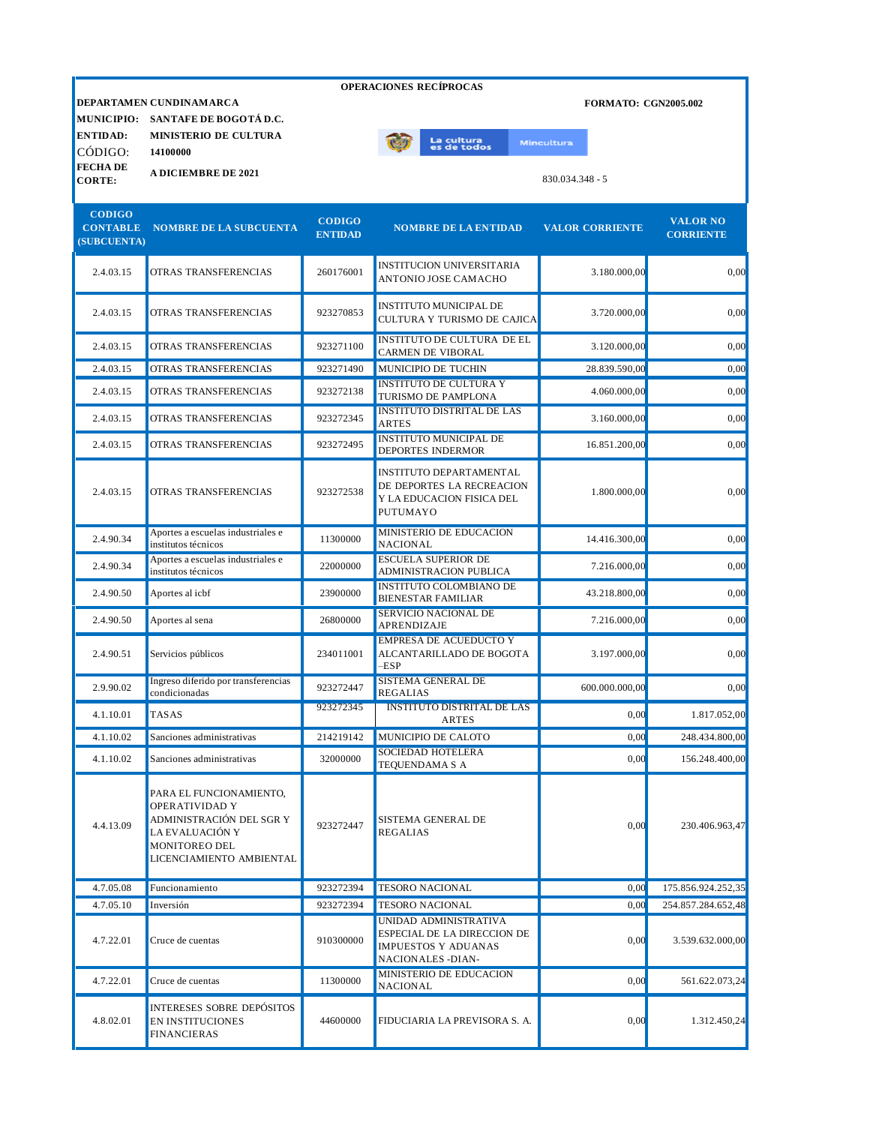|                                                 | <b>OPERACIONES RECÍPROCAS</b>                                                                                                         |                                 |                                                                                                          |                                        |                                     |  |
|-------------------------------------------------|---------------------------------------------------------------------------------------------------------------------------------------|---------------------------------|----------------------------------------------------------------------------------------------------------|----------------------------------------|-------------------------------------|--|
| <b>ENTIDAD:</b>                                 | DEPARTAMEN CUNDINAMARCA<br>MUNICIPIO: SANTAFE DE BOGOTÁ D.C.<br><b>MINISTERIO DE CULTURA</b>                                          |                                 |                                                                                                          | <b>FORMATO: CGN2005.002</b>            |                                     |  |
| CÓDIGO:<br><b>FECHADE</b><br><b>CORTE:</b>      | 14100000<br><b>A DICIEMBRE DE 2021</b>                                                                                                |                                 | La cultu <mark>ra</mark><br>es de todos                                                                  | <b>Mincultura</b><br>$830.034.348 - 5$ |                                     |  |
| <b>CODIGO</b><br><b>CONTABLE</b><br>(SUBCUENTA) | <b>NOMBRE DE LA SUBCUENTA</b>                                                                                                         | <b>CODIGO</b><br><b>ENTIDAD</b> | <b>NOMBRE DE LA ENTIDAD</b>                                                                              | <b>VALOR CORRIENTE</b>                 | <b>VALOR NO</b><br><b>CORRIENTE</b> |  |
| 2.4.03.15                                       | <b>OTRAS TRANSFERENCIAS</b>                                                                                                           | 260176001                       | <b>INSTITUCION UNIVERSITARIA</b><br>ANTONIO JOSE CAMACHO                                                 | 3.180.000,00                           | 0,00                                |  |
| 2.4.03.15                                       | OTRAS TRANSFERENCIAS                                                                                                                  | 923270853                       | INSTITUTO MUNICIPAL DE<br>CULTURA Y TURISMO DE CAJICA                                                    | 3.720.000,00                           | 0,00                                |  |
| 2.4.03.15                                       | OTRAS TRANSFERENCIAS                                                                                                                  | 923271100                       | <b>INSTITUTO DE CULTURA DE EL</b><br>CARMEN DE VIBORAL                                                   | 3.120.000,00                           | 0,00                                |  |
| 2.4.03.15                                       | OTRAS TRANSFERENCIAS                                                                                                                  | 923271490                       | MUNICIPIO DE TUCHIN                                                                                      | 28.839.590,00                          | 0,00                                |  |
| 2.4.03.15                                       | OTRAS TRANSFERENCIAS                                                                                                                  | 923272138                       | <b>INSTITUTO DE CULTURA Y</b><br>TURISMO DE PAMPLONA                                                     | 4.060.000,00                           | 0,00                                |  |
| 2.4.03.15                                       | OTRAS TRANSFERENCIAS                                                                                                                  | 923272345                       | <b>INSTITUTO DISTRITAL DE LAS</b><br><b>ARTES</b>                                                        | 3.160.000,00                           | 0,00                                |  |
| 2.4.03.15                                       | OTRAS TRANSFERENCIAS                                                                                                                  | 923272495                       | <b>INSTITUTO MUNICIPAL DE</b><br>DEPORTES INDERMOR                                                       | 16.851.200,00                          | 0,00                                |  |
| 2.4.03.15                                       | OTRAS TRANSFERENCIAS                                                                                                                  | 923272538                       | <b>INSTITUTO DEPARTAMENTAL</b><br>DE DEPORTES LA RECREACION<br>Y LA EDUCACION FISICA DEL<br>PUTUMAYO     | 1.800.000,00                           | 0,00                                |  |
| 2.4.90.34                                       | Aportes a escuelas industriales e<br>institutos técnicos                                                                              | 11300000                        | MINISTERIO DE EDUCACION<br><b>NACIONAL</b>                                                               | 14.416.300,00                          | 0,00                                |  |
| 2.4.90.34                                       | Aportes a escuelas industriales e<br>institutos técnicos                                                                              | 22000000                        | <b>ESCUELA SUPERIOR DE</b><br>ADMINISTRACION PUBLICA                                                     | 7.216.000,00                           | 0,00                                |  |
| 2.4.90.50                                       | Aportes al icbf                                                                                                                       | 23900000                        | <b>INSTITUTO COLOMBIANO DE</b><br><b>BIENESTAR FAMILIAR</b>                                              | 43.218.800,00                          | 0,00                                |  |
| 2.4.90.50                                       | Aportes al sena                                                                                                                       | 26800000                        | SERVICIO NACIONAL DE<br>APRENDIZAJE                                                                      | 7.216.000,00                           | 0,00                                |  |
| 2.4.90.51                                       | Servicios públicos                                                                                                                    | 234011001                       | <b>EMPRESA DE ACUEDUCTO Y</b><br>ALCANTARILLADO DE BOGOTA<br>$-$ ESP                                     | 3.197.000,00                           | 0,00                                |  |
| 2.9.90.02                                       | Ingreso diferido por transferencias<br>condicionadas                                                                                  | 923272447                       | <b>SISTEMA GENERAL DE</b><br><b>REGALIAS</b>                                                             | 600.000.000,00                         | 0,00                                |  |
| 4.1.10.01                                       | TASAS                                                                                                                                 | 923272345                       | <b>INSTITUTO DISTRITAL DE LAS</b><br>ARTES                                                               | 0,00                                   | 1.817.052,00                        |  |
| 4.1.10.02                                       | Sanciones administrativas                                                                                                             | 214219142                       | MUNICIPIO DE CALOTO                                                                                      | 0,00                                   | 248.434.800,00                      |  |
| 4.1.10.02                                       | Sanciones administrativas                                                                                                             | 32000000                        | SOCIEDAD HOTELERA<br>TEQUENDAMA S A                                                                      | 0,00                                   | 156.248.400,00                      |  |
| 4.4.13.09                                       | PARA EL FUNCIONAMIENTO,<br>OPERATIVIDAD Y<br>ADMINISTRACIÓN DEL SGR Y<br>LA EVALUACIÓN Y<br>MONITOREO DEL<br>LICENCIAMIENTO AMBIENTAL | 923272447                       | SISTEMA GENERAL DE<br><b>REGALIAS</b>                                                                    | 0,00                                   | 230.406.963,47                      |  |
| 4.7.05.08                                       | Funcionamiento                                                                                                                        | 923272394                       | <b>TESORO NACIONAL</b>                                                                                   | 0,00                                   | 175.856.924.252,35                  |  |
| 4.7.05.10                                       | Inversión                                                                                                                             | 923272394                       | <b>TESORO NACIONAL</b>                                                                                   | 0,00                                   | 254.857.284.652,48                  |  |
| 4.7.22.01                                       | Cruce de cuentas                                                                                                                      | 910300000                       | UNIDAD ADMINISTRATIVA<br>ESPECIAL DE LA DIRECCION DE<br><b>IMPUESTOS Y ADUANAS</b><br>NACIONALES - DIAN- | 0,00                                   | 3.539.632.000,00                    |  |
| 4.7.22.01                                       | Cruce de cuentas                                                                                                                      | 11300000                        | MINISTERIO DE EDUCACION<br>NACIONAL                                                                      | 0,00                                   | 561.622.073,24                      |  |
| 4.8.02.01                                       | <b>INTERESES SOBRE DEPÓSITOS</b><br>EN INSTITUCIONES<br><b>FINANCIERAS</b>                                                            | 44600000                        | FIDUCIARIA LA PREVISORA S. A.                                                                            | 0,00                                   | 1.312.450,24                        |  |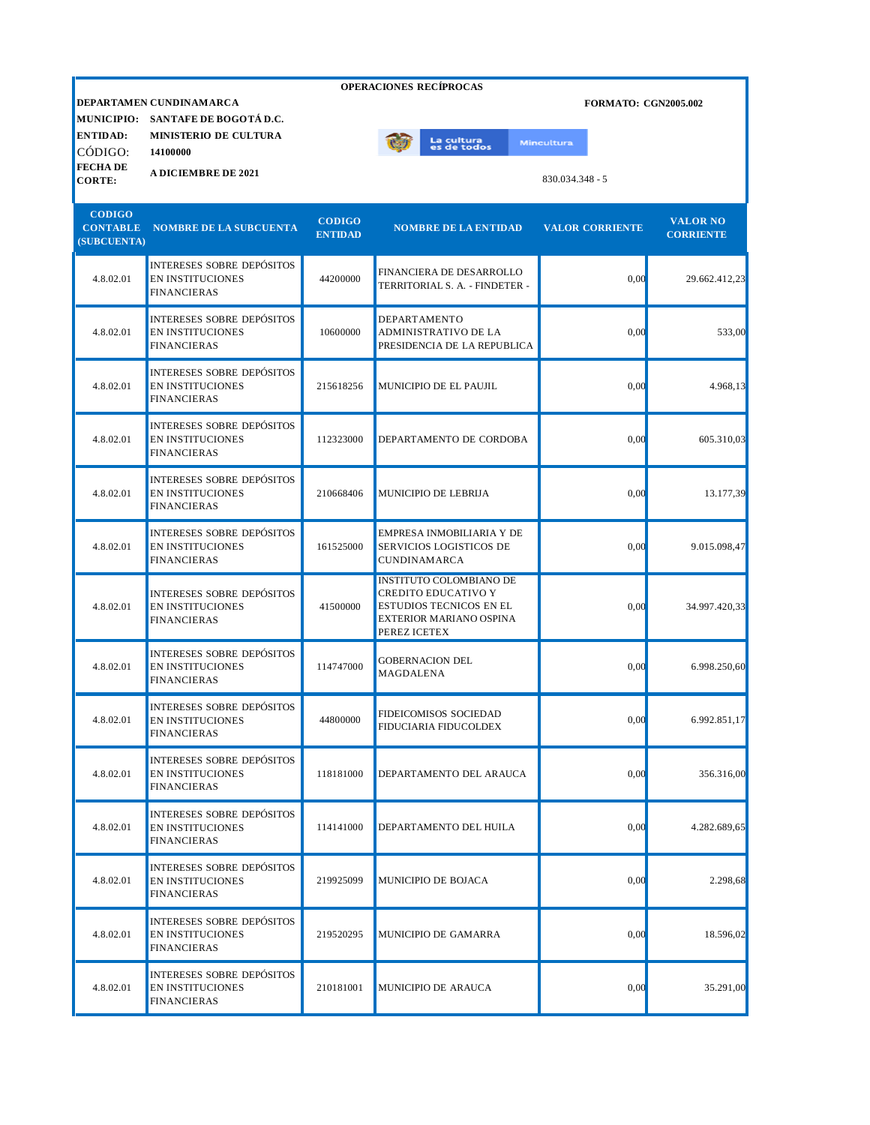| <b>OPERACIONES RECÍPROCAS</b>                   |                                                                                   |                                 |                                                                                                                             |                             |                                     |  |  |
|-------------------------------------------------|-----------------------------------------------------------------------------------|---------------------------------|-----------------------------------------------------------------------------------------------------------------------------|-----------------------------|-------------------------------------|--|--|
| <b>MUNICIPIO:</b><br><b>ENTIDAD:</b>            | DEPARTAMEN CUNDINAMARCA<br>SANTAFE DE BOGOTÁ D.C.<br><b>MINISTERIO DE CULTURA</b> |                                 |                                                                                                                             | <b>FORMATO: CGN2005.002</b> |                                     |  |  |
| CÓDIGO:                                         | 14100000                                                                          |                                 | La cultur <mark>a</mark><br>es de todos                                                                                     | <b>Mincultura</b>           |                                     |  |  |
| <b>FECHADE</b><br><b>CORTE:</b>                 | <b>A DICIEMBRE DE 2021</b>                                                        |                                 |                                                                                                                             | $830.034.348 - 5$           |                                     |  |  |
| <b>CODIGO</b><br><b>CONTABLE</b><br>(SUBCUENTA) | <b>NOMBRE DE LA SUBCUENTA</b>                                                     | <b>CODIGO</b><br><b>ENTIDAD</b> | <b>NOMBRE DE LA ENTIDAD</b>                                                                                                 | <b>VALOR CORRIENTE</b>      | <b>VALOR NO</b><br><b>CORRIENTE</b> |  |  |
| 4.8.02.01                                       | <b>INTERESES SOBRE DEPÓSITOS</b><br><b>EN INSTITUCIONES</b><br><b>FINANCIERAS</b> | 44200000                        | FINANCIERA DE DESARROLLO<br>TERRITORIAL S. A. - FINDETER -                                                                  | 0,00                        | 29.662.412,23                       |  |  |
| 4.8.02.01                                       | <b>INTERESES SOBRE DEPÓSITOS</b><br><b>EN INSTITUCIONES</b><br><b>FINANCIERAS</b> | 10600000                        | DEPARTAMENTO<br>ADMINISTRATIVO DE LA<br>PRESIDENCIA DE LA REPUBLICA                                                         | 0,00                        | 533,00                              |  |  |
| 4.8.02.01                                       | <b>INTERESES SOBRE DEPÓSITOS</b><br><b>EN INSTITUCIONES</b><br><b>FINANCIERAS</b> | 215618256                       | MUNICIPIO DE EL PAUJIL                                                                                                      | 0,00                        | 4.968,13                            |  |  |
| 4.8.02.01                                       | <b>INTERESES SOBRE DEPÓSITOS</b><br><b>EN INSTITUCIONES</b><br><b>FINANCIERAS</b> | 112323000                       | DEPARTAMENTO DE CORDOBA                                                                                                     | 0,00                        | 605.310,03                          |  |  |
| 4.8.02.01                                       | <b>INTERESES SOBRE DEPÓSITOS</b><br><b>EN INSTITUCIONES</b><br><b>FINANCIERAS</b> | 210668406                       | MUNICIPIO DE LEBRIJA                                                                                                        | 0,00                        | 13.177,39                           |  |  |
| 4.8.02.01                                       | <b>INTERESES SOBRE DEPÓSITOS</b><br><b>EN INSTITUCIONES</b><br><b>FINANCIERAS</b> | 161525000                       | EMPRESA INMOBILIARIA Y DE<br>SERVICIOS LOGISTICOS DE<br><b>CUNDINAMARCA</b>                                                 | 0,00                        | 9.015.098,47                        |  |  |
| 4.8.02.01                                       | <b>INTERESES SOBRE DEPÓSITOS</b><br><b>EN INSTITUCIONES</b><br><b>FINANCIERAS</b> | 41500000                        | <b>INSTITUTO COLOMBIANO DE</b><br>CREDITO EDUCATIVO Y<br>ESTUDIOS TECNICOS EN EL<br>EXTERIOR MARIANO OSPINA<br>PEREZ ICETEX | 0,00                        | 34.997.420,33                       |  |  |
| 4.8.02.01                                       | <b>INTERESES SOBRE DEPÓSITOS</b><br><b>EN INSTITUCIONES</b><br><b>FINANCIERAS</b> | 114747000                       | <b>GOBERNACION DEL</b><br>MAGDALENA                                                                                         | 0,00                        | 6.998.250,60                        |  |  |
| 4.8.02.01                                       | <b>INTERESES SOBRE DEPÓSITOS</b><br>EN INSTITUCIONES<br><b>FINANCIERAS</b>        | 44800000                        | FIDEICOMISOS SOCIEDAD<br>FIDUCIARIA FIDUCOLDEX                                                                              | 0,00                        | 6.992.851,17                        |  |  |
| 4.8.02.01                                       | <b>INTERESES SOBRE DEPÓSITOS</b><br>EN INSTITUCIONES<br><b>FINANCIERAS</b>        | 118181000                       | DEPARTAMENTO DEL ARAUCA                                                                                                     | 0,00                        | 356.316,00                          |  |  |
| 4.8.02.01                                       | <b>INTERESES SOBRE DEPÓSITOS</b><br><b>EN INSTITUCIONES</b><br><b>FINANCIERAS</b> | 114141000                       | DEPARTAMENTO DEL HUILA                                                                                                      | 0,00                        | 4.282.689,65                        |  |  |
| 4.8.02.01                                       | <b>INTERESES SOBRE DEPÓSITOS</b><br><b>EN INSTITUCIONES</b><br><b>FINANCIERAS</b> | 219925099                       | MUNICIPIO DE BOJACA                                                                                                         | 0,00                        | 2.298,68                            |  |  |
| 4.8.02.01                                       | <b>INTERESES SOBRE DEPÓSITOS</b><br>EN INSTITUCIONES<br><b>FINANCIERAS</b>        | 219520295                       | MUNICIPIO DE GAMARRA                                                                                                        | 0,00                        | 18.596,02                           |  |  |
| 4.8.02.01                                       | <b>INTERESES SOBRE DEPÓSITOS</b><br>EN INSTITUCIONES<br><b>FINANCIERAS</b>        | 210181001                       | MUNICIPIO DE ARAUCA                                                                                                         | 0,00                        | 35.291,00                           |  |  |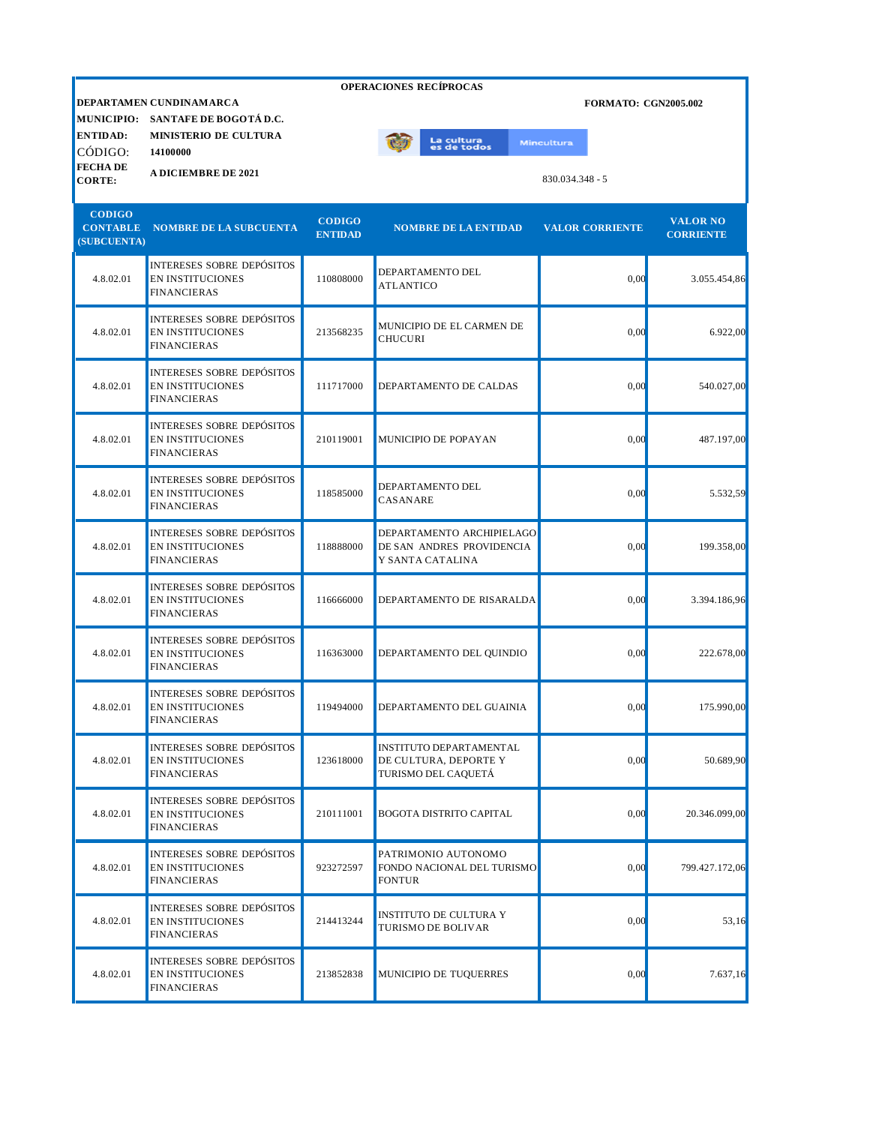|                                                 |                                                                                   |                                 | <b>OPERACIONES RECÍPROCAS</b>                                              |                             |                                     |
|-------------------------------------------------|-----------------------------------------------------------------------------------|---------------------------------|----------------------------------------------------------------------------|-----------------------------|-------------------------------------|
| <b>MUNICIPIO:</b>                               | DEPARTAMEN CUNDINAMARCA<br>SANTAFE DE BOGOTÁ D.C.                                 |                                 |                                                                            | <b>FORMATO: CGN2005.002</b> |                                     |
| <b>ENTIDAD:</b><br>CÓDIGO:                      | <b>MINISTERIO DE CULTURA</b><br>14100000                                          |                                 | La cultura<br>es de todos                                                  | <b>Mincultura</b>           |                                     |
| <b>FECHADE</b><br><b>CORTE:</b>                 | <b>A DICIEMBRE DE 2021</b>                                                        |                                 |                                                                            | 830.034.348 - 5             |                                     |
| <b>CODIGO</b><br><b>CONTABLE</b><br>(SUBCUENTA) | <b>NOMBRE DE LA SUBCUENTA</b>                                                     | <b>CODIGO</b><br><b>ENTIDAD</b> | <b>NOMBRE DE LA ENTIDAD</b>                                                | <b>VALOR CORRIENTE</b>      | <b>VALOR NO</b><br><b>CORRIENTE</b> |
| 4.8.02.01                                       | <b>INTERESES SOBRE DEPÓSITOS</b><br><b>EN INSTITUCIONES</b><br><b>FINANCIERAS</b> | 110808000                       | DEPARTAMENTO DEL<br><b>ATLANTICO</b>                                       | 0,00                        | 3.055.454,86                        |
| 4.8.02.01                                       | INTERESES SOBRE DEPÓSITOS<br><b>EN INSTITUCIONES</b><br><b>FINANCIERAS</b>        | 213568235                       | MUNICIPIO DE EL CARMEN DE<br><b>CHUCURI</b>                                | 0,00                        | 6.922,00                            |
| 4.8.02.01                                       | INTERESES SOBRE DEPÓSITOS<br><b>EN INSTITUCIONES</b><br><b>FINANCIERAS</b>        | 111717000                       | DEPARTAMENTO DE CALDAS                                                     | 0,00                        | 540.027,00                          |
| 4.8.02.01                                       | <b>INTERESES SOBRE DEPÓSITOS</b><br><b>EN INSTITUCIONES</b><br><b>FINANCIERAS</b> | 210119001                       | MUNICIPIO DE POPAYAN                                                       | 0,00                        | 487.197,00                          |
| 4.8.02.01                                       | <b>INTERESES SOBRE DEPÓSITOS</b><br><b>EN INSTITUCIONES</b><br><b>FINANCIERAS</b> | 118585000                       | DEPARTAMENTO DEL<br>CASANARE                                               | 0,00                        | 5.532,59                            |
| 4.8.02.01                                       | <b>INTERESES SOBRE DEPÓSITOS</b><br><b>EN INSTITUCIONES</b><br><b>FINANCIERAS</b> | 118888000                       | DEPARTAMENTO ARCHIPIELAGO<br>DE SAN ANDRES PROVIDENCIA<br>Y SANTA CATALINA | 0,00                        | 199.358,00                          |
| 4.8.02.01                                       | <b>INTERESES SOBRE DEPÓSITOS</b><br><b>EN INSTITUCIONES</b><br><b>FINANCIERAS</b> | 116666000                       | DEPARTAMENTO DE RISARALDA                                                  | 0,00                        | 3.394.186,96                        |
| 4.8.02.01                                       | <b>INTERESES SOBRE DEPÓSITOS</b><br>EN INSTITUCIONES<br><b>FINANCIERAS</b>        | 116363000                       | DEPARTAMENTO DEL QUINDIO                                                   | 0,00                        | 222.678,00                          |
| 4.8.02.01                                       | INTERESES SOBRE DEPÓSITOS<br><b>EN INSTITUCIONES</b><br><b>FINANCIERAS</b>        | 119494000                       | DEPARTAMENTO DEL GUAINIA                                                   | 0.00                        | 175.990,00                          |
| 4.8.02.01                                       | <b>INTERESES SOBRE DEPÓSITOS</b><br><b>EN INSTITUCIONES</b><br><b>FINANCIERAS</b> | 123618000                       | INSTITUTO DEPARTAMENTAL<br>DE CULTURA, DEPORTE Y<br>TURISMO DEL CAQUETÁ    | 0,00                        | 50.689,90                           |
| 4.8.02.01                                       | <b>INTERESES SOBRE DEPÓSITOS</b><br><b>EN INSTITUCIONES</b><br><b>FINANCIERAS</b> | 210111001                       | <b>BOGOTA DISTRITO CAPITAL</b>                                             | 0,00                        | 20.346.099,00                       |
| 4.8.02.01                                       | <b>INTERESES SOBRE DEPÓSITOS</b><br><b>EN INSTITUCIONES</b><br><b>FINANCIERAS</b> | 923272597                       | PATRIMONIO AUTONOMO<br>FONDO NACIONAL DEL TURISMO<br><b>FONTUR</b>         | 0,00                        | 799.427.172,06                      |
| 4.8.02.01                                       | <b>INTERESES SOBRE DEPÓSITOS</b><br><b>EN INSTITUCIONES</b><br><b>FINANCIERAS</b> | 214413244                       | INSTITUTO DE CULTURA Y<br>TURISMO DE BOLIVAR                               | 0,00                        | 53,16                               |
| 4.8.02.01                                       | INTERESES SOBRE DEPÓSITOS<br><b>EN INSTITUCIONES</b><br><b>FINANCIERAS</b>        | 213852838                       | MUNICIPIO DE TUQUERRES                                                     | 0,00                        | 7.637,16                            |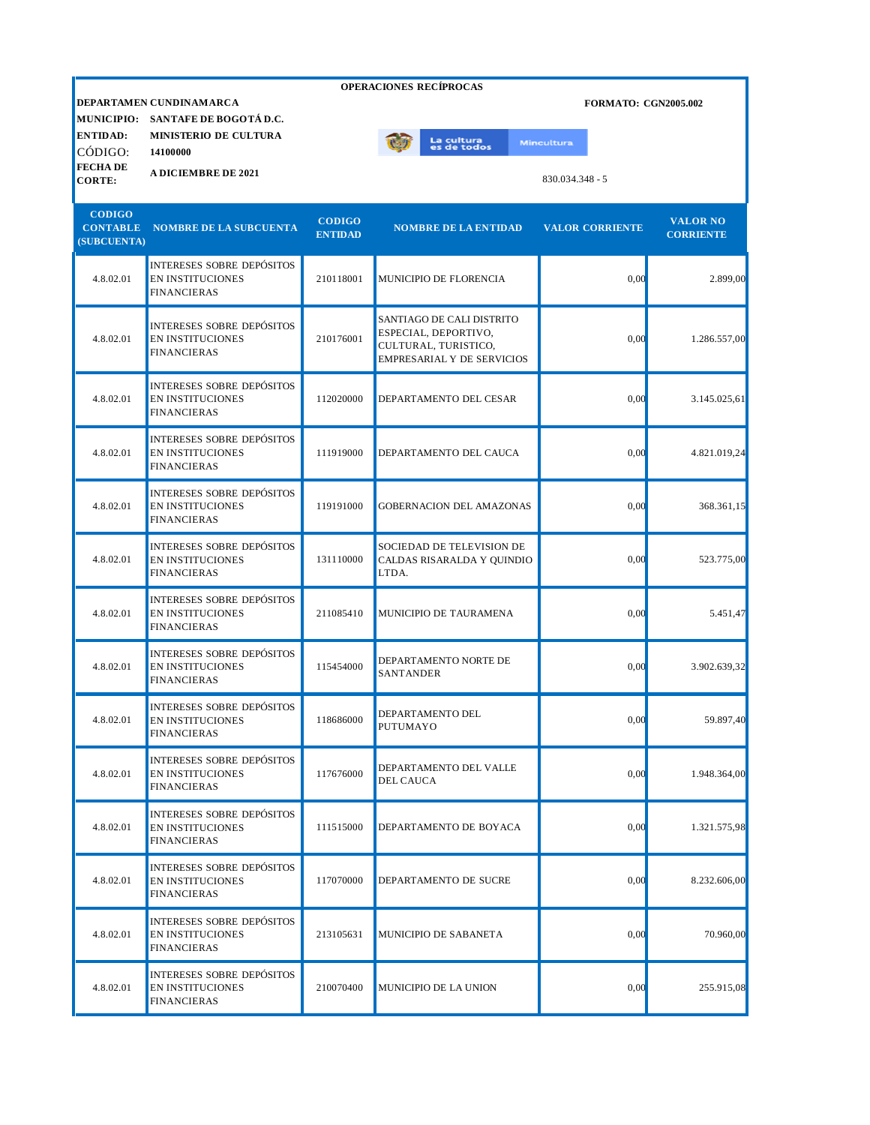| <b>OPERACIONES RECÍPROCAS</b>        |                                                                                   |                |                                                                                                                |                             |                  |  |  |
|--------------------------------------|-----------------------------------------------------------------------------------|----------------|----------------------------------------------------------------------------------------------------------------|-----------------------------|------------------|--|--|
|                                      | DEPARTAMEN CUNDINAMARCA                                                           |                |                                                                                                                | <b>FORMATO: CGN2005.002</b> |                  |  |  |
| <b>MUNICIPIO:</b><br><b>ENTIDAD:</b> | SANTAFE DE BOGOTÁ D.C.<br><b>MINISTERIO DE CULTURA</b>                            |                |                                                                                                                |                             |                  |  |  |
| CÓDIGO:                              | 14100000                                                                          |                | La cultura<br>es de todos                                                                                      | <b>Mincultura</b>           |                  |  |  |
| <b>FECHADE</b><br><b>CORTE:</b>      | <b>A DICIEMBRE DE 2021</b>                                                        |                |                                                                                                                | 830.034.348 - 5             |                  |  |  |
|                                      |                                                                                   |                |                                                                                                                |                             |                  |  |  |
| <b>CODIGO</b>                        |                                                                                   | <b>CODIGO</b>  |                                                                                                                |                             | <b>VALOR NO</b>  |  |  |
| <b>CONTABLE</b><br>(SUBCUENTA)       | <b>NOMBRE DE LA SUBCUENTA</b>                                                     | <b>ENTIDAD</b> | <b>NOMBRE DE LA ENTIDAD</b>                                                                                    | <b>VALOR CORRIENTE</b>      | <b>CORRIENTE</b> |  |  |
| 4.8.02.01                            | <b>INTERESES SOBRE DEPÓSITOS</b><br><b>EN INSTITUCIONES</b><br><b>FINANCIERAS</b> | 210118001      | MUNICIPIO DE FLORENCIA                                                                                         | 0,00                        | 2.899,00         |  |  |
| 4.8.02.01                            | <b>INTERESES SOBRE DEPÓSITOS</b><br><b>EN INSTITUCIONES</b><br><b>FINANCIERAS</b> | 210176001      | SANTIAGO DE CALI DISTRITO<br>ESPECIAL, DEPORTIVO,<br>CULTURAL, TURISTICO,<br><b>EMPRESARIAL Y DE SERVICIOS</b> | 0,00                        | 1.286.557,00     |  |  |
| 4.8.02.01                            | <b>INTERESES SOBRE DEPÓSITOS</b><br>EN INSTITUCIONES<br><b>FINANCIERAS</b>        | 112020000      | DEPARTAMENTO DEL CESAR                                                                                         | 0,00                        | 3.145.025,61     |  |  |
| 4.8.02.01                            | <b>INTERESES SOBRE DEPÓSITOS</b><br><b>EN INSTITUCIONES</b><br><b>FINANCIERAS</b> | 111919000      | DEPARTAMENTO DEL CAUCA                                                                                         | 0,00                        | 4.821.019,24     |  |  |
| 4.8.02.01                            | <b>INTERESES SOBRE DEPÓSITOS</b><br><b>EN INSTITUCIONES</b><br><b>FINANCIERAS</b> | 119191000      | GOBERNACION DEL AMAZONAS                                                                                       | 0,00                        | 368.361,15       |  |  |
| 4.8.02.01                            | <b>INTERESES SOBRE DEPÓSITOS</b><br><b>EN INSTITUCIONES</b><br><b>FINANCIERAS</b> | 131110000      | SOCIEDAD DE TELEVISION DE<br>CALDAS RISARALDA Y QUINDIO<br>LTDA.                                               | 0,00                        | 523.775,00       |  |  |
| 4.8.02.01                            | <b>INTERESES SOBRE DEPÓSITOS</b><br><b>EN INSTITUCIONES</b><br><b>FINANCIERAS</b> | 211085410      | MUNICIPIO DE TAURAMENA                                                                                         | 0,00                        | 5.451,47         |  |  |
| 4.8.02.01                            | <b>INTERESES SOBRE DEPÓSITOS</b><br><b>EN INSTITUCIONES</b><br><b>FINANCIERAS</b> | 115454000      | DEPARTAMENTO NORTE DE<br><b>SANTANDER</b>                                                                      | 0,00                        | 3.902.639,32     |  |  |
| 4.8.02.01                            | INTERESES SOBRE DEPÓSITOS<br><b>EN INSTITUCIONES</b><br><b>FINANCIERAS</b>        | 118686000      | DEPARTAMENTO DEL<br>PUTUMAYO                                                                                   | 0,00                        | 59.897,40        |  |  |
| 4.8.02.01                            | <b>INTERESES SOBRE DEPÓSITOS</b><br><b>EN INSTITUCIONES</b><br><b>FINANCIERAS</b> | 117676000      | DEPARTAMENTO DEL VALLE<br><b>DEL CAUCA</b>                                                                     | 0,00                        | 1.948.364,00     |  |  |
| 4.8.02.01                            | <b>INTERESES SOBRE DEPÓSITOS</b><br><b>EN INSTITUCIONES</b><br><b>FINANCIERAS</b> | 111515000      | DEPARTAMENTO DE BOYACA                                                                                         | 0,00                        | 1.321.575,98     |  |  |
| 4.8.02.01                            | <b>INTERESES SOBRE DEPÓSITOS</b><br><b>EN INSTITUCIONES</b><br><b>FINANCIERAS</b> | 117070000      | DEPARTAMENTO DE SUCRE                                                                                          | 0,00                        | 8.232.606,00     |  |  |
| 4.8.02.01                            | INTERESES SOBRE DEPÓSITOS<br>EN INSTITUCIONES<br><b>FINANCIERAS</b>               | 213105631      | MUNICIPIO DE SABANETA                                                                                          | 0,00                        | 70.960,00        |  |  |
| 4.8.02.01                            | <b>INTERESES SOBRE DEPÓSITOS</b><br><b>EN INSTITUCIONES</b><br><b>FINANCIERAS</b> | 210070400      | MUNICIPIO DE LA UNION                                                                                          | 0,00                        | 255.915,08       |  |  |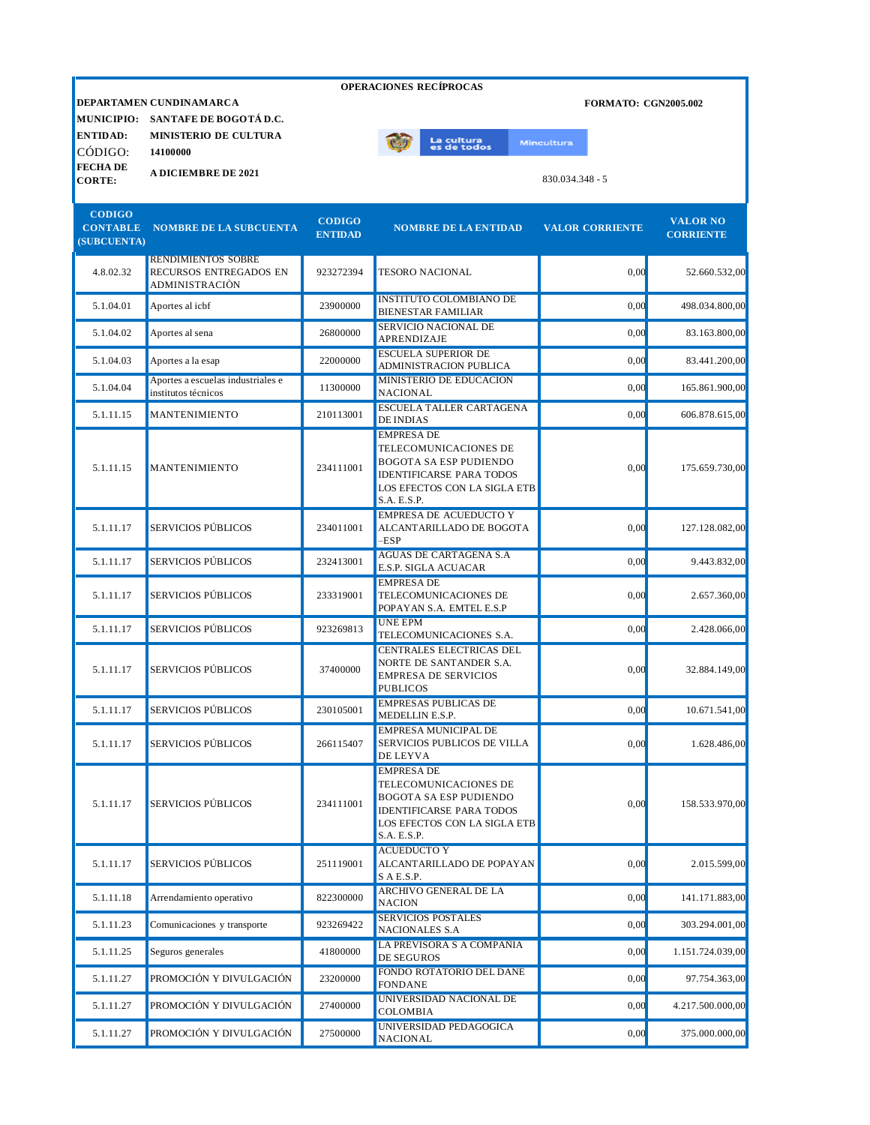|                                                 |                                                                              |                                 | OPERACIONES RECÍPROCAS                                                                                                                                        |                             |                                     |
|-------------------------------------------------|------------------------------------------------------------------------------|---------------------------------|---------------------------------------------------------------------------------------------------------------------------------------------------------------|-----------------------------|-------------------------------------|
|                                                 | DEPARTAMEN CUNDINAMARCA                                                      |                                 |                                                                                                                                                               | <b>FORMATO: CGN2005.002</b> |                                     |
| <b>ENTIDAD:</b>                                 | MUNICIPIO: SANTAFE DE BOGOTÁ D.C.<br><b>MINISTERIO DE CULTURA</b>            |                                 |                                                                                                                                                               |                             |                                     |
| CÓDIGO:                                         | 14100000                                                                     |                                 | La cultura<br>es de todos                                                                                                                                     | <b>Mincultura</b>           |                                     |
| <b>FECHADE</b>                                  | <b>A DICIEMBRE DE 2021</b>                                                   |                                 |                                                                                                                                                               |                             |                                     |
| <b>CORTE:</b>                                   |                                                                              |                                 |                                                                                                                                                               | $830.034.348 - 5$           |                                     |
| <b>CODIGO</b><br><b>CONTABLE</b><br>(SUBCUENTA) | <b>NOMBRE DE LA SUBCUENTA</b>                                                | <b>CODIGO</b><br><b>ENTIDAD</b> | <b>NOMBRE DE LA ENTIDAD</b>                                                                                                                                   | <b>VALOR CORRIENTE</b>      | <b>VALOR NO</b><br><b>CORRIENTE</b> |
| 4.8.02.32                                       | <b>RENDIMIENTOS SOBRE</b><br>RECURSOS ENTREGADOS EN<br><b>ADMINISTRACIÓN</b> | 923272394                       | <b>TESORO NACIONAL</b>                                                                                                                                        | 0,00                        | 52.660.532,00                       |
| 5.1.04.01                                       | Aportes al icbf                                                              | 23900000                        | <b>INSTITUTO COLOMBIANO DE</b><br><b>BIENESTAR FAMILIAR</b>                                                                                                   | 0,00                        | 498.034.800,00                      |
| 5.1.04.02                                       | Aportes al sena                                                              | 26800000                        | SERVICIO NACIONAL DE<br>APRENDIZAJE                                                                                                                           | 0,00                        | 83.163.800,00                       |
| 5.1.04.03                                       | Aportes a la esap                                                            | 22000000                        | <b>ESCUELA SUPERIOR DE</b><br>ADMINISTRACION PUBLICA                                                                                                          | 0,00                        | 83.441.200.00                       |
| 5.1.04.04                                       | Aportes a escuelas industriales e<br>institutos técnicos                     | 11300000                        | MINISTERIO DE EDUCACION<br><b>NACIONAL</b>                                                                                                                    | 0.00                        | 165.861.900,00                      |
| 5.1.11.15                                       | MANTENIMIENTO                                                                | 210113001                       | <b>ESCUELA TALLER CARTAGENA</b><br><b>DE INDIAS</b>                                                                                                           | 0,00                        | 606.878.615,00                      |
| 5.1.11.15                                       | MANTENIMIENTO                                                                | 234111001                       | <b>EMPRESA DE</b><br>TELECOMUNICACIONES DE<br><b>BOGOTA SA ESP PUDIENDO</b><br><b>IDENTIFICARSE PARA TODOS</b><br>LOS EFECTOS CON LA SIGLA ETB<br>S.A. E.S.P. | 0,00                        | 175.659.730.00                      |
| 5.1.11.17                                       | <b>SERVICIOS PÚBLICOS</b>                                                    | 234011001                       | <b>EMPRESA DE ACUEDUCTO Y</b><br>ALCANTARILLADO DE BOGOTA<br>$-$ ESP                                                                                          | 0,00                        | 127.128.082,00                      |
| 5.1.11.17                                       | SERVICIOS PÚBLICOS                                                           | 232413001                       | AGUAS DE CARTAGENA S.A<br>E.S.P. SIGLA ACUACAR                                                                                                                | 0,00                        | 9.443.832,00                        |
| 5.1.11.17                                       | SERVICIOS PÚBLICOS                                                           | 233319001                       | <b>EMPRESA DE</b><br>TELECOMUNICACIONES DE<br>POPAYAN S.A. EMTEL E.S.P                                                                                        | 0,00                        | 2.657.360,00                        |
| 5.1.11.17                                       | SERVICIOS PÚBLICOS                                                           | 923269813                       | <b>UNE EPM</b><br>TELECOMUNICACIONES S.A.                                                                                                                     | 0,00                        | 2.428.066,00                        |
| 5.1.11.17                                       | SERVICIOS PÚBLICOS                                                           | 37400000                        | CENTRALES ELECTRICAS DEL<br>NORTE DE SANTANDER S.A.<br><b>EMPRESA DE SERVICIOS</b><br><b>PUBLICOS</b>                                                         | 0,00                        | 32.884.149.00                       |
| 5.1.11.17                                       | SERVICIOS PÚBLICOS                                                           | 230105001                       | <b>EMPRESAS PUBLICAS DE</b><br>MEDELLIN E.S.P.                                                                                                                | 0,00                        | 10.671.541,00                       |
| 5.1.11.17                                       | <b>SERVICIOS PÚBLICOS</b>                                                    | 266115407                       | <b>EMPRESA MUNICIPAL DE</b><br>SERVICIOS PUBLICOS DE VILLA<br>DE LEYVA                                                                                        | 0,00                        | 1.628.486.00                        |
| 5.1.11.17                                       | SERVICIOS PÚBLICOS                                                           | 234111001                       | <b>EMPRESA DE</b><br>TELECOMUNICACIONES DE<br><b>BOGOTA SA ESP PUDIENDO</b><br><b>IDENTIFICARSE PARA TODOS</b><br>LOS EFECTOS CON LA SIGLA ETB<br>S.A. E.S.P. | 0,00                        | 158.533.970,00                      |
| 5.1.11.17                                       | SERVICIOS PÚBLICOS                                                           | 251119001                       | <b>ACUEDUCTO Y</b><br>ALCANTARILLADO DE POPAYAN<br>SAE.S.P.                                                                                                   | 0,00                        | 2.015.599,00                        |
| 5.1.11.18                                       | Arrendamiento operativo                                                      | 822300000                       | ARCHIVO GENERAL DE LA<br><b>NACION</b>                                                                                                                        | 0,00                        | 141.171.883,00                      |
| 5.1.11.23                                       | Comunicaciones y transporte                                                  | 923269422                       | <b>SERVICIOS POSTALES</b><br><b>NACIONALES S.A</b>                                                                                                            | 0,00                        | 303.294.001,00                      |
| 5.1.11.25                                       | Seguros generales                                                            | 41800000                        | LA PREVISORA S A COMPAÑIA<br>DE SEGUROS                                                                                                                       | 0,00                        | 1.151.724.039,00                    |
| 5.1.11.27                                       | PROMOCIÓN Y DIVULGACIÓN                                                      | 23200000                        | FONDO ROTATORIO DEL DANE<br><b>FONDANE</b>                                                                                                                    | 0,00                        | 97.754.363,00                       |
| 5.1.11.27                                       | PROMOCIÓN Y DIVULGACIÓN                                                      | 27400000                        | UNIVERSIDAD NACIONAL DE<br>COLOMBIA                                                                                                                           | 0.00                        | 4.217.500.000,00                    |
| 5.1.11.27                                       | PROMOCIÓN Y DIVULGACIÓN                                                      | 27500000                        | UNIVERSIDAD PEDAGOGICA<br><b>NACIONAL</b>                                                                                                                     | 0,00                        | 375.000.000,00                      |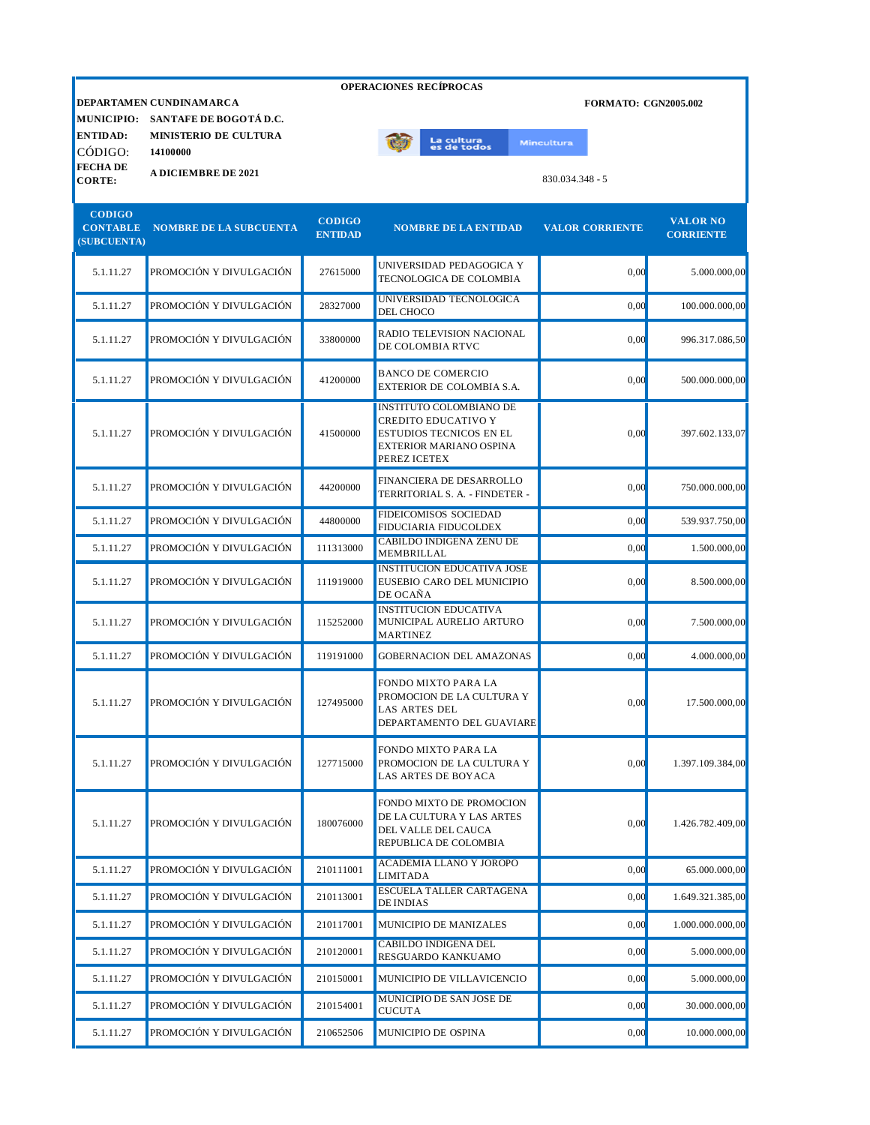| <b>OPERACIONES RECÍPROCAS</b>                   |                                                                                   |                                 |                                                                                                                                           |                             |                                     |  |  |
|-------------------------------------------------|-----------------------------------------------------------------------------------|---------------------------------|-------------------------------------------------------------------------------------------------------------------------------------------|-----------------------------|-------------------------------------|--|--|
| <b>MUNICIPIO:</b><br><b>ENTIDAD:</b>            | DEPARTAMEN CUNDINAMARCA<br>SANTAFE DE BOGOTÁ D.C.<br><b>MINISTERIO DE CULTURA</b> |                                 |                                                                                                                                           | <b>FORMATO: CGN2005.002</b> |                                     |  |  |
| CÓDIGO:                                         | 14100000                                                                          |                                 | La cultu <mark>ra</mark><br>es de todos                                                                                                   | <b>Mincultura</b>           |                                     |  |  |
| <b>FECHADE</b><br><b>CORTE:</b>                 | <b>A DICIEMBRE DE 2021</b>                                                        |                                 |                                                                                                                                           | $830.034.348 - 5$           |                                     |  |  |
| <b>CODIGO</b><br><b>CONTABLE</b><br>(SUBCUENTA) | <b>NOMBRE DE LA SUBCUENTA</b>                                                     | <b>CODIGO</b><br><b>ENTIDAD</b> | <b>NOMBRE DE LA ENTIDAD</b>                                                                                                               | <b>VALOR CORRIENTE</b>      | <b>VALOR NO</b><br><b>CORRIENTE</b> |  |  |
| 5.1.11.27                                       | PROMOCIÓN Y DIVULGACIÓN                                                           | 27615000                        | UNIVERSIDAD PEDAGOGICA Y<br>TECNOLOGICA DE COLOMBIA                                                                                       | 0,00                        | 5.000.000,00                        |  |  |
| 5.1.11.27                                       | PROMOCIÓN Y DIVULGACIÓN                                                           | 28327000                        | UNIVERSIDAD TECNOLOGICA<br>DEL CHOCO                                                                                                      | 0,00                        | 100.000.000,00                      |  |  |
| 5.1.11.27                                       | PROMOCIÓN Y DIVULGACIÓN                                                           | 33800000                        | RADIO TELEVISION NACIONAL<br>DE COLOMBIA RTVC                                                                                             | 0,00                        | 996.317.086,50                      |  |  |
| 5.1.11.27                                       | PROMOCIÓN Y DIVULGACIÓN                                                           | 41200000                        | <b>BANCO DE COMERCIO</b><br>EXTERIOR DE COLOMBIA S.A.                                                                                     | 0,00                        | 500.000.000,00                      |  |  |
| 5.1.11.27                                       | PROMOCIÓN Y DIVULGACIÓN                                                           | 41500000                        | <b>INSTITUTO COLOMBIANO DE</b><br><b>CREDITO EDUCATIVO Y</b><br><b>ESTUDIOS TECNICOS EN EL</b><br>EXTERIOR MARIANO OSPINA<br>PEREZ ICETEX | 0,00                        | 397.602.133,07                      |  |  |
| 5.1.11.27                                       | PROMOCIÓN Y DIVULGACIÓN                                                           | 44200000                        | FINANCIERA DE DESARROLLO<br>TERRITORIAL S. A. - FINDETER -                                                                                | 0,00                        | 750.000.000,00                      |  |  |
| 5.1.11.27                                       | PROMOCIÓN Y DIVULGACIÓN                                                           | 44800000                        | <b>FIDEICOMISOS SOCIEDAD</b><br>FIDUCIARIA FIDUCOLDEX                                                                                     | 0,00                        | 539.937.750,00                      |  |  |
| 5.1.11.27                                       | PROMOCIÓN Y DIVULGACIÓN                                                           | 111313000                       | <b>CABILDO INDIGENA ZENU DE</b><br>MEMBRILLAL                                                                                             | 0,00                        | 1.500.000,00                        |  |  |
| 5.1.11.27                                       | PROMOCIÓN Y DIVULGACIÓN                                                           | 111919000                       | <b>INSTITUCION EDUCATIVA JOSE</b><br>EUSEBIO CARO DEL MUNICIPIO<br>DE OCAÑA                                                               | 0,00                        | 8.500.000,00                        |  |  |
| 5.1.11.27                                       | PROMOCIÓN Y DIVULGACIÓN                                                           | 115252000                       | <b>INSTITUCION EDUCATIVA</b><br>MUNICIPAL AURELIO ARTURO<br><b>MARTINEZ</b>                                                               | 0,00                        | 7.500.000,00                        |  |  |
| 5.1.11.27                                       | PROMOCIÓN Y DIVULGACIÓN                                                           | 119191000                       | <b>GOBERNACION DEL AMAZONAS</b>                                                                                                           | 0,00                        | 4.000.000,00                        |  |  |
| 5.1.11.27                                       | PROMOCIÓN Y DIVULGACIÓN                                                           | 127495000                       | FONDO MIXTO PARA LA<br>PROMOCION DE LA CULTURA Y<br><b>LAS ARTES DEL</b><br>DEPARTAMENTO DEL GUAVIARE                                     | 0.00                        | 17.500.000,00                       |  |  |
| 5.1.11.27                                       | PROMOCIÓN Y DIVULGACIÓN                                                           | 127715000                       | FONDO MIXTO PARA LA<br>PROMOCION DE LA CULTURA Y<br>LAS ARTES DE BOYACA                                                                   | 0,00                        | 1.397.109.384,00                    |  |  |
| 5.1.11.27                                       | PROMOCIÓN Y DIVULGACIÓN                                                           | 180076000                       | FONDO MIXTO DE PROMOCION<br>DE LA CULTURA Y LAS ARTES<br>DEL VALLE DEL CAUCA<br>REPUBLICA DE COLOMBIA                                     | 0,00                        | 1.426.782.409,00                    |  |  |
| 5.1.11.27                                       | PROMOCIÓN Y DIVULGACIÓN                                                           | 210111001                       | <b>ACADEMIA LLANO Y JOROPO</b><br><b>LIMITADA</b>                                                                                         | 0,00                        | 65.000.000,00                       |  |  |
| 5.1.11.27                                       | PROMOCIÓN Y DIVULGACIÓN                                                           | 210113001                       | ESCUELA TALLER CARTAGENA<br><b>DE INDIAS</b>                                                                                              | 0,00                        | 1.649.321.385,00                    |  |  |
| 5.1.11.27                                       | PROMOCIÓN Y DIVULGACIÓN                                                           | 210117001                       | MUNICIPIO DE MANIZALES                                                                                                                    | 0,00                        | 1.000.000.000,00                    |  |  |
| 5.1.11.27                                       | PROMOCIÓN Y DIVULGACIÓN                                                           | 210120001                       | CABILDO INDIGENA DEL<br>RESGUARDO KANKUAMO                                                                                                | 0,00                        | 5.000.000,00                        |  |  |
| 5.1.11.27                                       | PROMOCIÓN Y DIVULGACIÓN                                                           | 210150001                       | MUNICIPIO DE VILLAVICENCIO                                                                                                                | 0,00                        | 5.000.000,00                        |  |  |
| 5.1.11.27                                       | PROMOCIÓN Y DIVULGACIÓN                                                           | 210154001                       | MUNICIPIO DE SAN JOSE DE<br><b>CUCUTA</b>                                                                                                 | 0,00                        | 30.000.000,00                       |  |  |
| 5.1.11.27                                       | PROMOCIÓN Y DIVULGACIÓN                                                           | 210652506                       | MUNICIPIO DE OSPINA                                                                                                                       | 0,00                        | 10.000.000,00                       |  |  |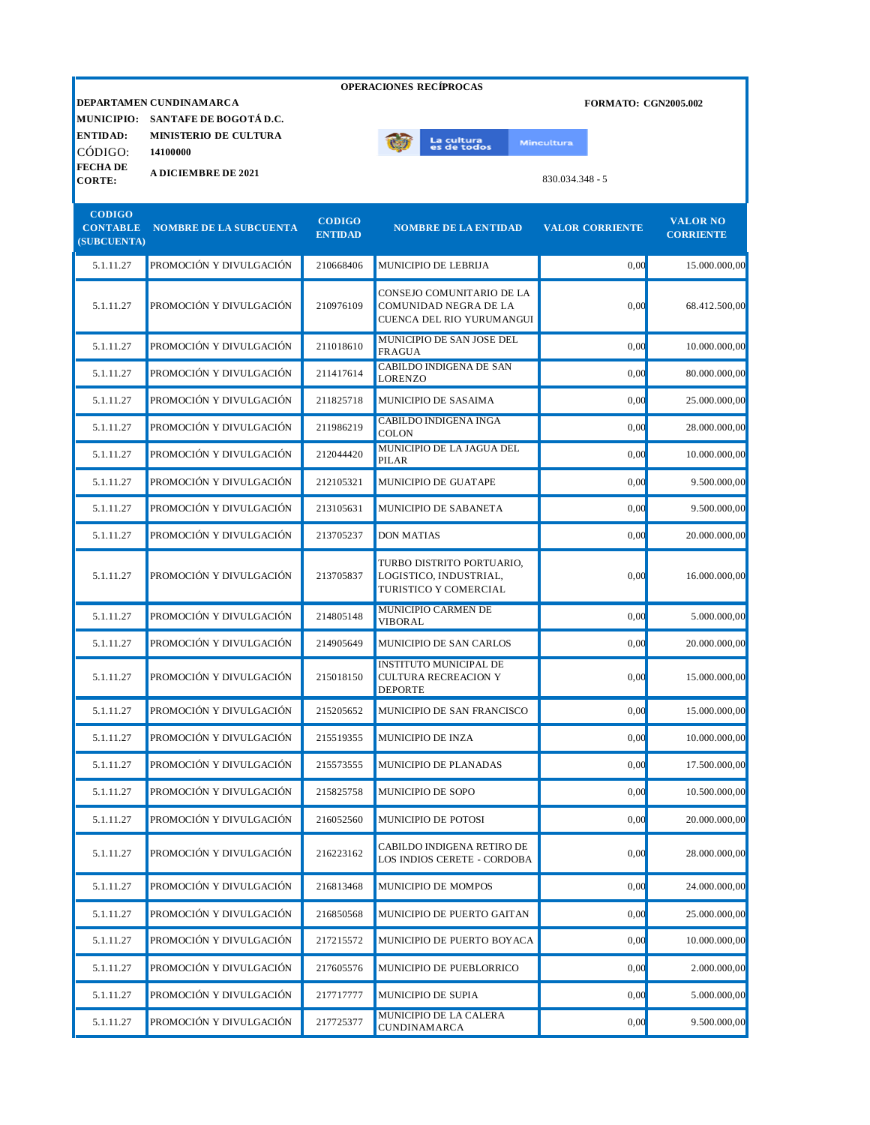|                                      | <b>OPERACIONES RECÍPROCAS</b>                          |                                 |                                                                                 |                             |                                     |  |  |
|--------------------------------------|--------------------------------------------------------|---------------------------------|---------------------------------------------------------------------------------|-----------------------------|-------------------------------------|--|--|
|                                      | DEPARTAMEN CUNDINAMARCA                                |                                 |                                                                                 | <b>FORMATO: CGN2005.002</b> |                                     |  |  |
| <b>MUNICIPIO:</b><br><b>ENTIDAD:</b> | SANTAFE DE BOGOTÁ D.C.<br><b>MINISTERIO DE CULTURA</b> |                                 |                                                                                 |                             |                                     |  |  |
| CÓDIGO:                              | 14100000                                               |                                 | La cultura<br>es de todos                                                       | <b>Mincultura</b>           |                                     |  |  |
| <b>FECHADE</b><br><b>CORTE:</b>      | <b>A DICIEMBRE DE 2021</b>                             |                                 |                                                                                 | $830.034.348 - 5$           |                                     |  |  |
| <b>CODIGO</b>                        |                                                        |                                 |                                                                                 |                             |                                     |  |  |
| <b>CONTABLE</b><br>(SUBCUENTA)       | <b>NOMBRE DE LA SUBCUENTA</b>                          | <b>CODIGO</b><br><b>ENTIDAD</b> | <b>NOMBRE DE LA ENTIDAD</b>                                                     | <b>VALOR CORRIENTE</b>      | <b>VALOR NO</b><br><b>CORRIENTE</b> |  |  |
| 5.1.11.27                            | PROMOCIÓN Y DIVULGACIÓN                                | 210668406                       | MUNICIPIO DE LEBRIJA                                                            | 0,00                        | 15.000.000,00                       |  |  |
| 5.1.11.27                            | PROMOCIÓN Y DIVULGACIÓN                                | 210976109                       | CONSEJO COMUNITARIO DE LA<br>COMUNIDAD NEGRA DE LA<br>CUENCA DEL RIO YURUMANGUI | 0,00                        | 68.412.500,00                       |  |  |
| 5.1.11.27                            | PROMOCIÓN Y DIVULGACIÓN                                | 211018610                       | MUNICIPIO DE SAN JOSE DEL<br><b>FRAGUA</b>                                      | 0,00                        | 10.000.000,00                       |  |  |
| 5.1.11.27                            | PROMOCIÓN Y DIVULGACIÓN                                | 211417614                       | CABILDO INDIGENA DE SAN<br>LORENZO                                              | 0,00                        | 80.000.000,00                       |  |  |
| 5.1.11.27                            | PROMOCIÓN Y DIVULGACIÓN                                | 211825718                       | MUNICIPIO DE SASAIMA                                                            | 0,00                        | 25.000.000,00                       |  |  |
| 5.1.11.27                            | PROMOCIÓN Y DIVULGACIÓN                                | 211986219                       | <b>CABILDO INDIGENA INGA</b><br><b>COLON</b>                                    | 0,00                        | 28.000.000,00                       |  |  |
| 5.1.11.27                            | PROMOCIÓN Y DIVULGACIÓN                                | 212044420                       | MUNICIPIO DE LA JAGUA DEL<br>PILAR                                              | 0,00                        | 10.000.000,00                       |  |  |
| 5.1.11.27                            | PROMOCIÓN Y DIVULGACIÓN                                | 212105321                       | MUNICIPIO DE GUATAPE                                                            | 0,00                        | 9.500.000,00                        |  |  |
| 5.1.11.27                            | PROMOCIÓN Y DIVULGACIÓN                                | 213105631                       | MUNICIPIO DE SABANETA                                                           | 0,00                        | 9.500.000,00                        |  |  |
| 5.1.11.27                            | PROMOCIÓN Y DIVULGACIÓN                                | 213705237                       | <b>DON MATIAS</b>                                                               | 0,00                        | 20.000.000,00                       |  |  |
| 5.1.11.27                            | PROMOCIÓN Y DIVULGACIÓN                                | 213705837                       | TURBO DISTRITO PORTUARIO,<br>LOGISTICO, INDUSTRIAL,<br>TURISTICO Y COMERCIAL    | 0,00                        | 16.000.000,00                       |  |  |
| 5.1.11.27                            | PROMOCIÓN Y DIVULGACIÓN                                | 214805148                       | MUNICIPIO CARMEN DE<br><b>VIBORAL</b>                                           | 0,00                        | 5.000.000,00                        |  |  |
| 5.1.11.27                            | PROMOCIÓN Y DIVULGACIÓN                                | 214905649                       | MUNICIPIO DE SAN CARLOS                                                         | 0,00                        | 20.000.000,00                       |  |  |
| 5.1.11.27                            | PROMOCIÓN Y DIVULGACIÓN                                | 215018150                       | <b>INSTITUTO MUNICIPAL DE</b><br>CULTURA RECREACION Y<br><b>DEPORTE</b>         | 0,00                        | 15.000.000,00                       |  |  |
| 5.1.11.27                            | PROMOCIÓN Y DIVULGACIÓN                                | 215205652                       | MUNICIPIO DE SAN FRANCISCO                                                      | 0,00                        | 15.000.000,00                       |  |  |
| 5.1.11.27                            | PROMOCIÓN Y DIVULGACIÓN                                | 215519355                       | <b>MUNICIPIO DE INZA</b>                                                        | 0,00                        | 10.000.000,00                       |  |  |
| 5.1.11.27                            | PROMOCIÓN Y DIVULGACIÓN                                | 215573555                       | MUNICIPIO DE PLANADAS                                                           | 0,00                        | 17.500.000,00                       |  |  |
| 5.1.11.27                            | PROMOCIÓN Y DIVULGACIÓN                                | 215825758                       | MUNICIPIO DE SOPO                                                               | 0,00                        | 10.500.000,00                       |  |  |
| 5.1.11.27                            | PROMOCIÓN Y DIVULGACIÓN                                | 216052560                       | MUNICIPIO DE POTOSI                                                             | 0,00                        | 20.000.000,00                       |  |  |
| 5.1.11.27                            | PROMOCIÓN Y DIVULGACIÓN                                | 216223162                       | CABILDO INDIGENA RETIRO DE<br>LOS INDIOS CERETE - CORDOBA                       | 0,00                        | 28.000.000,00                       |  |  |
| 5.1.11.27                            | PROMOCIÓN Y DIVULGACIÓN                                | 216813468                       | MUNICIPIO DE MOMPOS                                                             | 0,00                        | 24.000.000,00                       |  |  |
| 5.1.11.27                            | PROMOCIÓN Y DIVULGACIÓN                                | 216850568                       | MUNICIPIO DE PUERTO GAITAN                                                      | 0,00                        | 25.000.000,00                       |  |  |
| 5.1.11.27                            | PROMOCIÓN Y DIVULGACIÓN                                | 217215572                       | MUNICIPIO DE PUERTO BOYACA                                                      | 0,00                        | 10.000.000,00                       |  |  |
| 5.1.11.27                            | PROMOCIÓN Y DIVULGACIÓN                                | 217605576                       | MUNICIPIO DE PUEBLORRICO                                                        | 0,00                        | 2.000.000,00                        |  |  |
| 5.1.11.27                            | PROMOCIÓN Y DIVULGACIÓN                                | 217717777                       | MUNICIPIO DE SUPIA                                                              | 0,00                        | 5.000.000,00                        |  |  |
| 5.1.11.27                            | PROMOCIÓN Y DIVULGACIÓN                                | 217725377                       | MUNICIPIO DE LA CALERA<br><b>CUNDINAMARCA</b>                                   | 0,00                        | 9.500.000,00                        |  |  |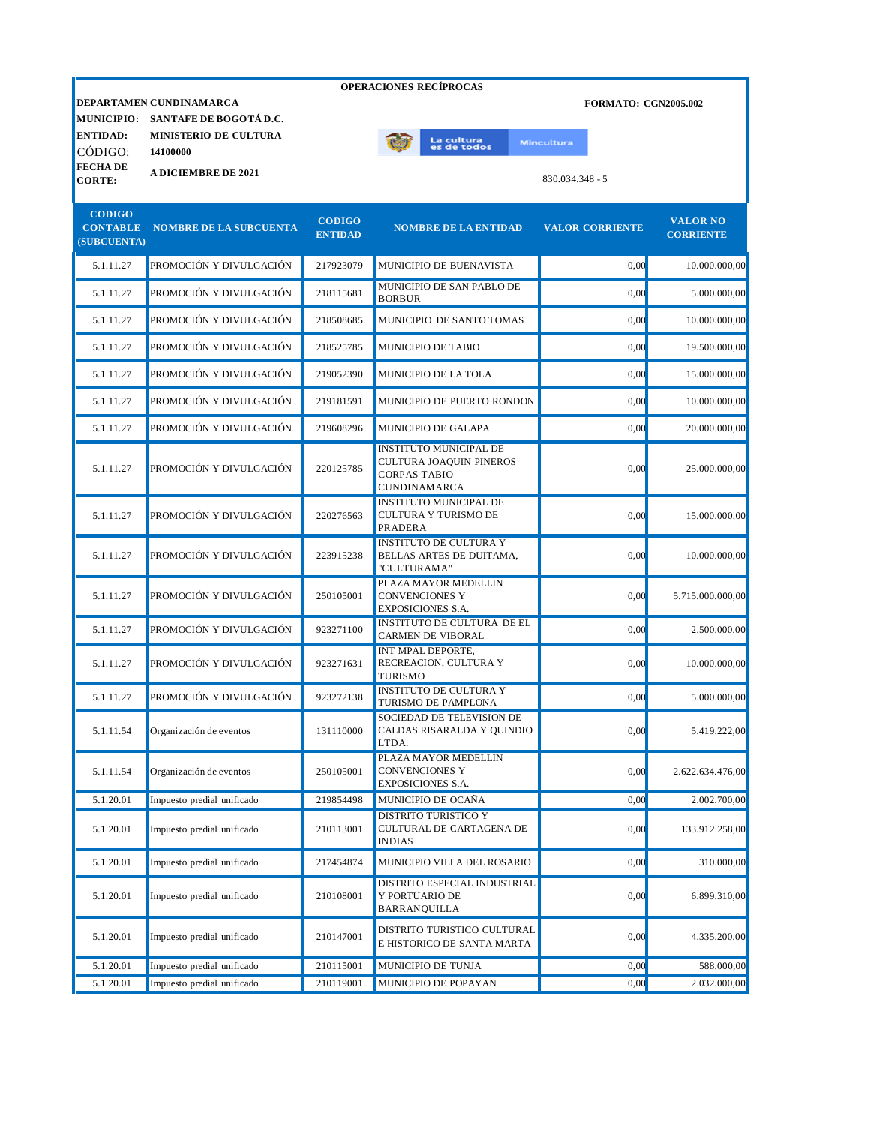|                                                 |                                                                                              |                                 | <b>OPERACIONES RECIPROCAS</b>                                                                          |                             |                                     |
|-------------------------------------------------|----------------------------------------------------------------------------------------------|---------------------------------|--------------------------------------------------------------------------------------------------------|-----------------------------|-------------------------------------|
| <b>ENTIDAD:</b>                                 | DEPARTAMEN CUNDINAMARCA<br>MUNICIPIO: SANTAFE DE BOGOTÁ D.C.<br><b>MINISTERIO DE CULTURA</b> |                                 |                                                                                                        | <b>FORMATO: CGN2005.002</b> |                                     |
| CÓDIGO:                                         | 14100000                                                                                     |                                 | La cultura<br>es de todos                                                                              | <b>Mincultura</b>           |                                     |
| <b>FECHADE</b><br><b>CORTE:</b>                 | <b>A DICIEMBRE DE 2021</b>                                                                   |                                 |                                                                                                        | 830.034.348 - 5             |                                     |
| <b>CODIGO</b><br><b>CONTABLE</b><br>(SUBCUENTA) | <b>NOMBRE DE LA SUBCUENTA</b>                                                                | <b>CODIGO</b><br><b>ENTIDAD</b> | <b>NOMBRE DE LA ENTIDAD</b>                                                                            | <b>VALOR CORRIENTE</b>      | <b>VALOR NO</b><br><b>CORRIENTE</b> |
| 5.1.11.27                                       | PROMOCIÓN Y DIVULGACIÓN                                                                      | 217923079                       | MUNICIPIO DE BUENAVISTA                                                                                | 0.00                        | 10.000.000,00                       |
| 5.1.11.27                                       | PROMOCIÓN Y DIVULGACIÓN                                                                      | 218115681                       | MUNICIPIO DE SAN PABLO DE<br><b>BORBUR</b>                                                             | 0.00                        | 5.000.000,00                        |
| 5.1.11.27                                       | PROMOCIÓN Y DIVULGACIÓN                                                                      | 218508685                       | MUNICIPIO DE SANTO TOMAS                                                                               | 0,00                        | 10.000.000,00                       |
| 5.1.11.27                                       | PROMOCIÓN Y DIVULGACIÓN                                                                      | 218525785                       | <b>MUNICIPIO DE TABIO</b>                                                                              | 0,00                        | 19.500.000,00                       |
| 5.1.11.27                                       | PROMOCIÓN Y DIVULGACIÓN                                                                      | 219052390                       | MUNICIPIO DE LA TOLA                                                                                   | 0,00                        | 15.000.000,00                       |
| 5.1.11.27                                       | PROMOCIÓN Y DIVULGACIÓN                                                                      | 219181591                       | MUNICIPIO DE PUERTO RONDON                                                                             | 0,00                        | 10.000.000,00                       |
| 5.1.11.27                                       | PROMOCIÓN Y DIVULGACIÓN                                                                      | 219608296                       | MUNICIPIO DE GALAPA                                                                                    | 0,00                        | 20.000.000,00                       |
| 5.1.11.27                                       | PROMOCIÓN Y DIVULGACIÓN                                                                      | 220125785                       | <b>INSTITUTO MUNICIPAL DE</b><br>CULTURA JOAQUIN PINEROS<br><b>CORPAS TABIO</b><br><b>CUNDINAMARCA</b> | 0,00                        | 25.000.000,00                       |
| 5.1.11.27                                       | PROMOCIÓN Y DIVULGACIÓN                                                                      | 220276563                       | <b>INSTITUTO MUNICIPAL DE</b><br>CULTURA Y TURISMO DE<br>PRADERA                                       | 0,00                        | 15.000.000,00                       |
| 5.1.11.27                                       | PROMOCIÓN Y DIVULGACIÓN                                                                      | 223915238                       | <b>INSTITUTO DE CULTURA Y</b><br>BELLAS ARTES DE DUITAMA,<br>"CULTURAMA"                               | 0,00                        | 10.000.000,00                       |
| 5.1.11.27                                       | PROMOCIÓN Y DIVULGACIÓN                                                                      | 250105001                       | PLAZA MAYOR MEDELLIN<br><b>CONVENCIONES Y</b><br>EXPOSICIONES S.A.                                     | 0,00                        | 5.715.000.000,00                    |
| 5.1.11.27                                       | PROMOCIÓN Y DIVULGACIÓN                                                                      | 923271100                       | <b>INSTITUTO DE CULTURA DE EL</b><br>CARMEN DE VIBORAL                                                 | 0,00                        | 2.500.000,00                        |
| 5.1.11.27                                       | PROMOCIÓN Y DIVULGACIÓN                                                                      | 923271631                       | INT MPAL DEPORTE,<br>RECREACION, CULTURA Y<br>TURISMO                                                  | 0,00                        | 10.000.000,00                       |
| 5.1.11.27                                       | PROMOCIÓN Y DIVULGACIÓN                                                                      | 923272138                       | <b>INSTITUTO DE CULTURA Y</b><br>TURISMO DE PAMPLONA                                                   | 0,00                        | 5.000.000,00                        |
| 5.1.11.54                                       | Organización de eventos                                                                      | 131110000                       | SOCIEDAD DE TELEVISION DE<br>CALDAS RISARALDA Y QUINDIO<br>LTDA.                                       | 0,00                        | 5.419.222,00                        |
| 5.1.11.54                                       | Organización de eventos                                                                      | 250105001                       | PLAZA MAYOR MEDELLIN<br>CONVENCIONES Y<br>EXPOSICIONES S.A.                                            | 0,00                        | 2.622.634.476,00                    |
| 5.1.20.01                                       | Impuesto predial unificado                                                                   | 219854498                       | MUNICIPIO DE OCAÑA                                                                                     | 0,00                        | 2.002.700,00                        |
| 5.1.20.01                                       | Impuesto predial unificado                                                                   | 210113001                       | <b>DISTRITO TURISTICO Y</b><br>CULTURAL DE CARTAGENA DE<br><b>INDIAS</b>                               | 0,00                        | 133.912.258,00                      |
| 5.1.20.01                                       | Impuesto predial unificado                                                                   | 217454874                       | MUNICIPIO VILLA DEL ROSARIO                                                                            | 0,00                        | 310.000,00                          |
| 5.1.20.01                                       | Impuesto predial unificado                                                                   | 210108001                       | DISTRITO ESPECIAL INDUSTRIAL<br>Y PORTUARIO DE<br>BARRANQUILLA                                         | 0,00                        | 6.899.310,00                        |
| 5.1.20.01                                       | Impuesto predial unificado                                                                   | 210147001                       | DISTRITO TURISTICO CULTURAL<br>E HISTORICO DE SANTA MARTA                                              | 0,00                        | 4.335.200,00                        |
| 5.1.20.01                                       | Impuesto predial unificado                                                                   | 210115001                       | MUNICIPIO DE TUNJA                                                                                     | 0,00                        | 588.000,00                          |
| 5.1.20.01                                       | Impuesto predial unificado                                                                   | 210119001                       | MUNICIPIO DE POPAYAN                                                                                   | 0,00                        | 2.032.000,00                        |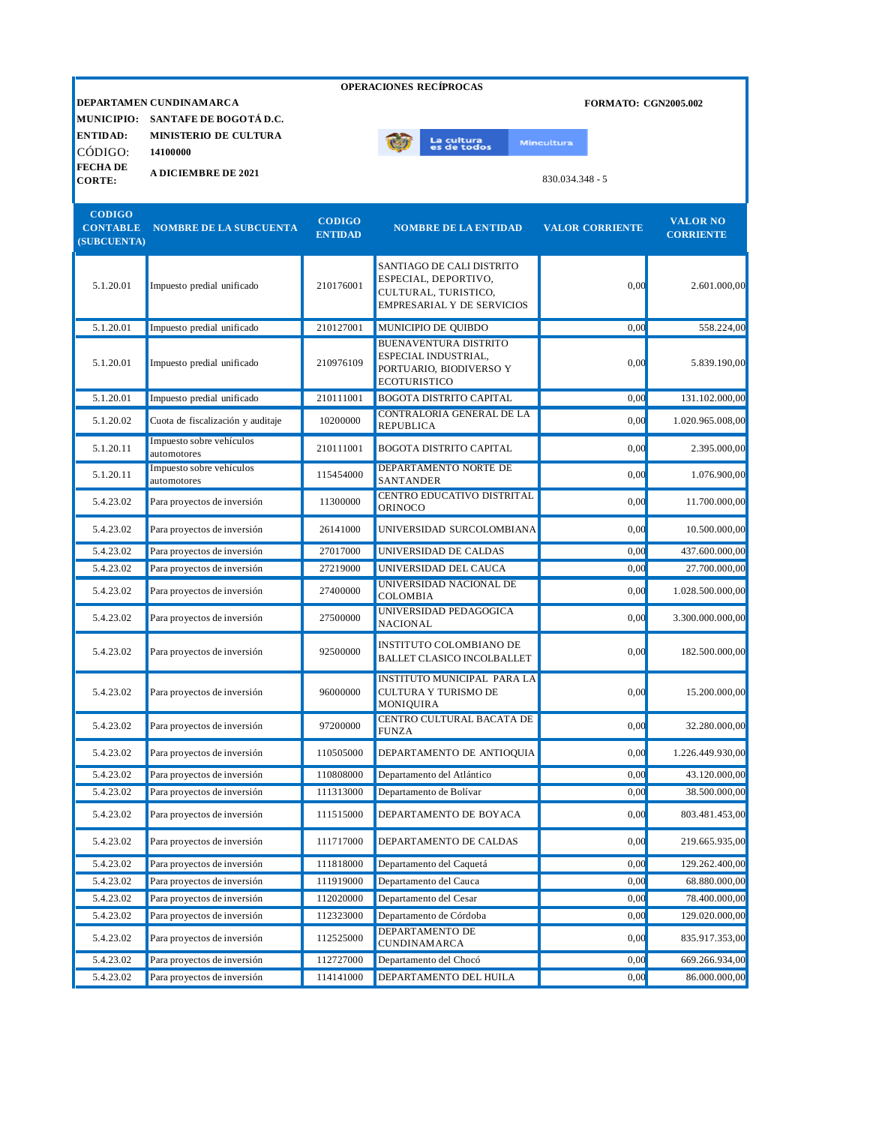|                                |                                         |                | <b>OPERACIONES RECÍPROCAS</b>                                       |                             |                  |
|--------------------------------|-----------------------------------------|----------------|---------------------------------------------------------------------|-----------------------------|------------------|
|                                | DEPARTAMEN CUNDINAMARCA                 |                |                                                                     | <b>FORMATO: CGN2005.002</b> |                  |
|                                | MUNICIPIO: SANTAFE DE BOGOTÁ D.C.       |                |                                                                     |                             |                  |
| <b>ENTIDAD:</b>                | <b>MINISTERIO DE CULTURA</b>            |                | La cultura<br>es de todos                                           | <b>Mincultura</b>           |                  |
| CÓDIGO:<br><b>FECHA DE</b>     | 14100000                                |                |                                                                     |                             |                  |
| <b>CORTE:</b>                  | <b>A DICIEMBRE DE 2021</b>              |                |                                                                     | $830.034.348 - 5$           |                  |
|                                |                                         |                |                                                                     |                             |                  |
| <b>CODIGO</b>                  |                                         | <b>CODIGO</b>  |                                                                     |                             | <b>VALOR NO</b>  |
| <b>CONTABLE</b><br>(SUBCUENTA) | <b>NOMBRE DE LA SUBCUENTA</b>           | <b>ENTIDAD</b> | <b>NOMBRE DE LA ENTIDAD</b>                                         | <b>VALOR CORRIENTE</b>      | <b>CORRIENTE</b> |
|                                |                                         |                |                                                                     |                             |                  |
|                                |                                         |                | SANTIAGO DE CALI DISTRITO<br>ESPECIAL, DEPORTIVO,                   |                             |                  |
| 5.1.20.01                      | Impuesto predial unificado              | 210176001      | CULTURAL, TURISTICO,                                                | 0,00                        | 2.601.000,00     |
|                                |                                         |                | EMPRESARIAL Y DE SERVICIOS                                          |                             |                  |
| 5.1.20.01                      | Impuesto predial unificado              | 210127001      | MUNICIPIO DE QUIBDO                                                 | 0.00                        | 558.224,00       |
|                                |                                         |                | BUENAVENTURA DISTRITO<br>ESPECIAL INDUSTRIAL,                       |                             |                  |
| 5.1.20.01                      | Impuesto predial unificado              | 210976109      | PORTUARIO, BIODIVERSO Y                                             | 0,00                        | 5.839.190,00     |
|                                |                                         |                | ECOTURISTICO                                                        |                             |                  |
| 5.1.20.01                      | Impuesto predial unificado              | 210111001      | <b>BOGOTA DISTRITO CAPITAL</b>                                      | 0,00                        | 131.102.000,00   |
| 5.1.20.02                      | Cuota de fiscalización y auditaje       | 10200000       | CONTRALORIA GENERAL DE LA<br><b>REPUBLICA</b>                       | 0,00                        | 1.020.965.008,00 |
| 5.1.20.11                      | Impuesto sobre vehículos                | 210111001      | <b>BOGOTA DISTRITO CAPITAL</b>                                      |                             | 2.395.000,00     |
|                                | automotores                             |                |                                                                     | 0,00                        |                  |
| 5.1.20.11                      | Impuesto sobre vehículos<br>automotores | 115454000      | DEPARTAMENTO NORTE DE<br>SANTANDER                                  | 0,00                        | 1.076.900,00     |
| 5.4.23.02                      | Para proyectos de inversión             | 11300000       | CENTRO EDUCATIVO DISTRITAL<br>ORINOCO                               | 0,00                        | 11.700.000,00    |
| 5.4.23.02                      | Para proyectos de inversión             | 26141000       | UNIVERSIDAD SURCOLOMBIANA                                           | 0,00                        | 10.500.000,00    |
| 5.4.23.02                      | Para proyectos de inversión             | 27017000       | UNIVERSIDAD DE CALDAS                                               | 0,00                        | 437.600.000,00   |
| 5.4.23.02                      | Para proyectos de inversión             | 27219000       | UNIVERSIDAD DEL CAUCA                                               | 0,00                        | 27.700.000,00    |
| 5.4.23.02                      | Para proyectos de inversión             | 27400000       | UNIVERSIDAD NACIONAL DE<br>COLOMBIA                                 | 0,00                        | 1.028.500.000,00 |
| 5.4.23.02                      | Para proyectos de inversión             | 27500000       | UNIVERSIDAD PEDAGOGICA<br><b>NACIONAL</b>                           | 0,00                        | 3.300.000.000,00 |
| 5.4.23.02                      | Para proyectos de inversión             | 92500000       | <b>INSTITUTO COLOMBIANO DE</b><br><b>BALLET CLASICO INCOLBALLET</b> | 0,00                        | 182.500.000,00   |
|                                |                                         |                | INSTITUTO MUNICIPAL PARA LA                                         |                             |                  |
| 5.4.23.02                      | Para proyectos de inversión             | 96000000       | <b>CULTURA Y TURISMO DE</b>                                         | 0,00                        | 15.200.000.00    |
|                                |                                         |                | MONIQUIRA                                                           |                             |                  |
| 5.4.23.02                      | Para proyectos de inversión             | 97200000       | CENTRO CULTURAL BACATA DE<br>FUNZA                                  | 0,00                        | 32.280.000,00    |
| 5.4.23.02                      | Para proyectos de inversión             | 110505000      | DEPARTAMENTO DE ANTIOQUIA                                           | 0,00                        | 1.226.449.930,00 |
| 5.4.23.02                      | Para proyectos de inversión             | 110808000      | Departamento del Atlántico                                          | 0,00                        | 43.120.000,00    |
| 5.4.23.02                      | Para proyectos de inversión             | 111313000      | Departamento de Bolívar                                             | 0,00                        | 38.500.000,00    |
| 5.4.23.02                      | Para proyectos de inversión             | 111515000      | DEPARTAMENTO DE BOYACA                                              | 0,00                        | 803.481.453,00   |
| 5.4.23.02                      | Para proyectos de inversión             | 111717000      | DEPARTAMENTO DE CALDAS                                              | 0,00                        | 219.665.935,00   |
| 5.4.23.02                      | Para proyectos de inversión             | 111818000      | Departamento del Caquetá                                            | 0,00                        | 129.262.400,00   |
| 5.4.23.02                      | Para proyectos de inversión             | 111919000      | Departamento del Cauca                                              | 0.00                        | 68.880.000,00    |
| 5.4.23.02                      | Para proyectos de inversión             | 112020000      | Departamento del Cesar                                              | 0,00                        | 78.400.000,00    |
| 5.4.23.02                      | Para proyectos de inversión             | 112323000      | Departamento de Córdoba                                             | 0,00                        | 129.020.000,00   |
| 5.4.23.02                      | Para proyectos de inversión             | 112525000      | DEPARTAMENTO DE<br>CUNDINAMARCA                                     | 0,00                        | 835.917.353,00   |
| 5.4.23.02                      | Para proyectos de inversión             | 112727000      | Departamento del Chocó                                              | 0,00                        | 669.266.934,00   |
| 5.4.23.02                      | Para proyectos de inversión             | 114141000      | DEPARTAMENTO DEL HUILA                                              | 0,00                        | 86.000.000,00    |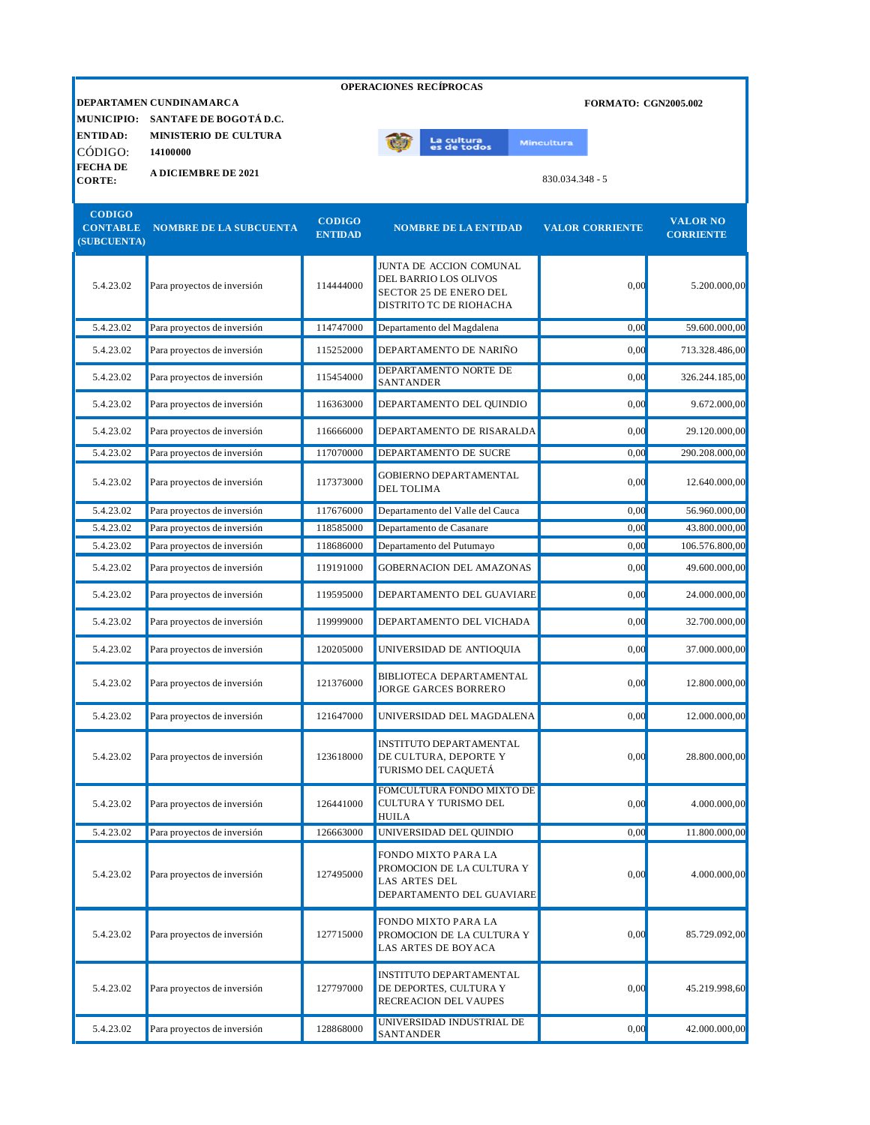|                                                 | <b>OPERACIONES RECÍPROCAS</b>                     |                                 |                                                                                                       |                             |                                     |  |  |
|-------------------------------------------------|---------------------------------------------------|---------------------------------|-------------------------------------------------------------------------------------------------------|-----------------------------|-------------------------------------|--|--|
| <b>MUNICIPIO:</b>                               | DEPARTAMEN CUNDINAMARCA<br>SANTAFE DE BOGOTÁ D.C. |                                 |                                                                                                       | <b>FORMATO: CGN2005.002</b> |                                     |  |  |
| <b>ENTIDAD:</b><br>CÓDIGO:                      | MINISTERIO DE CULTURA<br>14100000                 |                                 | La cultura<br>es de todos                                                                             | <b>Mincultura</b>           |                                     |  |  |
| <b>FECHA DE</b><br><b>CORTE:</b>                | <b>A DICIEMBRE DE 2021</b>                        |                                 |                                                                                                       | 830.034.348 - 5             |                                     |  |  |
| <b>CODIGO</b><br><b>CONTABLE</b><br>(SUBCUENTA) | <b>NOMBRE DE LA SUBCUENTA</b>                     | <b>CODIGO</b><br><b>ENTIDAD</b> | <b>NOMBRE DE LA ENTIDAD</b>                                                                           | <b>VALOR CORRIENTE</b>      | <b>VALOR NO</b><br><b>CORRIENTE</b> |  |  |
| 5.4.23.02                                       | Para proyectos de inversión                       | 114444000                       | JUNTA DE ACCION COMUNAL<br>DEL BARRIO LOS OLIVOS<br>SECTOR 25 DE ENERO DEL<br>DISTRITO TC DE RIOHACHA | 0,00                        | 5.200.000,00                        |  |  |
| 5.4.23.02                                       | Para proyectos de inversión                       | 114747000                       | Departamento del Magdalena                                                                            | 0,00                        | 59.600.000,00                       |  |  |
| 5.4.23.02                                       | Para proyectos de inversión                       | 115252000                       | DEPARTAMENTO DE NARIÑO                                                                                | 0,00                        | 713.328.486,00                      |  |  |
| 5.4.23.02                                       | Para proyectos de inversión                       | 115454000                       | DEPARTAMENTO NORTE DE<br><b>SANTANDER</b>                                                             | 0.00                        | 326.244.185,00                      |  |  |
| 5.4.23.02                                       | Para proyectos de inversión                       | 116363000                       | DEPARTAMENTO DEL QUINDIO                                                                              | 0,00                        | 9.672.000,00                        |  |  |
| 5.4.23.02                                       | Para proyectos de inversión                       | 116666000                       | DEPARTAMENTO DE RISARALDA                                                                             | 0,00                        | 29.120.000,00                       |  |  |
| 5.4.23.02                                       | Para proyectos de inversión                       | 117070000                       | DEPARTAMENTO DE SUCRE                                                                                 | 0,00                        | 290.208.000,00                      |  |  |
| 5.4.23.02                                       | Para proyectos de inversión                       | 117373000                       | <b>GOBIERNO DEPARTAMENTAL</b><br>DEL TOLIMA                                                           | 0,00                        | 12.640.000,00                       |  |  |
| 5.4.23.02                                       | Para proyectos de inversión                       | 117676000                       | Departamento del Valle del Cauca                                                                      | 0.00                        | 56.960.000,00                       |  |  |
| 5.4.23.02                                       | Para proyectos de inversión                       | 118585000                       | Departamento de Casanare                                                                              | 0,00                        | 43.800.000,00                       |  |  |
| 5.4.23.02                                       | Para proyectos de inversión                       | 118686000                       | Departamento del Putumayo                                                                             | 0,00                        | 106.576.800,00                      |  |  |
| 5.4.23.02                                       | Para proyectos de inversión                       | 119191000                       | <b>GOBERNACION DEL AMAZONAS</b>                                                                       | 0,00                        | 49.600.000,00                       |  |  |
| 5.4.23.02                                       | Para proyectos de inversión                       | 119595000                       | DEPARTAMENTO DEL GUAVIARE                                                                             | 0,00                        | 24.000.000,00                       |  |  |
| 5.4.23.02                                       | Para proyectos de inversión                       | 119999000                       | DEPARTAMENTO DEL VICHADA                                                                              | 0,00                        | 32.700.000,00                       |  |  |
| 5.4.23.02                                       | Para proyectos de inversión                       | 120205000                       | UNIVERSIDAD DE ANTIOQUIA                                                                              | 0,00                        | 37.000.000,00                       |  |  |
| 5.4.23.02                                       | Para proyectos de inversión                       | 121376000                       | BIBLIOTECA DEPARTAMENTAL<br>JORGE GARCES BORRERO                                                      | 0,00                        | 12.800.000,00                       |  |  |
| 5.4.23.02                                       | Para proyectos de inversión                       | 121647000                       | UNIVERSIDAD DEL MAGDALENA                                                                             | 0,00                        | 12.000.000,00                       |  |  |
| 5.4.23.02                                       | Para proyectos de inversión                       | 123618000                       | <b>INSTITUTO DEPARTAMENTAL</b><br>DE CULTURA, DEPORTE Y<br>TURISMO DEL CAQUETÁ                        | 0,00                        | 28.800.000,00                       |  |  |
| 5.4.23.02                                       | Para proyectos de inversión                       | 126441000                       | FOMCULTURA FONDO MIXTO DE<br>CULTURA Y TURISMO DEL<br><b>HUILA</b>                                    | 0,00                        | 4.000.000,00                        |  |  |
| 5.4.23.02                                       | Para proyectos de inversión                       | 126663000                       | UNIVERSIDAD DEL QUINDIO                                                                               | 0,00                        | 11.800.000,00                       |  |  |
| 5.4.23.02                                       | Para proyectos de inversión                       | 127495000                       | FONDO MIXTO PARA LA<br>PROMOCION DE LA CULTURA Y<br>LAS ARTES DEL<br>DEPARTAMENTO DEL GUAVIARE        | 0,00                        | 4.000.000,00                        |  |  |
| 5.4.23.02                                       | Para proyectos de inversión                       | 127715000                       | FONDO MIXTO PARA LA<br>PROMOCION DE LA CULTURA Y<br>LAS ARTES DE BOYACA                               | 0,00                        | 85.729.092,00                       |  |  |
| 5.4.23.02                                       | Para proyectos de inversión                       | 127797000                       | INSTITUTO DEPARTAMENTAL<br>DE DEPORTES, CULTURA Y<br>RECREACION DEL VAUPES                            | 0,00                        | 45.219.998,60                       |  |  |
| 5.4.23.02                                       | Para proyectos de inversión                       | 128868000                       | UNIVERSIDAD INDUSTRIAL DE<br><b>SANTANDER</b>                                                         | 0,00                        | 42.000.000,00                       |  |  |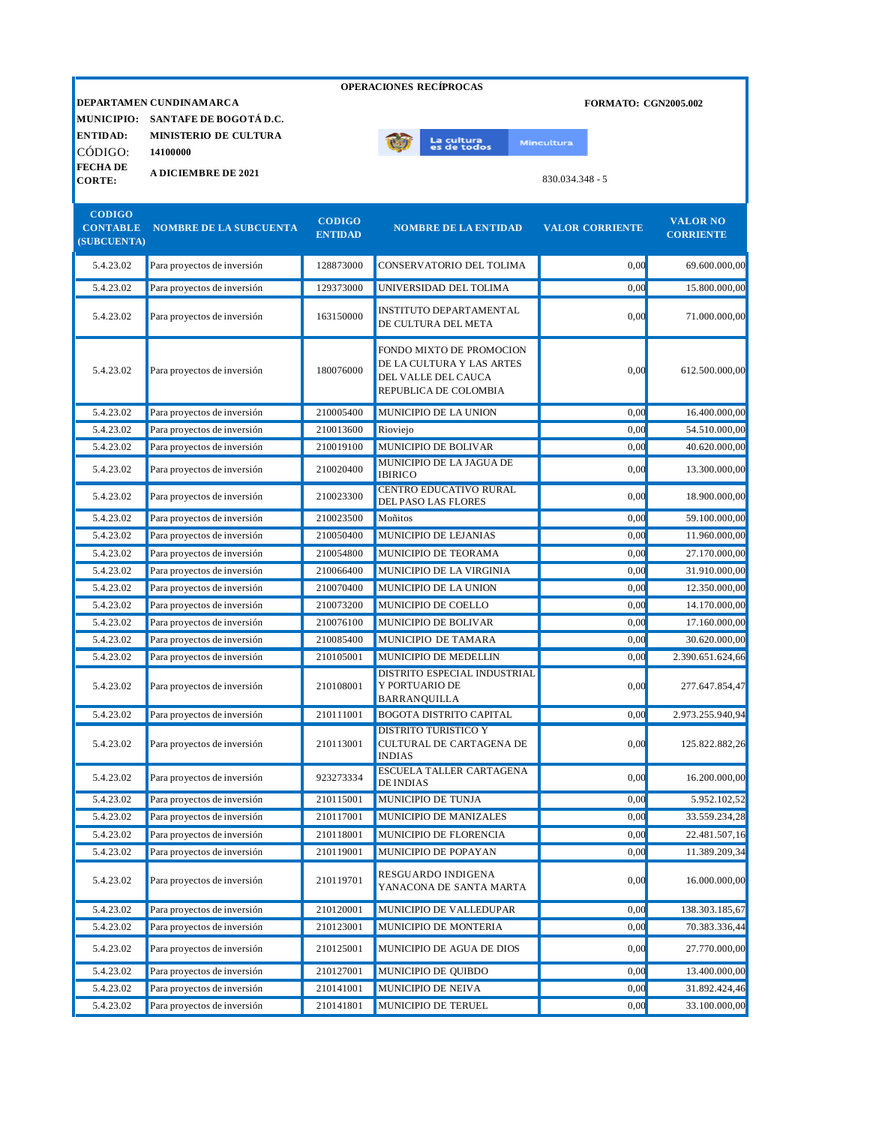|                                |                                                              |                                 | <b>OPERACIONES RECÍPROCAS</b>                                         |                             |                                     |
|--------------------------------|--------------------------------------------------------------|---------------------------------|-----------------------------------------------------------------------|-----------------------------|-------------------------------------|
|                                | DEPARTAMEN CUNDINAMARCA<br>MUNICIPIO: SANTAFE DE BOGOTÁ D.C. |                                 |                                                                       | <b>FORMATO: CGN2005.002</b> |                                     |
| <b>ENTIDAD:</b>                | <b>MINISTERIO DE CULTURA</b>                                 |                                 |                                                                       |                             |                                     |
| CÓDIGO:                        | 14100000                                                     |                                 | La cultu <mark>ra</mark><br>es de todos                               | Mincultura                  |                                     |
| <b>FECHADE</b>                 | <b>A DICIEMBRE DE 2021</b>                                   |                                 |                                                                       |                             |                                     |
| <b>CORTE:</b>                  |                                                              |                                 |                                                                       | 830.034.348 - 5             |                                     |
| <b>CODIGO</b>                  |                                                              |                                 |                                                                       |                             |                                     |
| <b>CONTABLE</b><br>(SUBCUENTA) | <b>NOMBRE DE LA SUBCUENTA</b>                                | <b>CODIGO</b><br><b>ENTIDAD</b> | <b>NOMBRE DE LA ENTIDAD</b>                                           | <b>VALOR CORRIENTE</b>      | <b>VALOR NO</b><br><b>CORRIENTE</b> |
| 5.4.23.02                      | Para proyectos de inversión                                  | 128873000                       | CONSERVATORIO DEL TOLIMA                                              | 0,00                        | 69.600.000,00                       |
| 5.4.23.02                      | Para proyectos de inversión                                  | 129373000                       | UNIVERSIDAD DEL TOLIMA                                                | 0,00                        | 15.800.000,00                       |
| 5.4.23.02                      | Para proyectos de inversión                                  | 163150000                       | <b>INSTITUTO DEPARTAMENTAL</b><br>DE CULTURA DEL META                 | 0,00                        | 71.000.000,00                       |
|                                |                                                              |                                 | FONDO MIXTO DE PROMOCION                                              |                             |                                     |
| 5.4.23.02                      | Para proyectos de inversión                                  | 180076000                       | DE LA CULTURA Y LAS ARTES                                             | 0,00                        | 612.500.000,00                      |
|                                |                                                              |                                 | DEL VALLE DEL CAUCA<br>REPUBLICA DE COLOMBIA                          |                             |                                     |
| 5.4.23.02                      | Para proyectos de inversión                                  | 210005400                       | MUNICIPIO DE LA UNION                                                 | 0.00                        | 16.400.000.00                       |
| 5.4.23.02                      | Para proyectos de inversión                                  | 210013600                       | Rioviejo                                                              | 0.00                        | 54.510.000.00                       |
| 5.4.23.02                      | Para proyectos de inversión                                  | 210019100                       | MUNICIPIO DE BOLIVAR                                                  | 0.00                        | 40.620.000,00                       |
| 5.4.23.02                      | Para proyectos de inversión                                  | 210020400                       | MUNICIPIO DE LA JAGUA DE<br><b>IBIRICO</b>                            | 0,00                        | 13.300.000,00                       |
| 5.4.23.02                      | Para proyectos de inversión                                  | 210023300                       | CENTRO EDUCATIVO RURAL<br>DEL PASO LAS FLORES                         | 0,00                        | 18.900.000,00                       |
| 5.4.23.02                      | Para proyectos de inversión                                  | 210023500                       | Moñitos                                                               | 0,00                        | 59.100.000,00                       |
| 5.4.23.02                      | Para proyectos de inversión                                  | 210050400                       | MUNICIPIO DE LEJANIAS                                                 | 0,00                        | 11.960.000,00                       |
| 5.4.23.02                      | Para proyectos de inversión                                  | 210054800                       | MUNICIPIO DE TEORAMA                                                  | 0,00                        | 27.170.000,00                       |
| 5.4.23.02                      | Para proyectos de inversión                                  | 210066400                       | MUNICIPIO DE LA VIRGINIA                                              | 0.00                        | 31.910.000,00                       |
| 5.4.23.02                      | Para proyectos de inversión                                  | 210070400                       | MUNICIPIO DE LA UNION                                                 | 0.00                        | 12.350.000,00                       |
| 5.4.23.02                      | Para proyectos de inversión                                  | 210073200                       | MUNICIPIO DE COELLO                                                   | 0.00                        | 14.170.000,00                       |
| 5.4.23.02                      | Para proyectos de inversión                                  | 210076100                       | MUNICIPIO DE BOLIVAR                                                  | 0,00                        | 17.160.000,00                       |
| 5.4.23.02                      | Para proyectos de inversión                                  | 210085400                       | MUNICIPIO DE TAMARA                                                   | 0,00                        | 30.620.000,00                       |
| 5.4.23.02                      | Para proyectos de inversión                                  | 210105001                       | MUNICIPIO DE MEDELLIN                                                 | 0,00                        | 2.390.651.624,66                    |
| 5.4.23.02                      | Para proyectos de inversión                                  | 210108001                       | DISTRITO ESPECIAL INDUSTRIAL<br>Y PORTUARIO DE<br><b>BARRANQUILLA</b> | 0,00                        | 277.647.854,47                      |
| 5.4.23.02                      | Para proyectos de inversión                                  | 210111001                       | <b>BOGOTA DISTRITO CAPITAL</b>                                        | 0,00                        | 2.973.255.940,94                    |
| 5.4.23.02                      | Para proyectos de inversión                                  | 210113001                       | DISTRITO TURISTICO Y<br>CULTURAL DE CARTAGENA DE<br><b>INDIAS</b>     | 0,00                        | 125.822.882,26                      |
| 5.4.23.02                      | Para proyectos de inversión                                  | 923273334                       | ESCUELA TALLER CARTAGENA<br><b>DE INDIAS</b>                          | 0,00                        | 16.200.000,00                       |
| 5.4.23.02                      | Para proyectos de inversión                                  | 210115001                       | MUNICIPIO DE TUNJA                                                    | 0,00                        | 5.952.102,52                        |
| 5.4.23.02                      | Para proyectos de inversión                                  | 210117001                       | MUNICIPIO DE MANIZALES                                                | 0,00                        | 33.559.234,28                       |
| 5.4.23.02                      | Para proyectos de inversión                                  | 210118001                       | MUNICIPIO DE FLORENCIA                                                | 0,00                        | 22.481.507,16                       |
| 5.4.23.02                      | Para proyectos de inversión                                  | 210119001                       | MUNICIPIO DE POPAYAN                                                  | 0,00                        | 11.389.209,34                       |
| 5.4.23.02                      | Para proyectos de inversión                                  | 210119701                       | RESGUARDO INDIGENA<br>YANACONA DE SANTA MARTA                         | 0,00                        | 16.000.000,00                       |
| 5.4.23.02                      | Para proyectos de inversión                                  | 210120001                       | MUNICIPIO DE VALLEDUPAR                                               | 0,00                        | 138.303.185,67                      |
| 5.4.23.02                      | Para proyectos de inversión                                  | 210123001                       | MUNICIPIO DE MONTERIA                                                 | 0,00                        | 70.383.336,44                       |
| 5.4.23.02                      | Para proyectos de inversión                                  | 210125001                       | MUNICIPIO DE AGUA DE DIOS                                             | 0,00                        | 27.770.000,00                       |

5.4.23.02 Para proyectos de inversión 210127001 MUNICIPIO DE QUIBDO 0,00 13.400.000,00 5.4.23.02 Para proyectos de inversión 210141001 MUNICIPIO DE NEIVA 0,00 31.892.424,46 5.4.23.02 Para proyectos de inversión 210141801 MUNICIPIO DE TERUEL 0,00 33.100.000,00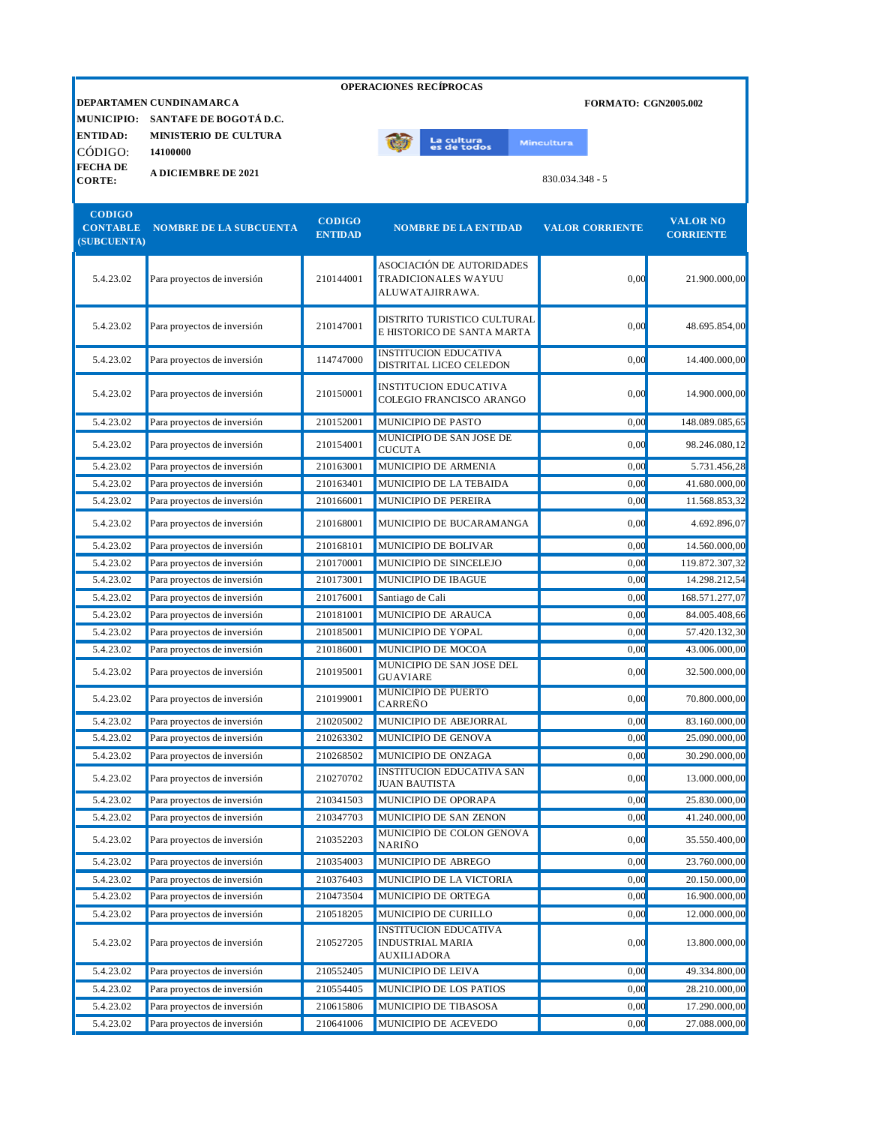| <b>OPERACIONES RECÍPROCAS</b>                   |                                                            |                                 |                                                                                                       |                             |                                     |  |
|-------------------------------------------------|------------------------------------------------------------|---------------------------------|-------------------------------------------------------------------------------------------------------|-----------------------------|-------------------------------------|--|
| <b>MUNICIPIO:</b>                               | DEPARTAMEN CUNDINAMARCA<br>SANTAFE DE BOGOTÁ D.C.          |                                 |                                                                                                       | <b>FORMATO: CGN2005.002</b> |                                     |  |
| <b>ENTIDAD:</b>                                 | <b>MINISTERIO DE CULTURA</b>                               |                                 | La cultu <mark>ra</mark><br>es de todos                                                               | <b>Mincultura</b>           |                                     |  |
| CÓDIGO:<br><b>FECHADE</b>                       | 14100000                                                   |                                 |                                                                                                       |                             |                                     |  |
| <b>CORTE:</b>                                   | <b>A DICIEMBRE DE 2021</b>                                 |                                 |                                                                                                       | 830.034.348 - 5             |                                     |  |
| <b>CODIGO</b><br><b>CONTABLE</b><br>(SUBCUENTA) | <b>NOMBRE DE LA SUBCUENTA</b>                              | <b>CODIGO</b><br><b>ENTIDAD</b> | <b>NOMBRE DE LA ENTIDAD</b>                                                                           | <b>VALOR CORRIENTE</b>      | <b>VALOR NO</b><br><b>CORRIENTE</b> |  |
| 5.4.23.02                                       | Para proyectos de inversión                                | 210144001                       | ASOCIACIÓN DE AUTORIDADES<br><b>TRADICIONALES WAYUU</b><br>ALUWATAJIRRAWA.                            | 0,00                        | 21.900.000,00                       |  |
| 5.4.23.02                                       | Para proyectos de inversión                                | 210147001                       | DISTRITO TURISTICO CULTURAL<br>E HISTORICO DE SANTA MARTA                                             | 0,00                        | 48.695.854,00                       |  |
| 5.4.23.02                                       | Para proyectos de inversión                                | 114747000                       | <b>INSTITUCION EDUCATIVA</b><br>DISTRITAL LICEO CELEDON                                               | 0,00                        | 14.400.000,00                       |  |
| 5.4.23.02                                       | Para proyectos de inversión                                | 210150001                       | <b>INSTITUCION EDUCATIVA</b><br>COLEGIO FRANCISCO ARANGO                                              | 0,00                        | 14.900.000,00                       |  |
| 5.4.23.02                                       | Para proyectos de inversión                                | 210152001                       | MUNICIPIO DE PASTO                                                                                    | 0,00                        | 148.089.085,65                      |  |
| 5.4.23.02                                       | Para proyectos de inversión                                | 210154001                       | MUNICIPIO DE SAN JOSE DE<br><b>CUCUTA</b>                                                             | 0,00                        | 98.246.080,12                       |  |
| 5.4.23.02                                       | Para proyectos de inversión                                | 210163001                       | MUNICIPIO DE ARMENIA                                                                                  | 0,00                        | 5.731.456,28                        |  |
| 5.4.23.02                                       | Para proyectos de inversión                                | 210163401                       | MUNICIPIO DE LA TEBAIDA                                                                               | 0,00                        | 41.680.000,00                       |  |
| 5.4.23.02                                       | Para proyectos de inversión                                | 210166001                       | MUNICIPIO DE PEREIRA                                                                                  | 0,00                        | 11.568.853,32                       |  |
| 5.4.23.02                                       | Para proyectos de inversión                                | 210168001                       | MUNICIPIO DE BUCARAMANGA                                                                              | 0,00                        | 4.692.896,07                        |  |
| 5.4.23.02                                       | Para proyectos de inversión                                | 210168101                       | MUNICIPIO DE BOLIVAR                                                                                  | 0.00                        | 14.560.000,00                       |  |
| 5.4.23.02                                       | Para proyectos de inversión                                | 210170001                       | MUNICIPIO DE SINCELEJO                                                                                | 0,00                        | 119.872.307,32                      |  |
| 5.4.23.02                                       | Para proyectos de inversión                                | 210173001                       | MUNICIPIO DE IBAGUE                                                                                   | 0,00                        | 14.298.212,54                       |  |
| 5.4.23.02                                       | Para proyectos de inversión                                | 210176001                       | Santiago de Cali                                                                                      | 0,00                        | 168.571.277,07                      |  |
| 5.4.23.02                                       | Para proyectos de inversión                                | 210181001                       | MUNICIPIO DE ARAUCA                                                                                   | 0,00                        | 84.005.408,66                       |  |
| 5.4.23.02                                       | Para proyectos de inversión                                | 210185001                       | MUNICIPIO DE YOPAL                                                                                    | 0,00                        | 57.420.132,30                       |  |
| 5.4.23.02                                       | Para proyectos de inversión                                | 210186001                       | MUNICIPIO DE MOCOA                                                                                    | 0,00                        | 43.006.000,00                       |  |
| 5.4.23.02                                       | Para proyectos de inversión                                | 210195001                       | <b>MUNICIPIO DE SAN JOSE DEL</b><br><b>GUAVIARE</b>                                                   | 0,00                        | 32.500.000,00                       |  |
| 5.4.23.02                                       | Para proyectos de inversión                                | 210199001                       | MUNICIPIO DE PUERTO<br><b>CARREÑO</b>                                                                 | 0,00                        | 70.800.000,00                       |  |
| 5.4.23.02                                       | Para proyectos de inversión                                | 210205002                       | MUNICIPIO DE ABEJORRAL                                                                                | 0,00                        | 83.160.000,00                       |  |
| 5.4.23.02                                       | Para proyectos de inversión                                | 210263302                       | MUNICIPIO DE GENOVA                                                                                   | 0,00                        | 25.090.000,00                       |  |
| 5.4.23.02                                       | Para proyectos de inversión                                | 210268502                       | MUNICIPIO DE ONZAGA                                                                                   | 0,00                        | 30.290.000,00                       |  |
| 5.4.23.02                                       | Para proyectos de inversión                                | 210270702                       | <b>INSTITUCION EDUCATIVA SAN</b><br><b>JUAN BAUTISTA</b>                                              | 0,00                        | 13.000.000,00                       |  |
| 5.4.23.02                                       | Para proyectos de inversión                                | 210341503                       | MUNICIPIO DE OPORAPA                                                                                  | 0,00                        | 25.830.000,00                       |  |
| 5.4.23.02                                       | Para proyectos de inversión                                | 210347703                       | MUNICIPIO DE SAN ZENON                                                                                | 0,00                        | 41.240.000,00                       |  |
| 5.4.23.02                                       | Para proyectos de inversión                                | 210352203                       | MUNICIPIO DE COLON GENOVA<br><b>NARIÑO</b>                                                            | 0,00                        | 35.550.400,00                       |  |
| 5.4.23.02                                       | Para proyectos de inversión                                | 210354003                       | MUNICIPIO DE ABREGO                                                                                   | 0,00                        | 23.760.000,00                       |  |
| 5.4.23.02                                       | Para proyectos de inversión                                | 210376403                       | MUNICIPIO DE LA VICTORIA                                                                              | 0,00                        | 20.150.000,00                       |  |
| 5.4.23.02                                       | Para proyectos de inversión                                | 210473504                       | MUNICIPIO DE ORTEGA                                                                                   | 0,00                        | 16.900.000,00                       |  |
| 5.4.23.02<br>5.4.23.02                          | Para proyectos de inversión<br>Para proyectos de inversión | 210518205<br>210527205          | MUNICIPIO DE CURILLO<br><b>INSTITUCION EDUCATIVA</b><br><b>INDUSTRIAL MARIA</b><br><b>AUXILIADORA</b> | 0,00<br>0,00                | 12.000.000,00<br>13.800.000,00      |  |
| 5.4.23.02                                       | Para proyectos de inversión                                | 210552405                       | MUNICIPIO DE LEIVA                                                                                    | 0,00                        | 49.334.800,00                       |  |
| 5.4.23.02                                       | Para proyectos de inversión                                | 210554405                       | MUNICIPIO DE LOS PATIOS                                                                               | 0,00                        | 28.210.000,00                       |  |
| 5.4.23.02                                       | Para proyectos de inversión                                | 210615806                       | MUNICIPIO DE TIBASOSA                                                                                 | 0,00                        | 17.290.000,00                       |  |
| 5.4.23.02                                       | Para proyectos de inversión                                | 210641006                       | MUNICIPIO DE ACEVEDO                                                                                  | 0,00                        | 27.088.000,00                       |  |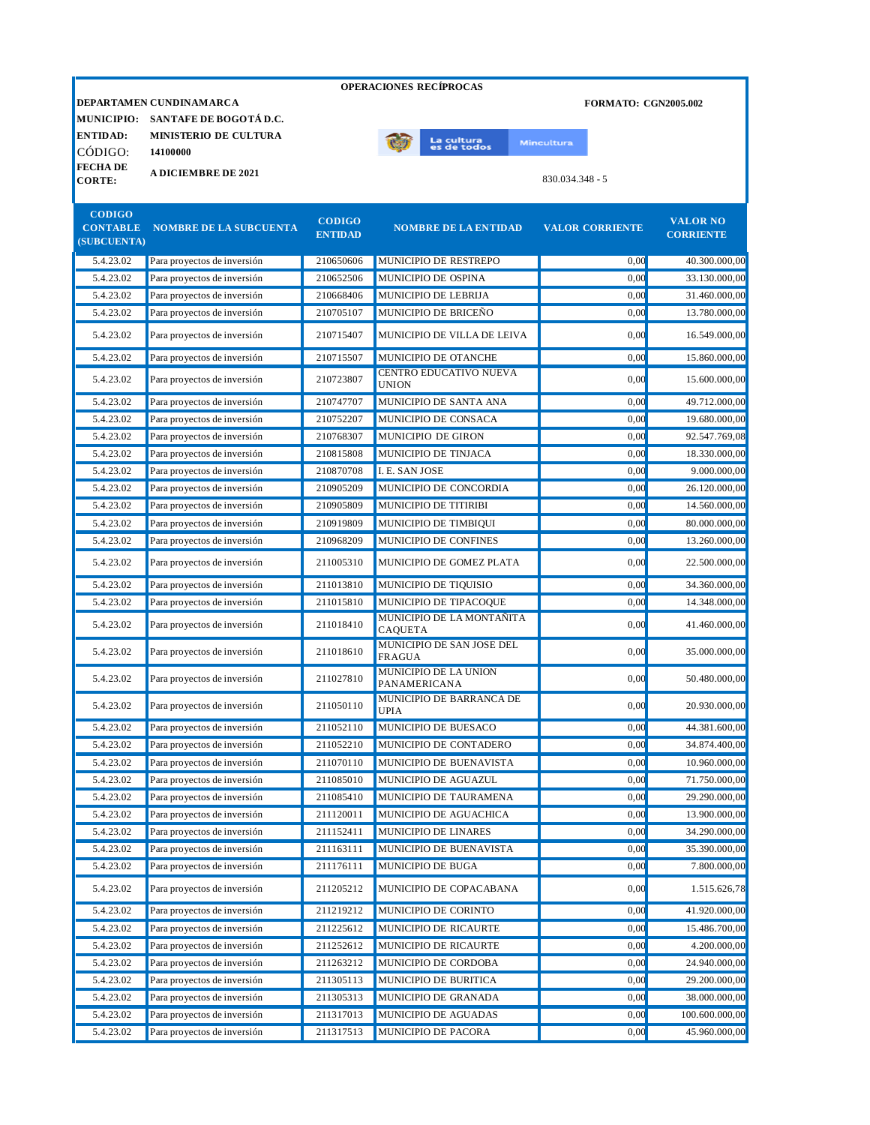|                                |                                                              |                | <b>OPERACIONES RECÍPROCAS</b>                     |                             |                  |
|--------------------------------|--------------------------------------------------------------|----------------|---------------------------------------------------|-----------------------------|------------------|
|                                | DEPARTAMEN CUNDINAMARCA<br>MUNICIPIO: SANTAFE DE BOGOTÁ D.C. |                |                                                   | <b>FORMATO: CGN2005.002</b> |                  |
| <b>ENTIDAD:</b>                | <b>MINISTERIO DE CULTURA</b>                                 |                |                                                   |                             |                  |
| CÓDIGO:                        | 14100000                                                     |                | La cultu <mark>ra</mark><br>es de todos           | <b>Mincultura</b>           |                  |
| <b>FECHADE</b>                 |                                                              |                |                                                   |                             |                  |
| <b>CORTE:</b>                  | <b>A DICIEMBRE DE 2021</b>                                   |                |                                                   | 830.034.348 - 5             |                  |
|                                |                                                              |                |                                                   |                             |                  |
| <b>CODIGO</b>                  |                                                              | <b>CODIGO</b>  |                                                   |                             | <b>VALOR NO</b>  |
| <b>CONTABLE</b><br>(SUBCUENTA) | <b>NOMBRE DE LA SUBCUENTA</b>                                | <b>ENTIDAD</b> | <b>NOMBRE DE LA ENTIDAD</b>                       | <b>VALOR CORRIENTE</b>      | <b>CORRIENTE</b> |
| 5.4.23.02                      | Para proyectos de inversión                                  | 210650606      | MUNICIPIO DE RESTREPO                             | 0,00                        | 40.300.000,00    |
| 5.4.23.02                      | Para proyectos de inversión                                  | 210652506      | MUNICIPIO DE OSPINA                               | 0,00                        | 33.130.000,00    |
| 5.4.23.02                      | Para proyectos de inversión                                  | 210668406      | <b>MUNICIPIO DE LEBRIJA</b>                       | 0,00                        | 31.460.000,00    |
| 5.4.23.02                      | Para proyectos de inversión                                  | 210705107      | MUNICIPIO DE BRICEÑO                              | 0,00                        | 13.780.000,00    |
|                                |                                                              |                |                                                   |                             |                  |
| 5.4.23.02                      | Para proyectos de inversión                                  | 210715407      | MUNICIPIO DE VILLA DE LEIVA                       | 0,00                        | 16.549.000,00    |
| 5.4.23.02                      | Para proyectos de inversión                                  | 210715507      | MUNICIPIO DE OTANCHE                              | 0.00                        | 15.860.000.00    |
| 5.4.23.02                      | Para proyectos de inversión                                  | 210723807      | CENTRO EDUCATIVO NUEVA<br><b>UNION</b>            | 0,00                        | 15.600.000,00    |
| 5.4.23.02                      | Para proyectos de inversión                                  | 210747707      | MUNICIPIO DE SANTA ANA                            | 0.00                        | 49.712.000,00    |
| 5.4.23.02                      | Para proyectos de inversión                                  | 210752207      | MUNICIPIO DE CONSACA                              | 0.00                        | 19.680.000,00    |
| 5.4.23.02                      | Para proyectos de inversión                                  | 210768307      | MUNICIPIO DE GIRON                                | 0,00                        | 92.547.769,08    |
| 5.4.23.02                      | Para proyectos de inversión                                  | 210815808      | MUNICIPIO DE TINJACA                              | 0,00                        | 18.330.000,00    |
| 5.4.23.02                      | Para proyectos de inversión                                  | 210870708      | I. E. SAN JOSE                                    | 0,00                        | 9.000.000,00     |
| 5.4.23.02                      | Para proyectos de inversión                                  | 210905209      | MUNICIPIO DE CONCORDIA                            | 0,00                        | 26.120.000,00    |
| 5.4.23.02                      | Para proyectos de inversión                                  | 210905809      | MUNICIPIO DE TITIRIBI                             | 0,00                        | 14.560.000,00    |
| 5.4.23.02                      | Para proyectos de inversión                                  | 210919809      | MUNICIPIO DE TIMBIQUI                             | 0,00                        | 80.000.000,00    |
| 5.4.23.02                      | Para proyectos de inversión                                  | 210968209      | MUNICIPIO DE CONFINES                             | 0,00                        | 13.260.000,00    |
| 5.4.23.02                      | Para proyectos de inversión                                  | 211005310      | MUNICIPIO DE GOMEZ PLATA                          | 0.00                        | 22.500.000,00    |
| 5.4.23.02                      | Para proyectos de inversión                                  | 211013810      | MUNICIPIO DE TIQUISIO                             | 0,00                        | 34.360.000,00    |
| 5.4.23.02                      | Para proyectos de inversión                                  | 211015810      | MUNICIPIO DE TIPACOQUE                            | 0,00                        | 14.348.000,00    |
| 5.4.23.02                      | Para proyectos de inversión                                  | 211018410      | MUNICIPIO DE LA MONTAÑITA<br><b>CAQUETA</b>       | 0.00                        | 41.460.000,00    |
| 5.4.23.02                      | Para proyectos de inversión                                  | 211018610      | <b>MUNICIPIO DE SAN JOSE DEL</b><br><b>FRAGUA</b> | 0,00                        | 35.000.000,00    |
| 5.4.23.02                      | Para proyectos de inversión                                  | 211027810      | MUNICIPIO DE LA UNION<br>PANAMERICANA             | 0.00                        | 50.480.000,00    |
| 5.4.23.02                      | Para proyectos de inversión                                  | 211050110      | MUNICIPIO DE BARRANCA DE<br>UPIA                  | 0,00                        | 20.930.000,00    |
| 5.4.23.02                      | Para proyectos de inversión                                  | 211052110      | MUNICIPIO DE BUESACO                              | 0,00                        | 44.381.600,00    |
| 5.4.23.02                      | Para proyectos de inversión                                  | 211052210      | MUNICIPIO DE CONTADERO                            | 0,00                        | 34.874.400,00    |
| 5.4.23.02                      | Para proyectos de inversión                                  | 211070110      | MUNICIPIO DE BUENAVISTA                           | 0,00                        | 10.960.000,00    |
| 5.4.23.02                      | Para proyectos de inversión                                  | 211085010      | MUNICIPIO DE AGUAZUL                              | 0,00                        | 71.750.000,00    |
| 5.4.23.02                      | Para proyectos de inversión                                  | 211085410      | MUNICIPIO DE TAURAMENA                            | 0,00                        | 29.290.000,00    |
| 5.4.23.02                      | Para proyectos de inversión                                  | 211120011      | MUNICIPIO DE AGUACHICA                            | 0,00                        | 13.900.000,00    |
| 5.4.23.02                      | Para proyectos de inversión                                  | 211152411      | MUNICIPIO DE LINARES                              | 0,00                        | 34.290.000,00    |
| 5.4.23.02                      | Para proyectos de inversión                                  | 211163111      | MUNICIPIO DE BUENAVISTA                           | 0,00                        | 35.390.000,00    |
| 5.4.23.02                      | Para proyectos de inversión                                  | 211176111      | MUNICIPIO DE BUGA                                 | 0,00                        | 7.800.000,00     |

5.4.23.02 Para proyectos de inversión 211205212 MUNICIPIO DE COPACABANA 0,00 1.515.626,78 5.4.23.02 Para proyectos de inversión 211219212 MUNICIPIO DE CORINTO 0,00 41.920.000,00 5.4.23.02 Para proyectos de inversión 211225612 MUNICIPIO DE RICAURTE 0,00 15.486.700,00 5.4.23.02 Para proyectos de inversión 211252612 MUNICIPIO DE RICAURTE 0,00 4.200.000,00 5.4.23.02 Para proyectos de inversión 211263212 MUNICIPIO DE CORDOBA 0,00 24.940.000,00 5.4.23.02 Para proyectos de inversión 211305113 MUNICIPIO DE BURITICA 0,00 29.200.000,00 5.4.23.02 Para proyectos de inversión 211305313 MUNICIPIO DE GRANADA 0,00 38.000.000,00 5.4.23.02 Para proyectos de inversión 211317013 MUNICIPIO DE AGUADAS 0,00 100.600.000,00 5.4.23.02 Para proyectos de inversión 211317513 MUNICIPIO DE PACORA 0,00 45.960.000,00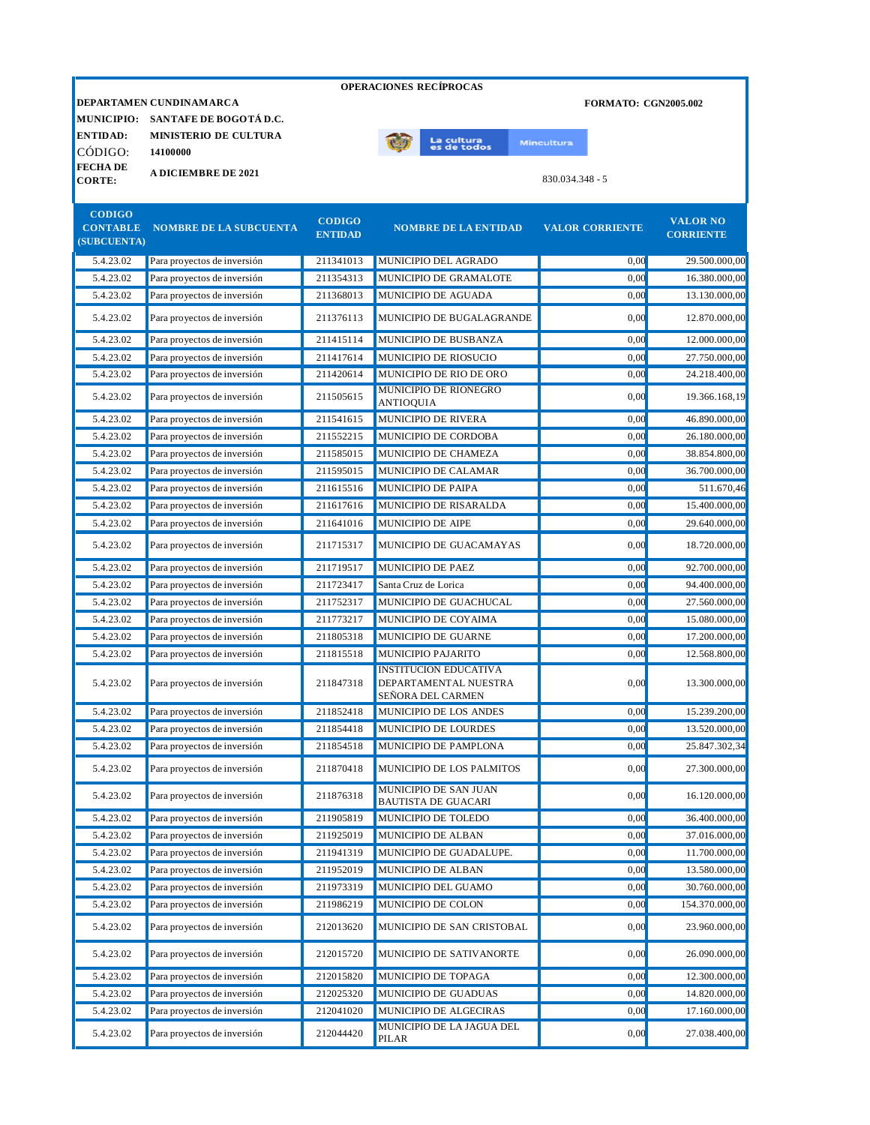|                                                 |                               |                                 | <b>OPERACIONES RECÍPROCAS</b>                                              |                             |                                     |
|-------------------------------------------------|-------------------------------|---------------------------------|----------------------------------------------------------------------------|-----------------------------|-------------------------------------|
|                                                 | DEPARTAMEN CUNDINAMARCA       |                                 |                                                                            | <b>FORMATO: CGN2005.002</b> |                                     |
| <b>MUNICIPIO:</b>                               | SANTAFE DE BOGOTÁ D.C.        |                                 |                                                                            |                             |                                     |
| <b>ENTIDAD:</b>                                 | <b>MINISTERIO DE CULTURA</b>  |                                 | La cultur <mark>a</mark><br>es de todos                                    | <b>Mincultura</b>           |                                     |
| CÓDIGO:                                         | 14100000                      |                                 |                                                                            |                             |                                     |
| <b>FECHA DE</b><br><b>CORTE:</b>                | <b>A DICIEMBRE DE 2021</b>    |                                 |                                                                            | $830.034.348 - 5$           |                                     |
|                                                 |                               |                                 |                                                                            |                             |                                     |
| <b>CODIGO</b><br><b>CONTABLE</b><br>(SUBCUENTA) | <b>NOMBRE DE LA SUBCUENTA</b> | <b>CODIGO</b><br><b>ENTIDAD</b> | <b>NOMBRE DE LA ENTIDAD</b>                                                | <b>VALOR CORRIENTE</b>      | <b>VALOR NO</b><br><b>CORRIENTE</b> |
| 5.4.23.02                                       | Para proyectos de inversión   | 211341013                       | MUNICIPIO DEL AGRADO                                                       | 0,00                        | 29.500.000,00                       |
| 5.4.23.02                                       | Para proyectos de inversión   | 211354313                       | MUNICIPIO DE GRAMALOTE                                                     | 0,00                        | 16.380.000,00                       |
| 5.4.23.02                                       | Para proyectos de inversión   | 211368013                       | MUNICIPIO DE AGUADA                                                        | 0,00                        | 13.130.000,00                       |
| 5.4.23.02                                       | Para proyectos de inversión   | 211376113                       | MUNICIPIO DE BUGALAGRANDE                                                  | 0.00                        | 12.870.000,00                       |
| 5.4.23.02                                       | Para proyectos de inversión   | 211415114                       | MUNICIPIO DE BUSBANZA                                                      | 0.00                        | 12.000.000.00                       |
| 5.4.23.02                                       | Para proyectos de inversión   | 211417614                       | MUNICIPIO DE RIOSUCIO                                                      | 0.00                        | 27.750.000,00                       |
| 5.4.23.02                                       | Para proyectos de inversión   | 211420614                       | MUNICIPIO DE RIO DE ORO                                                    | 0,00                        | 24.218.400,00                       |
| 5.4.23.02                                       | Para proyectos de inversión   | 211505615                       | MUNICIPIO DE RIONEGRO<br><b>ANTIOQUIA</b>                                  | 0,00                        | 19.366.168,19                       |
| 5.4.23.02                                       | Para proyectos de inversión   | 211541615                       | MUNICIPIO DE RIVERA                                                        | 0,00                        | 46.890.000,00                       |
| 5.4.23.02                                       | Para proyectos de inversión   | 211552215                       | MUNICIPIO DE CORDOBA                                                       | 0,00                        | 26.180.000,00                       |
| 5.4.23.02                                       | Para proyectos de inversión   | 211585015                       | MUNICIPIO DE CHAMEZA                                                       | 0.00                        | 38.854.800,00                       |
| 5.4.23.02                                       | Para proyectos de inversión   | 211595015                       | MUNICIPIO DE CALAMAR                                                       | 0,00                        | 36.700.000,00                       |
| 5.4.23.02                                       | Para proyectos de inversión   | 211615516                       | MUNICIPIO DE PAIPA                                                         | 0,00                        | 511.670,46                          |
| 5.4.23.02                                       | Para proyectos de inversión   | 211617616                       | MUNICIPIO DE RISARALDA                                                     | 0,00                        | 15.400.000,00                       |
| 5.4.23.02                                       | Para proyectos de inversión   | 211641016                       | <b>MUNICIPIO DE AIPE</b>                                                   | 0,00                        | 29.640.000,00                       |
| 5.4.23.02                                       | Para proyectos de inversión   | 211715317                       | MUNICIPIO DE GUACAMAYAS                                                    | 0.00                        | 18.720.000,00                       |
| 5.4.23.02                                       | Para proyectos de inversión   | 211719517                       | <b>MUNICIPIO DE PAEZ</b>                                                   | 0,00                        | 92.700.000,00                       |
| 5.4.23.02                                       | Para proyectos de inversión   | 211723417                       | Santa Cruz de Lorica                                                       | 0,00                        | 94.400.000,00                       |
| 5.4.23.02                                       | Para proyectos de inversión   | 211752317                       | MUNICIPIO DE GUACHUCAL                                                     | 0,00                        | 27.560.000,00                       |
| 5.4.23.02                                       | Para proyectos de inversión   | 211773217                       | MUNICIPIO DE COYAIMA                                                       | 0,00                        | 15.080.000,00                       |
| 5.4.23.02                                       | Para proyectos de inversión   | 211805318                       | MUNICIPIO DE GUARNE                                                        | 0,00                        | 17.200.000,00                       |
| 5.4.23.02                                       | Para proyectos de inversión   | 211815518                       | <b>MUNICIPIO PAJARITO</b>                                                  | 0.00                        | 12.568.800,00                       |
| 5.4.23.02                                       | Para proyectos de inversión   | 211847318                       | <b>INSTITUCION EDUCATIVA</b><br>DEPARTAMENTAL NUESTRA<br>SEÑORA DEL CARMEN | 0,00                        | 13.300.000,00                       |
| 5.4.23.02                                       | Para proyectos de inversión   | 211852418                       | MUNICIPIO DE LOS ANDES                                                     | 0,00                        | 15.239.200,00                       |
| 5.4.23.02                                       | Para proyectos de inversión   | 211854418                       | MUNICIPIO DE LOURDES                                                       | 0,00                        | 13.520.000,00                       |
| 5.4.23.02                                       | Para proyectos de inversión   | 211854518                       | MUNICIPIO DE PAMPLONA                                                      | 0,00                        | 25.847.302,34                       |
| 5.4.23.02                                       | Para proyectos de inversión   | 211870418                       | MUNICIPIO DE LOS PALMITOS                                                  | 0,00                        | 27.300.000,00                       |
| 5.4.23.02                                       | Para proyectos de inversión   | 211876318                       | MUNICIPIO DE SAN JUAN<br><b>BAUTISTA DE GUACARI</b>                        | 0,00                        | 16.120.000,00                       |

5.4.23.02 Para proyectos de inversión 211905819 MUNICIPIO DE TOLEDO 0,00 36.400.000,00 5.4.23.02 Para proyectos de inversión 211925019 MUNICIPIO DE ALBAN 0,00 37.016.000,00 5.4.23.02 Para proyectos de inversión 211941319 MUNICIPIO DE GUADALUPE. 0,00 11.700.000,00 5.4.23.02 Para proyectos de inversión 211952019 MUNICIPIO DE ALBAN 0,00 13.580.000,00 5.4.23.02 Para proyectos de inversión 211973319 MUNICIPIO DEL GUAMO 0,00 30.760.000,00 5.4.23.02 Para proyectos de inversión 211986219 MUNICIPIO DE COLON 0,00 154.370.000,00 5.4.23.02 Para proyectos de inversión 212013620 MUNICIPIO DE SAN CRISTOBAL 0,00 23.960.000,00 5.4.23.02 Para proyectos de inversión 212015720 MUNICIPIO DE SATIVANORTE 0,00 0,00 26.090.000,00 5.4.23.02 Para proyectos de inversión 212015820 MUNICIPIO DE TOPAGA 0,00 12.300.000,00 5.4.23.02 Para proyectos de inversión 212025320 MUNICIPIO DE GUADUAS 0,00 14.820.000,00 5.4.23.02 Para proyectos de inversión 212041020 MUNICIPIO DE ALGECIRAS 0,00 17.160.000,00

MUNICIPIO DE LA JAGUA DEL

 $0,00$  27.038.400,00

5.4.23.02 Para proyectos de inversión 212044420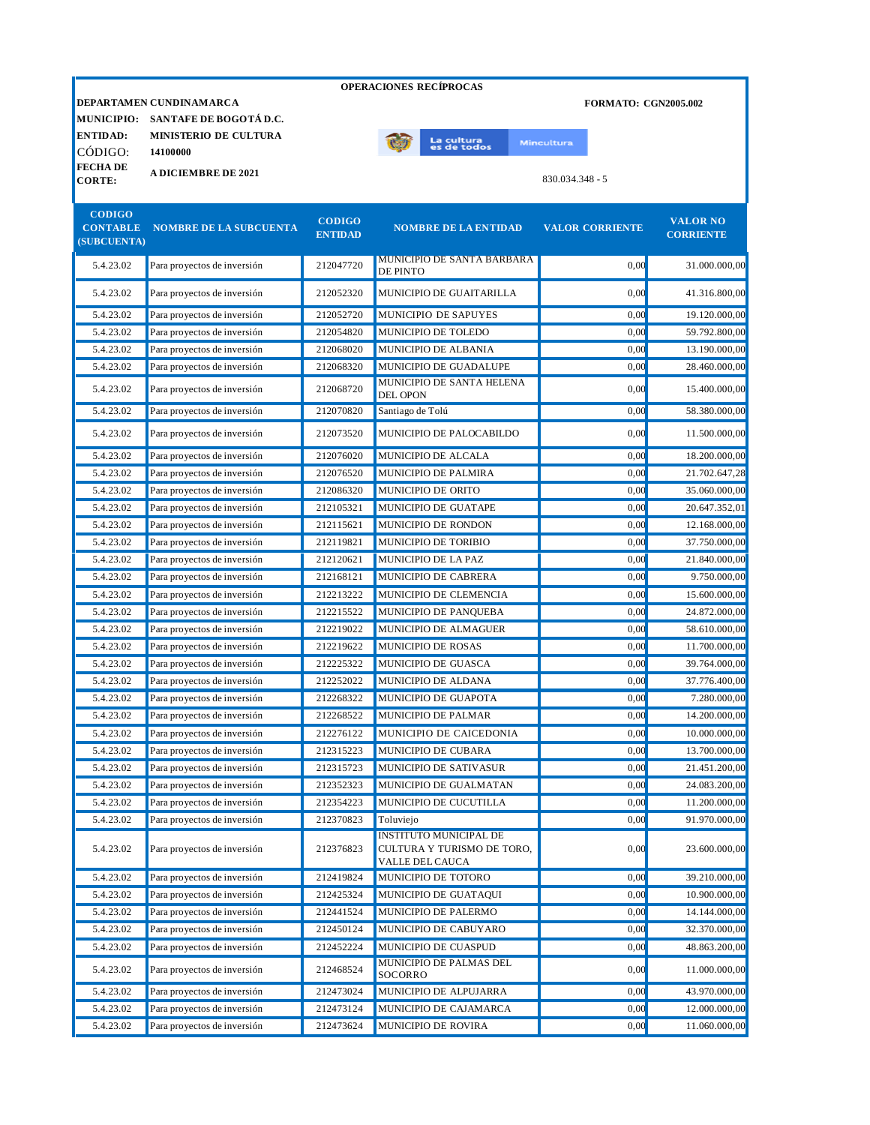|                                |                                   |                                 | <b>OPERACIONES RECÍPROCAS</b>                                                  |                             |                                     |
|--------------------------------|-----------------------------------|---------------------------------|--------------------------------------------------------------------------------|-----------------------------|-------------------------------------|
|                                | DEPARTAMEN CUNDINAMARCA           |                                 |                                                                                | <b>FORMATO: CGN2005.002</b> |                                     |
|                                | MUNICIPIO: SANTAFE DE BOGOTÁ D.C. |                                 |                                                                                |                             |                                     |
| <b>ENTIDAD:</b>                | <b>MINISTERIO DE CULTURA</b>      |                                 | La cultu <mark>ra</mark><br>es de todos                                        | <b>Mincultura</b>           |                                     |
| CÓDIGO:                        | 14100000                          |                                 |                                                                                |                             |                                     |
| <b>FECHADE</b>                 | <b>A DICIEMBRE DE 2021</b>        |                                 |                                                                                |                             |                                     |
| <b>CORTE:</b>                  |                                   |                                 |                                                                                | 830.034.348 - 5             |                                     |
| <b>CODIGO</b>                  |                                   |                                 |                                                                                |                             |                                     |
| <b>CONTABLE</b><br>(SUBCUENTA) | <b>NOMBRE DE LA SUBCUENTA</b>     | <b>CODIGO</b><br><b>ENTIDAD</b> | <b>NOMBRE DE LA ENTIDAD</b>                                                    | <b>VALOR CORRIENTE</b>      | <b>VALOR NO</b><br><b>CORRIENTE</b> |
| 5.4.23.02                      | Para proyectos de inversión       | 212047720                       | <b>MUNICIPIO DE SANTA BARBARA</b><br><b>DE PINTO</b>                           | 0.00                        | 31.000.000,00                       |
| 5.4.23.02                      | Para proyectos de inversión       | 212052320                       | MUNICIPIO DE GUAITARILLA                                                       | 0.00                        | 41.316.800,00                       |
| 5.4.23.02                      | Para proyectos de inversión       | 212052720                       | MUNICIPIO DE SAPUYES                                                           | 0,00                        | 19.120.000,00                       |
| 5.4.23.02                      | Para proyectos de inversión       | 212054820                       | MUNICIPIO DE TOLEDO                                                            | 0,00                        | 59.792.800,00                       |
| 5.4.23.02                      | Para proyectos de inversión       | 212068020                       | MUNICIPIO DE ALBANIA                                                           | 0,00                        | 13.190.000,00                       |
| 5.4.23.02                      | Para proyectos de inversión       | 212068320                       | MUNICIPIO DE GUADALUPE                                                         | 0.00                        | 28.460.000,00                       |
| 5.4.23.02                      | Para proyectos de inversión       | 212068720                       | MUNICIPIO DE SANTA HELENA<br><b>DEL OPON</b>                                   | 0.00                        | 15.400.000,00                       |
| 5.4.23.02                      | Para proyectos de inversión       | 212070820                       | Santiago de Tolú                                                               | 0,00                        | 58.380.000,00                       |
| 5.4.23.02                      | Para proyectos de inversión       | 212073520                       | MUNICIPIO DE PALOCABILDO                                                       | 0,00                        | 11.500.000,00                       |
| 5.4.23.02                      | Para proyectos de inversión       | 212076020                       | MUNICIPIO DE ALCALA                                                            | 0,00                        | 18.200.000,00                       |
| 5.4.23.02                      | Para proyectos de inversión       | 212076520                       | MUNICIPIO DE PALMIRA                                                           | 0,00                        | 21.702.647,28                       |
| 5.4.23.02                      | Para proyectos de inversión       | 212086320                       | MUNICIPIO DE ORITO                                                             | 0,00                        | 35.060.000,00                       |
| 5.4.23.02                      | Para proyectos de inversión       | 212105321                       | MUNICIPIO DE GUATAPE                                                           | 0.00                        | 20.647.352,01                       |
| 5.4.23.02                      | Para proyectos de inversión       | 212115621                       | MUNICIPIO DE RONDON                                                            | 0,00                        | 12.168.000,00                       |
| 5.4.23.02                      | Para proyectos de inversión       | 212119821                       | MUNICIPIO DE TORIBIO                                                           | 0.00                        | 37.750.000,00                       |
| 5.4.23.02                      | Para proyectos de inversión       | 212120621                       | <b>MUNICIPIO DE LA PAZ</b>                                                     | 0.00                        | 21.840.000,00                       |
| 5.4.23.02                      | Para proyectos de inversión       | 212168121                       | MUNICIPIO DE CABRERA                                                           | 0.00                        | 9.750.000,00                        |
| 5.4.23.02                      | Para proyectos de inversión       | 212213222                       | MUNICIPIO DE CLEMENCIA                                                         | 0,00                        | 15.600.000,00                       |
| 5.4.23.02                      | Para proyectos de inversión       | 212215522                       | MUNICIPIO DE PANQUEBA                                                          | 0,00                        | 24.872.000,00                       |
| 5.4.23.02                      | Para proyectos de inversión       | 212219022                       | MUNICIPIO DE ALMAGUER                                                          | 0.00                        | 58.610.000,00                       |
| 5.4.23.02                      | Para proyectos de inversión       | 212219622                       | MUNICIPIO DE ROSAS                                                             | 0.00                        | 11.700.000,00                       |
| 5.4.23.02                      | Para proyectos de inversión       | 212225322                       | MUNICIPIO DE GUASCA                                                            | 0.00                        | 39.764.000,00                       |
| 5.4.23.02                      | Para proyectos de inversión       | 212252022                       | <b>MUNICIPIO DE ALDANA</b>                                                     | 0,00                        | 37.776.400.00                       |
| 5.4.23.02                      | Para proyectos de inversión       | 212268322                       | MUNICIPIO DE GUAPOTA                                                           | 0,00                        | 7.280.000,00                        |
| 5.4.23.02                      | Para proyectos de inversión       | 212268522                       | MUNICIPIO DE PALMAR                                                            | 0,00                        | 14.200.000,00                       |
| 5.4.23.02                      | Para proyectos de inversión       | 212276122                       | MUNICIPIO DE CAICEDONIA                                                        | 0,00                        | 10.000.000,00                       |
| 5.4.23.02                      | Para proyectos de inversión       | 212315223                       | MUNICIPIO DE CUBARA                                                            | 0,00                        | 13.700.000,00                       |
| 5.4.23.02                      | Para proyectos de inversión       | 212315723                       | MUNICIPIO DE SATIVASUR                                                         | 0,00                        | 21.451.200,00                       |
| 5.4.23.02                      | Para proyectos de inversión       | 212352323                       | MUNICIPIO DE GUALMATAN                                                         | 0,00                        | 24.083.200,00                       |
| 5.4.23.02                      | Para proyectos de inversión       | 212354223                       | MUNICIPIO DE CUCUTILLA                                                         | 0,00                        | 11.200.000,00                       |
| 5.4.23.02                      | Para proyectos de inversión       | 212370823                       | Toluviejo                                                                      | 0,00                        | 91.970.000,00                       |
| 5.4.23.02                      | Para proyectos de inversión       | 212376823                       | <b>INSTITUTO MUNICIPAL DE</b><br>CULTURA Y TURISMO DE TORO,<br>VALLE DEL CAUCA | 0,00                        | 23.600.000,00                       |
| 5.4.23.02                      | Para proyectos de inversión       | 212419824                       | MUNICIPIO DE TOTORO                                                            | 0,00                        | 39.210.000,00                       |
| 5.4.23.02                      | Para proyectos de inversión       | 212425324                       | MUNICIPIO DE GUATAQUI                                                          | 0,00                        | 10.900.000,00                       |
| 5.4.23.02                      | Para proyectos de inversión       | 212441524                       | MUNICIPIO DE PALERMO                                                           | 0,00                        | 14.144.000,00                       |
| 5.4.23.02                      | Para proyectos de inversión       | 212450124                       | MUNICIPIO DE CABUYARO                                                          | 0,00                        | 32.370.000,00                       |
| 5.4.23.02                      | Para proyectos de inversión       | 212452224                       | MUNICIPIO DE CUASPUD                                                           | 0,00                        | 48.863.200,00                       |
| 5.4.23.02                      | Para proyectos de inversión       | 212468524                       | MUNICIPIO DE PALMAS DEL<br>SOCORRO                                             | 0,00                        | 11.000.000,00                       |
| 5.4.23.02                      | Para proyectos de inversión       | 212473024                       | MUNICIPIO DE ALPUJARRA                                                         | 0,00                        | 43.970.000,00                       |
| 5.4.23.02                      | Para proyectos de inversión       | 212473124                       | MUNICIPIO DE CAJAMARCA                                                         | 0,00                        | 12.000.000,00                       |

5.4.23.02 Para proyectos de inversión 212473624 MUNICIPIO DE ROVIRA 0,00 11.060.000,00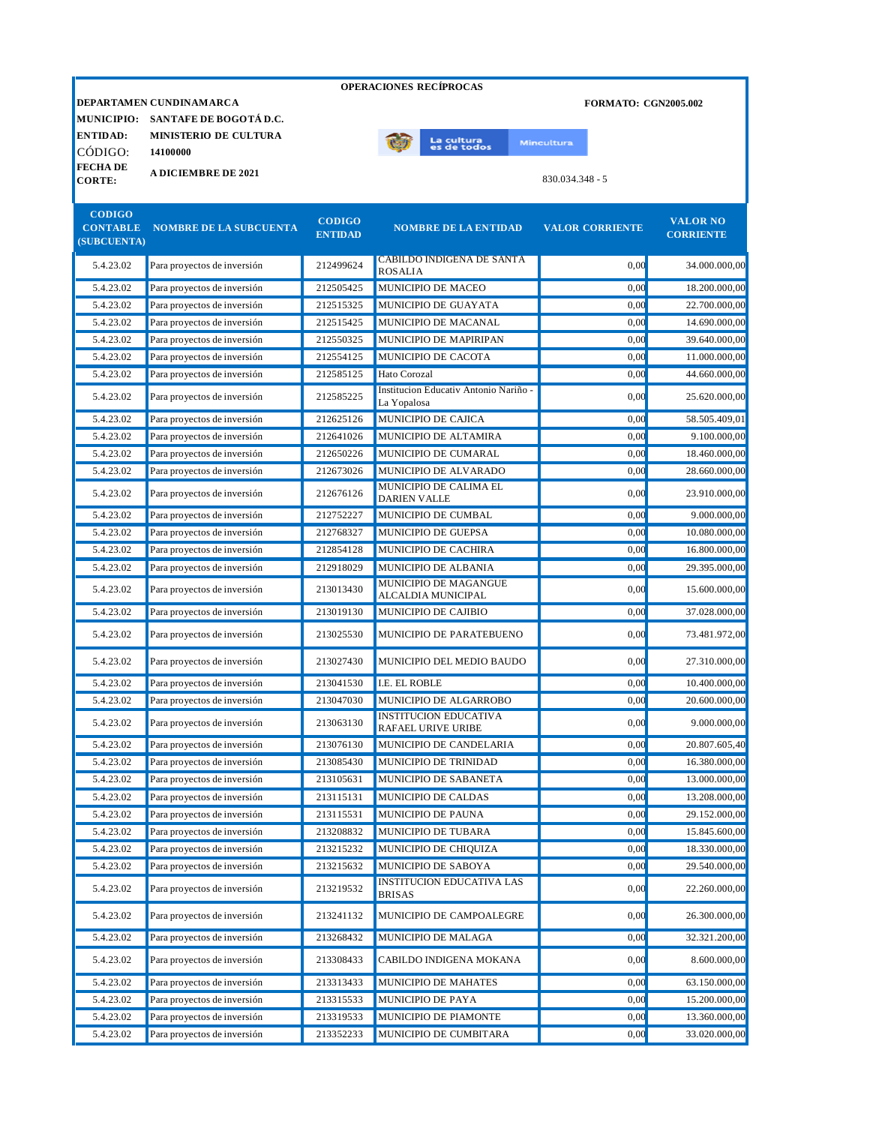|                                                 |                                                   |                                 | <b>OPERACIONES RECÍPROCAS</b>                        |                             |                                     |
|-------------------------------------------------|---------------------------------------------------|---------------------------------|------------------------------------------------------|-----------------------------|-------------------------------------|
| <b>MUNICIPIO:</b>                               | DEPARTAMEN CUNDINAMARCA<br>SANTAFE DE BOGOTÁ D.C. |                                 |                                                      | <b>FORMATO: CGN2005.002</b> |                                     |
| <b>ENTIDAD:</b>                                 | <b>MINISTERIO DE CULTURA</b>                      |                                 | La cultu <mark>ra</mark><br>es de todos              | <b>Mincultura</b>           |                                     |
| CÓDIGO:<br><b>FECHADE</b><br><b>CORTE:</b>      | 14100000<br><b>A DICIEMBRE DE 2021</b>            |                                 |                                                      | $830.034.348 - 5$           |                                     |
| <b>CODIGO</b><br><b>CONTABLE</b><br>(SUBCUENTA) | <b>NOMBRE DE LA SUBCUENTA</b>                     | <b>CODIGO</b><br><b>ENTIDAD</b> | <b>NOMBRE DE LA ENTIDAD</b>                          | <b>VALOR CORRIENTE</b>      | <b>VALOR NO</b><br><b>CORRIENTE</b> |
| 5.4.23.02                                       | Para proyectos de inversión                       | 212499624                       | CABILDO INDIGENA DE SANTA<br><b>ROSALIA</b>          | 0,00                        | 34.000.000,00                       |
| 5.4.23.02                                       | Para proyectos de inversión                       | 212505425                       | MUNICIPIO DE MACEO                                   | 0,00                        | 18.200.000,00                       |
| 5.4.23.02                                       | Para proyectos de inversión                       | 212515325                       | MUNICIPIO DE GUAYATA                                 | 0,00                        | 22.700.000,00                       |
| 5.4.23.02                                       | Para proyectos de inversión                       | 212515425                       | MUNICIPIO DE MACANAL                                 | 0,00                        | 14.690.000,00                       |
| 5.4.23.02                                       | Para proyectos de inversión                       | 212550325                       | MUNICIPIO DE MAPIRIPAN                               | 0,00                        | 39.640.000,00                       |
| 5.4.23.02                                       | Para proyectos de inversión                       | 212554125                       | MUNICIPIO DE CACOTA                                  | 0,00                        | 11.000.000,00                       |
| 5.4.23.02                                       | Para proyectos de inversión                       | 212585125                       | Hato Corozal                                         | 0,00                        | 44.660.000,00                       |
| 5.4.23.02                                       | Para proyectos de inversión                       | 212585225                       | Institucion Educativ Antonio Nariño -<br>La Yopalosa | 0,00                        | 25.620.000,00                       |
| 5.4.23.02                                       | Para proyectos de inversión                       | 212625126                       | MUNICIPIO DE CAJICA                                  | 0,00                        | 58.505.409,01                       |
| 5.4.23.02                                       | Para proyectos de inversión                       | 212641026                       | MUNICIPIO DE ALTAMIRA                                | 0,00                        | 9.100.000,00                        |
| 5.4.23.02                                       | Para proyectos de inversión                       | 212650226                       | MUNICIPIO DE CUMARAL                                 | 0,00                        | 18.460.000,00                       |
| 5.4.23.02                                       | Para proyectos de inversión                       | 212673026                       | MUNICIPIO DE ALVARADO                                | 0,00                        | 28.660.000,00                       |
| 5.4.23.02                                       | Para proyectos de inversión                       | 212676126                       | MUNICIPIO DE CALIMA EL<br><b>DARIEN VALLE</b>        | 0.00                        | 23.910.000,00                       |
| 5.4.23.02                                       | Para proyectos de inversión                       | 212752227                       | MUNICIPIO DE CUMBAL                                  | 0,00                        | 9.000.000,00                        |
| 5.4.23.02                                       | Para proyectos de inversión                       | 212768327                       | MUNICIPIO DE GUEPSA                                  | 0,00                        | 10.080.000,00                       |
| 5.4.23.02                                       | Para proyectos de inversión                       | 212854128                       | MUNICIPIO DE CACHIRA                                 | 0,00                        | 16.800.000,00                       |
| 5.4.23.02                                       | Para proyectos de inversión                       | 212918029                       | MUNICIPIO DE ALBANIA                                 | 0,00                        | 29.395.000,00                       |
| 5.4.23.02                                       | Para proyectos de inversión                       | 213013430                       | MUNICIPIO DE MAGANGUE<br>ALCALDIA MUNICIPAL          | 0,00                        | 15.600.000,00                       |
| 5.4.23.02                                       | Para proyectos de inversión                       | 213019130                       | MUNICIPIO DE CAJIBIO                                 | 0,00                        | 37.028.000,00                       |
| 5.4.23.02                                       | Para proyectos de inversión                       | 213025530                       | MUNICIPIO DE PARATEBUENO                             | 0,00                        | 73.481.972,00                       |
| 5.4.23.02                                       | Para proyectos de inversión                       | 213027430                       | MUNICIPIO DEL MEDIO BAUDO                            | 0,00                        | 27.310.000,00                       |
| 5.4.23.02                                       | Para proyectos de inversión                       | 213041530                       | <b>I.E. EL ROBLE</b>                                 | 0,00                        | 10.400.000,00                       |
| 5.4.23.02                                       | Para proyectos de inversión                       | 213047030                       | MUNICIPIO DE ALGARROBO                               | 0,00                        | 20.600.000,00                       |
| 5.4.23.02                                       | Para proyectos de inversión                       | 213063130                       | <b>INSTITUCION EDUCATIVA</b><br>RAFAEL URIVE URIBE   | 0,00                        | 9.000.000,00                        |
| 5.4.23.02                                       | Para proyectos de inversión                       | 213076130                       | MUNICIPIO DE CANDELARIA                              | 0,00                        | 20.807.605,40                       |
| 5.4.23.02                                       | Para proyectos de inversión                       | 213085430                       | MUNICIPIO DE TRINIDAD                                | 0,00                        | 16.380.000,00                       |
| 5.4.23.02                                       | Para proyectos de inversión                       | 213105631                       | MUNICIPIO DE SABANETA                                | 0,00                        | 13.000.000,00                       |
| 5.4.23.02                                       | Para proyectos de inversión                       | 213115131                       | MUNICIPIO DE CALDAS                                  | 0,00                        | 13.208.000,00                       |
| 5.4.23.02                                       | Para proyectos de inversión                       | 213115531                       | MUNICIPIO DE PAUNA                                   | 0,00                        | 29.152.000,00                       |
| 5.4.23.02                                       | Para proyectos de inversión                       | 213208832                       | MUNICIPIO DE TUBARA                                  | 0,00                        | 15.845.600,00                       |
| 5.4.23.02                                       | Para proyectos de inversión                       | 213215232                       | MUNICIPIO DE CHIQUIZA                                | 0,00                        | 18.330.000,00                       |
| 5.4.23.02                                       | Para proyectos de inversión                       | 213215632                       | MUNICIPIO DE SABOYA                                  | 0,00                        | 29.540.000,00                       |
| 5.4.23.02                                       | Para proyectos de inversión                       | 213219532                       | <b>INSTITUCION EDUCATIVA LAS</b><br><b>BRISAS</b>    | 0,00                        | 22.260.000,00                       |
| 5.4.23.02                                       | Para proyectos de inversión                       | 213241132                       | MUNICIPIO DE CAMPOALEGRE                             | 0,00                        | 26.300.000,00                       |
| 5.4.23.02                                       | Para proyectos de inversión                       | 213268432                       | MUNICIPIO DE MALAGA                                  | 0,00                        | 32.321.200,00                       |
| 5.4.23.02                                       | Para proyectos de inversión                       | 213308433                       | CABILDO INDIGENA MOKANA                              | 0,00                        | 8.600.000,00                        |
| 5.4.23.02                                       | Para proyectos de inversión                       | 213313433                       | MUNICIPIO DE MAHATES                                 | 0,00                        | 63.150.000,00                       |
| 5.4.23.02                                       | Para proyectos de inversión                       | 213315533                       | MUNICIPIO DE PAYA                                    | 0,00                        | 15.200.000,00                       |
| 5.4.23.02                                       | Para proyectos de inversión                       | 213319533                       | MUNICIPIO DE PIAMONTE                                | 0,00                        | 13.360.000,00                       |
| 5.4.23.02                                       | Para proyectos de inversión                       | 213352233                       | MUNICIPIO DE CUMBITARA                               | 0,00                        | 33.020.000,00                       |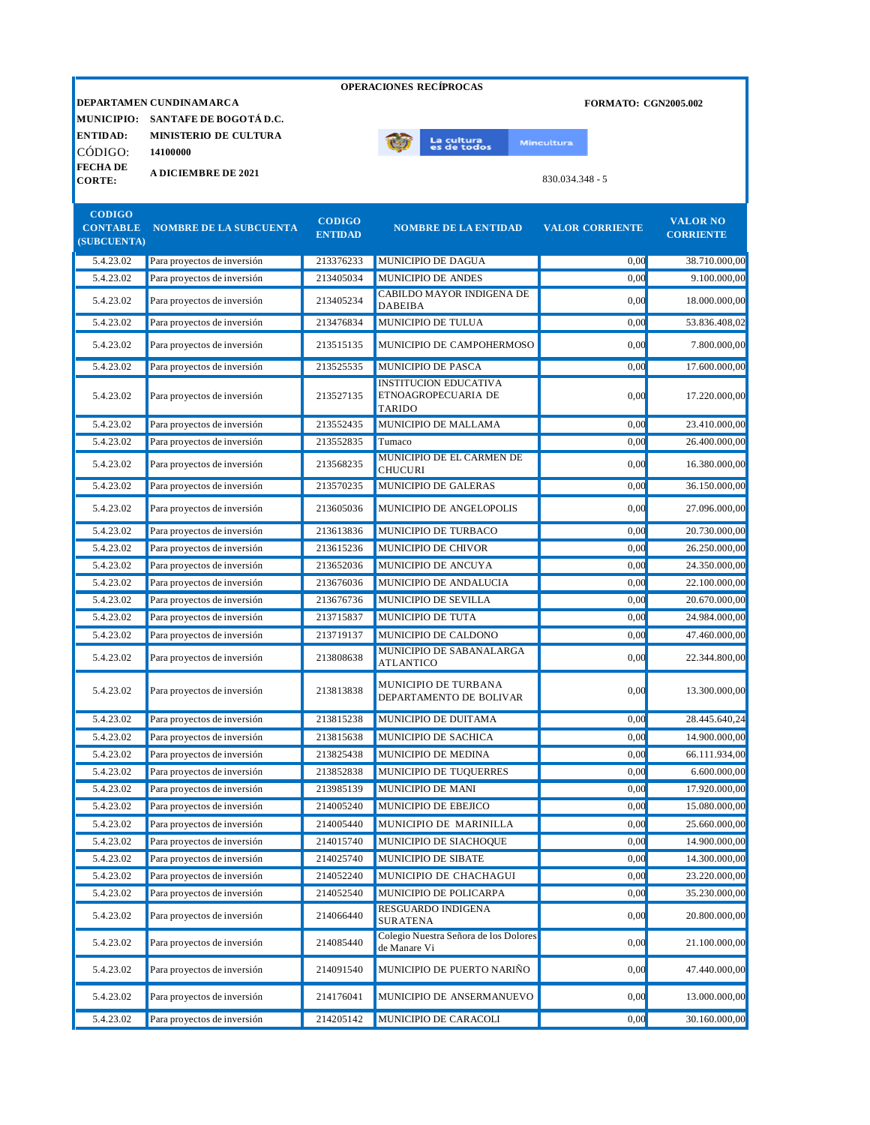|                 |                                   |                | <b>OPERACIONES RECÍPROCAS</b>                         |                             |                  |
|-----------------|-----------------------------------|----------------|-------------------------------------------------------|-----------------------------|------------------|
|                 | DEPARTAMEN CUNDINAMARCA           |                |                                                       | <b>FORMATO: CGN2005.002</b> |                  |
|                 | MUNICIPIO: SANTAFE DE BOGOTÁ D.C. |                |                                                       |                             |                  |
| <b>ENTIDAD:</b> | <b>MINISTERIO DE CULTURA</b>      |                | La cultu <mark>ra</mark><br>es de todos               | <b>Mincultura</b>           |                  |
| CÒDIGO:         | 14100000                          |                |                                                       |                             |                  |
| <b>FECHADE</b>  | <b>A DICIEMBRE DE 2021</b>        |                |                                                       |                             |                  |
| <b>CORTE:</b>   |                                   |                |                                                       | $830.034.348 - 5$           |                  |
| <b>CODIGO</b>   |                                   |                |                                                       |                             |                  |
| <b>CONTABLE</b> | <b>NOMBRE DE LA SUBCUENTA</b>     | <b>CODIGO</b>  | <b>NOMBRE DE LA ENTIDAD</b>                           | <b>VALOR CORRIENTE</b>      | <b>VALOR NO</b>  |
| (SUBCUENTA)     |                                   | <b>ENTIDAD</b> |                                                       |                             | <b>CORRIENTE</b> |
| 5.4.23.02       | Para proyectos de inversión       | 213376233      | MUNICIPIO DE DAGUA                                    | 0,00                        | 38.710.000,00    |
| 5.4.23.02       | Para proyectos de inversión       | 213405034      | MUNICIPIO DE ANDES                                    | 0,00                        | 9.100.000,00     |
| 5.4.23.02       | Para proyectos de inversión       | 213405234      | CABILDO MAYOR INDIGENA DE<br><b>DABEIBA</b>           | 0,00                        | 18.000.000,00    |
| 5.4.23.02       | Para proyectos de inversión       | 213476834      | MUNICIPIO DE TULUA                                    | 0,00                        | 53.836.408,02    |
| 5.4.23.02       | Para proyectos de inversión       | 213515135      | MUNICIPIO DE CAMPOHERMOSO                             | 0,00                        | 7.800.000,00     |
| 5.4.23.02       | Para proyectos de inversión       | 213525535      | MUNICIPIO DE PASCA                                    | 0,00                        | 17.600.000,00    |
|                 |                                   |                | <b>INSTITUCION EDUCATIVA</b>                          |                             |                  |
| 5.4.23.02       | Para proyectos de inversión       | 213527135      | ETNOAGROPECUARIA DE<br><b>TARIDO</b>                  | 0,00                        | 17.220.000,00    |
| 5.4.23.02       | Para proyectos de inversión       | 213552435      | MUNICIPIO DE MALLAMA                                  | 0,00                        | 23.410.000,00    |
| 5.4.23.02       | Para proyectos de inversión       | 213552835      | Tumaco                                                | 0,00                        | 26.400.000,00    |
| 5.4.23.02       | Para proyectos de inversión       | 213568235      | MUNICIPIO DE EL CARMEN DE<br><b>CHUCURI</b>           | 0,00                        | 16.380.000,00    |
| 5.4.23.02       | Para proyectos de inversión       | 213570235      | MUNICIPIO DE GALERAS                                  | 0,00                        | 36.150.000,00    |
| 5.4.23.02       | Para proyectos de inversión       | 213605036      | MUNICIPIO DE ANGELOPOLIS                              | 0,00                        | 27.096.000,00    |
| 5.4.23.02       | Para proyectos de inversión       | 213613836      | MUNICIPIO DE TURBACO                                  | 0,00                        | 20.730.000,00    |
| 5.4.23.02       | Para proyectos de inversión       | 213615236      | MUNICIPIO DE CHIVOR                                   | 0.00                        | 26.250.000,00    |
| 5.4.23.02       | Para proyectos de inversión       | 213652036      | MUNICIPIO DE ANCUYA                                   | 0,00                        | 24.350.000,00    |
| 5.4.23.02       | Para proyectos de inversión       | 213676036      | MUNICIPIO DE ANDALUCIA                                | 0,00                        | 22.100.000,00    |
| 5.4.23.02       | Para proyectos de inversión       | 213676736      | MUNICIPIO DE SEVILLA                                  | 0.00                        | 20.670.000,00    |
| 5.4.23.02       | Para proyectos de inversión       | 213715837      | MUNICIPIO DE TUTA                                     | 0.00                        | 24.984.000,00    |
| 5.4.23.02       | Para proyectos de inversión       | 213719137      | MUNICIPIO DE CALDONO                                  | 0,00                        | 47.460.000,00    |
| 5.4.23.02       | Para proyectos de inversión       | 213808638      | MUNICIPIO DE SABANALARGA<br><b>ATLANTICO</b>          | 0,00                        | 22.344.800,00    |
| 5.4.23.02       | Para proyectos de inversión       | 213813838      | MUNICIPIO DE TURBANA<br>DEPARTAMENTO DE BOLIVAR       | 0,00                        | 13.300.000,00    |
| 5.4.23.02       | Para proyectos de inversión       | 213815238      | MUNICIPIO DE DUITAMA                                  | 0,00                        | 28.445.640,24    |
| 5.4.23.02       | Para proyectos de inversión       | 213815638      | MUNICIPIO DE SACHICA                                  | 0,00                        | 14.900.000,00    |
| 5.4.23.02       | Para proyectos de inversión       | 213825438      | MUNICIPIO DE MEDINA                                   | 0,00                        | 66.111.934,00    |
| 5.4.23.02       | Para proyectos de inversión       | 213852838      | MUNICIPIO DE TUQUERRES                                | 0,00                        | 6.600.000,00     |
| 5.4.23.02       | Para proyectos de inversión       | 213985139      | MUNICIPIO DE MANI                                     | 0,00                        | 17.920.000,00    |
| 5.4.23.02       | Para proyectos de inversión       | 214005240      | MUNICIPIO DE EBEJICO                                  | 0,00                        | 15.080.000,00    |
| 5.4.23.02       | Para proyectos de inversión       | 214005440      | MUNICIPIO DE MARINILLA                                | 0,00                        | 25.660.000,00    |
| 5.4.23.02       | Para proyectos de inversión       | 214015740      | MUNICIPIO DE SIACHOQUE                                | 0,00                        | 14.900.000,00    |
| 5.4.23.02       | Para proyectos de inversión       | 214025740      | MUNICIPIO DE SIBATE                                   | 0,00                        | 14.300.000,00    |
| 5.4.23.02       | Para proyectos de inversión       | 214052240      | MUNICIPIO DE CHACHAGUI                                | 0,00                        | 23.220.000,00    |
| 5.4.23.02       | Para proyectos de inversión       | 214052540      | MUNICIPIO DE POLICARPA                                | 0,00                        | 35.230.000,00    |
| 5.4.23.02       | Para proyectos de inversión       | 214066440      | RESGUARDO INDIGENA<br><b>SURATENA</b>                 | 0,00                        | 20.800.000,00    |
| 5.4.23.02       | Para proyectos de inversión       | 214085440      | Colegio Nuestra Señora de los Dolores<br>de Manare Vi | 0,00                        | 21.100.000,00    |
| 5.4.23.02       | Para proyectos de inversión       | 214091540      | MUNICIPIO DE PUERTO NARIÑO                            | 0,00                        | 47.440.000,00    |
| 5.4.23.02       | Para proyectos de inversión       | 214176041      | MUNICIPIO DE ANSERMANUEVO                             | 0,00                        | 13.000.000,00    |
| 5.4.23.02       | Para proyectos de inversión       | 214205142      | MUNICIPIO DE CARACOLI                                 | 0,00                        | 30.160.000,00    |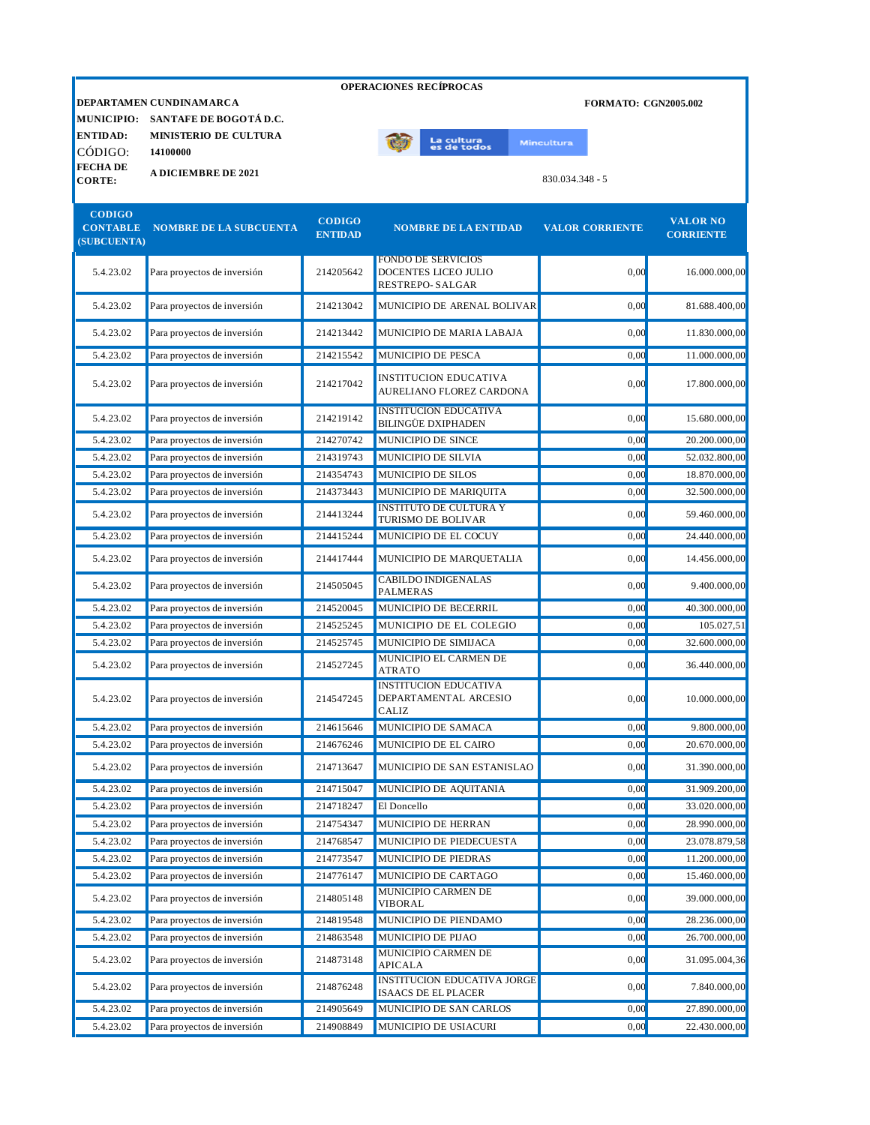|                              |                                          |                                 | <b>OPERACIONES RECÍPROCAS</b> |                   |                             |                                     |
|------------------------------|------------------------------------------|---------------------------------|-------------------------------|-------------------|-----------------------------|-------------------------------------|
|                              | DEPARTAMEN CUNDINAMARCA                  |                                 |                               |                   | <b>FORMATO: CGN2005.002</b> |                                     |
|                              | MUNICIPIO: SANTAFE DE BOGOTÁ D.C.        |                                 |                               |                   |                             |                                     |
| <b>ENTIDAD:</b><br>CÓDIGO:   | <b>MINISTERIO DE CULTURA</b><br>14100000 |                                 | La cultura<br>es de todos     | <b>Mincultura</b> |                             |                                     |
| FECHA DE<br><b>CORTE:</b>    | <b>A DICIEMBRE DE 2021</b>               |                                 |                               | 830.034.348 - 5   |                             |                                     |
| <b>CODIGO</b><br>(SUBCUENTA) | <b>CONTABLE NOMBRE DE LA SUBCUENTA</b>   | <b>CODIGO</b><br><b>ENTIDAD</b> | <b>NOMBRE DE LA ENTIDAD</b>   |                   | <b>VALOR CORRIENTE</b>      | <b>VALOR NO</b><br><b>CORRIENTE</b> |

| 5.4.23.02 | Para proyectos de inversión | 214205642 | <b>FONDO DE SERVICIOS</b><br><b>DOCENTES LICEO JULIO</b><br><b>RESTREPO-SALGAR</b> | 0.00 | 16.000.000,00 |
|-----------|-----------------------------|-----------|------------------------------------------------------------------------------------|------|---------------|
| 5.4.23.02 | Para proyectos de inversión | 214213042 | MUNICIPIO DE ARENAL BOLIVAR                                                        | 0.00 | 81.688.400,00 |
| 5.4.23.02 | Para proyectos de inversión | 214213442 | MUNICIPIO DE MARIA LABAJA                                                          | 0.00 | 11.830.000.00 |
| 5.4.23.02 | Para proyectos de inversión | 214215542 | <b>MUNICIPIO DE PESCA</b>                                                          | 0.00 | 11.000.000,00 |
| 5.4.23.02 | Para proyectos de inversión | 214217042 | <b>INSTITUCION EDUCATIVA</b><br>AURELIANO FLOREZ CARDONA                           | 0.00 | 17.800.000,00 |
| 5.4.23.02 | Para proyectos de inversión | 214219142 | <b>INSTITUCION EDUCATIVA</b><br><b>BILINGÜE DXIPHADEN</b>                          | 0.00 | 15.680.000,00 |
| 5.4.23.02 | Para proyectos de inversión | 214270742 | MUNICIPIO DE SINCE                                                                 | 0.00 | 20.200.000,00 |
| 5.4.23.02 | Para proyectos de inversión | 214319743 | MUNICIPIO DE SILVIA                                                                | 0,00 | 52.032.800,00 |
| 5.4.23.02 | Para proyectos de inversión | 214354743 | MUNICIPIO DE SILOS                                                                 | 0,00 | 18.870.000,00 |
| 5.4.23.02 | Para proyectos de inversión | 214373443 | MUNICIPIO DE MARIQUITA                                                             | 0,00 | 32.500.000,00 |
| 5.4.23.02 | Para proyectos de inversión | 214413244 | <b>INSTITUTO DE CULTURA Y</b><br>TURISMO DE BOLIVAR                                | 0.00 | 59.460.000,00 |
| 5.4.23.02 | Para proyectos de inversión | 214415244 | MUNICIPIO DE EL COCUY                                                              | 0,00 | 24.440.000,00 |
| 5.4.23.02 | Para proyectos de inversión | 214417444 | MUNICIPIO DE MARQUETALIA                                                           | 0,00 | 14.456.000,00 |
| 5.4.23.02 | Para proyectos de inversión | 214505045 | <b>CABILDO INDIGENALAS</b><br><b>PALMERAS</b>                                      | 0,00 | 9.400.000,00  |
| 5.4.23.02 | Para proyectos de inversión | 214520045 | MUNICIPIO DE BECERRIL                                                              | 0.00 | 40.300.000,00 |
| 5.4.23.02 | Para proyectos de inversión | 214525245 | MUNICIPIO DE EL COLEGIO                                                            | 0.00 | 105.027,51    |
| 5.4.23.02 | Para proyectos de inversión | 214525745 | MUNICIPIO DE SIMIJACA                                                              | 0.00 | 32.600.000,00 |
| 5.4.23.02 | Para proyectos de inversión | 214527245 | <b>MUNICIPIO EL CARMEN DE</b><br><b>ATRATO</b>                                     | 0,00 | 36.440.000,00 |
| 5.4.23.02 | Para proyectos de inversión | 214547245 | <b>INSTITUCION EDUCATIVA</b><br>DEPARTAMENTAL ARCESIO<br>CALIZ                     | 0,00 | 10.000.000,00 |
| 5.4.23.02 | Para proyectos de inversión | 214615646 | MUNICIPIO DE SAMACA                                                                | 0.00 | 9.800.000,00  |
| 5.4.23.02 | Para proyectos de inversión | 214676246 | MUNICIPIO DE EL CAIRO                                                              | 0.00 | 20.670.000,00 |
| 5.4.23.02 | Para proyectos de inversión | 214713647 | MUNICIPIO DE SAN ESTANISLAO                                                        | 0.00 | 31.390.000,00 |
| 5.4.23.02 | Para proyectos de inversión | 214715047 | MUNICIPIO DE AQUITANIA                                                             | 0.00 | 31.909.200,00 |
| 5.4.23.02 | Para proyectos de inversión | 214718247 | El Doncello                                                                        | 0,00 | 33.020.000,00 |
| 5.4.23.02 | Para proyectos de inversión | 214754347 | MUNICIPIO DE HERRAN                                                                | 0,00 | 28.990.000,00 |
| 5.4.23.02 | Para proyectos de inversión | 214768547 | MUNICIPIO DE PIEDECUESTA                                                           | 0,00 | 23.078.879,58 |
| 5.4.23.02 | Para proyectos de inversión | 214773547 | MUNICIPIO DE PIEDRAS                                                               | 0,00 | 11.200.000,00 |
| 5.4.23.02 | Para proyectos de inversión | 214776147 | MUNICIPIO DE CARTAGO                                                               | 0,00 | 15.460.000,00 |
| 5.4.23.02 | Para proyectos de inversión | 214805148 | MUNICIPIO CARMEN DE<br><b>VIBORAL</b>                                              | 0,00 | 39.000.000,00 |
| 5.4.23.02 | Para proyectos de inversión | 214819548 | MUNICIPIO DE PIENDAMO                                                              | 0,00 | 28.236.000,00 |
| 5.4.23.02 | Para proyectos de inversión | 214863548 | MUNICIPIO DE PIJAO                                                                 | 0,00 | 26.700.000,00 |
| 5.4.23.02 | Para proyectos de inversión | 214873148 | MUNICIPIO CARMEN DE<br><b>APICALA</b>                                              | 0,00 | 31.095.004,36 |
| 5.4.23.02 | Para proyectos de inversión | 214876248 | <b>INSTITUCION EDUCATIVA JORGE</b><br><b>ISAACS DE EL PLACER</b>                   | 0,00 | 7.840.000,00  |
| 5.4.23.02 | Para proyectos de inversión | 214905649 | MUNICIPIO DE SAN CARLOS                                                            | 0,00 | 27.890.000,00 |
| 5.4.23.02 | Para proyectos de inversión | 214908849 | MUNICIPIO DE USIACURI                                                              | 0,00 | 22.430.000,00 |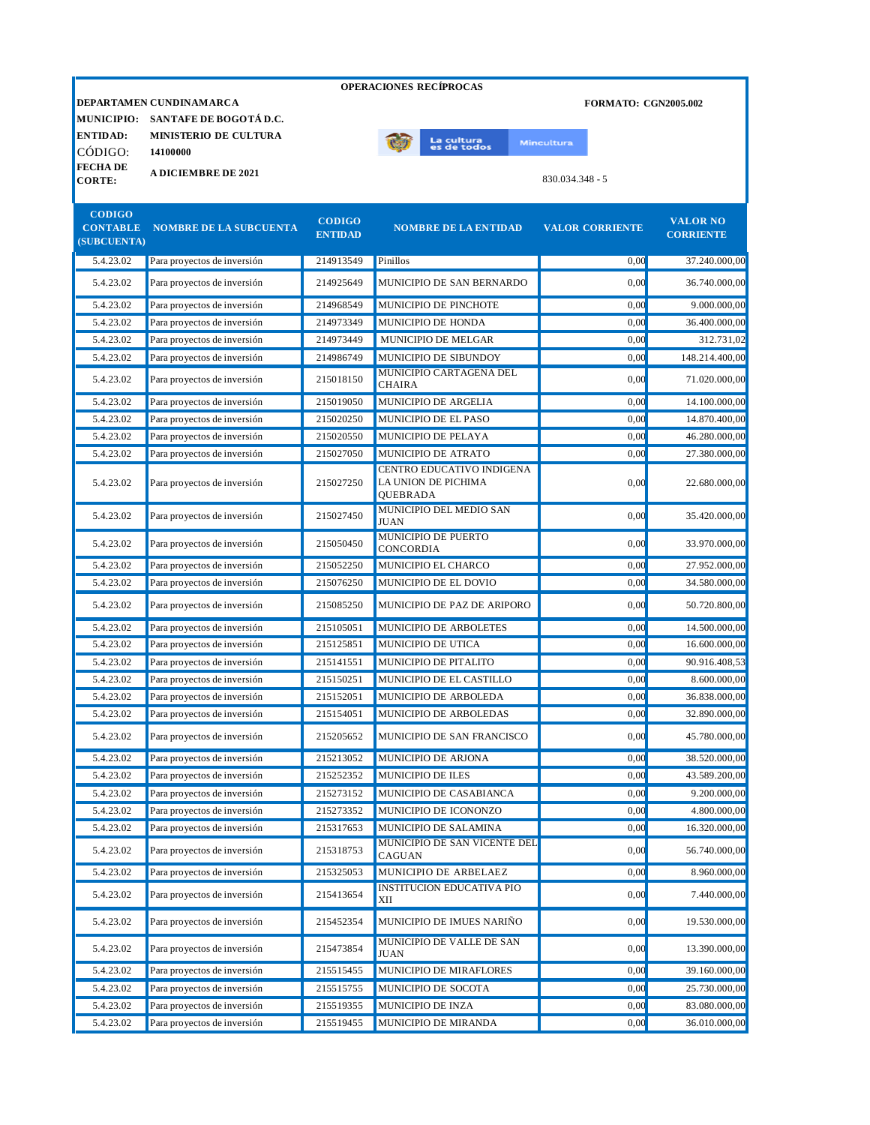|                                                 |                                   |                                 | <b>OPERACIONES RECÍPROCAS</b>                                |                             |                                     |
|-------------------------------------------------|-----------------------------------|---------------------------------|--------------------------------------------------------------|-----------------------------|-------------------------------------|
|                                                 | DEPARTAMEN CUNDINAMARCA           |                                 |                                                              | <b>FORMATO: CGN2005.002</b> |                                     |
|                                                 | MUNICIPIO: SANTAFE DE BOGOTÁ D.C. |                                 |                                                              |                             |                                     |
| <b>ENTIDAD:</b>                                 | <b>MINISTERIO DE CULTURA</b>      |                                 |                                                              |                             |                                     |
| CÓDIGO:                                         | 14100000                          |                                 | La cultu <mark>ra</mark><br>es de todos                      | Mincultura                  |                                     |
| <b>FECHADE</b>                                  | <b>A DICIEMBRE DE 2021</b>        |                                 |                                                              |                             |                                     |
| <b>CORTE:</b>                                   |                                   |                                 |                                                              | 830.034.348 - 5             |                                     |
| <b>CODIGO</b><br><b>CONTABLE</b><br>(SUBCUENTA) | <b>NOMBRE DE LA SUBCUENTA</b>     | <b>CODIGO</b><br><b>ENTIDAD</b> | <b>NOMBRE DE LA ENTIDAD</b>                                  | <b>VALOR CORRIENTE</b>      | <b>VALOR NO</b><br><b>CORRIENTE</b> |
| 5.4.23.02                                       | Para proyectos de inversión       | 214913549                       | Pinillos                                                     | 0,00                        | 37.240.000.00                       |
| 5.4.23.02                                       | Para proyectos de inversión       | 214925649                       | MUNICIPIO DE SAN BERNARDO                                    | 0.00                        | 36.740.000,00                       |
| 5.4.23.02                                       | Para proyectos de inversión       | 214968549                       | MUNICIPIO DE PINCHOTE                                        | 0,00                        | 9.000.000,00                        |
| 5.4.23.02                                       | Para proyectos de inversión       | 214973349                       | MUNICIPIO DE HONDA                                           | 0,00                        | 36.400.000,00                       |
| 5.4.23.02                                       | Para proyectos de inversión       | 214973449                       | MUNICIPIO DE MELGAR                                          | 0,00                        | 312.731,02                          |
| 5.4.23.02                                       | Para proyectos de inversión       | 214986749                       | MUNICIPIO DE SIBUNDOY                                        | 0.00                        | 148.214.400,00                      |
| 5.4.23.02                                       | Para proyectos de inversión       | 215018150                       | MUNICIPIO CARTAGENA DEL<br><b>CHAIRA</b>                     | 0,00                        | 71.020.000.00                       |
| 5.4.23.02                                       | Para proyectos de inversión       | 215019050                       | MUNICIPIO DE ARGELIA                                         | 0,00                        | 14.100.000,00                       |
| 5.4.23.02                                       | Para proyectos de inversión       | 215020250                       | MUNICIPIO DE EL PASO                                         | 0.00                        | 14.870.400,00                       |
| 5.4.23.02                                       | Para proyectos de inversión       | 215020550                       | MUNICIPIO DE PELAYA                                          | 0.00                        | 46.280.000,00                       |
| 5.4.23.02                                       | Para proyectos de inversión       | 215027050                       | MUNICIPIO DE ATRATO                                          | 0.00                        | 27.380.000,00                       |
| 5.4.23.02                                       | Para proyectos de inversión       | 215027250                       | CENTRO EDUCATIVO INDIGENA<br>LA UNION DE PICHIMA<br>QUEBRADA | 0,00                        | 22.680.000,00                       |
| 5.4.23.02                                       | Para proyectos de inversión       | 215027450                       | MUNICIPIO DEL MEDIO SAN<br><b>JUAN</b>                       | 0.00                        | 35.420.000,00                       |
| 5.4.23.02                                       | Para proyectos de inversión       | 215050450                       | MUNICIPIO DE PUERTO<br>CONCORDIA                             | 0,00                        | 33.970.000,00                       |
| 5.4.23.02                                       | Para proyectos de inversión       | 215052250                       | MUNICIPIO EL CHARCO                                          | 0.00                        | 27.952.000,00                       |
| 5.4.23.02                                       | Para proyectos de inversión       | 215076250                       | MUNICIPIO DE EL DOVIO                                        | 0.00                        | 34.580.000,00                       |
| 5.4.23.02                                       | Para proyectos de inversión       | 215085250                       | MUNICIPIO DE PAZ DE ARIPORO                                  | 0,00                        | 50.720.800,00                       |
| 5.4.23.02                                       | Para proyectos de inversión       | 215105051                       | MUNICIPIO DE ARBOLETES                                       | 0,00                        | 14.500.000,00                       |
| 5.4.23.02                                       | Para proyectos de inversión       | 215125851                       | MUNICIPIO DE UTICA                                           | 0,00                        | 16.600.000,00                       |
| 5.4.23.02                                       | Para proyectos de inversión       | 215141551                       | MUNICIPIO DE PITALITO                                        | 0.00                        | 90.916.408,53                       |
| 5.4.23.02                                       | Para proyectos de inversión       | 215150251                       | MUNICIPIO DE EL CASTILLO                                     | 0,00                        | 8.600.000,00                        |
| 5.4.23.02                                       | Para proyectos de inversión       | 215152051                       | MUNICIPIO DE ARBOLEDA                                        | 0,00                        | 36.838.000,00                       |
| 5.4.23.02                                       | Para proyectos de inversión       | 215154051                       | MUNICIPIO DE ARBOLEDAS                                       | 0,00                        | 32.890.000,00                       |
| 5.4.23.02                                       | Para proyectos de inversión       | 215205652                       | MUNICIPIO DE SAN FRANCISCO                                   | 0,00                        | 45.780.000,00                       |
| 5.4.23.02                                       | Para proyectos de inversión       | 215213052                       | MUNICIPIO DE ARJONA                                          | 0,00                        | 38.520.000,00                       |
| 5.4.23.02                                       | Para proyectos de inversión       | 215252352                       | MUNICIPIO DE ILES                                            | 0,00                        | 43.589.200,00                       |
| 5.4.23.02                                       | Para proyectos de inversión       | 215273152                       | MUNICIPIO DE CASABIANCA                                      | 0,00                        | 9.200.000,00                        |
| 5.4.23.02                                       | Para proyectos de inversión       | 215273352                       | MUNICIPIO DE ICONONZO                                        | 0,00                        | 4.800.000,00                        |
| 5.4.23.02                                       | Para proyectos de inversión       | 215317653                       | MUNICIPIO DE SALAMINA                                        | 0,00                        | 16.320.000,00                       |
| 5.4.23.02                                       | Para proyectos de inversión       | 215318753                       | MUNICIPIO DE SAN VICENTE DEL<br>CAGUAN                       | 0,00                        | 56.740.000,00                       |
| 5.4.23.02                                       | Para proyectos de inversión       | 215325053                       | MUNICIPIO DE ARBELAEZ                                        | 0,00                        | 8.960.000,00                        |
| 5.4.23.02                                       | Para proyectos de inversión       | 215413654                       | <b>INSTITUCION EDUCATIVA PIO</b><br>XII                      | 0,00                        | 7.440.000,00                        |
| 5.4.23.02                                       | Para proyectos de inversión       | 215452354                       | MUNICIPIO DE IMUES NARIÑO                                    | 0,00                        | 19.530.000,00                       |
| 5.4.23.02                                       | Para proyectos de inversión       | 215473854                       | MUNICIPIO DE VALLE DE SAN<br><b>JUAN</b>                     | 0,00                        | 13.390.000,00                       |
| 5.4.23.02                                       | Para proyectos de inversión       | 215515455                       | MUNICIPIO DE MIRAFLORES                                      | 0,00                        | 39.160.000,00                       |
| 5.4.23.02                                       | Para proyectos de inversión       | 215515755                       | MUNICIPIO DE SOCOTA                                          | 0,00                        | 25.730.000,00                       |

5.4.23.02 Para proyectos de inversión 215519355 MUNICIPIO DE INZA 0,00 83.080.000,00 5.4.23.02 Para proyectos de inversión 215519455 MUNICIPIO DE MIRANDA 0,00 36.010.000,00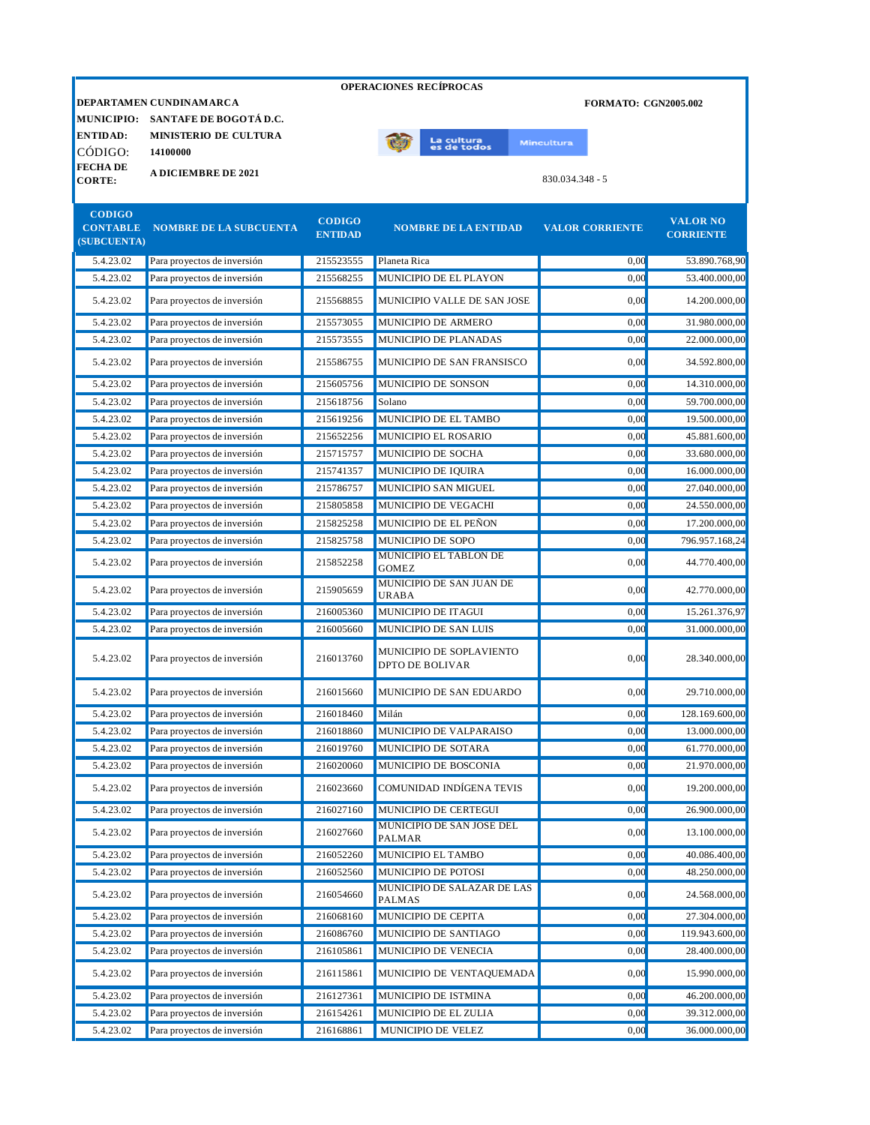|                                                 |                                          |                                 |              | <b>OPERACIONES RECÍPROCAS</b> |                   |                   |                             |                                     |
|-------------------------------------------------|------------------------------------------|---------------------------------|--------------|-------------------------------|-------------------|-------------------|-----------------------------|-------------------------------------|
|                                                 | <b>DEPARTAMEN CUNDINAMARCA</b>           |                                 |              |                               |                   |                   | <b>FORMATO: CGN2005.002</b> |                                     |
|                                                 | MUNICIPIO: SANTAFE DE BOGOTÁ D.C.        |                                 |              |                               |                   |                   |                             |                                     |
| <b>ENTIDAD:</b><br>CÓDIGO:                      | <b>MINISTERIO DE CULTURA</b><br>14100000 |                                 |              | La cultura<br>es de todos     | <b>Mincultura</b> |                   |                             |                                     |
| <b>FECHA DE</b><br><b>CORTE:</b>                | <b>A DICIEMBRE DE 2021</b>               |                                 |              |                               |                   | $830.034.348 - 5$ |                             |                                     |
| <b>CODIGO</b><br><b>CONTABLE</b><br>(SUBCUENTA) | <b>NOMBRE DE LA SUBCUENTA</b>            | <b>CODIGO</b><br><b>ENTIDAD</b> |              | <b>NOMBRE DE LA ENTIDAD</b>   |                   |                   | <b>VALOR CORRIENTE</b>      | <b>VALOR NO</b><br><b>CORRIENTE</b> |
| 5.4.23.02                                       | Para proyectos de inversión              | 215523555                       | Planeta Rica |                               |                   |                   | 0,00                        | 53.890.768.90                       |
| 5.4.23.02                                       | Para proyectos de inversión              | 215568255                       |              | MUNICIPIO DE EL PLAYON        |                   |                   | 0,00                        | 53.400.000,00                       |
| 5.4.23.02                                       | Para proyectos de inversión              | 215568855                       |              | MUNICIPIO VALLE DE SAN JOSE   |                   |                   | 0.00                        | 14.200.000.00                       |
| 5.4.23.02                                       | Para proyectos de inversión              | 215573055                       |              | MUNICIPIO DE ARMERO           |                   |                   | 0,00                        | 31.980.000,00                       |

| 5.4.23.02 | Para proyectos de inversión | 215573055 | MUNICIPIO DE ARMERO                                | 0.00 | 31.980.000,00  |
|-----------|-----------------------------|-----------|----------------------------------------------------|------|----------------|
| 5.4.23.02 | Para proyectos de inversión | 215573555 | MUNICIPIO DE PLANADAS                              | 0,00 | 22.000.000,00  |
| 5.4.23.02 | Para proyectos de inversión | 215586755 | MUNICIPIO DE SAN FRANSISCO                         | 0.00 | 34.592.800,00  |
| 5.4.23.02 | Para proyectos de inversión | 215605756 | MUNICIPIO DE SONSON                                | 0,00 | 14.310.000,00  |
| 5.4.23.02 | Para proyectos de inversión | 215618756 | Solano                                             | 0,00 | 59.700.000,00  |
| 5.4.23.02 | Para proyectos de inversión | 215619256 | MUNICIPIO DE EL TAMBO                              | 0,00 | 19.500.000,00  |
| 5.4.23.02 | Para proyectos de inversión | 215652256 | <b>MUNICIPIO EL ROSARIO</b>                        | 0,00 | 45.881.600,00  |
| 5.4.23.02 | Para proyectos de inversión | 215715757 | MUNICIPIO DE SOCHA                                 | 0,00 | 33.680.000,00  |
| 5.4.23.02 | Para proyectos de inversión | 215741357 | MUNICIPIO DE IQUIRA                                | 0,00 | 16.000.000,00  |
| 5.4.23.02 | Para proyectos de inversión | 215786757 | MUNICIPIO SAN MIGUEL                               | 0,00 | 27.040.000,00  |
| 5.4.23.02 | Para proyectos de inversión | 215805858 | MUNICIPIO DE VEGACHI                               | 0,00 | 24.550.000,00  |
| 5.4.23.02 | Para proyectos de inversión | 215825258 | MUNICIPIO DE EL PEÑON                              | 0,00 | 17.200.000,00  |
| 5.4.23.02 | Para proyectos de inversión | 215825758 | <b>MUNICIPIO DE SOPO</b>                           | 0.00 | 796.957.168,24 |
| 5.4.23.02 | Para proyectos de inversión | 215852258 | MUNICIPIO EL TABLON DE<br><b>GOMEZ</b>             | 0.00 | 44.770.400,00  |
| 5.4.23.02 | Para proyectos de inversión | 215905659 | MUNICIPIO DE SAN JUAN DE<br><b>URABA</b>           | 0,00 | 42.770.000,00  |
| 5.4.23.02 | Para proyectos de inversión | 216005360 | MUNICIPIO DE ITAGUI                                | 0,00 | 15.261.376,97  |
| 5.4.23.02 | Para proyectos de inversión | 216005660 | MUNICIPIO DE SAN LUIS                              | 0,00 | 31.000.000,00  |
| 5.4.23.02 | Para proyectos de inversión | 216013760 | MUNICIPIO DE SOPLAVIENTO<br><b>DPTO DE BOLIVAR</b> | 0,00 | 28.340.000,00  |
| 5.4.23.02 | Para proyectos de inversión | 216015660 | MUNICIPIO DE SAN EDUARDO                           | 0,00 | 29.710.000,00  |
| 5.4.23.02 | Para proyectos de inversión | 216018460 | Milán                                              | 0,00 | 128.169.600,00 |
| 5.4.23.02 | Para proyectos de inversión | 216018860 | MUNICIPIO DE VALPARAISO                            | 0,00 | 13.000.000,00  |
| 5.4.23.02 | Para proyectos de inversión | 216019760 | MUNICIPIO DE SOTARA                                | 0,00 | 61.770.000,00  |
| 5.4.23.02 | Para proyectos de inversión | 216020060 | MUNICIPIO DE BOSCONIA                              | 0,00 | 21.970.000,00  |
| 5.4.23.02 | Para proyectos de inversión | 216023660 | COMUNIDAD INDÍGENA TEVIS                           | 0.00 | 19.200.000,00  |
| 5.4.23.02 | Para proyectos de inversión | 216027160 | MUNICIPIO DE CERTEGUI                              | 0,00 | 26.900.000,00  |
| 5.4.23.02 | Para proyectos de inversión | 216027660 | MUNICIPIO DE SAN JOSE DEL<br><b>PALMAR</b>         | 0.00 | 13.100.000,00  |
| 5.4.23.02 | Para proyectos de inversión | 216052260 | MUNICIPIO EL TAMBO                                 | 0,00 | 40.086.400,00  |
| 5.4.23.02 | Para proyectos de inversión | 216052560 | MUNICIPIO DE POTOSI                                | 0,00 | 48.250.000,00  |
| 5.4.23.02 | Para proyectos de inversión | 216054660 | MUNICIPIO DE SALAZAR DE LAS<br><b>PALMAS</b>       | 0,00 | 24.568.000,00  |
| 5.4.23.02 | Para proyectos de inversión | 216068160 | MUNICIPIO DE CEPITA                                | 0,00 | 27.304.000,00  |
| 5.4.23.02 | Para proyectos de inversión | 216086760 | MUNICIPIO DE SANTIAGO                              | 0.00 | 119.943.600,00 |
| 5.4.23.02 | Para proyectos de inversión | 216105861 | MUNICIPIO DE VENECIA                               | 0,00 | 28.400.000,00  |
| 5.4.23.02 | Para proyectos de inversión | 216115861 | MUNICIPIO DE VENTAQUEMADA                          | 0,00 | 15.990.000,00  |
| 5.4.23.02 | Para proyectos de inversión | 216127361 | MUNICIPIO DE ISTMINA                               | 0,00 | 46.200.000,00  |
| 5.4.23.02 | Para proyectos de inversión | 216154261 | MUNICIPIO DE EL ZULIA                              | 0,00 | 39.312.000,00  |
| 5.4.23.02 | Para proyectos de inversión | 216168861 | <b>MUNICIPIO DE VELEZ</b>                          | 0.00 | 36.000.000,00  |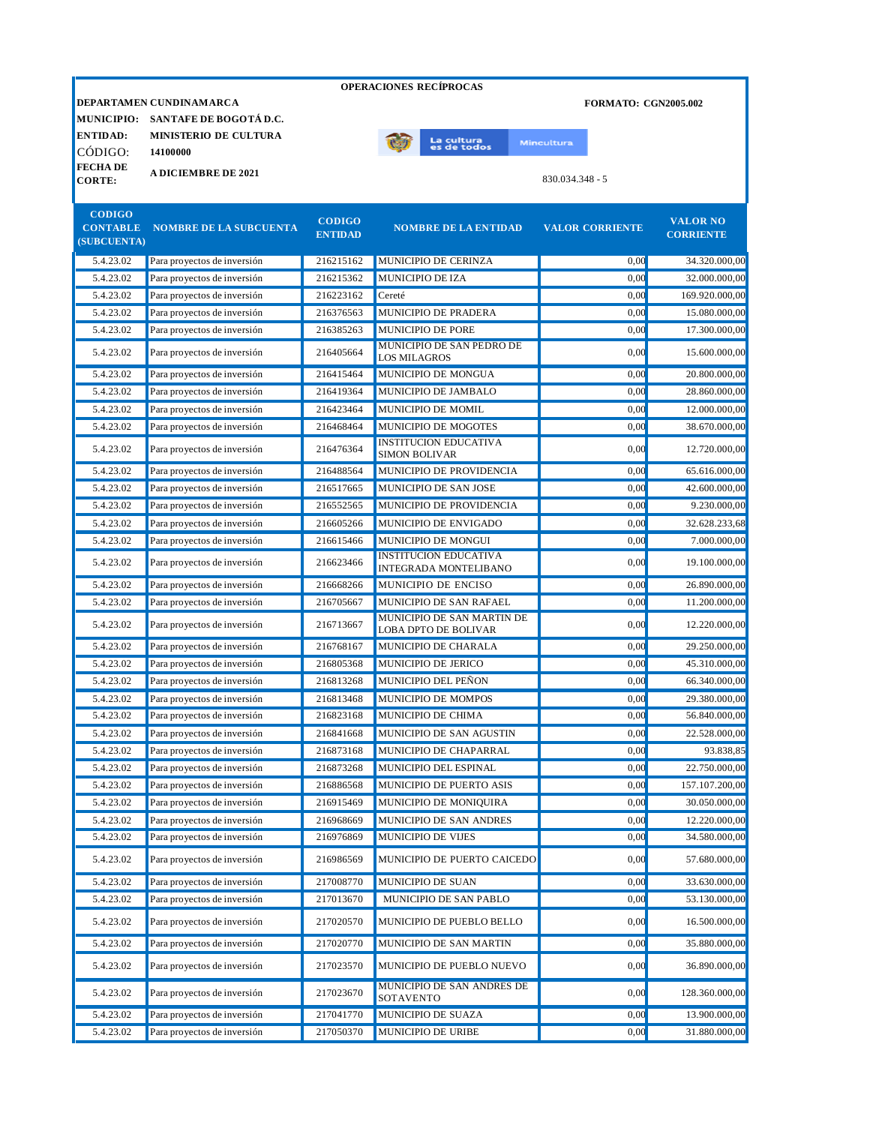|                                                 |                                                                                                          |                                 |                     | <b>OPERACIONES RECIPROCAS</b>                                |                   |                             |                                     |
|-------------------------------------------------|----------------------------------------------------------------------------------------------------------|---------------------------------|---------------------|--------------------------------------------------------------|-------------------|-----------------------------|-------------------------------------|
| <b>ENTIDAD:</b><br>CÓDIGO:                      | DEPARTAMEN CUNDINAMARCA<br>MUNICIPIO: SANTAFE DE BOGOTÁ D.C.<br><b>MINISTERIO DE CULTURA</b><br>14100000 |                                 |                     | La cultu <mark>ra</mark><br>es de todos                      | <b>Mincultura</b> | <b>FORMATO: CGN2005.002</b> |                                     |
| <b>FECHADE</b><br><b>CORTE:</b>                 | <b>A DICIEMBRE DE 2021</b>                                                                               |                                 |                     |                                                              | $830.034.348 - 5$ |                             |                                     |
| <b>CODIGO</b><br><b>CONTABLE</b><br>(SUBCUENTA) | <b>NOMBRE DE LA SUBCUENTA</b>                                                                            | <b>CODIGO</b><br><b>ENTIDAD</b> |                     | <b>NOMBRE DE LA ENTIDAD</b>                                  |                   | <b>VALOR CORRIENTE</b>      | <b>VALOR NO</b><br><b>CORRIENTE</b> |
| 5.4.23.02                                       | Para proyectos de inversión                                                                              | 216215162                       |                     | MUNICIPIO DE CERINZA                                         |                   | 0,00                        | 34.320.000,00                       |
| 5.4.23.02                                       | Para proyectos de inversión                                                                              | 216215362                       |                     | <b>MUNICIPIO DE IZA</b>                                      |                   | 0.00                        | 32.000.000.00                       |
| 5.4.23.02                                       | Para proyectos de inversión                                                                              | 216223162                       | Cereté              |                                                              |                   | 0,00                        | 169.920.000,00                      |
| 5.4.23.02                                       | Para proyectos de inversión                                                                              | 216376563                       |                     | MUNICIPIO DE PRADERA                                         |                   | 0,00                        | 15.080.000,00                       |
| 5.4.23.02                                       | Para proyectos de inversión                                                                              | 216385263                       |                     | <b>MUNICIPIO DE PORE</b>                                     |                   | 0.00                        | 17.300.000.00                       |
| 5.4.23.02                                       | Para proyectos de inversión                                                                              | 216405664                       | <b>LOS MILAGROS</b> | MUNICIPIO DE SAN PEDRO DE                                    |                   | 0,00                        | 15.600.000,00                       |
| 5.4.23.02                                       | Para proyectos de inversión                                                                              | 216415464                       |                     | MUNICIPIO DE MONGUA                                          |                   | 0,00                        | 20.800.000,00                       |
| 5.4.23.02                                       | Para proyectos de inversión                                                                              | 216419364                       |                     | MUNICIPIO DE JAMBALO                                         |                   | 0,00                        | 28.860.000,00                       |
| 5.4.23.02                                       | Para proyectos de inversión                                                                              | 216423464                       |                     | MUNICIPIO DE MOMIL                                           |                   | 0,00                        | 12.000.000,00                       |
| 5.4.23.02                                       | Para proyectos de inversión                                                                              | 216468464                       |                     | MUNICIPIO DE MOGOTES                                         |                   | 0,00                        | 38.670.000,00                       |
| 5.4.23.02                                       | Para proyectos de inversión                                                                              | 216476364                       |                     | <b>INSTITUCION EDUCATIVA</b><br><b>SIMON BOLIVAR</b>         |                   | 0,00                        | 12.720.000,00                       |
| 5.4.23.02                                       | Para proyectos de inversión                                                                              | 216488564                       |                     | MUNICIPIO DE PROVIDENCIA                                     |                   | 0,00                        | 65.616.000,00                       |
| 5.4.23.02                                       | Para proyectos de inversión                                                                              | 216517665                       |                     | MUNICIPIO DE SAN JOSE                                        |                   | 0.00                        | 42.600.000,00                       |
| 5.4.23.02                                       | Para proyectos de inversión                                                                              | 216552565                       |                     | MUNICIPIO DE PROVIDENCIA                                     |                   | 0,00                        | 9.230.000,00                        |
| 5.4.23.02                                       | Para proyectos de inversión                                                                              | 216605266                       |                     | MUNICIPIO DE ENVIGADO                                        |                   | 0.00                        | 32.628.233,68                       |
| 5.4.23.02                                       | Para proyectos de inversión                                                                              | 216615466                       |                     | MUNICIPIO DE MONGUI                                          |                   | 0,00                        | 7.000.000,00                        |
| 5.4.23.02                                       | Para proyectos de inversión                                                                              | 216623466                       |                     | <b>INSTITUCION EDUCATIVA</b><br><b>INTEGRADA MONTELIBANO</b> |                   | 0.00                        | 19.100.000,00                       |
| 5.4.23.02                                       | Para proyectos de inversión                                                                              | 216668266                       |                     | MUNICIPIO DE ENCISO                                          |                   | 0,00                        | 26.890.000,00                       |
| 5.4.23.02                                       | Para proyectos de inversión                                                                              | 216705667                       |                     | MUNICIPIO DE SAN RAFAEL                                      |                   | 0.00                        | 11.200.000.00                       |
| 5.4.23.02                                       | Para proyectos de inversión                                                                              | 216713667                       |                     | MUNICIPIO DE SAN MARTIN DE<br><b>LOBA DPTO DE BOLIVAR</b>    |                   | 0.00                        | 12.220.000,00                       |
| 5.4.23.02                                       | Para proyectos de inversión                                                                              | 216768167                       |                     | MUNICIPIO DE CHARALA                                         |                   | 0.00                        | 29.250.000,00                       |
| 5.4.23.02                                       | Para proyectos de inversión                                                                              | 216805368                       |                     | MUNICIPIO DE JERICO                                          |                   | 0,00                        | 45.310.000,00                       |
| 5.4.23.02                                       | Para proyectos de inversión                                                                              | 216813268                       |                     | <b>MUNICIPIO DEL PEÑON</b>                                   |                   | 0.00                        | 66.340.000,00                       |
| 5.4.23.02                                       | Para proyectos de inversión                                                                              | 216813468                       |                     | MUNICIPIO DE MOMPOS                                          |                   | 0.00                        | 29.380.000.00                       |
| 5.4.23.02                                       | Para proyectos de inversión                                                                              | 216823168                       |                     | MUNICIPIO DE CHIMA                                           |                   | 0,00                        | 56.840.000,00                       |
|                                                 |                                                                                                          |                                 |                     |                                                              |                   |                             |                                     |

| 5.4.23.02 | Para proyectos de inversión | 216813468 | MUNICIPIO DE MOMPOS                     | 0.00 | 29.380.000,00  |
|-----------|-----------------------------|-----------|-----------------------------------------|------|----------------|
| 5.4.23.02 | Para proyectos de inversión | 216823168 | MUNICIPIO DE CHIMA                      | 0,00 | 56.840.000,00  |
| 5.4.23.02 | Para proyectos de inversión | 216841668 | MUNICIPIO DE SAN AGUSTIN                | 0,00 | 22.528.000,00  |
| 5.4.23.02 | Para proyectos de inversión | 216873168 | MUNICIPIO DE CHAPARRAL                  | 0,00 | 93.838,85      |
| 5.4.23.02 | Para proyectos de inversión | 216873268 | MUNICIPIO DEL ESPINAL                   | 0.00 | 22.750.000,00  |
| 5.4.23.02 | Para proyectos de inversión | 216886568 | <b>MUNICIPIO DE PUERTO ASIS</b>         | 0,00 | 157.107.200,00 |
| 5.4.23.02 | Para proyectos de inversión | 216915469 | MUNICIPIO DE MONIQUIRA                  | 0,00 | 30.050.000,00  |
| 5.4.23.02 | Para proyectos de inversión | 216968669 | MUNICIPIO DE SAN ANDRES                 | 0,00 | 12.220.000,00  |
| 5.4.23.02 | Para proyectos de inversión | 216976869 | <b>MUNICIPIO DE VIJES</b>               | 0,00 | 34.580.000,00  |
| 5.4.23.02 | Para proyectos de inversión | 216986569 | MUNICIPIO DE PUERTO CAICEDO             | 0,00 | 57.680.000,00  |
| 5.4.23.02 | Para proyectos de inversión | 217008770 | <b>MUNICIPIO DE SUAN</b>                | 0.00 | 33.630.000,00  |
| 5.4.23.02 | Para proyectos de inversión | 217013670 | <b>MUNICIPIO DE SAN PABLO</b>           | 0,00 | 53.130.000,00  |
| 5.4.23.02 | Para proyectos de inversión | 217020570 | MUNICIPIO DE PUEBLO BELLO               | 0,00 | 16.500.000,00  |
| 5.4.23.02 | Para proyectos de inversión | 217020770 | MUNICIPIO DE SAN MARTIN                 | 0,00 | 35.880.000,00  |
| 5.4.23.02 | Para proyectos de inversión | 217023570 | MUNICIPIO DE PUEBLO NUEVO               | 0,00 | 36.890.000,00  |
| 5.4.23.02 | Para proyectos de inversión | 217023670 | MUNICIPIO DE SAN ANDRES DE<br>SOTAVENTO | 0,00 | 128.360.000,00 |
| 5.4.23.02 | Para proyectos de inversión | 217041770 | MUNICIPIO DE SUAZA                      | 0,00 | 13.900.000,00  |
| 5.4.23.02 | Para proyectos de inversión | 217050370 | <b>MUNICIPIO DE URIBE</b>               | 0,00 | 31.880.000,00  |
|           |                             |           |                                         |      |                |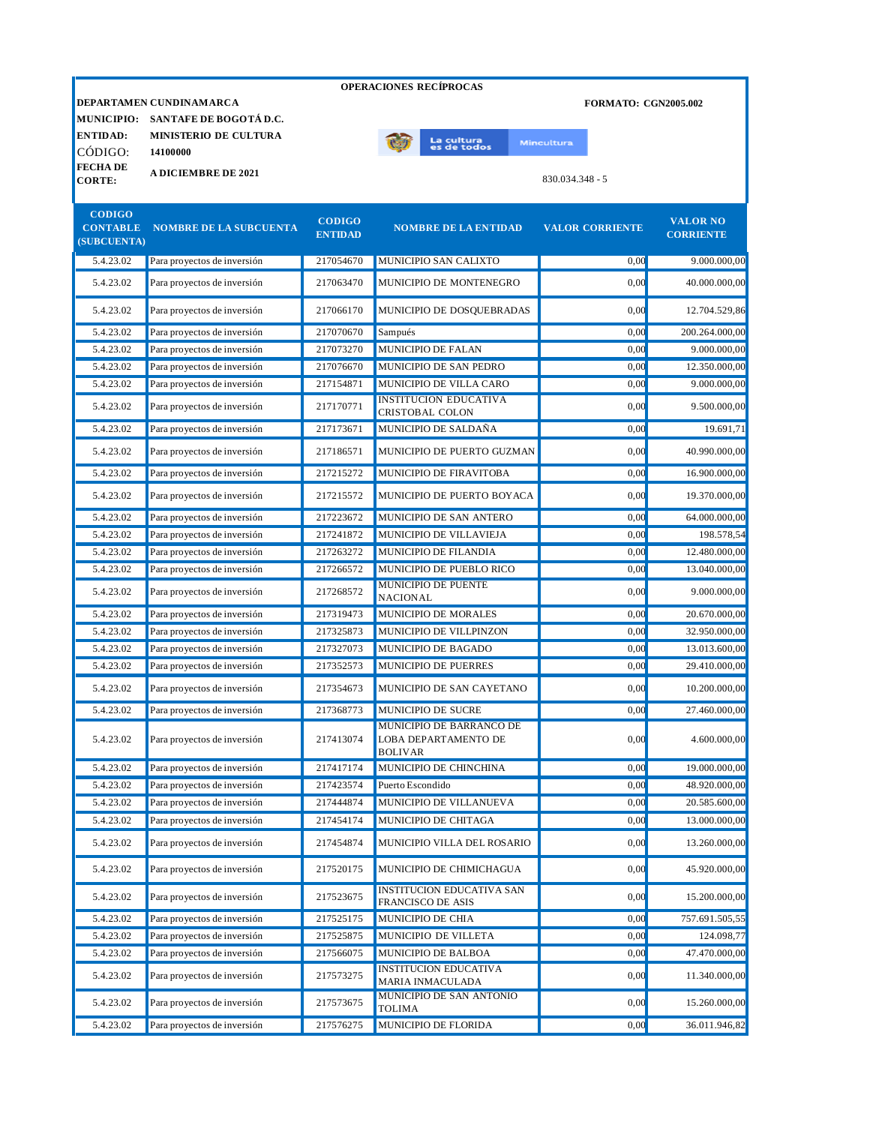|                                  |                                        |                                 | <b>OPERACIONES RECÍPROCAS</b>                                      |                             |                                     |
|----------------------------------|----------------------------------------|---------------------------------|--------------------------------------------------------------------|-----------------------------|-------------------------------------|
|                                  | DEPARTAMEN CUNDINAMARCA                |                                 |                                                                    | <b>FORMATO: CGN2005.002</b> |                                     |
|                                  | MUNICIPIO: SANTAFE DE BOGOTÁ D.C.      |                                 |                                                                    |                             |                                     |
| <b>ENTIDAD:</b>                  | <b>MINISTERIO DE CULTURA</b>           |                                 | La cultura<br>es de todos                                          | <b>Mincultura</b>           |                                     |
| CÓDIGO:                          | 14100000                               |                                 |                                                                    |                             |                                     |
| <b>FECHA DE</b><br><b>CORTE:</b> | <b>A DICIEMBRE DE 2021</b>             |                                 |                                                                    | 830.034.348 - 5             |                                     |
| <b>CODIGO</b><br>(SUBCUENTA)     | <b>CONTABLE NOMBRE DE LA SUBCUENTA</b> | <b>CODIGO</b><br><b>ENTIDAD</b> | <b>NOMBRE DE LA ENTIDAD</b>                                        | <b>VALOR CORRIENTE</b>      | <b>VALOR NO</b><br><b>CORRIENTE</b> |
| 5.4.23.02                        | Para proyectos de inversión            | 217054670                       | MUNICIPIO SAN CALIXTO                                              | 0,00                        | 9.000.000,00                        |
| 5.4.23.02                        | Para proyectos de inversión            | 217063470                       | MUNICIPIO DE MONTENEGRO                                            | 0,00                        | 40.000.000,00                       |
| 5.4.23.02                        | Para proyectos de inversión            | 217066170                       | MUNICIPIO DE DOSQUEBRADAS                                          | 0,00                        | 12.704.529,86                       |
| 5.4.23.02                        | Para proyectos de inversión            | 217070670                       | Sampués                                                            | 0,00                        | 200.264.000,00                      |
| 5.4.23.02                        | Para proyectos de inversión            | 217073270                       | <b>MUNICIPIO DE FALAN</b>                                          | 0.00                        | 9.000.000,00                        |
| 5.4.23.02                        | Para proyectos de inversión            | 217076670                       | MUNICIPIO DE SAN PEDRO                                             | 0.00                        | 12.350.000.00                       |
| 5.4.23.02                        | Para proyectos de inversión            | 217154871                       | MUNICIPIO DE VILLA CARO                                            | 0,00                        | 9.000.000,00                        |
| 5.4.23.02                        | Para proyectos de inversión            | 217170771                       | <b>INSTITUCION EDUCATIVA</b><br><b>CRISTOBAL COLON</b>             | 0,00                        | 9.500.000,00                        |
| 5.4.23.02                        | Para proyectos de inversión            | 217173671                       | MUNICIPIO DE SALDAÑA                                               | 0,00                        | 19.691,71                           |
| 5.4.23.02                        | Para proyectos de inversión            | 217186571                       | MUNICIPIO DE PUERTO GUZMAN                                         | 0,00                        | 40.990.000,00                       |
| 5.4.23.02                        | Para proyectos de inversión            | 217215272                       | MUNICIPIO DE FIRAVITOBA                                            | 0.00                        | 16.900.000.00                       |
| 5.4.23.02                        | Para proyectos de inversión            | 217215572                       | MUNICIPIO DE PUERTO BOYACA                                         | 0,00                        | 19.370.000,00                       |
| 5.4.23.02                        | Para proyectos de inversión            | 217223672                       | MUNICIPIO DE SAN ANTERO                                            | 0,00                        | 64.000.000,00                       |
| 5.4.23.02                        | Para proyectos de inversión            | 217241872                       | MUNICIPIO DE VILLAVIEJA                                            | 0,00                        | 198.578,54                          |
| 5.4.23.02                        | Para proyectos de inversión            | 217263272                       | MUNICIPIO DE FILANDIA                                              | 0.00                        | 12.480.000,00                       |
| 5.4.23.02                        | Para proyectos de inversión            | 217266572                       | MUNICIPIO DE PUEBLO RICO                                           | 0,00                        | 13.040.000,00                       |
| 5.4.23.02                        | Para proyectos de inversión            | 217268572                       | <b>MUNICIPIO DE PUENTE</b><br><b>NACIONAL</b>                      | 0,00                        | 9.000.000,00                        |
| 5.4.23.02                        | Para proyectos de inversión            | 217319473                       | MUNICIPIO DE MORALES                                               | 0,00                        | 20.670.000,00                       |
| 5.4.23.02                        | Para proyectos de inversión            | 217325873                       | MUNICIPIO DE VILLPINZON                                            | 0,00                        | 32.950.000,00                       |
| 5.4.23.02                        | Para proyectos de inversión            | 217327073                       | MUNICIPIO DE BAGADO                                                | 0,00                        | 13.013.600,00                       |
| 5.4.23.02                        | Para proyectos de inversión            | 217352573                       | <b>MUNICIPIO DE PUERRES</b>                                        | 0,00                        | 29.410.000,00                       |
| 5.4.23.02                        | Para proyectos de inversión            | 217354673                       | MUNICIPIO DE SAN CAYETANO                                          | 0,00                        | 10.200.000,00                       |
| 5.4.23.02                        | Para proyectos de inversión            | 217368773                       | MUNICIPIO DE SUCRE                                                 | 0,00                        | 27.460.000,00                       |
| 5.4.23.02                        | Para proyectos de inversión            | 217413074                       | MUNICIPIO DE BARRANCO DE<br>LOBA DEPARTAMENTO DE<br><b>BOLIVAR</b> | 0,00                        | 4.600.000,00                        |
| 5.4.23.02                        | Para proyectos de inversión            | 217417174                       | MUNICIPIO DE CHINCHINA                                             | 0,00                        | 19.000.000,00                       |
| 5.4.23.02                        | Para proyectos de inversión            | 217423574                       | Puerto Escondido                                                   | 0,00                        | 48.920.000,00                       |
| 5.4.23.02                        | Para proyectos de inversión            | 217444874                       | MUNICIPIO DE VILLANUEVA                                            | 0,00                        | 20.585.600,00                       |
| 5.4.23.02                        | Para proyectos de inversión            | 217454174                       | MUNICIPIO DE CHITAGA                                               | 0,00                        | 13.000.000,00                       |
| 5.4.23.02                        | Para proyectos de inversión            | 217454874                       | MUNICIPIO VILLA DEL ROSARIO                                        | 0,00                        | 13.260.000,00                       |
| 5.4.23.02                        | Para proyectos de inversión            | 217520175                       | MUNICIPIO DE CHIMICHAGUA                                           | 0,00                        | 45.920.000,00                       |
| 5.4.23.02                        | Para proyectos de inversión            | 217523675                       | <b>INSTITUCION EDUCATIVA SAN</b><br>FRANCISCO DE ASIS              | 0,00                        | 15.200.000,00                       |
| 5.4.23.02                        | Para proyectos de inversión            | 217525175                       | MUNICIPIO DE CHIA                                                  | 0,00                        | 757.691.505,55                      |

5.4.23.02 Para proyectos de inversión 217525875 MUNICIPIO DE VILLETA 0,00 124.098,77 5.4.23.02 Para proyectos de inversión 217566075 MUNICIPIO DE BALBOA 0,00 47.470.000,00

5.4.23.02 Para proyectos de inversión 217576275 MUNICIPIO DE FLORIDA 0,00 36.011.946,82

MUNICIPIO DE SAN ANTONIO

INSITTUCION EDUCATIVA (UNITED 2000) 0,00 11.340.000,00

MUNICIPIO DE SAN ANTONIO  $0,00$  15.260.000,00<br>TOLIMA  $15.260.000,000$ 

5.4.23.02 Para proyectos de inversión 217573275 INSTITUCION EDUCATIVA

5.4.23.02 Para proyectos de inversión 217573675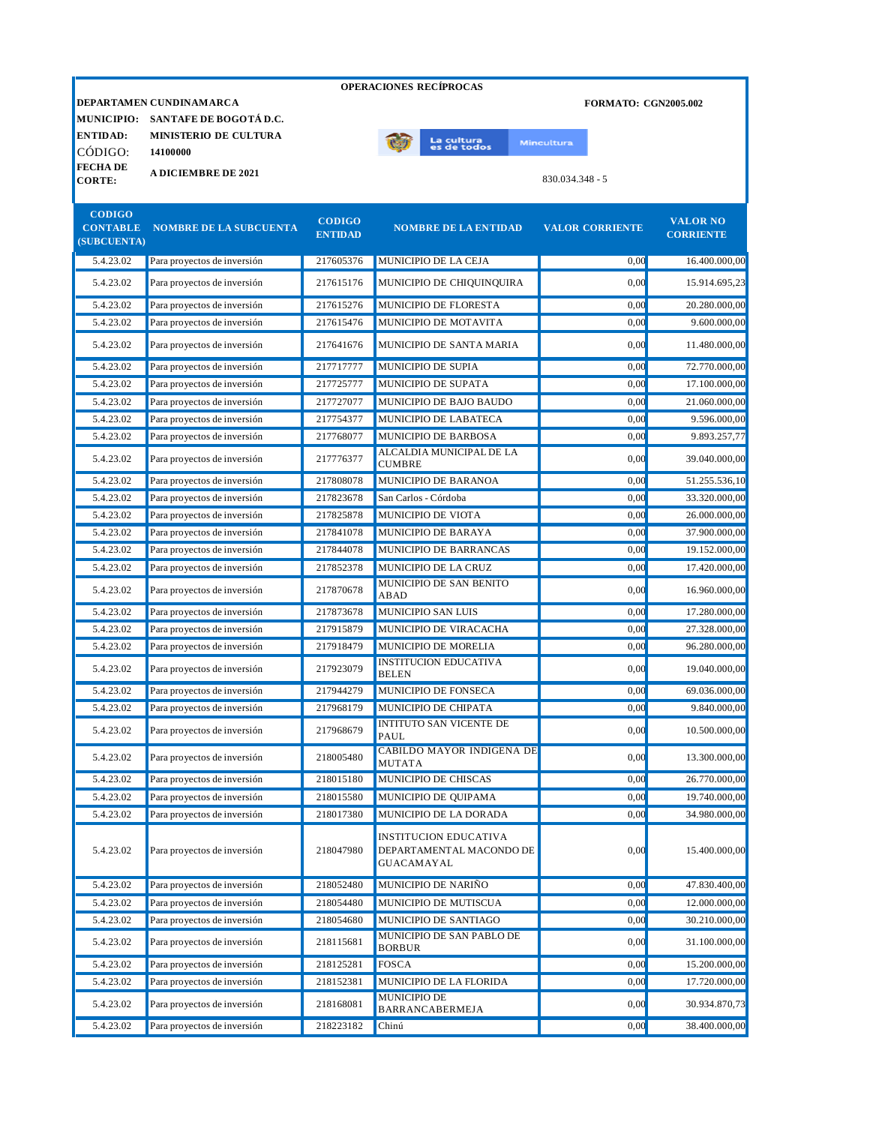|                                | DEPARTAMEN CUNDINAMARCA       |                                 | <b>OPERACIONES RECÍPROCAS</b>                                          | <b>FORMATO: CGN2005.002</b> |                                     |
|--------------------------------|-------------------------------|---------------------------------|------------------------------------------------------------------------|-----------------------------|-------------------------------------|
| <b>MUNICIPIO:</b>              | SANTAFE DE BOGOTÁ D.C.        |                                 |                                                                        |                             |                                     |
| <b>ENTIDAD:</b>                | <b>MINISTERIO DE CULTURA</b>  |                                 |                                                                        |                             |                                     |
| CÓDIGO:                        | 14100000                      |                                 | La cultu <mark>ra</mark><br>es de todos                                | <b>Mincultura</b>           |                                     |
| <b>FECHADE</b>                 | <b>A DICIEMBRE DE 2021</b>    |                                 |                                                                        |                             |                                     |
| <b>CORTE:</b>                  |                               |                                 |                                                                        | 830.034.348 - 5             |                                     |
| <b>CODIGO</b>                  |                               |                                 |                                                                        |                             |                                     |
| <b>CONTABLE</b><br>(SUBCUENTA) | <b>NOMBRE DE LA SUBCUENTA</b> | <b>CODIGO</b><br><b>ENTIDAD</b> | <b>NOMBRE DE LA ENTIDAD</b>                                            | <b>VALOR CORRIENTE</b>      | <b>VALOR NO</b><br><b>CORRIENTE</b> |
| 5.4.23.02                      | Para proyectos de inversión   | 217605376                       | MUNICIPIO DE LA CEJA                                                   | 0,00                        | 16.400.000,00                       |
|                                |                               |                                 |                                                                        |                             |                                     |
| 5.4.23.02                      | Para proyectos de inversión   | 217615176                       | MUNICIPIO DE CHIQUINQUIRA                                              | 0,00                        | 15.914.695,23                       |
| 5.4.23.02                      | Para proyectos de inversión   | 217615276                       | MUNICIPIO DE FLORESTA                                                  | 0,00                        | 20.280.000,00                       |
| 5.4.23.02                      | Para proyectos de inversión   | 217615476                       | MUNICIPIO DE MOTAVITA                                                  | 0.00                        | 9.600.000,00                        |
| 5.4.23.02                      | Para proyectos de inversión   | 217641676                       | MUNICIPIO DE SANTA MARIA                                               | 0.00                        | 11.480.000,00                       |
| 5.4.23.02                      | Para proyectos de inversión   | 217717777                       | MUNICIPIO DE SUPIA                                                     | 0,00                        | 72.770.000,00                       |
| 5.4.23.02                      | Para proyectos de inversión   | 217725777                       | MUNICIPIO DE SUPATA                                                    | 0.00                        | 17.100.000,00                       |
| 5.4.23.02                      | Para proyectos de inversión   | 217727077                       | MUNICIPIO DE BAJO BAUDO                                                | 0.00                        | 21.060.000,00                       |
| 5.4.23.02                      | Para proyectos de inversión   | 217754377                       | MUNICIPIO DE LABATECA                                                  | 0.00                        | 9.596.000,00                        |
| 5.4.23.02                      | Para proyectos de inversión   | 217768077                       | MUNICIPIO DE BARBOSA                                                   | 0,00                        | 9.893.257,77                        |
| 5.4.23.02                      | Para proyectos de inversión   | 217776377                       | ALCALDIA MUNICIPAL DE LA<br><b>CUMBRE</b>                              | 0.00                        | 39.040.000,00                       |
| 5.4.23.02                      | Para proyectos de inversión   | 217808078                       | MUNICIPIO DE BARANOA                                                   | 0,00                        | 51.255.536,10                       |
| 5.4.23.02                      | Para proyectos de inversión   | 217823678                       | San Carlos - Córdoba                                                   | 0.00                        | 33.320.000,00                       |
| 5.4.23.02                      | Para proyectos de inversión   | 217825878                       | MUNICIPIO DE VIOTA                                                     | 0.00                        | 26.000.000,00                       |
| 5.4.23.02                      | Para proyectos de inversión   | 217841078                       | MUNICIPIO DE BARAYA                                                    | 0,00                        | 37.900.000,00                       |
| 5.4.23.02                      | Para proyectos de inversión   | 217844078                       | MUNICIPIO DE BARRANCAS                                                 | 0,00                        | 19.152.000,00                       |
| 5.4.23.02                      | Para proyectos de inversión   | 217852378                       | MUNICIPIO DE LA CRUZ                                                   | 0,00                        | 17.420.000,00                       |
| 5.4.23.02                      | Para proyectos de inversión   | 217870678                       | MUNICIPIO DE SAN BENITO<br>ABAD                                        | 0.00                        | 16.960.000,00                       |
| 5.4.23.02                      | Para proyectos de inversión   | 217873678                       | <b>MUNICIPIO SAN LUIS</b>                                              | 0,00                        | 17.280.000,00                       |
| 5.4.23.02                      | Para proyectos de inversión   | 217915879                       | MUNICIPIO DE VIRACACHA                                                 | 0,00                        | 27.328.000,00                       |
| 5.4.23.02                      | Para proyectos de inversión   | 217918479                       | <b>MUNICIPIO DE MORELIA</b>                                            | 0.00                        | 96.280.000.00                       |
| 5.4.23.02                      | Para proyectos de inversión   | 217923079                       | <b>INSTITUCION EDUCATIVA</b><br><b>BELEN</b>                           | 0.00                        | 19.040.000.00                       |
| 5.4.23.02                      | Para proyectos de inversión   | 217944279                       | MUNICIPIO DE FONSECA                                                   | 0.00                        | 69.036.000.00                       |
| 5.4.23.02                      | Para proyectos de inversión   | 217968179                       | MUNICIPIO DE CHIPATA                                                   | 0,00                        | 9.840.000,00                        |
| 5.4.23.02                      | Para proyectos de inversión   | 217968679                       | <b>INTITUTO SAN VICENTE DE</b><br>PAUL                                 | 0,00                        | 10.500.000,00                       |
| 5.4.23.02                      | Para proyectos de inversión   | 218005480                       | <b>CABILDO MAYOR INDIGENA DE</b><br>MUTATA                             | 0,00                        | 13.300.000,00                       |
| 5.4.23.02                      | Para proyectos de inversión   | 218015180                       | MUNICIPIO DE CHISCAS                                                   | 0,00                        | 26.770.000,00                       |
| 5.4.23.02                      | Para proyectos de inversión   | 218015580                       | MUNICIPIO DE QUIPAMA                                                   | 0,00                        | 19.740.000,00                       |
| 5.4.23.02                      | Para proyectos de inversión   | 218017380                       | MUNICIPIO DE LA DORADA                                                 | 0,00                        | 34.980.000,00                       |
| 5.4.23.02                      | Para proyectos de inversión   | 218047980                       | <b>INSTITUCION EDUCATIVA</b><br>DEPARTAMENTAL MACONDO DE<br>GUACAMAYAL | 0,00                        | 15.400.000,00                       |
| 5.4.23.02                      | Para proyectos de inversión   | 218052480                       | MUNICIPIO DE NARIÑO                                                    | 0,00                        | 47.830.400,00                       |
| 5.4.23.02                      | Para proyectos de inversión   | 218054480                       | MUNICIPIO DE MUTISCUA                                                  | 0,00                        | 12.000.000,00                       |
| 5.4.23.02                      | Para proyectos de inversión   | 218054680                       | MUNICIPIO DE SANTIAGO                                                  | 0,00                        | 30.210.000,00                       |
| 5.4.23.02                      | Para proyectos de inversión   | 218115681                       | MUNICIPIO DE SAN PABLO DE<br><b>BORBUR</b>                             | 0,00                        | 31.100.000,00                       |
| 5.4.23.02                      | Para proyectos de inversión   | 218125281                       | <b>FOSCA</b>                                                           | 0,00                        | 15.200.000,00                       |

5.4.23.02 Para proyectos de inversión 218152381 MUNICIPIO DE LA FLORIDA 0,00 17.720.000,00

MUNICIPIO DE

5.4.23.02 Para proyectos de inversión 218223182 Chinú 0,00 38.400.000,00

BARRANCABERMEJA 0,00 30.934.870,73

5.4.23.02 Para proyectos de inversión 218168081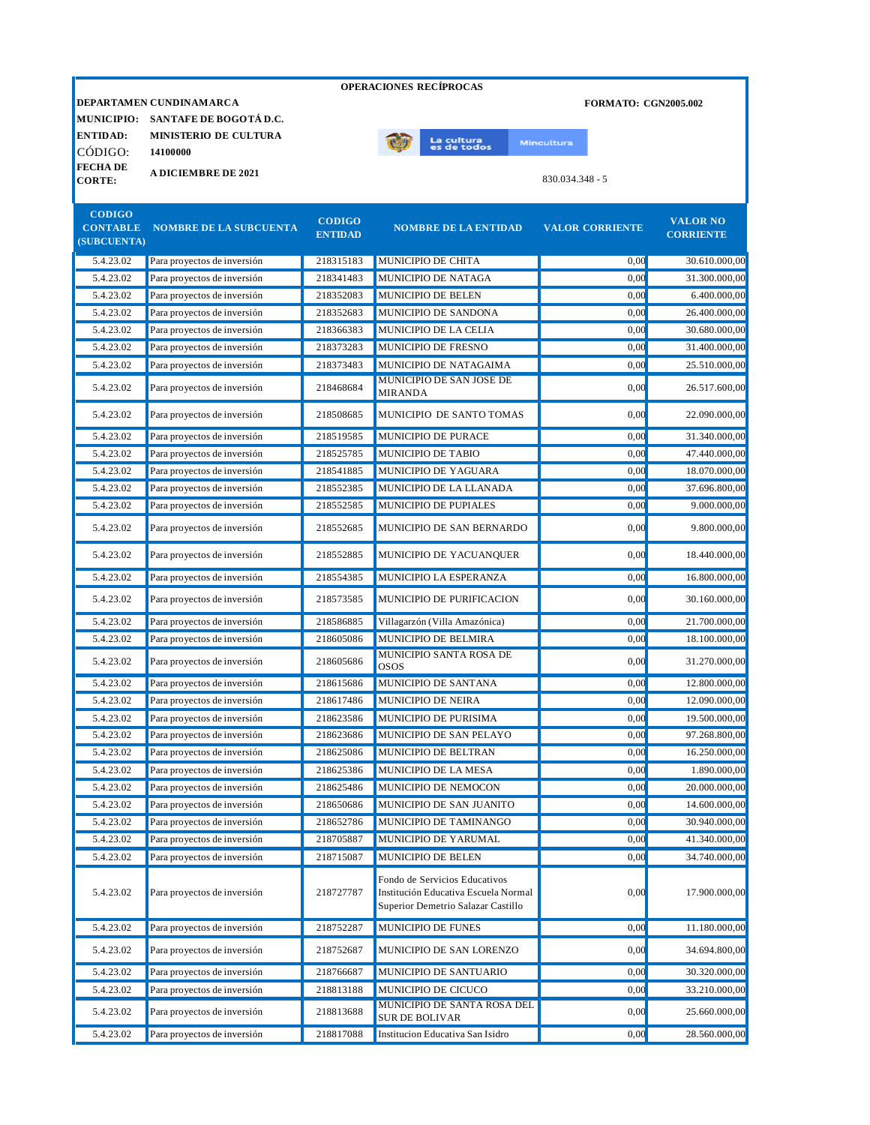| <b>DEPARTAMEN CUNDINAMARCA</b><br><b>FORMATO: CGN2005.002</b><br><b>MUNICIPIO:</b><br>SANTAFE DE BOGOTÁ D.C.<br><b>MINISTERIO DE CULTURA</b><br>La cultura<br>es de todos<br><b>Mincultura</b><br>CÓDIGO:<br>14100000<br><b>FECHADE</b><br><b>A DICIEMBRE DE 2021</b><br>$830.034.348 - 5$<br><b>CORTE:</b><br><b>CODIGO</b><br><b>CODIGO</b><br><b>VALOR NO</b><br><b>CONTABLE</b><br><b>NOMBRE DE LA SUBCUENTA</b><br><b>NOMBRE DE LA ENTIDAD</b><br><b>VALOR CORRIENTE</b><br><b>CORRIENTE</b><br><b>ENTIDAD</b><br>(SUBCUENTA)<br>5.4.23.02<br>Para proyectos de inversión<br>MUNICIPIO DE CHITA<br>0,00<br>30.610.000,00<br>218315183<br>0,00<br>5.4.23.02<br>Para proyectos de inversión<br>218341483<br>MUNICIPIO DE NATAGA<br>31.300.000,00<br>5.4.23.02<br>Para proyectos de inversión<br>218352083<br>MUNICIPIO DE BELEN<br>0,00<br>6.400.000,00<br>0,00<br>5.4.23.02<br>Para proyectos de inversión<br>218352683<br>MUNICIPIO DE SANDONA<br>26.400.000,00<br>5.4.23.02<br>Para proyectos de inversión<br>218366383<br>MUNICIPIO DE LA CELIA<br>0,00<br>30.680.000,00<br>5.4.23.02<br>MUNICIPIO DE FRESNO<br>Para proyectos de inversión<br>218373283<br>0,00<br>31.400.000,00<br>5.4.23.02<br>Para proyectos de inversión<br>218373483<br>MUNICIPIO DE NATAGAIMA<br>0,00<br>25.510.000.00<br>MUNICIPIO DE SAN JOSE DE<br>5.4.23.02<br>Para proyectos de inversión<br>218468684<br>0,00<br>26.517.600,00<br><b>MIRANDA</b><br>5.4.23.02<br>Para proyectos de inversión<br>218508685<br>MUNICIPIO DE SANTO TOMAS<br>0,00<br>22.090.000,00<br>5.4.23.02<br>MUNICIPIO DE PURACE<br>0,00<br>Para proyectos de inversión<br>218519585<br>31.340.000,00<br>5.4.23.02<br>MUNICIPIO DE TABIO<br>0,00<br>Para proyectos de inversión<br>218525785<br>47.440.000.00<br>5.4.23.02<br>MUNICIPIO DE YAGUARA<br>0,00<br>18.070.000,00<br>Para proyectos de inversión<br>218541885<br>MUNICIPIO DE LA LLANADA<br>0,00<br>5.4.23.02<br>Para provectos de inversión<br>218552385<br>37.696.800,00<br>MUNICIPIO DE PUPIALES<br>0,00<br>5.4.23.02<br>Para proyectos de inversión<br>218552585<br>9.000.000,00<br>5.4.23.02<br>218552685<br>MUNICIPIO DE SAN BERNARDO<br>0,00<br>9.800.000,00<br>Para proyectos de inversión<br>0,00<br>18.440.000,00<br>5.4.23.02<br>Para proyectos de inversión<br>218552885<br>MUNICIPIO DE YACUANQUER<br>5.4.23.02<br>218554385<br>MUNICIPIO LA ESPERANZA<br>0,00<br>Para proyectos de inversión<br>16.800.000,00<br>5.4.23.02<br>MUNICIPIO DE PURIFICACION<br>0,00<br>30.160.000,00<br>Para proyectos de inversión<br>218573585<br>5.4.23.02<br>Para proyectos de inversión<br>218586885<br>Villagarzón (Villa Amazónica)<br>0,00<br>21.700.000,00<br>5.4.23.02<br>218605086<br>MUNICIPIO DE BELMIRA<br>Para proyectos de inversión<br>0,00<br>18.100.000,00<br>MUNICIPIO SANTA ROSA DE<br>5.4.23.02<br>Para proyectos de inversión<br>218605686<br>0,00<br>31.270.000,00<br><b>OSOS</b><br>5.4.23.02<br>Para proyectos de inversión<br>218615686<br>MUNICIPIO DE SANTANA<br>0,00<br>12.800.000,00<br><b>MUNICIPIO DE NEIRA</b><br>5.4.23.02<br>218617486<br>0,00<br>12.090.000,00<br>Para proyectos de inversión<br>5.4.23.02<br>Para proyectos de inversión<br>218623586<br>MUNICIPIO DE PURISIMA<br>0,00<br>19.500.000,00<br>0,00<br>5.4.23.02<br>MUNICIPIO DE SAN PELAYO<br>97.268.800,00<br>Para proyectos de inversión<br>218623686<br>5.4.23.02<br>Para proyectos de inversión<br>MUNICIPIO DE BELTRAN<br>16.250.000,00<br>218625086<br>0,00<br>5.4.23.02<br>Para proyectos de inversión<br>MUNICIPIO DE LA MESA<br>0,00<br>218625386<br>1.890.000,00<br>5.4.23.02<br>Para proyectos de inversión<br>MUNICIPIO DE NEMOCON<br>0,00<br>218625486<br>20.000.000,00<br>5.4.23.02<br>Para proyectos de inversión<br>218650686<br>MUNICIPIO DE SAN JUANITO<br>0,00<br>14.600.000,00<br>5.4.23.02<br>Para proyectos de inversión<br>218652786<br>MUNICIPIO DE TAMINANGO<br>0,00<br>30.940.000,00<br>MUNICIPIO DE YARUMAL<br>5.4.23.02<br>Para proyectos de inversión<br>218705887<br>0,00<br>41.340.000,00<br>MUNICIPIO DE BELEN<br>5.4.23.02<br>Para proyectos de inversión<br>218715087<br>0,00<br>34.740.000,00<br>Fondo de Servicios Educativos<br>5.4.23.02<br>218727787<br>Institución Educativa Escuela Normal<br>0,00<br>Para proyectos de inversión<br>Superior Demetrio Salazar Castillo<br>MUNICIPIO DE FUNES<br>5.4.23.02<br>Para proyectos de inversión<br>218752287<br>0,00<br>11.180.000,00<br>5.4.23.02<br>Para proyectos de inversión<br>218752687<br>MUNICIPIO DE SAN LORENZO<br>0,00<br>34.694.800,00<br>5.4.23.02<br>Para proyectos de inversión<br>MUNICIPIO DE SANTUARIO<br>30.320.000,00<br>218766687<br>0,00<br>5.4.23.02<br>Para proyectos de inversión<br>218813188<br>MUNICIPIO DE CICUCO<br>33.210.000,00<br>0,00<br>MUNICIPIO DE SANTA ROSA DEL<br>5.4.23.02<br>Para proyectos de inversión<br>218813688<br>0,00<br>25.660.000,00<br><b>SUR DE BOLIVAR</b> |                 |  | <b>OPERACIONES RECÍPROCAS</b> |  |
|--------------------------------------------------------------------------------------------------------------------------------------------------------------------------------------------------------------------------------------------------------------------------------------------------------------------------------------------------------------------------------------------------------------------------------------------------------------------------------------------------------------------------------------------------------------------------------------------------------------------------------------------------------------------------------------------------------------------------------------------------------------------------------------------------------------------------------------------------------------------------------------------------------------------------------------------------------------------------------------------------------------------------------------------------------------------------------------------------------------------------------------------------------------------------------------------------------------------------------------------------------------------------------------------------------------------------------------------------------------------------------------------------------------------------------------------------------------------------------------------------------------------------------------------------------------------------------------------------------------------------------------------------------------------------------------------------------------------------------------------------------------------------------------------------------------------------------------------------------------------------------------------------------------------------------------------------------------------------------------------------------------------------------------------------------------------------------------------------------------------------------------------------------------------------------------------------------------------------------------------------------------------------------------------------------------------------------------------------------------------------------------------------------------------------------------------------------------------------------------------------------------------------------------------------------------------------------------------------------------------------------------------------------------------------------------------------------------------------------------------------------------------------------------------------------------------------------------------------------------------------------------------------------------------------------------------------------------------------------------------------------------------------------------------------------------------------------------------------------------------------------------------------------------------------------------------------------------------------------------------------------------------------------------------------------------------------------------------------------------------------------------------------------------------------------------------------------------------------------------------------------------------------------------------------------------------------------------------------------------------------------------------------------------------------------------------------------------------------------------------------------------------------------------------------------------------------------------------------------------------------------------------------------------------------------------------------------------------------------------------------------------------------------------------------------------------------------------------------------------------------------------------------------------------------------------------------------------------------------------------------------------------------------------------------------------------------------------------------------------------------------------------------------------------------------------------------------------------------------------------------------------------------------------------------------------------------------------------------------------------------------------------------------------------------------------------------------------------------------------------------------------------------------------------------------------------------------------------------------------------------------------------------------------------|-----------------|--|-------------------------------|--|
|                                                                                                                                                                                                                                                                                                                                                                                                                                                                                                                                                                                                                                                                                                                                                                                                                                                                                                                                                                                                                                                                                                                                                                                                                                                                                                                                                                                                                                                                                                                                                                                                                                                                                                                                                                                                                                                                                                                                                                                                                                                                                                                                                                                                                                                                                                                                                                                                                                                                                                                                                                                                                                                                                                                                                                                                                                                                                                                                                                                                                                                                                                                                                                                                                                                                                                                                                                                                                                                                                                                                                                                                                                                                                                                                                                                                                                                                                                                                                                                                                                                                                                                                                                                                                                                                                                                                                                                                                                                                                                                                                                                                                                                                                                                                                                                                                                                                                                                    |                 |  |                               |  |
|                                                                                                                                                                                                                                                                                                                                                                                                                                                                                                                                                                                                                                                                                                                                                                                                                                                                                                                                                                                                                                                                                                                                                                                                                                                                                                                                                                                                                                                                                                                                                                                                                                                                                                                                                                                                                                                                                                                                                                                                                                                                                                                                                                                                                                                                                                                                                                                                                                                                                                                                                                                                                                                                                                                                                                                                                                                                                                                                                                                                                                                                                                                                                                                                                                                                                                                                                                                                                                                                                                                                                                                                                                                                                                                                                                                                                                                                                                                                                                                                                                                                                                                                                                                                                                                                                                                                                                                                                                                                                                                                                                                                                                                                                                                                                                                                                                                                                                                    |                 |  |                               |  |
|                                                                                                                                                                                                                                                                                                                                                                                                                                                                                                                                                                                                                                                                                                                                                                                                                                                                                                                                                                                                                                                                                                                                                                                                                                                                                                                                                                                                                                                                                                                                                                                                                                                                                                                                                                                                                                                                                                                                                                                                                                                                                                                                                                                                                                                                                                                                                                                                                                                                                                                                                                                                                                                                                                                                                                                                                                                                                                                                                                                                                                                                                                                                                                                                                                                                                                                                                                                                                                                                                                                                                                                                                                                                                                                                                                                                                                                                                                                                                                                                                                                                                                                                                                                                                                                                                                                                                                                                                                                                                                                                                                                                                                                                                                                                                                                                                                                                                                                    | <b>ENTIDAD:</b> |  |                               |  |
|                                                                                                                                                                                                                                                                                                                                                                                                                                                                                                                                                                                                                                                                                                                                                                                                                                                                                                                                                                                                                                                                                                                                                                                                                                                                                                                                                                                                                                                                                                                                                                                                                                                                                                                                                                                                                                                                                                                                                                                                                                                                                                                                                                                                                                                                                                                                                                                                                                                                                                                                                                                                                                                                                                                                                                                                                                                                                                                                                                                                                                                                                                                                                                                                                                                                                                                                                                                                                                                                                                                                                                                                                                                                                                                                                                                                                                                                                                                                                                                                                                                                                                                                                                                                                                                                                                                                                                                                                                                                                                                                                                                                                                                                                                                                                                                                                                                                                                                    |                 |  |                               |  |
|                                                                                                                                                                                                                                                                                                                                                                                                                                                                                                                                                                                                                                                                                                                                                                                                                                                                                                                                                                                                                                                                                                                                                                                                                                                                                                                                                                                                                                                                                                                                                                                                                                                                                                                                                                                                                                                                                                                                                                                                                                                                                                                                                                                                                                                                                                                                                                                                                                                                                                                                                                                                                                                                                                                                                                                                                                                                                                                                                                                                                                                                                                                                                                                                                                                                                                                                                                                                                                                                                                                                                                                                                                                                                                                                                                                                                                                                                                                                                                                                                                                                                                                                                                                                                                                                                                                                                                                                                                                                                                                                                                                                                                                                                                                                                                                                                                                                                                                    |                 |  |                               |  |
|                                                                                                                                                                                                                                                                                                                                                                                                                                                                                                                                                                                                                                                                                                                                                                                                                                                                                                                                                                                                                                                                                                                                                                                                                                                                                                                                                                                                                                                                                                                                                                                                                                                                                                                                                                                                                                                                                                                                                                                                                                                                                                                                                                                                                                                                                                                                                                                                                                                                                                                                                                                                                                                                                                                                                                                                                                                                                                                                                                                                                                                                                                                                                                                                                                                                                                                                                                                                                                                                                                                                                                                                                                                                                                                                                                                                                                                                                                                                                                                                                                                                                                                                                                                                                                                                                                                                                                                                                                                                                                                                                                                                                                                                                                                                                                                                                                                                                                                    |                 |  |                               |  |
|                                                                                                                                                                                                                                                                                                                                                                                                                                                                                                                                                                                                                                                                                                                                                                                                                                                                                                                                                                                                                                                                                                                                                                                                                                                                                                                                                                                                                                                                                                                                                                                                                                                                                                                                                                                                                                                                                                                                                                                                                                                                                                                                                                                                                                                                                                                                                                                                                                                                                                                                                                                                                                                                                                                                                                                                                                                                                                                                                                                                                                                                                                                                                                                                                                                                                                                                                                                                                                                                                                                                                                                                                                                                                                                                                                                                                                                                                                                                                                                                                                                                                                                                                                                                                                                                                                                                                                                                                                                                                                                                                                                                                                                                                                                                                                                                                                                                                                                    |                 |  |                               |  |
|                                                                                                                                                                                                                                                                                                                                                                                                                                                                                                                                                                                                                                                                                                                                                                                                                                                                                                                                                                                                                                                                                                                                                                                                                                                                                                                                                                                                                                                                                                                                                                                                                                                                                                                                                                                                                                                                                                                                                                                                                                                                                                                                                                                                                                                                                                                                                                                                                                                                                                                                                                                                                                                                                                                                                                                                                                                                                                                                                                                                                                                                                                                                                                                                                                                                                                                                                                                                                                                                                                                                                                                                                                                                                                                                                                                                                                                                                                                                                                                                                                                                                                                                                                                                                                                                                                                                                                                                                                                                                                                                                                                                                                                                                                                                                                                                                                                                                                                    |                 |  |                               |  |
| 17.900.000,00                                                                                                                                                                                                                                                                                                                                                                                                                                                                                                                                                                                                                                                                                                                                                                                                                                                                                                                                                                                                                                                                                                                                                                                                                                                                                                                                                                                                                                                                                                                                                                                                                                                                                                                                                                                                                                                                                                                                                                                                                                                                                                                                                                                                                                                                                                                                                                                                                                                                                                                                                                                                                                                                                                                                                                                                                                                                                                                                                                                                                                                                                                                                                                                                                                                                                                                                                                                                                                                                                                                                                                                                                                                                                                                                                                                                                                                                                                                                                                                                                                                                                                                                                                                                                                                                                                                                                                                                                                                                                                                                                                                                                                                                                                                                                                                                                                                                                                      |                 |  |                               |  |
|                                                                                                                                                                                                                                                                                                                                                                                                                                                                                                                                                                                                                                                                                                                                                                                                                                                                                                                                                                                                                                                                                                                                                                                                                                                                                                                                                                                                                                                                                                                                                                                                                                                                                                                                                                                                                                                                                                                                                                                                                                                                                                                                                                                                                                                                                                                                                                                                                                                                                                                                                                                                                                                                                                                                                                                                                                                                                                                                                                                                                                                                                                                                                                                                                                                                                                                                                                                                                                                                                                                                                                                                                                                                                                                                                                                                                                                                                                                                                                                                                                                                                                                                                                                                                                                                                                                                                                                                                                                                                                                                                                                                                                                                                                                                                                                                                                                                                                                    |                 |  |                               |  |
|                                                                                                                                                                                                                                                                                                                                                                                                                                                                                                                                                                                                                                                                                                                                                                                                                                                                                                                                                                                                                                                                                                                                                                                                                                                                                                                                                                                                                                                                                                                                                                                                                                                                                                                                                                                                                                                                                                                                                                                                                                                                                                                                                                                                                                                                                                                                                                                                                                                                                                                                                                                                                                                                                                                                                                                                                                                                                                                                                                                                                                                                                                                                                                                                                                                                                                                                                                                                                                                                                                                                                                                                                                                                                                                                                                                                                                                                                                                                                                                                                                                                                                                                                                                                                                                                                                                                                                                                                                                                                                                                                                                                                                                                                                                                                                                                                                                                                                                    |                 |  |                               |  |
|                                                                                                                                                                                                                                                                                                                                                                                                                                                                                                                                                                                                                                                                                                                                                                                                                                                                                                                                                                                                                                                                                                                                                                                                                                                                                                                                                                                                                                                                                                                                                                                                                                                                                                                                                                                                                                                                                                                                                                                                                                                                                                                                                                                                                                                                                                                                                                                                                                                                                                                                                                                                                                                                                                                                                                                                                                                                                                                                                                                                                                                                                                                                                                                                                                                                                                                                                                                                                                                                                                                                                                                                                                                                                                                                                                                                                                                                                                                                                                                                                                                                                                                                                                                                                                                                                                                                                                                                                                                                                                                                                                                                                                                                                                                                                                                                                                                                                                                    |                 |  |                               |  |
|                                                                                                                                                                                                                                                                                                                                                                                                                                                                                                                                                                                                                                                                                                                                                                                                                                                                                                                                                                                                                                                                                                                                                                                                                                                                                                                                                                                                                                                                                                                                                                                                                                                                                                                                                                                                                                                                                                                                                                                                                                                                                                                                                                                                                                                                                                                                                                                                                                                                                                                                                                                                                                                                                                                                                                                                                                                                                                                                                                                                                                                                                                                                                                                                                                                                                                                                                                                                                                                                                                                                                                                                                                                                                                                                                                                                                                                                                                                                                                                                                                                                                                                                                                                                                                                                                                                                                                                                                                                                                                                                                                                                                                                                                                                                                                                                                                                                                                                    |                 |  |                               |  |
|                                                                                                                                                                                                                                                                                                                                                                                                                                                                                                                                                                                                                                                                                                                                                                                                                                                                                                                                                                                                                                                                                                                                                                                                                                                                                                                                                                                                                                                                                                                                                                                                                                                                                                                                                                                                                                                                                                                                                                                                                                                                                                                                                                                                                                                                                                                                                                                                                                                                                                                                                                                                                                                                                                                                                                                                                                                                                                                                                                                                                                                                                                                                                                                                                                                                                                                                                                                                                                                                                                                                                                                                                                                                                                                                                                                                                                                                                                                                                                                                                                                                                                                                                                                                                                                                                                                                                                                                                                                                                                                                                                                                                                                                                                                                                                                                                                                                                                                    |                 |  |                               |  |
|                                                                                                                                                                                                                                                                                                                                                                                                                                                                                                                                                                                                                                                                                                                                                                                                                                                                                                                                                                                                                                                                                                                                                                                                                                                                                                                                                                                                                                                                                                                                                                                                                                                                                                                                                                                                                                                                                                                                                                                                                                                                                                                                                                                                                                                                                                                                                                                                                                                                                                                                                                                                                                                                                                                                                                                                                                                                                                                                                                                                                                                                                                                                                                                                                                                                                                                                                                                                                                                                                                                                                                                                                                                                                                                                                                                                                                                                                                                                                                                                                                                                                                                                                                                                                                                                                                                                                                                                                                                                                                                                                                                                                                                                                                                                                                                                                                                                                                                    |                 |  |                               |  |
|                                                                                                                                                                                                                                                                                                                                                                                                                                                                                                                                                                                                                                                                                                                                                                                                                                                                                                                                                                                                                                                                                                                                                                                                                                                                                                                                                                                                                                                                                                                                                                                                                                                                                                                                                                                                                                                                                                                                                                                                                                                                                                                                                                                                                                                                                                                                                                                                                                                                                                                                                                                                                                                                                                                                                                                                                                                                                                                                                                                                                                                                                                                                                                                                                                                                                                                                                                                                                                                                                                                                                                                                                                                                                                                                                                                                                                                                                                                                                                                                                                                                                                                                                                                                                                                                                                                                                                                                                                                                                                                                                                                                                                                                                                                                                                                                                                                                                                                    |                 |  |                               |  |
|                                                                                                                                                                                                                                                                                                                                                                                                                                                                                                                                                                                                                                                                                                                                                                                                                                                                                                                                                                                                                                                                                                                                                                                                                                                                                                                                                                                                                                                                                                                                                                                                                                                                                                                                                                                                                                                                                                                                                                                                                                                                                                                                                                                                                                                                                                                                                                                                                                                                                                                                                                                                                                                                                                                                                                                                                                                                                                                                                                                                                                                                                                                                                                                                                                                                                                                                                                                                                                                                                                                                                                                                                                                                                                                                                                                                                                                                                                                                                                                                                                                                                                                                                                                                                                                                                                                                                                                                                                                                                                                                                                                                                                                                                                                                                                                                                                                                                                                    |                 |  |                               |  |
|                                                                                                                                                                                                                                                                                                                                                                                                                                                                                                                                                                                                                                                                                                                                                                                                                                                                                                                                                                                                                                                                                                                                                                                                                                                                                                                                                                                                                                                                                                                                                                                                                                                                                                                                                                                                                                                                                                                                                                                                                                                                                                                                                                                                                                                                                                                                                                                                                                                                                                                                                                                                                                                                                                                                                                                                                                                                                                                                                                                                                                                                                                                                                                                                                                                                                                                                                                                                                                                                                                                                                                                                                                                                                                                                                                                                                                                                                                                                                                                                                                                                                                                                                                                                                                                                                                                                                                                                                                                                                                                                                                                                                                                                                                                                                                                                                                                                                                                    |                 |  |                               |  |
|                                                                                                                                                                                                                                                                                                                                                                                                                                                                                                                                                                                                                                                                                                                                                                                                                                                                                                                                                                                                                                                                                                                                                                                                                                                                                                                                                                                                                                                                                                                                                                                                                                                                                                                                                                                                                                                                                                                                                                                                                                                                                                                                                                                                                                                                                                                                                                                                                                                                                                                                                                                                                                                                                                                                                                                                                                                                                                                                                                                                                                                                                                                                                                                                                                                                                                                                                                                                                                                                                                                                                                                                                                                                                                                                                                                                                                                                                                                                                                                                                                                                                                                                                                                                                                                                                                                                                                                                                                                                                                                                                                                                                                                                                                                                                                                                                                                                                                                    |                 |  |                               |  |
|                                                                                                                                                                                                                                                                                                                                                                                                                                                                                                                                                                                                                                                                                                                                                                                                                                                                                                                                                                                                                                                                                                                                                                                                                                                                                                                                                                                                                                                                                                                                                                                                                                                                                                                                                                                                                                                                                                                                                                                                                                                                                                                                                                                                                                                                                                                                                                                                                                                                                                                                                                                                                                                                                                                                                                                                                                                                                                                                                                                                                                                                                                                                                                                                                                                                                                                                                                                                                                                                                                                                                                                                                                                                                                                                                                                                                                                                                                                                                                                                                                                                                                                                                                                                                                                                                                                                                                                                                                                                                                                                                                                                                                                                                                                                                                                                                                                                                                                    |                 |  |                               |  |
|                                                                                                                                                                                                                                                                                                                                                                                                                                                                                                                                                                                                                                                                                                                                                                                                                                                                                                                                                                                                                                                                                                                                                                                                                                                                                                                                                                                                                                                                                                                                                                                                                                                                                                                                                                                                                                                                                                                                                                                                                                                                                                                                                                                                                                                                                                                                                                                                                                                                                                                                                                                                                                                                                                                                                                                                                                                                                                                                                                                                                                                                                                                                                                                                                                                                                                                                                                                                                                                                                                                                                                                                                                                                                                                                                                                                                                                                                                                                                                                                                                                                                                                                                                                                                                                                                                                                                                                                                                                                                                                                                                                                                                                                                                                                                                                                                                                                                                                    |                 |  |                               |  |
|                                                                                                                                                                                                                                                                                                                                                                                                                                                                                                                                                                                                                                                                                                                                                                                                                                                                                                                                                                                                                                                                                                                                                                                                                                                                                                                                                                                                                                                                                                                                                                                                                                                                                                                                                                                                                                                                                                                                                                                                                                                                                                                                                                                                                                                                                                                                                                                                                                                                                                                                                                                                                                                                                                                                                                                                                                                                                                                                                                                                                                                                                                                                                                                                                                                                                                                                                                                                                                                                                                                                                                                                                                                                                                                                                                                                                                                                                                                                                                                                                                                                                                                                                                                                                                                                                                                                                                                                                                                                                                                                                                                                                                                                                                                                                                                                                                                                                                                    |                 |  |                               |  |
|                                                                                                                                                                                                                                                                                                                                                                                                                                                                                                                                                                                                                                                                                                                                                                                                                                                                                                                                                                                                                                                                                                                                                                                                                                                                                                                                                                                                                                                                                                                                                                                                                                                                                                                                                                                                                                                                                                                                                                                                                                                                                                                                                                                                                                                                                                                                                                                                                                                                                                                                                                                                                                                                                                                                                                                                                                                                                                                                                                                                                                                                                                                                                                                                                                                                                                                                                                                                                                                                                                                                                                                                                                                                                                                                                                                                                                                                                                                                                                                                                                                                                                                                                                                                                                                                                                                                                                                                                                                                                                                                                                                                                                                                                                                                                                                                                                                                                                                    |                 |  |                               |  |
|                                                                                                                                                                                                                                                                                                                                                                                                                                                                                                                                                                                                                                                                                                                                                                                                                                                                                                                                                                                                                                                                                                                                                                                                                                                                                                                                                                                                                                                                                                                                                                                                                                                                                                                                                                                                                                                                                                                                                                                                                                                                                                                                                                                                                                                                                                                                                                                                                                                                                                                                                                                                                                                                                                                                                                                                                                                                                                                                                                                                                                                                                                                                                                                                                                                                                                                                                                                                                                                                                                                                                                                                                                                                                                                                                                                                                                                                                                                                                                                                                                                                                                                                                                                                                                                                                                                                                                                                                                                                                                                                                                                                                                                                                                                                                                                                                                                                                                                    |                 |  |                               |  |
|                                                                                                                                                                                                                                                                                                                                                                                                                                                                                                                                                                                                                                                                                                                                                                                                                                                                                                                                                                                                                                                                                                                                                                                                                                                                                                                                                                                                                                                                                                                                                                                                                                                                                                                                                                                                                                                                                                                                                                                                                                                                                                                                                                                                                                                                                                                                                                                                                                                                                                                                                                                                                                                                                                                                                                                                                                                                                                                                                                                                                                                                                                                                                                                                                                                                                                                                                                                                                                                                                                                                                                                                                                                                                                                                                                                                                                                                                                                                                                                                                                                                                                                                                                                                                                                                                                                                                                                                                                                                                                                                                                                                                                                                                                                                                                                                                                                                                                                    |                 |  |                               |  |
|                                                                                                                                                                                                                                                                                                                                                                                                                                                                                                                                                                                                                                                                                                                                                                                                                                                                                                                                                                                                                                                                                                                                                                                                                                                                                                                                                                                                                                                                                                                                                                                                                                                                                                                                                                                                                                                                                                                                                                                                                                                                                                                                                                                                                                                                                                                                                                                                                                                                                                                                                                                                                                                                                                                                                                                                                                                                                                                                                                                                                                                                                                                                                                                                                                                                                                                                                                                                                                                                                                                                                                                                                                                                                                                                                                                                                                                                                                                                                                                                                                                                                                                                                                                                                                                                                                                                                                                                                                                                                                                                                                                                                                                                                                                                                                                                                                                                                                                    |                 |  |                               |  |
|                                                                                                                                                                                                                                                                                                                                                                                                                                                                                                                                                                                                                                                                                                                                                                                                                                                                                                                                                                                                                                                                                                                                                                                                                                                                                                                                                                                                                                                                                                                                                                                                                                                                                                                                                                                                                                                                                                                                                                                                                                                                                                                                                                                                                                                                                                                                                                                                                                                                                                                                                                                                                                                                                                                                                                                                                                                                                                                                                                                                                                                                                                                                                                                                                                                                                                                                                                                                                                                                                                                                                                                                                                                                                                                                                                                                                                                                                                                                                                                                                                                                                                                                                                                                                                                                                                                                                                                                                                                                                                                                                                                                                                                                                                                                                                                                                                                                                                                    |                 |  |                               |  |
|                                                                                                                                                                                                                                                                                                                                                                                                                                                                                                                                                                                                                                                                                                                                                                                                                                                                                                                                                                                                                                                                                                                                                                                                                                                                                                                                                                                                                                                                                                                                                                                                                                                                                                                                                                                                                                                                                                                                                                                                                                                                                                                                                                                                                                                                                                                                                                                                                                                                                                                                                                                                                                                                                                                                                                                                                                                                                                                                                                                                                                                                                                                                                                                                                                                                                                                                                                                                                                                                                                                                                                                                                                                                                                                                                                                                                                                                                                                                                                                                                                                                                                                                                                                                                                                                                                                                                                                                                                                                                                                                                                                                                                                                                                                                                                                                                                                                                                                    |                 |  |                               |  |
|                                                                                                                                                                                                                                                                                                                                                                                                                                                                                                                                                                                                                                                                                                                                                                                                                                                                                                                                                                                                                                                                                                                                                                                                                                                                                                                                                                                                                                                                                                                                                                                                                                                                                                                                                                                                                                                                                                                                                                                                                                                                                                                                                                                                                                                                                                                                                                                                                                                                                                                                                                                                                                                                                                                                                                                                                                                                                                                                                                                                                                                                                                                                                                                                                                                                                                                                                                                                                                                                                                                                                                                                                                                                                                                                                                                                                                                                                                                                                                                                                                                                                                                                                                                                                                                                                                                                                                                                                                                                                                                                                                                                                                                                                                                                                                                                                                                                                                                    |                 |  |                               |  |
|                                                                                                                                                                                                                                                                                                                                                                                                                                                                                                                                                                                                                                                                                                                                                                                                                                                                                                                                                                                                                                                                                                                                                                                                                                                                                                                                                                                                                                                                                                                                                                                                                                                                                                                                                                                                                                                                                                                                                                                                                                                                                                                                                                                                                                                                                                                                                                                                                                                                                                                                                                                                                                                                                                                                                                                                                                                                                                                                                                                                                                                                                                                                                                                                                                                                                                                                                                                                                                                                                                                                                                                                                                                                                                                                                                                                                                                                                                                                                                                                                                                                                                                                                                                                                                                                                                                                                                                                                                                                                                                                                                                                                                                                                                                                                                                                                                                                                                                    |                 |  |                               |  |
|                                                                                                                                                                                                                                                                                                                                                                                                                                                                                                                                                                                                                                                                                                                                                                                                                                                                                                                                                                                                                                                                                                                                                                                                                                                                                                                                                                                                                                                                                                                                                                                                                                                                                                                                                                                                                                                                                                                                                                                                                                                                                                                                                                                                                                                                                                                                                                                                                                                                                                                                                                                                                                                                                                                                                                                                                                                                                                                                                                                                                                                                                                                                                                                                                                                                                                                                                                                                                                                                                                                                                                                                                                                                                                                                                                                                                                                                                                                                                                                                                                                                                                                                                                                                                                                                                                                                                                                                                                                                                                                                                                                                                                                                                                                                                                                                                                                                                                                    |                 |  |                               |  |
|                                                                                                                                                                                                                                                                                                                                                                                                                                                                                                                                                                                                                                                                                                                                                                                                                                                                                                                                                                                                                                                                                                                                                                                                                                                                                                                                                                                                                                                                                                                                                                                                                                                                                                                                                                                                                                                                                                                                                                                                                                                                                                                                                                                                                                                                                                                                                                                                                                                                                                                                                                                                                                                                                                                                                                                                                                                                                                                                                                                                                                                                                                                                                                                                                                                                                                                                                                                                                                                                                                                                                                                                                                                                                                                                                                                                                                                                                                                                                                                                                                                                                                                                                                                                                                                                                                                                                                                                                                                                                                                                                                                                                                                                                                                                                                                                                                                                                                                    |                 |  |                               |  |
|                                                                                                                                                                                                                                                                                                                                                                                                                                                                                                                                                                                                                                                                                                                                                                                                                                                                                                                                                                                                                                                                                                                                                                                                                                                                                                                                                                                                                                                                                                                                                                                                                                                                                                                                                                                                                                                                                                                                                                                                                                                                                                                                                                                                                                                                                                                                                                                                                                                                                                                                                                                                                                                                                                                                                                                                                                                                                                                                                                                                                                                                                                                                                                                                                                                                                                                                                                                                                                                                                                                                                                                                                                                                                                                                                                                                                                                                                                                                                                                                                                                                                                                                                                                                                                                                                                                                                                                                                                                                                                                                                                                                                                                                                                                                                                                                                                                                                                                    |                 |  |                               |  |
|                                                                                                                                                                                                                                                                                                                                                                                                                                                                                                                                                                                                                                                                                                                                                                                                                                                                                                                                                                                                                                                                                                                                                                                                                                                                                                                                                                                                                                                                                                                                                                                                                                                                                                                                                                                                                                                                                                                                                                                                                                                                                                                                                                                                                                                                                                                                                                                                                                                                                                                                                                                                                                                                                                                                                                                                                                                                                                                                                                                                                                                                                                                                                                                                                                                                                                                                                                                                                                                                                                                                                                                                                                                                                                                                                                                                                                                                                                                                                                                                                                                                                                                                                                                                                                                                                                                                                                                                                                                                                                                                                                                                                                                                                                                                                                                                                                                                                                                    |                 |  |                               |  |
|                                                                                                                                                                                                                                                                                                                                                                                                                                                                                                                                                                                                                                                                                                                                                                                                                                                                                                                                                                                                                                                                                                                                                                                                                                                                                                                                                                                                                                                                                                                                                                                                                                                                                                                                                                                                                                                                                                                                                                                                                                                                                                                                                                                                                                                                                                                                                                                                                                                                                                                                                                                                                                                                                                                                                                                                                                                                                                                                                                                                                                                                                                                                                                                                                                                                                                                                                                                                                                                                                                                                                                                                                                                                                                                                                                                                                                                                                                                                                                                                                                                                                                                                                                                                                                                                                                                                                                                                                                                                                                                                                                                                                                                                                                                                                                                                                                                                                                                    |                 |  |                               |  |
|                                                                                                                                                                                                                                                                                                                                                                                                                                                                                                                                                                                                                                                                                                                                                                                                                                                                                                                                                                                                                                                                                                                                                                                                                                                                                                                                                                                                                                                                                                                                                                                                                                                                                                                                                                                                                                                                                                                                                                                                                                                                                                                                                                                                                                                                                                                                                                                                                                                                                                                                                                                                                                                                                                                                                                                                                                                                                                                                                                                                                                                                                                                                                                                                                                                                                                                                                                                                                                                                                                                                                                                                                                                                                                                                                                                                                                                                                                                                                                                                                                                                                                                                                                                                                                                                                                                                                                                                                                                                                                                                                                                                                                                                                                                                                                                                                                                                                                                    |                 |  |                               |  |
|                                                                                                                                                                                                                                                                                                                                                                                                                                                                                                                                                                                                                                                                                                                                                                                                                                                                                                                                                                                                                                                                                                                                                                                                                                                                                                                                                                                                                                                                                                                                                                                                                                                                                                                                                                                                                                                                                                                                                                                                                                                                                                                                                                                                                                                                                                                                                                                                                                                                                                                                                                                                                                                                                                                                                                                                                                                                                                                                                                                                                                                                                                                                                                                                                                                                                                                                                                                                                                                                                                                                                                                                                                                                                                                                                                                                                                                                                                                                                                                                                                                                                                                                                                                                                                                                                                                                                                                                                                                                                                                                                                                                                                                                                                                                                                                                                                                                                                                    |                 |  |                               |  |
|                                                                                                                                                                                                                                                                                                                                                                                                                                                                                                                                                                                                                                                                                                                                                                                                                                                                                                                                                                                                                                                                                                                                                                                                                                                                                                                                                                                                                                                                                                                                                                                                                                                                                                                                                                                                                                                                                                                                                                                                                                                                                                                                                                                                                                                                                                                                                                                                                                                                                                                                                                                                                                                                                                                                                                                                                                                                                                                                                                                                                                                                                                                                                                                                                                                                                                                                                                                                                                                                                                                                                                                                                                                                                                                                                                                                                                                                                                                                                                                                                                                                                                                                                                                                                                                                                                                                                                                                                                                                                                                                                                                                                                                                                                                                                                                                                                                                                                                    |                 |  |                               |  |
|                                                                                                                                                                                                                                                                                                                                                                                                                                                                                                                                                                                                                                                                                                                                                                                                                                                                                                                                                                                                                                                                                                                                                                                                                                                                                                                                                                                                                                                                                                                                                                                                                                                                                                                                                                                                                                                                                                                                                                                                                                                                                                                                                                                                                                                                                                                                                                                                                                                                                                                                                                                                                                                                                                                                                                                                                                                                                                                                                                                                                                                                                                                                                                                                                                                                                                                                                                                                                                                                                                                                                                                                                                                                                                                                                                                                                                                                                                                                                                                                                                                                                                                                                                                                                                                                                                                                                                                                                                                                                                                                                                                                                                                                                                                                                                                                                                                                                                                    |                 |  |                               |  |
|                                                                                                                                                                                                                                                                                                                                                                                                                                                                                                                                                                                                                                                                                                                                                                                                                                                                                                                                                                                                                                                                                                                                                                                                                                                                                                                                                                                                                                                                                                                                                                                                                                                                                                                                                                                                                                                                                                                                                                                                                                                                                                                                                                                                                                                                                                                                                                                                                                                                                                                                                                                                                                                                                                                                                                                                                                                                                                                                                                                                                                                                                                                                                                                                                                                                                                                                                                                                                                                                                                                                                                                                                                                                                                                                                                                                                                                                                                                                                                                                                                                                                                                                                                                                                                                                                                                                                                                                                                                                                                                                                                                                                                                                                                                                                                                                                                                                                                                    |                 |  |                               |  |
|                                                                                                                                                                                                                                                                                                                                                                                                                                                                                                                                                                                                                                                                                                                                                                                                                                                                                                                                                                                                                                                                                                                                                                                                                                                                                                                                                                                                                                                                                                                                                                                                                                                                                                                                                                                                                                                                                                                                                                                                                                                                                                                                                                                                                                                                                                                                                                                                                                                                                                                                                                                                                                                                                                                                                                                                                                                                                                                                                                                                                                                                                                                                                                                                                                                                                                                                                                                                                                                                                                                                                                                                                                                                                                                                                                                                                                                                                                                                                                                                                                                                                                                                                                                                                                                                                                                                                                                                                                                                                                                                                                                                                                                                                                                                                                                                                                                                                                                    |                 |  |                               |  |
|                                                                                                                                                                                                                                                                                                                                                                                                                                                                                                                                                                                                                                                                                                                                                                                                                                                                                                                                                                                                                                                                                                                                                                                                                                                                                                                                                                                                                                                                                                                                                                                                                                                                                                                                                                                                                                                                                                                                                                                                                                                                                                                                                                                                                                                                                                                                                                                                                                                                                                                                                                                                                                                                                                                                                                                                                                                                                                                                                                                                                                                                                                                                                                                                                                                                                                                                                                                                                                                                                                                                                                                                                                                                                                                                                                                                                                                                                                                                                                                                                                                                                                                                                                                                                                                                                                                                                                                                                                                                                                                                                                                                                                                                                                                                                                                                                                                                                                                    |                 |  |                               |  |
|                                                                                                                                                                                                                                                                                                                                                                                                                                                                                                                                                                                                                                                                                                                                                                                                                                                                                                                                                                                                                                                                                                                                                                                                                                                                                                                                                                                                                                                                                                                                                                                                                                                                                                                                                                                                                                                                                                                                                                                                                                                                                                                                                                                                                                                                                                                                                                                                                                                                                                                                                                                                                                                                                                                                                                                                                                                                                                                                                                                                                                                                                                                                                                                                                                                                                                                                                                                                                                                                                                                                                                                                                                                                                                                                                                                                                                                                                                                                                                                                                                                                                                                                                                                                                                                                                                                                                                                                                                                                                                                                                                                                                                                                                                                                                                                                                                                                                                                    |                 |  |                               |  |
|                                                                                                                                                                                                                                                                                                                                                                                                                                                                                                                                                                                                                                                                                                                                                                                                                                                                                                                                                                                                                                                                                                                                                                                                                                                                                                                                                                                                                                                                                                                                                                                                                                                                                                                                                                                                                                                                                                                                                                                                                                                                                                                                                                                                                                                                                                                                                                                                                                                                                                                                                                                                                                                                                                                                                                                                                                                                                                                                                                                                                                                                                                                                                                                                                                                                                                                                                                                                                                                                                                                                                                                                                                                                                                                                                                                                                                                                                                                                                                                                                                                                                                                                                                                                                                                                                                                                                                                                                                                                                                                                                                                                                                                                                                                                                                                                                                                                                                                    |                 |  |                               |  |
|                                                                                                                                                                                                                                                                                                                                                                                                                                                                                                                                                                                                                                                                                                                                                                                                                                                                                                                                                                                                                                                                                                                                                                                                                                                                                                                                                                                                                                                                                                                                                                                                                                                                                                                                                                                                                                                                                                                                                                                                                                                                                                                                                                                                                                                                                                                                                                                                                                                                                                                                                                                                                                                                                                                                                                                                                                                                                                                                                                                                                                                                                                                                                                                                                                                                                                                                                                                                                                                                                                                                                                                                                                                                                                                                                                                                                                                                                                                                                                                                                                                                                                                                                                                                                                                                                                                                                                                                                                                                                                                                                                                                                                                                                                                                                                                                                                                                                                                    |                 |  |                               |  |
|                                                                                                                                                                                                                                                                                                                                                                                                                                                                                                                                                                                                                                                                                                                                                                                                                                                                                                                                                                                                                                                                                                                                                                                                                                                                                                                                                                                                                                                                                                                                                                                                                                                                                                                                                                                                                                                                                                                                                                                                                                                                                                                                                                                                                                                                                                                                                                                                                                                                                                                                                                                                                                                                                                                                                                                                                                                                                                                                                                                                                                                                                                                                                                                                                                                                                                                                                                                                                                                                                                                                                                                                                                                                                                                                                                                                                                                                                                                                                                                                                                                                                                                                                                                                                                                                                                                                                                                                                                                                                                                                                                                                                                                                                                                                                                                                                                                                                                                    |                 |  |                               |  |
|                                                                                                                                                                                                                                                                                                                                                                                                                                                                                                                                                                                                                                                                                                                                                                                                                                                                                                                                                                                                                                                                                                                                                                                                                                                                                                                                                                                                                                                                                                                                                                                                                                                                                                                                                                                                                                                                                                                                                                                                                                                                                                                                                                                                                                                                                                                                                                                                                                                                                                                                                                                                                                                                                                                                                                                                                                                                                                                                                                                                                                                                                                                                                                                                                                                                                                                                                                                                                                                                                                                                                                                                                                                                                                                                                                                                                                                                                                                                                                                                                                                                                                                                                                                                                                                                                                                                                                                                                                                                                                                                                                                                                                                                                                                                                                                                                                                                                                                    |                 |  |                               |  |
|                                                                                                                                                                                                                                                                                                                                                                                                                                                                                                                                                                                                                                                                                                                                                                                                                                                                                                                                                                                                                                                                                                                                                                                                                                                                                                                                                                                                                                                                                                                                                                                                                                                                                                                                                                                                                                                                                                                                                                                                                                                                                                                                                                                                                                                                                                                                                                                                                                                                                                                                                                                                                                                                                                                                                                                                                                                                                                                                                                                                                                                                                                                                                                                                                                                                                                                                                                                                                                                                                                                                                                                                                                                                                                                                                                                                                                                                                                                                                                                                                                                                                                                                                                                                                                                                                                                                                                                                                                                                                                                                                                                                                                                                                                                                                                                                                                                                                                                    |                 |  |                               |  |
|                                                                                                                                                                                                                                                                                                                                                                                                                                                                                                                                                                                                                                                                                                                                                                                                                                                                                                                                                                                                                                                                                                                                                                                                                                                                                                                                                                                                                                                                                                                                                                                                                                                                                                                                                                                                                                                                                                                                                                                                                                                                                                                                                                                                                                                                                                                                                                                                                                                                                                                                                                                                                                                                                                                                                                                                                                                                                                                                                                                                                                                                                                                                                                                                                                                                                                                                                                                                                                                                                                                                                                                                                                                                                                                                                                                                                                                                                                                                                                                                                                                                                                                                                                                                                                                                                                                                                                                                                                                                                                                                                                                                                                                                                                                                                                                                                                                                                                                    |                 |  |                               |  |
| 5.4.23.02<br>Para proyectos de inversión<br>218817088<br>Institucion Educativa San Isidro<br>28.560.000,00<br>0,00                                                                                                                                                                                                                                                                                                                                                                                                                                                                                                                                                                                                                                                                                                                                                                                                                                                                                                                                                                                                                                                                                                                                                                                                                                                                                                                                                                                                                                                                                                                                                                                                                                                                                                                                                                                                                                                                                                                                                                                                                                                                                                                                                                                                                                                                                                                                                                                                                                                                                                                                                                                                                                                                                                                                                                                                                                                                                                                                                                                                                                                                                                                                                                                                                                                                                                                                                                                                                                                                                                                                                                                                                                                                                                                                                                                                                                                                                                                                                                                                                                                                                                                                                                                                                                                                                                                                                                                                                                                                                                                                                                                                                                                                                                                                                                                                 |                 |  |                               |  |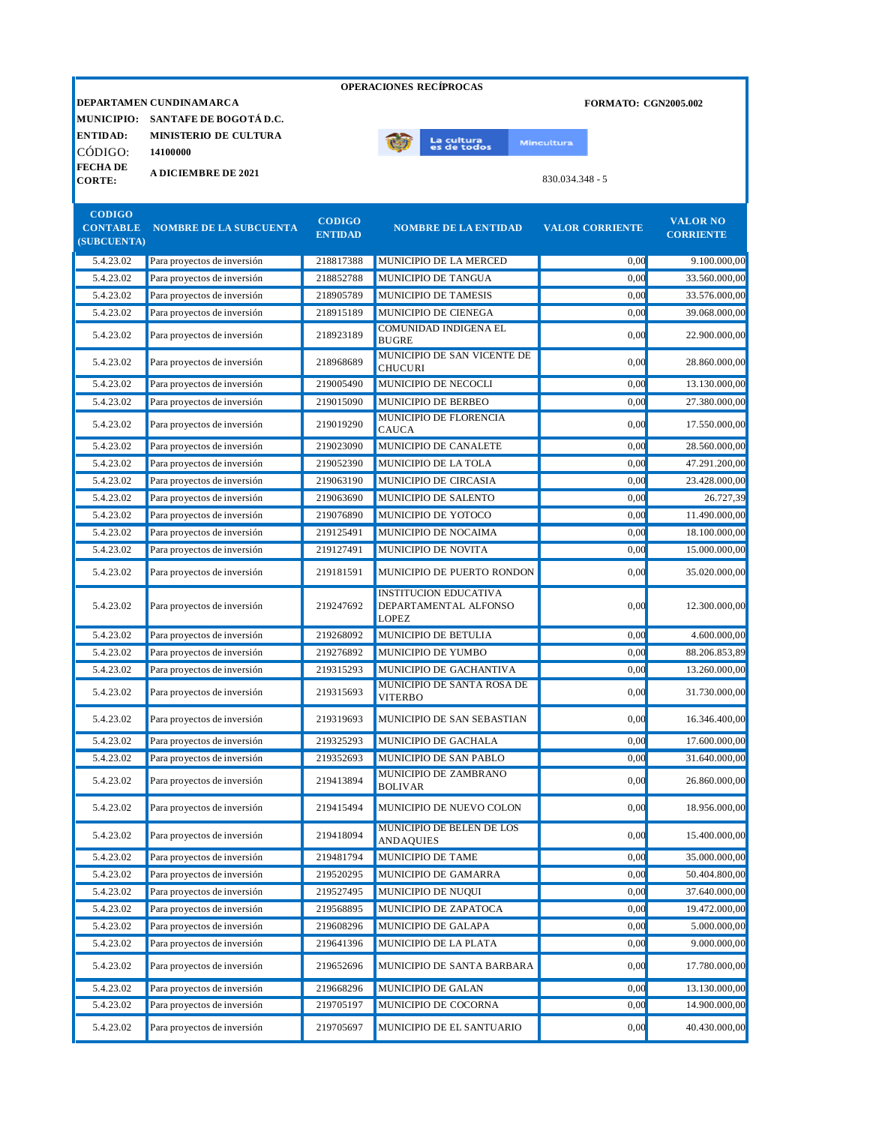|                                                        |                               |                                 | <b>OPERACIONES RECÍPROCAS</b>                 |                        |                                     |
|--------------------------------------------------------|-------------------------------|---------------------------------|-----------------------------------------------|------------------------|-------------------------------------|
| DEPARTAMEN CUNDINAMARCA<br><b>FORMATO: CGN2005.002</b> |                               |                                 |                                               |                        |                                     |
| <b>MUNICIPIO:</b>                                      | SANTAFE DE BOGOTÁ D.C.        |                                 |                                               |                        |                                     |
| <b>ENTIDAD:</b>                                        | <b>MINISTERIO DE CULTURA</b>  |                                 | La cultura<br>es de todos                     | <b>Mincultura</b>      |                                     |
| CÓDIGO:                                                | 14100000                      |                                 |                                               |                        |                                     |
| <b>FECHADE</b><br><b>CORTE:</b>                        | <b>A DICIEMBRE DE 2021</b>    |                                 |                                               | $830.034.348 - 5$      |                                     |
|                                                        |                               |                                 |                                               |                        |                                     |
| <b>CODIGO</b><br><b>CONTABLE</b><br>(SUBCUENTA)        | <b>NOMBRE DE LA SUBCUENTA</b> | <b>CODIGO</b><br><b>ENTIDAD</b> | <b>NOMBRE DE LA ENTIDAD</b>                   | <b>VALOR CORRIENTE</b> | <b>VALOR NO</b><br><b>CORRIENTE</b> |
| 5.4.23.02                                              | Para proyectos de inversión   | 218817388                       | MUNICIPIO DE LA MERCED                        | 0,00                   | 9.100.000,00                        |
| 5.4.23.02                                              | Para proyectos de inversión   | 218852788                       | MUNICIPIO DE TANGUA                           | 0,00                   | 33.560.000,00                       |
| 5.4.23.02                                              | Para proyectos de inversión   | 218905789                       | MUNICIPIO DE TAMESIS                          | 0.00                   | 33.576.000,00                       |
| 5.4.23.02                                              | Para proyectos de inversión   | 218915189                       | MUNICIPIO DE CIENEGA                          | 0.00                   | 39.068.000,00                       |
| 5.4.23.02                                              | Para proyectos de inversión   | 218923189                       | <b>COMUNIDAD INDIGENA EL</b><br><b>BUGRE</b>  | 0,00                   | 22.900.000,00                       |
| 5.4.23.02                                              | Para proyectos de inversión   | 218968689                       | MUNICIPIO DE SAN VICENTE DE<br><b>CHUCURI</b> | 0.00                   | 28.860.000,00                       |
| 5.4.23.02                                              | Para proyectos de inversión   | 219005490                       | MUNICIPIO DE NECOCLI                          | 0.00                   | 13.130.000,00                       |
| 5.4.23.02                                              | Para proyectos de inversión   | 219015090                       | MUNICIPIO DE BERBEO                           | 0.00                   | 27.380.000,00                       |
| 5.4.23.02                                              | Para proyectos de inversión   | 219019290                       | <b>MUNICIPIO DE FLORENCIA</b><br><b>CAUCA</b> | 0,00                   | 17.550.000,00                       |
| 5.4.23.02                                              | Para proyectos de inversión   | 219023090                       | MUNICIPIO DE CANALETE                         | 0.00                   | 28.560.000,00                       |
| 5.4.23.02                                              | Para proyectos de inversión   | 219052390                       | MUNICIPIO DE LA TOLA                          | 0.00                   | 47.291.200,00                       |
| 5.4.23.02                                              | Para proyectos de inversión   | 219063190                       | MUNICIPIO DE CIRCASIA                         | 0.00                   | 23.428.000,00                       |
| 5.4.23.02                                              | Para proyectos de inversión   | 219063690                       | MUNICIPIO DE SALENTO                          | 0.00                   | 26.727,39                           |
| 5.4.23.02                                              | Para proyectos de inversión   | 219076890                       | MUNICIPIO DE YOTOCO                           | 0,00                   | 11.490.000,00                       |
| 5.4.23.02                                              | Para proyectos de inversión   | 219125491                       | MUNICIPIO DE NOCAIMA                          | 0.00                   | 18.100.000,00                       |
| 5.4.23.02                                              | Dara provectos de inversión   | 210127401                       | MUNICIDIO DE NOVITA                           | 0.00                   | 15,000,000,00                       |

| 5.4.23.02 | Para proyectos de inversión | 219063690 | MUNICIPIO DE SALENTO                                                  | 0,00 | 26.727,39     |
|-----------|-----------------------------|-----------|-----------------------------------------------------------------------|------|---------------|
| 5.4.23.02 | Para proyectos de inversión | 219076890 | MUNICIPIO DE YOTOCO                                                   | 0.00 | 11.490.000,00 |
| 5.4.23.02 | Para proyectos de inversión | 219125491 | MUNICIPIO DE NOCAIMA                                                  | 0,00 | 18.100.000,00 |
| 5.4.23.02 | Para proyectos de inversión | 219127491 | MUNICIPIO DE NOVITA                                                   | 0.00 | 15.000.000,00 |
| 5.4.23.02 | Para proyectos de inversión | 219181591 | MUNICIPIO DE PUERTO RONDON                                            | 0.00 | 35.020.000,00 |
| 5.4.23.02 | Para proyectos de inversión | 219247692 | <b>INSTITUCION EDUCATIVA</b><br>DEPARTAMENTAL ALFONSO<br><b>LOPEZ</b> | 0.00 | 12.300.000,00 |
| 5.4.23.02 | Para proyectos de inversión | 219268092 | MUNICIPIO DE BETULIA                                                  | 0.00 | 4.600.000,00  |
| 5.4.23.02 | Para proyectos de inversión | 219276892 | MUNICIPIO DE YUMBO                                                    | 0,00 | 88.206.853,89 |
| 5.4.23.02 | Para proyectos de inversión | 219315293 | MUNICIPIO DE GACHANTIVA                                               | 0,00 | 13.260.000,00 |
| 5.4.23.02 | Para proyectos de inversión | 219315693 | MUNICIPIO DE SANTA ROSA DE<br><b>VITERBO</b>                          | 0.00 | 31.730.000,00 |
| 5.4.23.02 | Para proyectos de inversión | 219319693 | MUNICIPIO DE SAN SEBASTIAN                                            | 0.00 | 16.346.400,00 |
| 5.4.23.02 | Para proyectos de inversión | 219325293 | MUNICIPIO DE GACHALA                                                  | 0.00 | 17.600.000,00 |
| 5.4.23.02 | Para proyectos de inversión | 219352693 | MUNICIPIO DE SAN PABLO                                                | 0,00 | 31.640.000,00 |
| 5.4.23.02 | Para proyectos de inversión | 219413894 | MUNICIPIO DE ZAMBRANO<br><b>BOLIVAR</b>                               | 0.00 | 26.860.000,00 |
| 5.4.23.02 | Para proyectos de inversión | 219415494 | MUNICIPIO DE NUEVO COLON                                              | 0,00 | 18.956.000,00 |
| 5.4.23.02 | Para proyectos de inversión | 219418094 | <b>MUNICIPIO DE BELEN DE LOS</b><br><b>ANDAQUIES</b>                  | 0.00 | 15.400.000,00 |
| 5.4.23.02 | Para proyectos de inversión | 219481794 | MUNICIPIO DE TAME                                                     | 0.00 | 35.000.000,00 |
| 5.4.23.02 | Para proyectos de inversión | 219520295 | MUNICIPIO DE GAMARRA                                                  | 0,00 | 50.404.800,00 |
| 5.4.23.02 | Para proyectos de inversión | 219527495 | MUNICIPIO DE NUQUI                                                    | 0.00 | 37.640.000,00 |
| 5.4.23.02 | Para proyectos de inversión | 219568895 | MUNICIPIO DE ZAPATOCA                                                 | 0.00 | 19.472.000,00 |
| 5.4.23.02 | Para proyectos de inversión | 219608296 | MUNICIPIO DE GALAPA                                                   | 0,00 | 5.000.000,00  |
| 5.4.23.02 | Para proyectos de inversión | 219641396 | MUNICIPIO DE LA PLATA                                                 | 0.00 | 9.000.000,00  |
| 5.4.23.02 | Para proyectos de inversión | 219652696 | MUNICIPIO DE SANTA BARBARA                                            | 0.00 | 17.780.000,00 |
| 5.4.23.02 | Para proyectos de inversión | 219668296 | MUNICIPIO DE GALAN                                                    | 0.00 | 13.130.000,00 |
| 5.4.23.02 | Para proyectos de inversión | 219705197 | MUNICIPIO DE COCORNA                                                  | 0,00 | 14.900.000,00 |
| 5.4.23.02 | Para proyectos de inversión | 219705697 | MUNICIPIO DE EL SANTUARIO                                             | 0.00 | 40.430.000,00 |
|           |                             |           |                                                                       |      |               |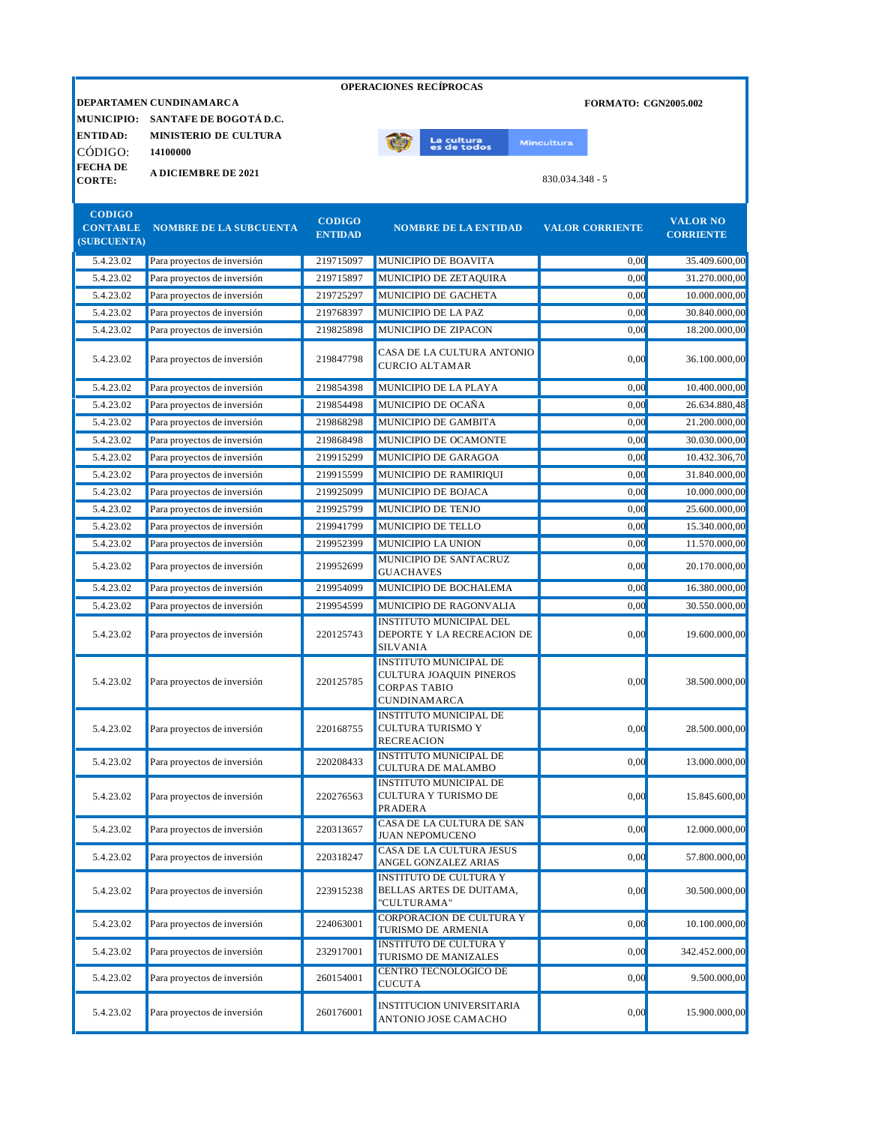|                                |                               |                                 | <b>OPERACIONES RECÍPROCAS</b>                                                                          |                             |                                     |
|--------------------------------|-------------------------------|---------------------------------|--------------------------------------------------------------------------------------------------------|-----------------------------|-------------------------------------|
|                                | DEPARTAMEN CUNDINAMARCA       |                                 |                                                                                                        | <b>FORMATO: CGN2005.002</b> |                                     |
| <b>MUNICIPIO:</b>              | SANTAFE DE BOGOTÁ D.C.        |                                 |                                                                                                        |                             |                                     |
| <b>ENTIDAD:</b>                | <b>MINISTERIO DE CULTURA</b>  |                                 |                                                                                                        |                             |                                     |
| CÓDIGO:                        | 14100000                      |                                 | La cultur <mark>a</mark><br>es de todos                                                                | <b>Mincultura</b>           |                                     |
| <b>FECHADE</b>                 | <b>A DICIEMBRE DE 2021</b>    |                                 |                                                                                                        |                             |                                     |
| <b>CORTE:</b>                  |                               |                                 |                                                                                                        | $830.034.348 - 5$           |                                     |
| <b>CODIGO</b>                  |                               |                                 |                                                                                                        |                             |                                     |
| <b>CONTABLE</b><br>(SUBCUENTA) | <b>NOMBRE DE LA SUBCUENTA</b> | <b>CODIGO</b><br><b>ENTIDAD</b> | <b>NOMBRE DE LA ENTIDAD</b>                                                                            | <b>VALOR CORRIENTE</b>      | <b>VALOR NO</b><br><b>CORRIENTE</b> |
| 5.4.23.02                      | Para proyectos de inversión   | 219715097                       | MUNICIPIO DE BOAVITA                                                                                   | 0,00                        | 35.409.600,00                       |
| 5.4.23.02                      | Para proyectos de inversión   | 219715897                       | MUNICIPIO DE ZETAQUIRA                                                                                 | 0.00                        | 31.270.000,00                       |
| 5.4.23.02                      | Para proyectos de inversión   | 219725297                       | MUNICIPIO DE GACHETA                                                                                   | 0.00                        | 10.000.000,00                       |
| 5.4.23.02                      | Para proyectos de inversión   | 219768397                       | MUNICIPIO DE LA PAZ                                                                                    | 0,00                        | 30.840.000,00                       |
| 5.4.23.02                      | Para proyectos de inversión   | 219825898                       | MUNICIPIO DE ZIPACON                                                                                   | 0,00                        | 18.200.000,00                       |
| 5.4.23.02                      | Para proyectos de inversión   | 219847798                       | CASA DE LA CULTURA ANTONIO<br><b>CURCIO ALTAMAR</b>                                                    | 0.00                        | 36.100.000,00                       |
| 5.4.23.02                      | Para proyectos de inversión   | 219854398                       | MUNICIPIO DE LA PLAYA                                                                                  | 0,00                        | 10.400.000,00                       |
| 5.4.23.02                      | Para proyectos de inversión   | 219854498                       | MUNICIPIO DE OCAÑA                                                                                     | 0,00                        | 26.634.880,48                       |
| 5.4.23.02                      | Para proyectos de inversión   | 219868298                       | MUNICIPIO DE GAMBITA                                                                                   | 0,00                        | 21.200.000,00                       |
| 5.4.23.02                      | Para proyectos de inversión   | 219868498                       | MUNICIPIO DE OCAMONTE                                                                                  | 30.030.000,00               |                                     |
| 5.4.23.02                      | Para proyectos de inversión   | 219915299                       | MUNICIPIO DE GARAGOA                                                                                   | 0.00                        | 10.432.306,70                       |
| 5.4.23.02                      | Para proyectos de inversión   | 219915599                       | MUNICIPIO DE RAMIRIQUI                                                                                 | 31.840.000,00               |                                     |
| 5.4.23.02                      | Para proyectos de inversión   | 219925099                       | MUNICIPIO DE BOJACA                                                                                    | 10.000.000,00               |                                     |
| 5.4.23.02                      | Para proyectos de inversión   | 219925799                       | MUNICIPIO DE TENJO<br>0,00                                                                             |                             | 25.600.000,00                       |
| 5.4.23.02                      | Para proyectos de inversión   | 219941799                       | MUNICIPIO DE TELLO<br>0,00                                                                             |                             | 15.340.000,00                       |
| 5.4.23.02                      | Para proyectos de inversión   | 219952399                       | MUNICIPIO LA UNION                                                                                     | 11.570.000,00               |                                     |
| 5.4.23.02                      | Para proyectos de inversión   | 219952699                       | MUNICIPIO DE SANTACRUZ<br><b>GUACHAVES</b>                                                             | 0,00                        | 20.170.000,00                       |
| 5.4.23.02                      | Para proyectos de inversión   | 219954099                       | MUNICIPIO DE BOCHALEMA                                                                                 | 0,00                        | 16.380.000,00                       |
| 5.4.23.02                      | Para proyectos de inversión   | 219954599                       | MUNICIPIO DE RAGONVALIA                                                                                | 0,00                        | 30.550.000,00                       |
| 5.4.23.02                      | Para proyectos de inversión   | 220125743                       | <b>INSTITUTO MUNICIPAL DEL</b><br>DEPORTE Y LA RECREACION DE<br><b>SILVANIA</b>                        | 0,00                        | 19.600.000,00                       |
| 5.4.23.02                      | Para proyectos de inversión   | 220125785                       | <b>INSTITUTO MUNICIPAL DE</b><br>CULTURA JOAQUIN PINEROS<br><b>CORPAS TABIO</b><br><b>CUNDINAMARCA</b> | 0.00                        | 38.500.000,00                       |
| 5.4.23.02                      | Para proyectos de inversión   | 220168755                       | <b>INSTITUTO MUNICIPAL DE</b><br><b>CULTURA TURISMO Y</b><br><b>RECREACION</b>                         | 0,00                        | 28.500.000,00                       |
| 5.4.23.02                      | Para proyectos de inversión   | 220208433                       | <b>INSTITUTO MUNICIPAL DE</b><br><b>CULTURA DE MALAMBO</b>                                             | 0,00                        | 13.000.000,00                       |
| 5.4.23.02                      | Para proyectos de inversión   | 220276563                       | <b>INSTITUTO MUNICIPAL DE</b><br>CULTURA Y TURISMO DE<br>0,00<br><b>PRADERA</b>                        |                             |                                     |
| 5.4.23.02                      | Para proyectos de inversión   | 220313657                       | CASA DE LA CULTURA DE SAN<br><b>JUAN NEPOMUCENO</b>                                                    | 0,00                        | 12.000.000,00                       |
| 5.4.23.02                      | Para proyectos de inversión   | 220318247                       | <b>CASA DE LA CULTURA JESUS</b><br>ANGEL GONZALEZ ARIAS                                                | 0,00                        | 57.800.000,00                       |
|                                |                               |                                 | <b>INSTITUTO DE CULTURA Y</b>                                                                          |                             |                                     |

| 5.4.23.02 | Para proyectos de inversión | 220313657 | ICASA DE LA CULTURA DE SAN<br><b>JUAN NEPOMUCENO</b>                     | 0.00 | 12.000.000.00  |
|-----------|-----------------------------|-----------|--------------------------------------------------------------------------|------|----------------|
| 5.4.23.02 | Para proyectos de inversión | 220318247 | CASA DE LA CULTURA JESUS<br>ANGEL GONZALEZ ARIAS                         | 0.00 | 57.800.000.00  |
| 5.4.23.02 | Para proyectos de inversión | 223915238 | INSTITUTO DE CULTURA Y<br><b>BELLAS ARTES DE DUITAMA,</b><br>"CULTURAMA" | 0,00 | 30.500.000,00  |
| 5.4.23.02 | Para proyectos de inversión | 224063001 | CORPORACION DE CULTURA Y<br><b>TURISMO DE ARMENIA</b>                    | 0.00 | 10.100.000.00  |
| 5.4.23.02 | Para proyectos de inversión | 232917001 | <b>INSTITUTO DE CULTURA Y</b><br><b>TURISMO DE MANIZALES</b>             | 0,00 | 342.452.000.00 |
| 5.4.23.02 | Para proyectos de inversión | 260154001 | CENTRO TECNOLOGICO DE<br><b>CUCUTA</b>                                   | 0.00 | 9.500.000.00   |
| 5.4.23.02 | Para proyectos de inversión | 260176001 | <b>INSTITUCION UNIVERSITARIA</b><br>ANTONIO JOSE CAMACHO                 | 0.00 | 15.900.000,00  |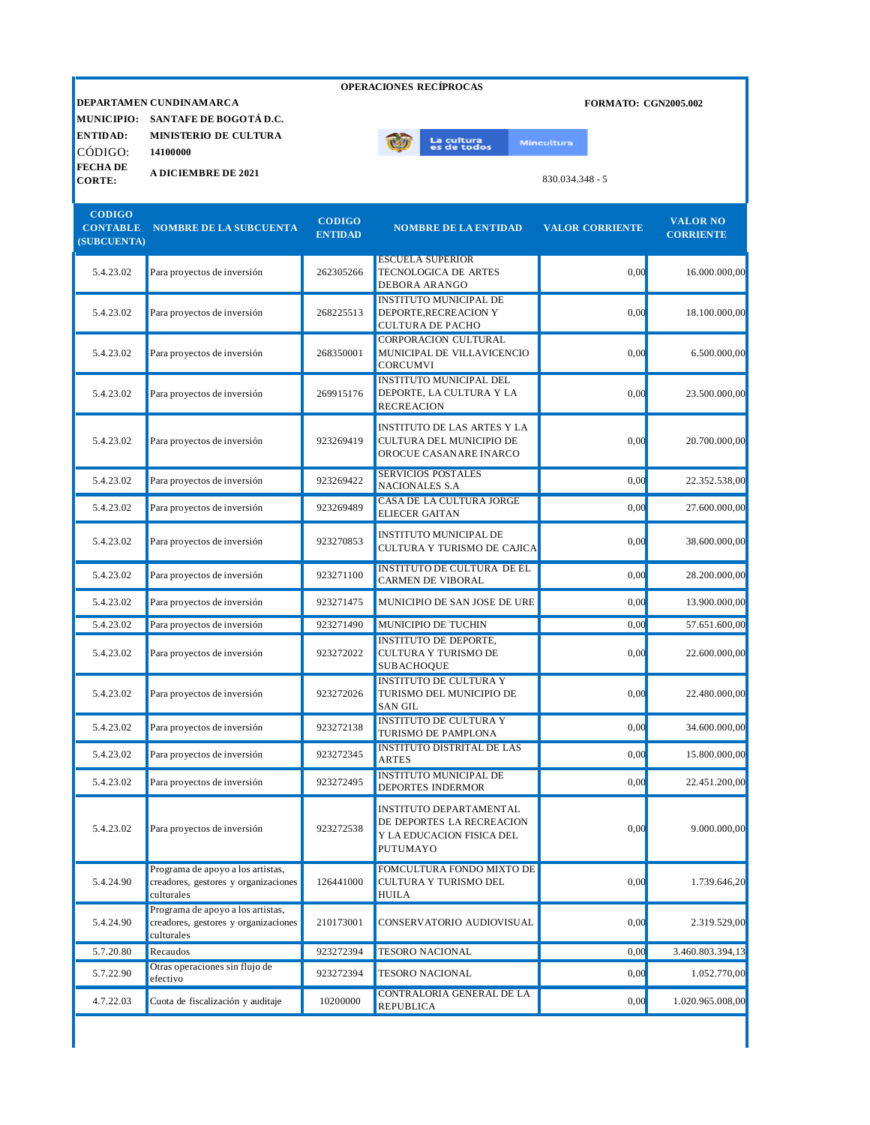|                                  |                                        |                                 | <b>OPERACIONES RECÍPROCAS</b>                          |                   |                             |                                     |
|----------------------------------|----------------------------------------|---------------------------------|--------------------------------------------------------|-------------------|-----------------------------|-------------------------------------|
|                                  | DEPARTAMEN CUNDINAMARCA                |                                 |                                                        |                   | <b>FORMATO: CGN2005.002</b> |                                     |
|                                  | MUNICIPIO: SANTAFE DE BOGOTÁ D.C.      |                                 |                                                        |                   |                             |                                     |
| <b>ENTIDAD:</b>                  | <b>MINISTERIO DE CULTURA</b>           |                                 | La cultura                                             | <b>Mincultura</b> |                             |                                     |
| CÓDIGO:                          | 14100000                               |                                 | es de todos                                            |                   |                             |                                     |
| <b>FECHA DE</b><br><b>CORTE:</b> | <b>A DICIEMBRE DE 2021</b>             |                                 |                                                        |                   | 830.034.348 - 5             |                                     |
| <b>CODIGO</b><br>(SUBCUENTA)     | <b>CONTABLE NOMBRE DE LA SUBCUENTA</b> | <b>CODIGO</b><br><b>ENTIDAD</b> | <b>NOMBRE DE LA ENTIDAD</b>                            |                   | <b>VALOR CORRIENTE</b>      | <b>VALOR NO</b><br><b>CORRIENTE</b> |
| 5.4.23.02                        | Para proyectos de inversión            | 262305266                       | <b>ESCUELA SUPERIOR</b><br><b>TECNOLOGICA DE ARTES</b> |                   | 0.00                        | 16.000.000.0                        |

| Para proyectos de inversión                                                             | 262305266 | TECNOLOGICA DE ARTES<br><b>DEBORA ARANGO</b>                                                         | 0,00                          | 16.000.000,00    |
|-----------------------------------------------------------------------------------------|-----------|------------------------------------------------------------------------------------------------------|-------------------------------|------------------|
| Para proyectos de inversión                                                             | 268225513 | <b>INSTITUTO MUNICIPAL DE</b><br>DEPORTE, RECREACION Y<br><b>CULTURA DE PACHO</b>                    | 0,00                          | 18.100.000,00    |
| Para proyectos de inversión                                                             | 268350001 | CORPORACION CULTURAL<br>MUNICIPAL DE VILLAVICENCIO<br>CORCUMVI                                       | 0,00                          | 6.500.000,00     |
| Para proyectos de inversión                                                             | 269915176 | <b>INSTITUTO MUNICIPAL DEL</b><br>DEPORTE, LA CULTURA Y LA<br><b>RECREACION</b>                      | 0,00                          | 23.500.000,00    |
| Para proyectos de inversión                                                             | 923269419 | <b>INSTITUTO DE LAS ARTES Y LA</b><br>CULTURA DEL MUNICIPIO DE<br>OROCUE CASANARE INARCO             | 0,00                          | 20.700.000,00    |
| Para proyectos de inversión                                                             | 923269422 | SERVICIOS POSTALES<br>NACIONALES S.A                                                                 | 0,00                          | 22.352.538,00    |
| Para proyectos de inversión                                                             | 923269489 | CASA DE LA CULTURA JORGE<br><b>ELIECER GAITAN</b>                                                    | 0.00                          | 27.600.000,00    |
| Para proyectos de inversión                                                             | 923270853 | <b>INSTITUTO MUNICIPAL DE</b><br>CULTURA Y TURISMO DE CAJICA                                         | 0,00                          | 38.600.000,00    |
| Para proyectos de inversión                                                             | 923271100 | <b>INSTITUTO DE CULTURA DE EL</b><br><b>CARMEN DE VIBORAL</b>                                        | 0.00                          | 28.200.000,00    |
| Para proyectos de inversión                                                             | 923271475 | MUNICIPIO DE SAN JOSE DE URE                                                                         | 0.00                          | 13.900.000,00    |
| Para proyectos de inversión                                                             | 923271490 | MUNICIPIO DE TUCHIN                                                                                  | 0,00                          | 57.651.600,00    |
| Para proyectos de inversión                                                             | 923272022 | <b>INSTITUTO DE DEPORTE,</b><br>CULTURA Y TURISMO DE<br><b>SUBACHOQUE</b>                            | 0,00                          | 22.600.000,00    |
| Para proyectos de inversión                                                             | 923272026 | <b>INSTITUTO DE CULTURA Y</b><br>TURISMO DEL MUNICIPIO DE<br><b>SAN GIL</b>                          | 0,00                          | 22.480.000,00    |
| Para proyectos de inversión                                                             | 923272138 | TURISMO DE PAMPLONA                                                                                  | 0,00                          | 34.600.000,00    |
| Para proyectos de inversión                                                             | 923272345 | <b>INSTITUTO DISTRITAL DE LAS</b><br><b>ARTES</b>                                                    | 0,00                          | 15.800.000,00    |
| Para proyectos de inversión                                                             | 923272495 | <b>INSTITUTO MUNICIPAL DE</b><br><b>DEPORTES INDERMOR</b>                                            | 0.00                          | 22.451.200,00    |
| Para proyectos de inversión                                                             | 923272538 | INSTITUTO DEPARTAMENTAL<br>DE DEPORTES LA RECREACION<br>Y LA EDUCACION FISICA DEL<br><b>PUTUMAYO</b> | 0,00                          | 9.000.000.00     |
| Programa de apoyo a los artistas,<br>creadores, gestores y organizaciones<br>culturales | 126441000 | FOMCULTURA FONDO MIXTO DE<br>CULTURA Y TURISMO DEL<br><b>HUILA</b>                                   | 0,00                          | 1.739.646,20     |
| Programa de apoyo a los artistas,<br>creadores, gestores y organizaciones<br>culturales | 210173001 | CONSERVATORIO AUDIOVISUAL                                                                            | 0,00                          | 2.319.529,00     |
| Recaudos                                                                                | 923272394 | <b>TESORO NACIONAL</b>                                                                               | 0,00                          | 3.460.803.394,13 |
| Otras operaciones sin flujo de<br>efectivo                                              | 923272394 | <b>TESORO NACIONAL</b>                                                                               | 0,00                          | 1.052.770,00     |
| Cuota de fiscalización y auditaje                                                       | 10200000  | CONTRALORIA GENERAL DE LA<br><b>REPUBLICA</b>                                                        | 0,00                          | 1.020.965.008,00 |
|                                                                                         |           |                                                                                                      | <b>INSTITUTO DE CULTURA Y</b> |                  |